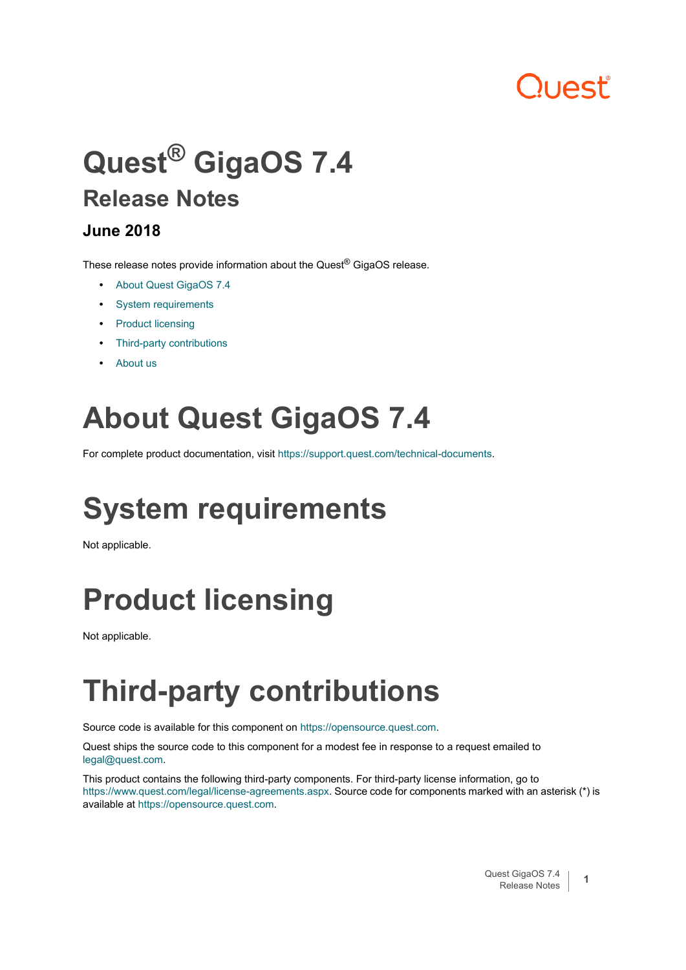## JUAST"

### **Quest® GigaOS 7.4 Release Notes**

### **June 2018**

These release notes provide information about the Quest<sup>®</sup> GigaOS release.

- **•** [About Quest GigaOS 7.4](#page-0-0)
- **•** [System requirements](#page-0-1)
- **•** [Product licensing](#page-0-2)
- **•** [Third-party contributions](#page-0-3)
- **•** [About us](#page-86-0)

# <span id="page-0-0"></span>**About Quest GigaOS 7.4**

For complete product documentation, visit<https://support.quest.com/technical-documents>.

# <span id="page-0-1"></span>**System requirements**

Not applicable.

# <span id="page-0-2"></span>**Product licensing**

Not applicable.

### <span id="page-0-3"></span>**Third-party contributions**

Source code is available for this component on [https://opensource.quest.com.](https://opensource.quest.com)

Quest ships the source code to this component for a modest fee in response to a request emailed to legal@quest.com.

This product contains the following third-party components. For third-party license information, go to [https://www.quest.com/legal/license-agreements.aspx.](https://www.quest.com/legal/license-agreements.aspx) Source code for components marked with an asterisk (\*) is available at [https://opensource.quest.com.](https://opensource.quest.com)

> Quest GigaOS 7.4 | est GigaOS 7.4 **1**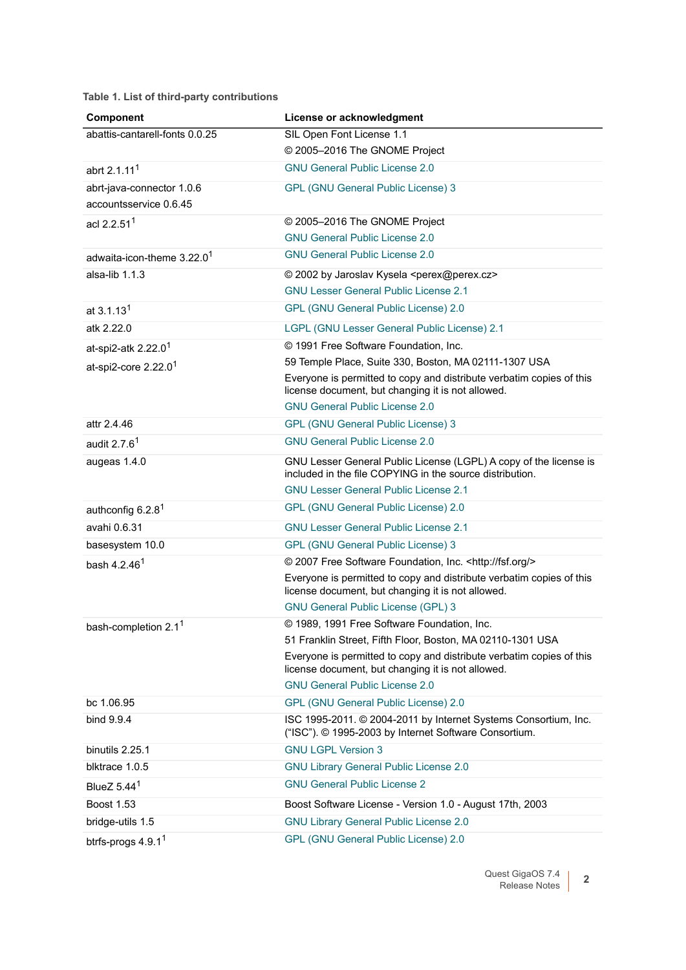| Component                              | License or acknowledgment                                                                                                                                                                     |
|----------------------------------------|-----------------------------------------------------------------------------------------------------------------------------------------------------------------------------------------------|
| abattis-cantarell-fonts 0.0.25         | SIL Open Font License 1.1                                                                                                                                                                     |
|                                        | © 2005-2016 The GNOME Project                                                                                                                                                                 |
| abrt 2.1.11 <sup>1</sup>               | <b>GNU General Public License 2.0</b>                                                                                                                                                         |
| abrt-java-connector 1.0.6              | <b>GPL (GNU General Public License) 3</b>                                                                                                                                                     |
| accountsservice 0.6.45                 |                                                                                                                                                                                               |
| acl 2.2.51 <sup>1</sup>                | © 2005-2016 The GNOME Project                                                                                                                                                                 |
|                                        | <b>GNU General Public License 2.0</b>                                                                                                                                                         |
| adwaita-icon-theme 3.22.0 <sup>1</sup> | <b>GNU General Public License 2.0</b>                                                                                                                                                         |
| alsa-lib 1.1.3                         | © 2002 by Jaroslav Kysela <perex@perex.cz></perex@perex.cz>                                                                                                                                   |
|                                        | <b>GNU Lesser General Public License 2.1</b>                                                                                                                                                  |
| at $3.1.131$                           | <b>GPL (GNU General Public License) 2.0</b>                                                                                                                                                   |
| atk 2.22.0                             | LGPL (GNU Lesser General Public License) 2.1                                                                                                                                                  |
| at-spi2-atk 2.22.0 <sup>1</sup>        | © 1991 Free Software Foundation, Inc.                                                                                                                                                         |
| at-spi2-core 2.22.0 <sup>1</sup>       | 59 Temple Place, Suite 330, Boston, MA 02111-1307 USA                                                                                                                                         |
|                                        | Everyone is permitted to copy and distribute verbatim copies of this<br>license document, but changing it is not allowed.                                                                     |
|                                        | <b>GNU General Public License 2.0</b>                                                                                                                                                         |
| attr 2.4.46                            | <b>GPL (GNU General Public License) 3</b>                                                                                                                                                     |
| audit $2.7.61$                         | <b>GNU General Public License 2.0</b>                                                                                                                                                         |
| augeas 1.4.0                           | GNU Lesser General Public License (LGPL) A copy of the license is<br>included in the file COPYING in the source distribution.                                                                 |
|                                        | <b>GNU Lesser General Public License 2.1</b>                                                                                                                                                  |
| authconfig 6.2.8 <sup>1</sup>          | GPL (GNU General Public License) 2.0                                                                                                                                                          |
| avahi 0.6.31                           | <b>GNU Lesser General Public License 2.1</b>                                                                                                                                                  |
| basesystem 10.0                        | <b>GPL (GNU General Public License) 3</b>                                                                                                                                                     |
| bash 4.2.46 <sup>1</sup>               | © 2007 Free Software Foundation, Inc. <http: fsf.org=""></http:><br>Everyone is permitted to copy and distribute verbatim copies of this<br>license document, but changing it is not allowed. |
|                                        | <b>GNU General Public License (GPL) 3</b>                                                                                                                                                     |
| bash-completion 2.1 <sup>1</sup>       | © 1989, 1991 Free Software Foundation, Inc.<br>51 Franklin Street, Fifth Floor, Boston, MA 02110-1301 USA                                                                                     |
|                                        | Everyone is permitted to copy and distribute verbatim copies of this<br>license document, but changing it is not allowed.<br><b>GNU General Public License 2.0</b>                            |
| bc 1.06.95                             | <b>GPL (GNU General Public License) 2.0</b>                                                                                                                                                   |
| bind 9.9.4                             | ISC 1995-2011. © 2004-2011 by Internet Systems Consortium, Inc.<br>("ISC"). © 1995-2003 by Internet Software Consortium.                                                                      |
| binutils 2.25.1                        | <b>GNU LGPL Version 3</b>                                                                                                                                                                     |
| blktrace 1.0.5                         | <b>GNU Library General Public License 2.0</b>                                                                                                                                                 |
| BlueZ $5.441$                          | <b>GNU General Public License 2</b>                                                                                                                                                           |
| Boost 1.53                             | Boost Software License - Version 1.0 - August 17th, 2003                                                                                                                                      |
| bridge-utils 1.5                       | <b>GNU Library General Public License 2.0</b>                                                                                                                                                 |
| btrfs-progs 4.9.1 <sup>1</sup>         | GPL (GNU General Public License) 2.0                                                                                                                                                          |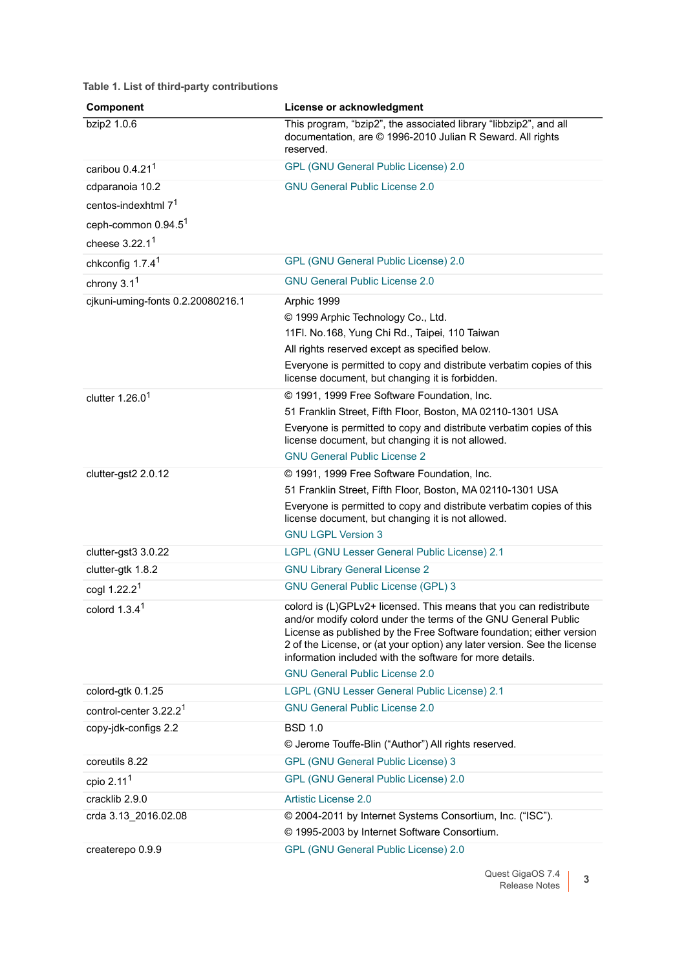| Component                          | License or acknowledgment                                                                                                                                                                                                                                                                                                                                                                     |
|------------------------------------|-----------------------------------------------------------------------------------------------------------------------------------------------------------------------------------------------------------------------------------------------------------------------------------------------------------------------------------------------------------------------------------------------|
| bzip2 1.0.6                        | This program, "bzip2", the associated library "libbzip2", and all<br>documentation, are © 1996-2010 Julian R Seward. All rights<br>reserved.                                                                                                                                                                                                                                                  |
| caribou $0.4.211$                  | GPL (GNU General Public License) 2.0                                                                                                                                                                                                                                                                                                                                                          |
| cdparanoia 10.2                    | <b>GNU General Public License 2.0</b>                                                                                                                                                                                                                                                                                                                                                         |
| centos-indexhtml 7 <sup>1</sup>    |                                                                                                                                                                                                                                                                                                                                                                                               |
| ceph-common 0.94.5 <sup>1</sup>    |                                                                                                                                                                                                                                                                                                                                                                                               |
| cheese $3.22.11$                   |                                                                                                                                                                                                                                                                                                                                                                                               |
| chkconfig $1.7.41$                 | GPL (GNU General Public License) 2.0                                                                                                                                                                                                                                                                                                                                                          |
| chrony $3.11$                      | <b>GNU General Public License 2.0</b>                                                                                                                                                                                                                                                                                                                                                         |
| cjkuni-uming-fonts 0.2.20080216.1  | Arphic 1999                                                                                                                                                                                                                                                                                                                                                                                   |
|                                    | © 1999 Arphic Technology Co., Ltd.                                                                                                                                                                                                                                                                                                                                                            |
|                                    | 11Fl. No.168, Yung Chi Rd., Taipei, 110 Taiwan                                                                                                                                                                                                                                                                                                                                                |
|                                    | All rights reserved except as specified below.                                                                                                                                                                                                                                                                                                                                                |
|                                    | Everyone is permitted to copy and distribute verbatim copies of this<br>license document, but changing it is forbidden.                                                                                                                                                                                                                                                                       |
| clutter $1.26.01$                  | © 1991, 1999 Free Software Foundation, Inc.                                                                                                                                                                                                                                                                                                                                                   |
|                                    | 51 Franklin Street, Fifth Floor, Boston, MA 02110-1301 USA                                                                                                                                                                                                                                                                                                                                    |
|                                    | Everyone is permitted to copy and distribute verbatim copies of this<br>license document, but changing it is not allowed.                                                                                                                                                                                                                                                                     |
|                                    | <b>GNU General Public License 2</b>                                                                                                                                                                                                                                                                                                                                                           |
| clutter-gst $2.0.12$               | © 1991, 1999 Free Software Foundation, Inc.                                                                                                                                                                                                                                                                                                                                                   |
|                                    | 51 Franklin Street, Fifth Floor, Boston, MA 02110-1301 USA<br>Everyone is permitted to copy and distribute verbatim copies of this<br>license document, but changing it is not allowed.                                                                                                                                                                                                       |
|                                    | <b>GNU LGPL Version 3</b>                                                                                                                                                                                                                                                                                                                                                                     |
| clutter-gst3 3.0.22                | LGPL (GNU Lesser General Public License) 2.1                                                                                                                                                                                                                                                                                                                                                  |
| clutter-gtk 1.8.2                  | <b>GNU Library General License 2</b>                                                                                                                                                                                                                                                                                                                                                          |
| cogl 1.22.2 <sup>1</sup>           | <b>GNU General Public License (GPL) 3</b>                                                                                                                                                                                                                                                                                                                                                     |
| colord $1.3.41$                    | colord is (L)GPLv2+ licensed. This means that you can redistribute<br>and/or modify colord under the terms of the GNU General Public<br>License as published by the Free Software foundation; either version<br>2 of the License, or (at your option) any later version. See the license<br>information included with the software for more details.<br><b>GNU General Public License 2.0</b> |
| colord-gtk 0.1.25                  | LGPL (GNU Lesser General Public License) 2.1                                                                                                                                                                                                                                                                                                                                                  |
| control-center 3.22.2 <sup>1</sup> | <b>GNU General Public License 2.0</b>                                                                                                                                                                                                                                                                                                                                                         |
| copy-jdk-configs 2.2               | <b>BSD 1.0</b>                                                                                                                                                                                                                                                                                                                                                                                |
|                                    | © Jerome Touffe-Blin ("Author") All rights reserved.                                                                                                                                                                                                                                                                                                                                          |
| coreutils 8.22                     | <b>GPL (GNU General Public License) 3</b>                                                                                                                                                                                                                                                                                                                                                     |
| cpio $2.111$                       | GPL (GNU General Public License) 2.0                                                                                                                                                                                                                                                                                                                                                          |
| cracklib 2.9.0                     | <b>Artistic License 2.0</b>                                                                                                                                                                                                                                                                                                                                                                   |
| crda 3.13_2016.02.08               | © 2004-2011 by Internet Systems Consortium, Inc. ("ISC").                                                                                                                                                                                                                                                                                                                                     |
|                                    | © 1995-2003 by Internet Software Consortium.                                                                                                                                                                                                                                                                                                                                                  |
| createrepo 0.9.9                   | GPL (GNU General Public License) 2.0                                                                                                                                                                                                                                                                                                                                                          |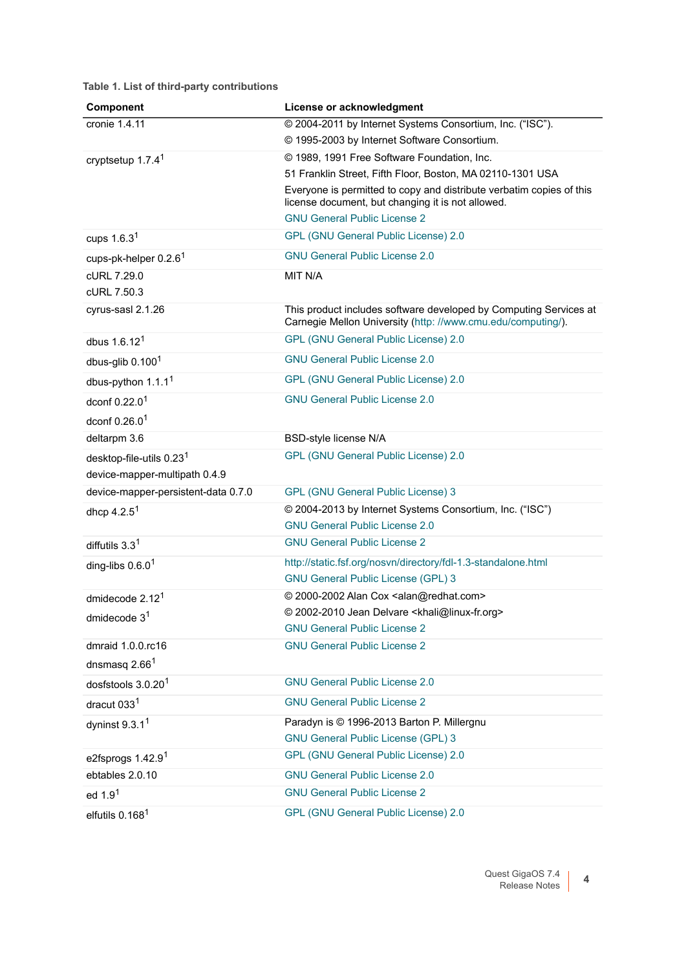| Component                           | License or acknowledgment                                                                                                         |
|-------------------------------------|-----------------------------------------------------------------------------------------------------------------------------------|
| cronie 1.4.11                       | © 2004-2011 by Internet Systems Consortium, Inc. ("ISC").                                                                         |
|                                     | © 1995-2003 by Internet Software Consortium.                                                                                      |
| cryptsetup 1.7.4 <sup>1</sup>       | © 1989, 1991 Free Software Foundation, Inc.                                                                                       |
|                                     | 51 Franklin Street, Fifth Floor, Boston, MA 02110-1301 USA                                                                        |
|                                     | Everyone is permitted to copy and distribute verbatim copies of this<br>license document, but changing it is not allowed.         |
|                                     | <b>GNU General Public License 2</b>                                                                                               |
| cups $1.6.31$                       | <b>GPL (GNU General Public License) 2.0</b>                                                                                       |
| cups-pk-helper 0.2.6 <sup>1</sup>   | <b>GNU General Public License 2.0</b>                                                                                             |
| cURL 7.29.0<br>cURL 7.50.3          | MIT N/A                                                                                                                           |
| cyrus-sasl 2.1.26                   | This product includes software developed by Computing Services at<br>Carnegie Mellon University (http: //www.cmu.edu/computing/). |
| dbus $1.6.121$                      | <b>GPL (GNU General Public License) 2.0</b>                                                                                       |
| dbus-glib $0.1001$                  | <b>GNU General Public License 2.0</b>                                                                                             |
| dbus-python 1.1.1 <sup>1</sup>      | GPL (GNU General Public License) 2.0                                                                                              |
| dconf $0.22.01$                     | <b>GNU General Public License 2.0</b>                                                                                             |
| dconf $0.26.01$                     |                                                                                                                                   |
| deltarpm 3.6                        | <b>BSD-style license N/A</b>                                                                                                      |
| desktop-file-utils 0.231            | <b>GPL (GNU General Public License) 2.0</b>                                                                                       |
| device-mapper-multipath 0.4.9       |                                                                                                                                   |
| device-mapper-persistent-data 0.7.0 | <b>GPL (GNU General Public License) 3</b>                                                                                         |
| dhcp $4.2.51$                       | © 2004-2013 by Internet Systems Consortium, Inc. ("ISC")<br><b>GNU General Public License 2.0</b>                                 |
| diffutils $3.31$                    | <b>GNU General Public License 2</b>                                                                                               |
| ding-libs $0.6.01$                  | http://static.fsf.org/nosvn/directory/fdl-1.3-standalone.html                                                                     |
|                                     | <b>GNU General Public License (GPL) 3</b>                                                                                         |
| dmidecode 2.12 <sup>1</sup>         | © 2000-2002 Alan Cox <alan@redhat.com></alan@redhat.com>                                                                          |
| dmidecode $31$                      | © 2002-2010 Jean Delvare <khali@linux-fr.org><br/><b>GNU General Public License 2</b></khali@linux-fr.org>                        |
| dmraid 1.0.0.rc16                   | <b>GNU General Public License 2</b>                                                                                               |
| dnsmasq $2.661$                     |                                                                                                                                   |
| dosfstools 3.0.20 <sup>1</sup>      | <b>GNU General Public License 2.0</b>                                                                                             |
| dracut 033 <sup>1</sup>             | <b>GNU General Public License 2</b>                                                                                               |
| dyninst $9.3.11$                    | Paradyn is © 1996-2013 Barton P. Millergnu                                                                                        |
|                                     | <b>GNU General Public License (GPL) 3</b>                                                                                         |
| e2fsprogs $1.42.91$                 | GPL (GNU General Public License) 2.0                                                                                              |
| ebtables 2.0.10                     | <b>GNU General Public License 2.0</b>                                                                                             |
| ed 1.9 <sup>1</sup>                 | <b>GNU General Public License 2</b>                                                                                               |
| elfutils 0.168 <sup>1</sup>         | <b>GPL (GNU General Public License) 2.0</b>                                                                                       |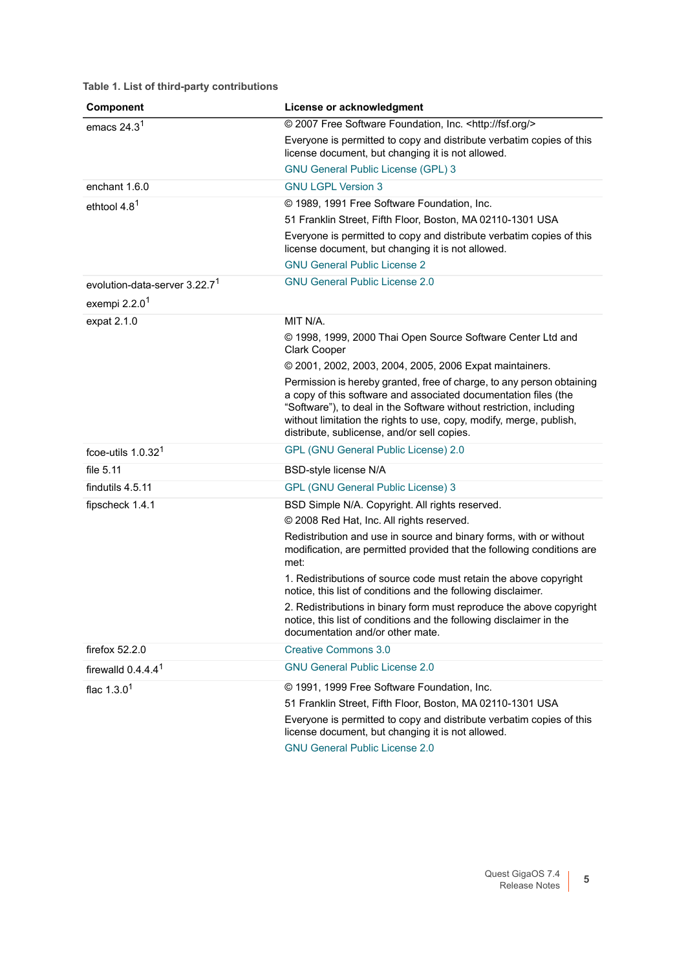| <b>Component</b>                          | License or acknowledgment                                                                                                                                                                                                                                                                                                             |
|-------------------------------------------|---------------------------------------------------------------------------------------------------------------------------------------------------------------------------------------------------------------------------------------------------------------------------------------------------------------------------------------|
| emacs $24.31$                             | © 2007 Free Software Foundation, Inc. < http://fsf.org/>                                                                                                                                                                                                                                                                              |
|                                           | Everyone is permitted to copy and distribute verbatim copies of this<br>license document, but changing it is not allowed.                                                                                                                                                                                                             |
|                                           | <b>GNU General Public License (GPL) 3</b>                                                                                                                                                                                                                                                                                             |
| enchant 1.6.0                             | <b>GNU LGPL Version 3</b>                                                                                                                                                                                                                                                                                                             |
| ethtool 4.8 <sup>1</sup>                  | © 1989, 1991 Free Software Foundation, Inc.                                                                                                                                                                                                                                                                                           |
|                                           | 51 Franklin Street, Fifth Floor, Boston, MA 02110-1301 USA                                                                                                                                                                                                                                                                            |
|                                           | Everyone is permitted to copy and distribute verbatim copies of this<br>license document, but changing it is not allowed.                                                                                                                                                                                                             |
|                                           | <b>GNU General Public License 2</b>                                                                                                                                                                                                                                                                                                   |
| evolution-data-server 3.22.7 <sup>1</sup> | <b>GNU General Public License 2.0</b>                                                                                                                                                                                                                                                                                                 |
| exempi $2.2.01$                           |                                                                                                                                                                                                                                                                                                                                       |
| expat 2.1.0                               | MIT N/A.                                                                                                                                                                                                                                                                                                                              |
|                                           | © 1998, 1999, 2000 Thai Open Source Software Center Ltd and<br><b>Clark Cooper</b>                                                                                                                                                                                                                                                    |
|                                           | © 2001, 2002, 2003, 2004, 2005, 2006 Expat maintainers.                                                                                                                                                                                                                                                                               |
|                                           | Permission is hereby granted, free of charge, to any person obtaining<br>a copy of this software and associated documentation files (the<br>"Software"), to deal in the Software without restriction, including<br>without limitation the rights to use, copy, modify, merge, publish,<br>distribute, sublicense, and/or sell copies. |
| fcoe-utils $1.0.321$                      | GPL (GNU General Public License) 2.0                                                                                                                                                                                                                                                                                                  |
| file 5.11                                 | BSD-style license N/A                                                                                                                                                                                                                                                                                                                 |
| findutils 4.5.11                          | <b>GPL (GNU General Public License) 3</b>                                                                                                                                                                                                                                                                                             |
| fipscheck 1.4.1                           | BSD Simple N/A. Copyright. All rights reserved.                                                                                                                                                                                                                                                                                       |
|                                           | © 2008 Red Hat, Inc. All rights reserved.                                                                                                                                                                                                                                                                                             |
|                                           | Redistribution and use in source and binary forms, with or without<br>modification, are permitted provided that the following conditions are<br>met:                                                                                                                                                                                  |
|                                           | 1. Redistributions of source code must retain the above copyright<br>notice, this list of conditions and the following disclaimer.                                                                                                                                                                                                    |
|                                           | 2. Redistributions in binary form must reproduce the above copyright<br>notice, this list of conditions and the following disclaimer in the<br>documentation and/or other mate.                                                                                                                                                       |
| firefox 52.2.0                            | <b>Creative Commons 3.0</b>                                                                                                                                                                                                                                                                                                           |
| firewalld $0.4.4.41$                      | <b>GNU General Public License 2.0</b>                                                                                                                                                                                                                                                                                                 |
| flac $1.3.0^{1}$                          | © 1991, 1999 Free Software Foundation, Inc.                                                                                                                                                                                                                                                                                           |
|                                           | 51 Franklin Street, Fifth Floor, Boston, MA 02110-1301 USA                                                                                                                                                                                                                                                                            |
|                                           | Everyone is permitted to copy and distribute verbatim copies of this<br>license document, but changing it is not allowed.<br><b>GNU General Public License 2.0</b>                                                                                                                                                                    |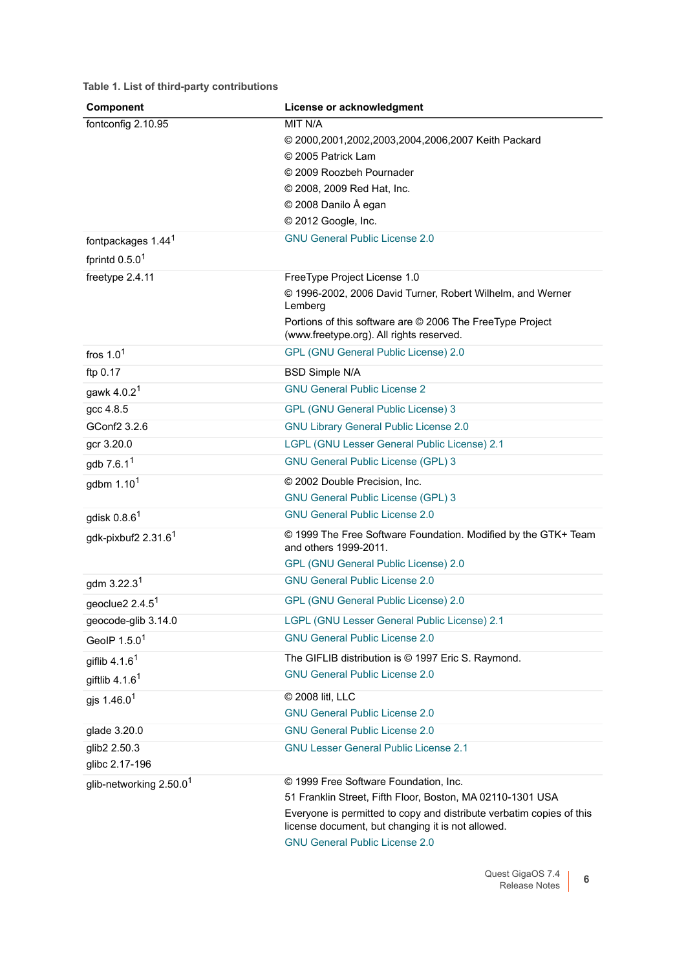| Component                           | License or acknowledgment                                                                                                 |
|-------------------------------------|---------------------------------------------------------------------------------------------------------------------------|
| fontconfig 2.10.95                  | MIT N/A                                                                                                                   |
|                                     | © 2000,2001,2002,2003,2004,2006,2007 Keith Packard                                                                        |
|                                     | © 2005 Patrick Lam                                                                                                        |
|                                     | © 2009 Roozbeh Pournader                                                                                                  |
|                                     | © 2008, 2009 Red Hat, Inc.                                                                                                |
|                                     | © 2008 Danilo Å egan                                                                                                      |
|                                     | © 2012 Google, Inc.                                                                                                       |
| fontpackages 1.44 <sup>1</sup>      | <b>GNU General Public License 2.0</b>                                                                                     |
| fprintd $0.5.01$                    |                                                                                                                           |
| freetype 2.4.11                     | FreeType Project License 1.0                                                                                              |
|                                     | © 1996-2002, 2006 David Turner, Robert Wilhelm, and Werner<br>Lemberg                                                     |
|                                     | Portions of this software are © 2006 The FreeType Project                                                                 |
|                                     | (www.freetype.org). All rights reserved.                                                                                  |
| fros $1.01$                         | <b>GPL (GNU General Public License) 2.0</b>                                                                               |
| ftp 0.17                            | <b>BSD Simple N/A</b>                                                                                                     |
| gawk $4.0.21$                       | <b>GNU General Public License 2</b>                                                                                       |
| gcc 4.8.5                           | <b>GPL (GNU General Public License) 3</b>                                                                                 |
| GConf <sub>2</sub> 3.2.6            | <b>GNU Library General Public License 2.0</b>                                                                             |
| gcr 3.20.0                          | LGPL (GNU Lesser General Public License) 2.1                                                                              |
| gdb $7.6.11$                        | <b>GNU General Public License (GPL) 3</b>                                                                                 |
| gdbm $1.101$                        | © 2002 Double Precision, Inc.                                                                                             |
|                                     | <b>GNU General Public License (GPL) 3</b>                                                                                 |
| gdisk $0.8.61$                      | <b>GNU General Public License 2.0</b>                                                                                     |
| gdk-pixbuf2 2.31.6 <sup>1</sup>     | © 1999 The Free Software Foundation. Modified by the GTK+ Team<br>and others 1999-2011.                                   |
|                                     | GPL (GNU General Public License) 2.0                                                                                      |
| gdm 3.22.3 <sup>1</sup>             | <b>GNU General Public License 2.0</b>                                                                                     |
| geoclue2 2.4.5 <sup>1</sup>         | GPL (GNU General Public License) 2.0                                                                                      |
| geocode-glib 3.14.0                 | LGPL (GNU Lesser General Public License) 2.1                                                                              |
| GeoIP $1.5.01$                      | <b>GNU General Public License 2.0</b>                                                                                     |
| giflib $4.1.61$                     | The GIFLIB distribution is © 1997 Eric S. Raymond.                                                                        |
| giftlib $4.1.61$                    | <b>GNU General Public License 2.0</b>                                                                                     |
| gjs $1.46.01$                       | © 2008 litl, LLC                                                                                                          |
|                                     | <b>GNU General Public License 2.0</b>                                                                                     |
| glade 3.20.0                        | <b>GNU General Public License 2.0</b>                                                                                     |
| glib2 2.50.3                        | <b>GNU Lesser General Public License 2.1</b>                                                                              |
| glibc 2.17-196                      |                                                                                                                           |
| glib-networking 2.50.0 <sup>1</sup> | © 1999 Free Software Foundation, Inc.                                                                                     |
|                                     | 51 Franklin Street, Fifth Floor, Boston, MA 02110-1301 USA                                                                |
|                                     | Everyone is permitted to copy and distribute verbatim copies of this<br>license document, but changing it is not allowed. |
|                                     | <b>GNU General Public License 2.0</b>                                                                                     |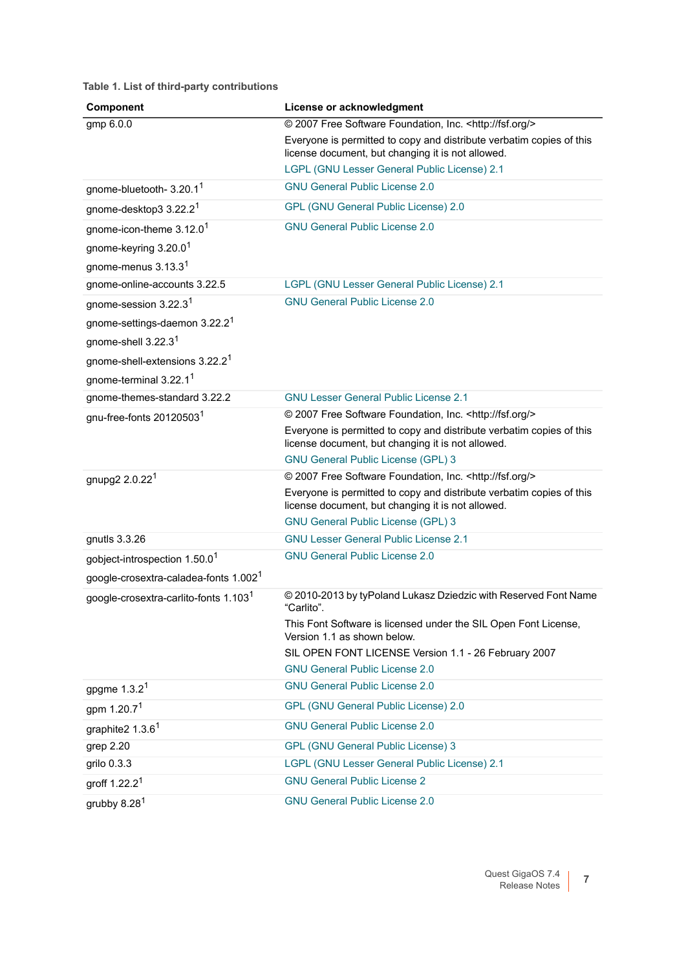| Component                                                                                      | License or acknowledgment                                                                                                 |
|------------------------------------------------------------------------------------------------|---------------------------------------------------------------------------------------------------------------------------|
| gmp 6.0.0                                                                                      | © 2007 Free Software Foundation, Inc. <http: fsf.org=""></http:>                                                          |
|                                                                                                | Everyone is permitted to copy and distribute verbatim copies of this<br>license document, but changing it is not allowed. |
|                                                                                                | LGPL (GNU Lesser General Public License) 2.1                                                                              |
| gnome-bluetooth- 3.20.1 <sup>1</sup>                                                           | <b>GNU General Public License 2.0</b>                                                                                     |
| gnome-desktop3 3.22.2 <sup>1</sup>                                                             | GPL (GNU General Public License) 2.0                                                                                      |
| gnome-icon-theme 3.12.0 <sup>1</sup>                                                           | <b>GNU General Public License 2.0</b>                                                                                     |
| gnome-keyring 3.20.0 <sup>1</sup>                                                              |                                                                                                                           |
| gnome-menus $3.13.31$                                                                          |                                                                                                                           |
| gnome-online-accounts 3.22.5                                                                   | LGPL (GNU Lesser General Public License) 2.1                                                                              |
| gnome-session 3.22.3 <sup>1</sup>                                                              | <b>GNU General Public License 2.0</b>                                                                                     |
| gnome-settings-daemon 3.22.2 <sup>1</sup>                                                      |                                                                                                                           |
| gnome-shell 3.22.3 <sup>1</sup>                                                                |                                                                                                                           |
| gnome-shell-extensions 3.22.2 <sup>1</sup>                                                     |                                                                                                                           |
| qnome-terminal 3.22.1 <sup>1</sup>                                                             |                                                                                                                           |
| gnome-themes-standard 3.22.2                                                                   | <b>GNU Lesser General Public License 2.1</b>                                                                              |
| gnu-free-fonts 201205031                                                                       | © 2007 Free Software Foundation, Inc. < http://fsf.org/>                                                                  |
|                                                                                                | Everyone is permitted to copy and distribute verbatim copies of this<br>license document, but changing it is not allowed. |
|                                                                                                | <b>GNU General Public License (GPL) 3</b>                                                                                 |
| gnupg2 $2.0.221$                                                                               | © 2007 Free Software Foundation, Inc. <http: fsf.org=""></http:>                                                          |
|                                                                                                | Everyone is permitted to copy and distribute verbatim copies of this<br>license document, but changing it is not allowed. |
|                                                                                                | <b>GNU General Public License (GPL) 3</b>                                                                                 |
| gnutls 3.3.26                                                                                  | <b>GNU Lesser General Public License 2.1</b><br><b>GNU General Public License 2.0</b>                                     |
| gobject-introspection 1.50.0 <sup>1</sup><br>google-crosextra-caladea-fonts 1.002 <sup>1</sup> |                                                                                                                           |
| google-crosextra-carlito-fonts 1.103 <sup>1</sup>                                              | © 2010-2013 by tyPoland Lukasz Dziedzic with Reserved Font Name<br>"Carlito".                                             |
|                                                                                                | This Font Software is licensed under the SIL Open Font License,<br>Version 1.1 as shown below.                            |
|                                                                                                | SIL OPEN FONT LICENSE Version 1.1 - 26 February 2007                                                                      |
|                                                                                                | <b>GNU General Public License 2.0</b>                                                                                     |
| gpgme $1.3.21$                                                                                 | <b>GNU General Public License 2.0</b>                                                                                     |
| gpm 1.20.7 <sup>1</sup>                                                                        | GPL (GNU General Public License) 2.0                                                                                      |
| graphite2 $1.3.61$                                                                             | <b>GNU General Public License 2.0</b>                                                                                     |
| grep 2.20                                                                                      | <b>GPL (GNU General Public License) 3</b>                                                                                 |
| grilo 0.3.3                                                                                    | LGPL (GNU Lesser General Public License) 2.1                                                                              |
| groff 1.22.2 <sup>1</sup>                                                                      | <b>GNU General Public License 2</b>                                                                                       |
| grubby $8.281$                                                                                 | <b>GNU General Public License 2.0</b>                                                                                     |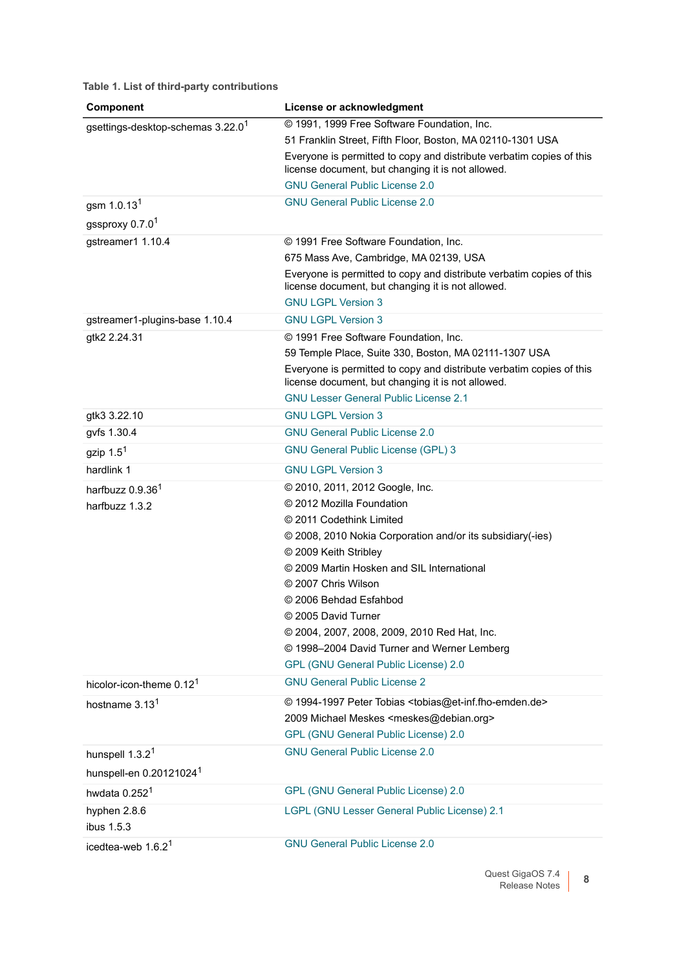| Component                                     | License or acknowledgment                                                                                                 |
|-----------------------------------------------|---------------------------------------------------------------------------------------------------------------------------|
| gsettings-desktop-schemas 3.22.0 <sup>1</sup> | © 1991, 1999 Free Software Foundation, Inc.                                                                               |
|                                               | 51 Franklin Street, Fifth Floor, Boston, MA 02110-1301 USA                                                                |
|                                               | Everyone is permitted to copy and distribute verbatim copies of this<br>license document, but changing it is not allowed. |
|                                               | <b>GNU General Public License 2.0</b>                                                                                     |
| gsm $1.0.131$                                 | <b>GNU General Public License 2.0</b>                                                                                     |
| gssproxy 0.7.0 <sup>1</sup>                   |                                                                                                                           |
| gstreamer1 1.10.4                             | © 1991 Free Software Foundation, Inc.                                                                                     |
|                                               | 675 Mass Ave, Cambridge, MA 02139, USA                                                                                    |
|                                               | Everyone is permitted to copy and distribute verbatim copies of this<br>license document, but changing it is not allowed. |
|                                               | <b>GNU LGPL Version 3</b>                                                                                                 |
| gstreamer1-plugins-base 1.10.4                | <b>GNU LGPL Version 3</b>                                                                                                 |
| gtk2 2.24.31                                  | © 1991 Free Software Foundation, Inc.                                                                                     |
|                                               | 59 Temple Place, Suite 330, Boston, MA 02111-1307 USA                                                                     |
|                                               | Everyone is permitted to copy and distribute verbatim copies of this<br>license document, but changing it is not allowed. |
|                                               | <b>GNU Lesser General Public License 2.1</b>                                                                              |
| gtk3 3.22.10                                  | <b>GNU LGPL Version 3</b>                                                                                                 |
| gvfs 1.30.4                                   | <b>GNU General Public License 2.0</b>                                                                                     |
| gzip $1.51$                                   | <b>GNU General Public License (GPL) 3</b>                                                                                 |
| hardlink 1                                    | <b>GNU LGPL Version 3</b>                                                                                                 |
| harfbuzz 0.9.36 <sup>1</sup>                  | © 2010, 2011, 2012 Google, Inc.                                                                                           |
| harfbuzz 1.3.2                                | © 2012 Mozilla Foundation                                                                                                 |
|                                               | © 2011 Codethink Limited                                                                                                  |
|                                               | © 2008, 2010 Nokia Corporation and/or its subsidiary(-ies)                                                                |
|                                               | © 2009 Keith Stribley                                                                                                     |
|                                               | © 2009 Martin Hosken and SIL International                                                                                |
|                                               | © 2007 Chris Wilson                                                                                                       |
|                                               | © 2006 Behdad Esfahbod                                                                                                    |
|                                               | © 2005 David Turner                                                                                                       |
|                                               | © 2004, 2007, 2008, 2009, 2010 Red Hat, Inc.                                                                              |
|                                               | © 1998-2004 David Turner and Werner Lemberg                                                                               |
|                                               | GPL (GNU General Public License) 2.0                                                                                      |
| hicolor-icon-theme 0.12 <sup>1</sup>          | <b>GNU General Public License 2</b>                                                                                       |
| hostname 3.13 <sup>1</sup>                    | © 1994-1997 Peter Tobias <tobias@et-inf.fho-emden.de></tobias@et-inf.fho-emden.de>                                        |
|                                               | 2009 Michael Meskes <meskes@debian.org></meskes@debian.org>                                                               |
|                                               | GPL (GNU General Public License) 2.0                                                                                      |
| hunspell 1.3.2 <sup>1</sup>                   | <b>GNU General Public License 2.0</b>                                                                                     |
| hunspell-en 0.20121024 <sup>1</sup>           |                                                                                                                           |
| hwdata 0.252 <sup>1</sup>                     | GPL (GNU General Public License) 2.0                                                                                      |
| hyphen 2.8.6<br>ibus 1.5.3                    | LGPL (GNU Lesser General Public License) 2.1                                                                              |
| icedtea-web 1.6.2 <sup>1</sup>                | <b>GNU General Public License 2.0</b>                                                                                     |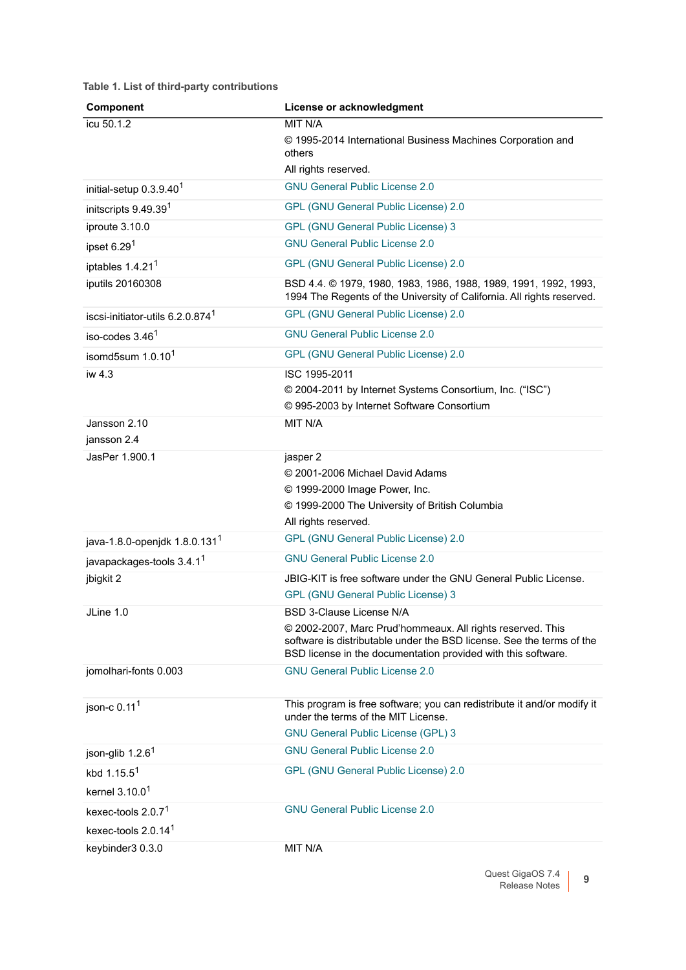| <b>Component</b>                             | License or acknowledgment                                                                                                                                                                            |
|----------------------------------------------|------------------------------------------------------------------------------------------------------------------------------------------------------------------------------------------------------|
| icu 50.1.2                                   | MIT N/A                                                                                                                                                                                              |
|                                              | © 1995-2014 International Business Machines Corporation and<br>others                                                                                                                                |
|                                              | All rights reserved.                                                                                                                                                                                 |
| initial-setup 0.3.9.40 <sup>1</sup>          | <b>GNU General Public License 2.0</b>                                                                                                                                                                |
| initscripts 9.49.39 <sup>1</sup>             | GPL (GNU General Public License) 2.0                                                                                                                                                                 |
| iproute 3.10.0                               | <b>GPL (GNU General Public License) 3</b>                                                                                                                                                            |
| ipset 6.29 <sup>1</sup>                      | <b>GNU General Public License 2.0</b>                                                                                                                                                                |
| iptables 1.4.21 <sup>1</sup>                 | GPL (GNU General Public License) 2.0                                                                                                                                                                 |
| iputils 20160308                             | BSD 4.4. © 1979, 1980, 1983, 1986, 1988, 1989, 1991, 1992, 1993,<br>1994 The Regents of the University of California. All rights reserved.                                                           |
| iscsi-initiator-utils 6.2.0.874 <sup>1</sup> | GPL (GNU General Public License) 2.0                                                                                                                                                                 |
| iso-codes 3.46 <sup>1</sup>                  | <b>GNU General Public License 2.0</b>                                                                                                                                                                |
| isomd5sum $1.0.101$                          | GPL (GNU General Public License) 2.0                                                                                                                                                                 |
| iw 4.3                                       | ISC 1995-2011                                                                                                                                                                                        |
|                                              | © 2004-2011 by Internet Systems Consortium, Inc. ("ISC")                                                                                                                                             |
|                                              | © 995-2003 by Internet Software Consortium                                                                                                                                                           |
| Jansson 2.10                                 | MIT N/A                                                                                                                                                                                              |
| jansson 2.4                                  |                                                                                                                                                                                                      |
| JasPer 1.900.1                               | jasper 2<br>© 2001-2006 Michael David Adams                                                                                                                                                          |
|                                              | © 1999-2000 Image Power, Inc.                                                                                                                                                                        |
|                                              | © 1999-2000 The University of British Columbia                                                                                                                                                       |
|                                              | All rights reserved.                                                                                                                                                                                 |
| java-1.8.0-openjdk 1.8.0.131 <sup>1</sup>    | GPL (GNU General Public License) 2.0                                                                                                                                                                 |
| javapackages-tools 3.4.1 <sup>1</sup>        | <b>GNU General Public License 2.0</b>                                                                                                                                                                |
| jbigkit 2                                    | JBIG-KIT is free software under the GNU General Public License.                                                                                                                                      |
|                                              | <b>GPL (GNU General Public License) 3</b>                                                                                                                                                            |
| JLine 1.0                                    | <b>BSD 3-Clause License N/A</b>                                                                                                                                                                      |
|                                              | © 2002-2007, Marc Prud'hommeaux. All rights reserved. This<br>software is distributable under the BSD license. See the terms of the<br>BSD license in the documentation provided with this software. |
| jomolhari-fonts 0.003                        | <b>GNU General Public License 2.0</b>                                                                                                                                                                |
| json-c $0.111$                               | This program is free software; you can redistribute it and/or modify it<br>under the terms of the MIT License.                                                                                       |
|                                              | <b>GNU General Public License (GPL) 3</b>                                                                                                                                                            |
| json-glib $1.2.61$                           | <b>GNU General Public License 2.0</b>                                                                                                                                                                |
| kbd $1.15.5^1$                               | GPL (GNU General Public License) 2.0                                                                                                                                                                 |
| kernel $3.10.01$                             |                                                                                                                                                                                                      |
| kexec-tools 2.0.7 <sup>1</sup>               | <b>GNU General Public License 2.0</b>                                                                                                                                                                |
| kexec-tools 2.0.14 <sup>1</sup>              |                                                                                                                                                                                                      |
| keybinder3 0.3.0                             | MIT N/A                                                                                                                                                                                              |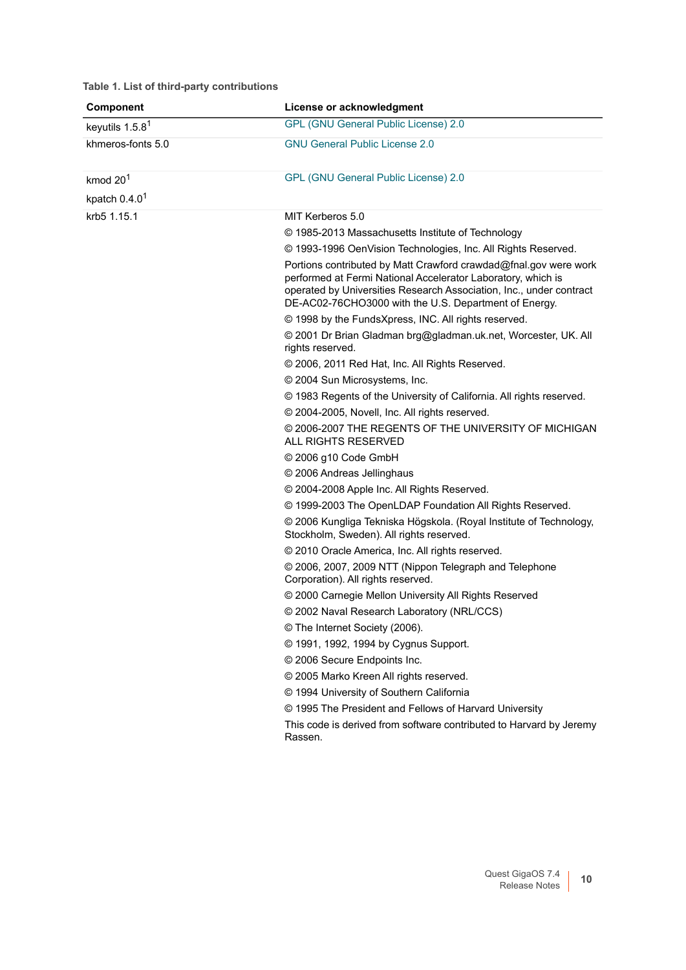| Component         | License or acknowledgment                                                                                                                                                                                                                                        |
|-------------------|------------------------------------------------------------------------------------------------------------------------------------------------------------------------------------------------------------------------------------------------------------------|
| keyutils $1.5.81$ | <b>GPL (GNU General Public License) 2.0</b>                                                                                                                                                                                                                      |
| khmeros-fonts 5.0 | <b>GNU General Public License 2.0</b>                                                                                                                                                                                                                            |
| kmod $201$        | GPL (GNU General Public License) 2.0                                                                                                                                                                                                                             |
| kpatch $0.4.01$   |                                                                                                                                                                                                                                                                  |
| krb5 1.15.1       | MIT Kerberos 5.0                                                                                                                                                                                                                                                 |
|                   | © 1985-2013 Massachusetts Institute of Technology                                                                                                                                                                                                                |
|                   | © 1993-1996 OenVision Technologies, Inc. All Rights Reserved.                                                                                                                                                                                                    |
|                   | Portions contributed by Matt Crawford crawdad@fnal.gov were work<br>performed at Fermi National Accelerator Laboratory, which is<br>operated by Universities Research Association, Inc., under contract<br>DE-AC02-76CHO3000 with the U.S. Department of Energy. |
|                   | © 1998 by the FundsXpress, INC. All rights reserved.                                                                                                                                                                                                             |
|                   | © 2001 Dr Brian Gladman brg@gladman.uk.net, Worcester, UK. All<br>rights reserved.                                                                                                                                                                               |
|                   | © 2006, 2011 Red Hat, Inc. All Rights Reserved.                                                                                                                                                                                                                  |
|                   | © 2004 Sun Microsystems, Inc.                                                                                                                                                                                                                                    |
|                   | © 1983 Regents of the University of California. All rights reserved.                                                                                                                                                                                             |
|                   | © 2004-2005, Novell, Inc. All rights reserved.                                                                                                                                                                                                                   |
|                   | © 2006-2007 THE REGENTS OF THE UNIVERSITY OF MICHIGAN<br><b>ALL RIGHTS RESERVED</b>                                                                                                                                                                              |
|                   | © 2006 g10 Code GmbH                                                                                                                                                                                                                                             |
|                   | © 2006 Andreas Jellinghaus                                                                                                                                                                                                                                       |
|                   | © 2004-2008 Apple Inc. All Rights Reserved.                                                                                                                                                                                                                      |
|                   | © 1999-2003 The OpenLDAP Foundation All Rights Reserved.                                                                                                                                                                                                         |
|                   | © 2006 Kungliga Tekniska Högskola. (Royal Institute of Technology,<br>Stockholm, Sweden). All rights reserved.                                                                                                                                                   |
|                   | © 2010 Oracle America, Inc. All rights reserved.                                                                                                                                                                                                                 |
|                   | © 2006, 2007, 2009 NTT (Nippon Telegraph and Telephone<br>Corporation). All rights reserved.                                                                                                                                                                     |
|                   | © 2000 Carnegie Mellon University All Rights Reserved                                                                                                                                                                                                            |
|                   | © 2002 Naval Research Laboratory (NRL/CCS)                                                                                                                                                                                                                       |
|                   | © The Internet Society (2006).                                                                                                                                                                                                                                   |
|                   | © 1991, 1992, 1994 by Cygnus Support.                                                                                                                                                                                                                            |
|                   | © 2006 Secure Endpoints Inc.                                                                                                                                                                                                                                     |
|                   | © 2005 Marko Kreen All rights reserved.                                                                                                                                                                                                                          |
|                   | © 1994 University of Southern California                                                                                                                                                                                                                         |
|                   | © 1995 The President and Fellows of Harvard University                                                                                                                                                                                                           |
|                   | This code is derived from software contributed to Harvard by Jeremy<br>Rassen.                                                                                                                                                                                   |
|                   |                                                                                                                                                                                                                                                                  |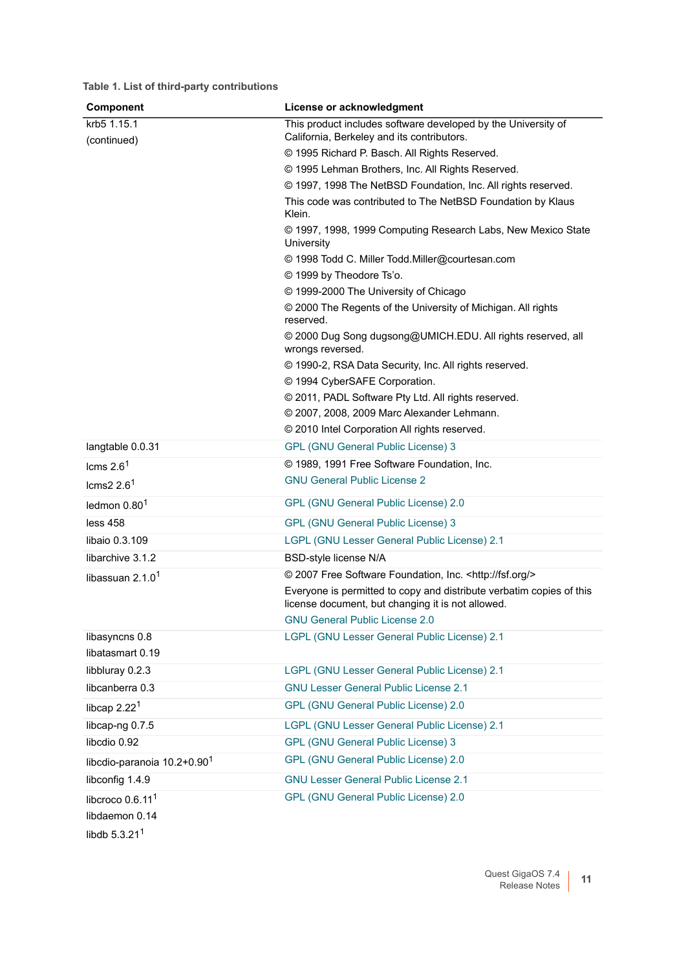| krb5 1.15.1                                                       | This product includes software developed by the University of                                                                |
|-------------------------------------------------------------------|------------------------------------------------------------------------------------------------------------------------------|
| (continued)                                                       | California, Berkeley and its contributors.                                                                                   |
|                                                                   | © 1995 Richard P. Basch. All Rights Reserved.                                                                                |
|                                                                   | © 1995 Lehman Brothers, Inc. All Rights Reserved.                                                                            |
|                                                                   | © 1997, 1998 The NetBSD Foundation, Inc. All rights reserved.<br>This code was contributed to The NetBSD Foundation by Klaus |
|                                                                   | Klein.                                                                                                                       |
|                                                                   | © 1997, 1998, 1999 Computing Research Labs, New Mexico State<br>University                                                   |
|                                                                   | © 1998 Todd C. Miller Todd.Miller@courtesan.com                                                                              |
|                                                                   | © 1999 by Theodore Ts'o.                                                                                                     |
|                                                                   | © 1999-2000 The University of Chicago                                                                                        |
|                                                                   | © 2000 The Regents of the University of Michigan. All rights<br>reserved.                                                    |
|                                                                   | © 2000 Dug Song dugsong@UMICH.EDU. All rights reserved, all<br>wrongs reversed.                                              |
|                                                                   | © 1990-2, RSA Data Security, Inc. All rights reserved.                                                                       |
|                                                                   | © 1994 CyberSAFE Corporation.                                                                                                |
|                                                                   | © 2011, PADL Software Pty Ltd. All rights reserved.                                                                          |
|                                                                   | © 2007, 2008, 2009 Marc Alexander Lehmann.                                                                                   |
|                                                                   | © 2010 Intel Corporation All rights reserved.                                                                                |
| langtable 0.0.31                                                  | <b>GPL (GNU General Public License) 3</b>                                                                                    |
| lcms $2.61$                                                       | © 1989, 1991 Free Software Foundation, Inc.                                                                                  |
| lcms2 $2.61$                                                      | <b>GNU General Public License 2</b>                                                                                          |
| ledmon 0.80 <sup>1</sup>                                          | GPL (GNU General Public License) 2.0                                                                                         |
| less 458                                                          | <b>GPL (GNU General Public License) 3</b>                                                                                    |
| libaio 0.3.109                                                    | LGPL (GNU Lesser General Public License) 2.1                                                                                 |
| libarchive 3.1.2                                                  | <b>BSD-style license N/A</b>                                                                                                 |
| libassuan 2.1.0 <sup>1</sup>                                      | © 2007 Free Software Foundation, Inc. <http: fsf.org=""></http:>                                                             |
|                                                                   | Everyone is permitted to copy and distribute verbatim copies of this<br>license document, but changing it is not allowed.    |
|                                                                   | <b>GNU General Public License 2.0</b>                                                                                        |
| libasyncns 0.8<br>libatasmart 0.19                                | LGPL (GNU Lesser General Public License) 2.1                                                                                 |
| libbluray 0.2.3                                                   | LGPL (GNU Lesser General Public License) 2.1                                                                                 |
| libcanberra 0.3                                                   | <b>GNU Lesser General Public License 2.1</b>                                                                                 |
| libcap $2.221$                                                    | GPL (GNU General Public License) 2.0                                                                                         |
| libcap-ng 0.7.5                                                   | LGPL (GNU Lesser General Public License) 2.1                                                                                 |
| libcdio 0.92                                                      | <b>GPL (GNU General Public License) 3</b>                                                                                    |
| libcdio-paranoia 10.2+0.90 <sup>1</sup>                           | GPL (GNU General Public License) 2.0                                                                                         |
| libconfig 1.4.9                                                   | <b>GNU Lesser General Public License 2.1</b>                                                                                 |
| libcroco $0.6.111$<br>libdaemon 0.14<br>libdb 5.3.21 <sup>1</sup> | GPL (GNU General Public License) 2.0                                                                                         |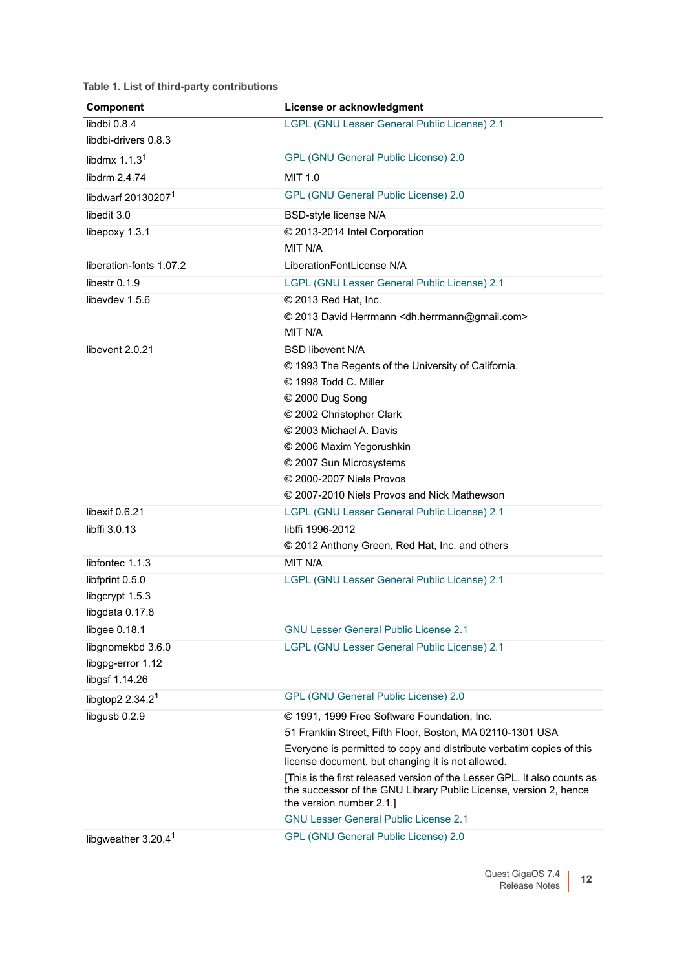| <b>Component</b>                                         | License or acknowledgment                                                                                                                                                                                                                                                                                           |
|----------------------------------------------------------|---------------------------------------------------------------------------------------------------------------------------------------------------------------------------------------------------------------------------------------------------------------------------------------------------------------------|
| libdbi 0.8.4                                             | LGPL (GNU Lesser General Public License) 2.1                                                                                                                                                                                                                                                                        |
| libdbi-drivers 0.8.3                                     |                                                                                                                                                                                                                                                                                                                     |
| libdmx $1.1.31$                                          | GPL (GNU General Public License) 2.0                                                                                                                                                                                                                                                                                |
| libdrm 2.4.74                                            | <b>MIT 1.0</b>                                                                                                                                                                                                                                                                                                      |
| libdwarf 20130207 <sup>1</sup>                           | GPL (GNU General Public License) 2.0                                                                                                                                                                                                                                                                                |
| libedit 3.0                                              | BSD-style license N/A                                                                                                                                                                                                                                                                                               |
| libepoxy 1.3.1                                           | © 2013-2014 Intel Corporation<br>MIT N/A                                                                                                                                                                                                                                                                            |
| liberation-fonts 1.07.2                                  | LiberationFontLicense N/A                                                                                                                                                                                                                                                                                           |
| libestr 0.1.9                                            | LGPL (GNU Lesser General Public License) 2.1                                                                                                                                                                                                                                                                        |
| libevdev 1.5.6                                           | © 2013 Red Hat, Inc.<br>© 2013 David Herrmann < dh.herrmann@gmail.com><br>MIT N/A                                                                                                                                                                                                                                   |
| libevent 2.0.21                                          | <b>BSD libevent N/A</b><br>© 1993 The Regents of the University of California.<br>© 1998 Todd C. Miller<br>C 2000 Dug Song<br>© 2002 Christopher Clark<br>© 2003 Michael A. Davis<br>© 2006 Maxim Yegorushkin<br>© 2007 Sun Microsystems<br>© 2000-2007 Niels Provos<br>© 2007-2010 Niels Provos and Nick Mathewson |
| libexif 0.6.21                                           | LGPL (GNU Lesser General Public License) 2.1                                                                                                                                                                                                                                                                        |
| libffi 3.0.13                                            | libffi 1996-2012<br>© 2012 Anthony Green, Red Hat, Inc. and others                                                                                                                                                                                                                                                  |
| libfontec 1.1.3                                          | MIT N/A                                                                                                                                                                                                                                                                                                             |
| libfprint 0.5.0<br>libgcrypt 1.5.3<br>libgdata 0.17.8    | LGPL (GNU Lesser General Public License) 2.1                                                                                                                                                                                                                                                                        |
| libgee 0.18.1                                            | <b>GNU Lesser General Public License 2.1</b>                                                                                                                                                                                                                                                                        |
| libgnomekbd 3.6.0<br>libgpg-error 1.12<br>libgsf 1.14.26 | LGPL (GNU Lesser General Public License) 2.1                                                                                                                                                                                                                                                                        |
| libgtop2 $2.34.21$                                       | GPL (GNU General Public License) 2.0                                                                                                                                                                                                                                                                                |
| libgusb 0.2.9                                            | © 1991, 1999 Free Software Foundation, Inc.                                                                                                                                                                                                                                                                         |
|                                                          | 51 Franklin Street, Fifth Floor, Boston, MA 02110-1301 USA                                                                                                                                                                                                                                                          |
|                                                          | Everyone is permitted to copy and distribute verbatim copies of this<br>license document, but changing it is not allowed.                                                                                                                                                                                           |
|                                                          | [This is the first released version of the Lesser GPL. It also counts as<br>the successor of the GNU Library Public License, version 2, hence<br>the version number 2.1.]                                                                                                                                           |
|                                                          | <b>GNU Lesser General Public License 2.1</b>                                                                                                                                                                                                                                                                        |
| libgweather 3.20.4 <sup>1</sup>                          | GPL (GNU General Public License) 2.0                                                                                                                                                                                                                                                                                |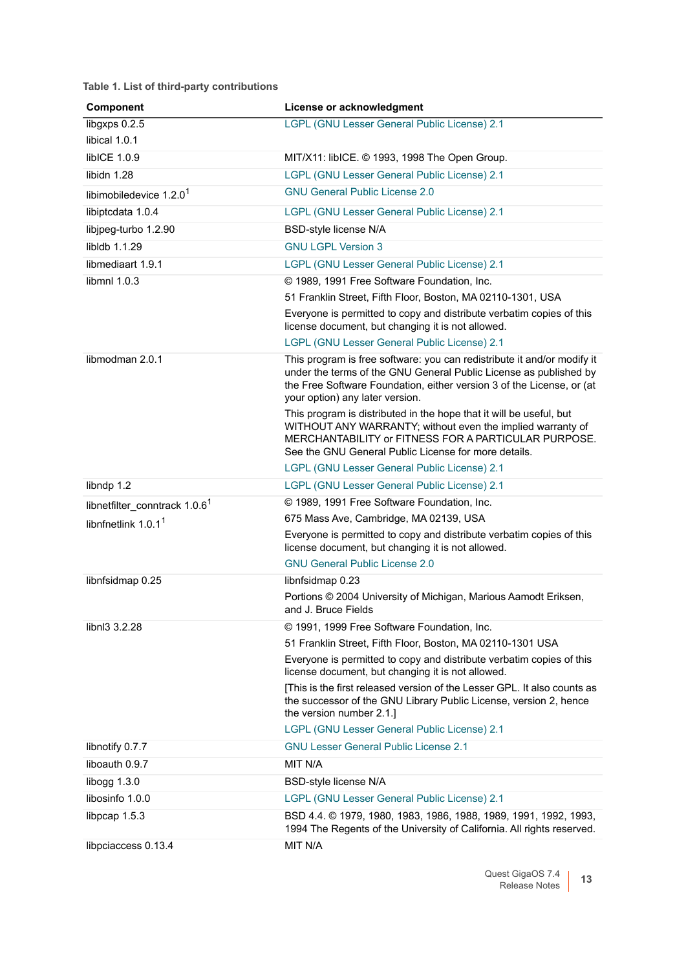| Component                                 | License or acknowledgment                                                                                                                                                                                                                                |
|-------------------------------------------|----------------------------------------------------------------------------------------------------------------------------------------------------------------------------------------------------------------------------------------------------------|
| libgxps 0.2.5                             | LGPL (GNU Lesser General Public License) 2.1                                                                                                                                                                                                             |
| libical 1.0.1                             |                                                                                                                                                                                                                                                          |
| libICE 1.0.9                              | MIT/X11: libICE. © 1993, 1998 The Open Group.                                                                                                                                                                                                            |
| libidn 1.28                               | LGPL (GNU Lesser General Public License) 2.1                                                                                                                                                                                                             |
| libimobiledevice 1.2.0 <sup>1</sup>       | <b>GNU General Public License 2.0</b>                                                                                                                                                                                                                    |
| libiptcdata 1.0.4                         | LGPL (GNU Lesser General Public License) 2.1                                                                                                                                                                                                             |
| libjpeg-turbo 1.2.90                      | <b>BSD-style license N/A</b>                                                                                                                                                                                                                             |
| libldb 1.1.29                             | <b>GNU LGPL Version 3</b>                                                                                                                                                                                                                                |
| libmediaart 1.9.1                         | LGPL (GNU Lesser General Public License) 2.1                                                                                                                                                                                                             |
| libmnl 1.0.3                              | © 1989, 1991 Free Software Foundation, Inc.                                                                                                                                                                                                              |
|                                           | 51 Franklin Street, Fifth Floor, Boston, MA 02110-1301, USA                                                                                                                                                                                              |
|                                           | Everyone is permitted to copy and distribute verbatim copies of this<br>license document, but changing it is not allowed.                                                                                                                                |
|                                           | LGPL (GNU Lesser General Public License) 2.1                                                                                                                                                                                                             |
| libmodman 2.0.1                           | This program is free software: you can redistribute it and/or modify it<br>under the terms of the GNU General Public License as published by<br>the Free Software Foundation, either version 3 of the License, or (at<br>your option) any later version. |
|                                           | This program is distributed in the hope that it will be useful, but<br>WITHOUT ANY WARRANTY; without even the implied warranty of<br>MERCHANTABILITY or FITNESS FOR A PARTICULAR PURPOSE.<br>See the GNU General Public License for more details.        |
|                                           | LGPL (GNU Lesser General Public License) 2.1                                                                                                                                                                                                             |
| libndp 1.2                                | LGPL (GNU Lesser General Public License) 2.1                                                                                                                                                                                                             |
| libnetfilter_conntrack 1.0.6 <sup>1</sup> | © 1989, 1991 Free Software Foundation, Inc.                                                                                                                                                                                                              |
| libnfnetlink $1.0.11$                     | 675 Mass Ave, Cambridge, MA 02139, USA                                                                                                                                                                                                                   |
|                                           | Everyone is permitted to copy and distribute verbatim copies of this<br>license document, but changing it is not allowed.<br><b>GNU General Public License 2.0</b>                                                                                       |
| libnfsidmap 0.25                          | libnfsidmap 0.23                                                                                                                                                                                                                                         |
|                                           | Portions © 2004 University of Michigan, Marious Aamodt Eriksen,<br>and J. Bruce Fields                                                                                                                                                                   |
| libnl3 3.2.28                             | © 1991, 1999 Free Software Foundation, Inc.                                                                                                                                                                                                              |
|                                           | 51 Franklin Street, Fifth Floor, Boston, MA 02110-1301 USA                                                                                                                                                                                               |
|                                           | Everyone is permitted to copy and distribute verbatim copies of this<br>license document, but changing it is not allowed.                                                                                                                                |
|                                           | [This is the first released version of the Lesser GPL. It also counts as<br>the successor of the GNU Library Public License, version 2, hence<br>the version number 2.1.]                                                                                |
|                                           | LGPL (GNU Lesser General Public License) 2.1                                                                                                                                                                                                             |
| libnotify 0.7.7                           | <b>GNU Lesser General Public License 2.1</b>                                                                                                                                                                                                             |
| liboauth 0.9.7                            | MIT N/A                                                                                                                                                                                                                                                  |
| libogg 1.3.0                              | <b>BSD-style license N/A</b>                                                                                                                                                                                                                             |
| libosinfo 1.0.0                           | LGPL (GNU Lesser General Public License) 2.1                                                                                                                                                                                                             |
| libpcap 1.5.3                             | BSD 4.4. © 1979, 1980, 1983, 1986, 1988, 1989, 1991, 1992, 1993,<br>1994 The Regents of the University of California. All rights reserved.                                                                                                               |
| libpciaccess 0.13.4                       | MIT N/A                                                                                                                                                                                                                                                  |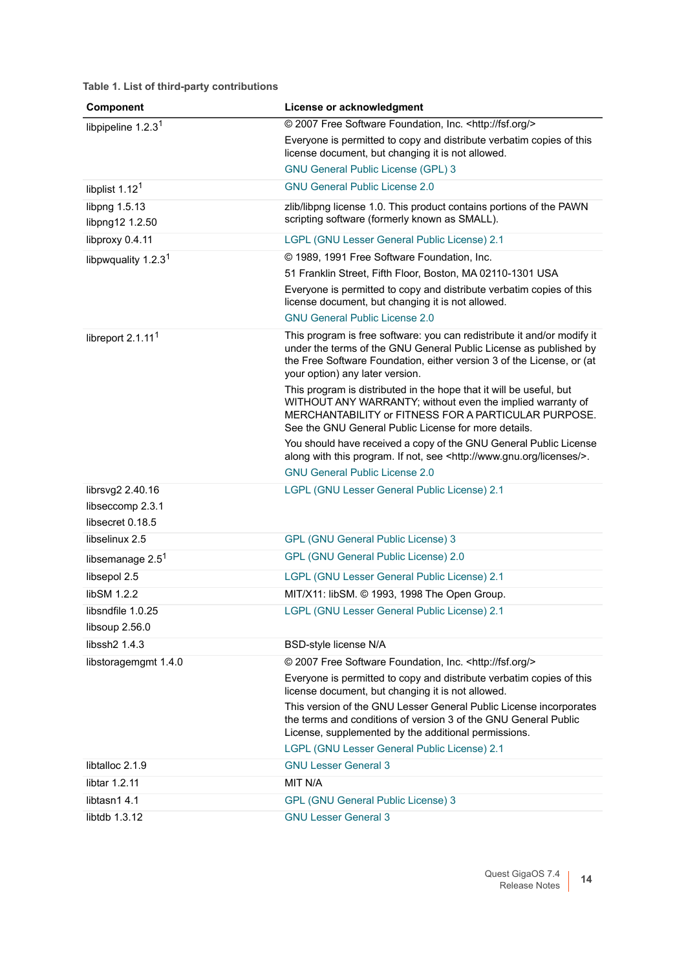| Component                                                | License or acknowledgment                                                                                                                                                                                                                                |
|----------------------------------------------------------|----------------------------------------------------------------------------------------------------------------------------------------------------------------------------------------------------------------------------------------------------------|
| libpipeline $1.2.31$                                     | © 2007 Free Software Foundation, Inc. < http://fsf.org/>                                                                                                                                                                                                 |
|                                                          | Everyone is permitted to copy and distribute verbatim copies of this<br>license document, but changing it is not allowed.                                                                                                                                |
|                                                          | <b>GNU General Public License (GPL) 3</b>                                                                                                                                                                                                                |
| libplist 1.12 <sup>1</sup>                               | <b>GNU General Public License 2.0</b>                                                                                                                                                                                                                    |
| libpng 1.5.13<br>libpng12 1.2.50                         | zlib/libpng license 1.0. This product contains portions of the PAWN<br>scripting software (formerly known as SMALL).                                                                                                                                     |
| libproxy 0.4.11                                          | LGPL (GNU Lesser General Public License) 2.1                                                                                                                                                                                                             |
| libpwquality 1.2.3 <sup>1</sup>                          | © 1989, 1991 Free Software Foundation, Inc.                                                                                                                                                                                                              |
|                                                          | 51 Franklin Street, Fifth Floor, Boston, MA 02110-1301 USA                                                                                                                                                                                               |
|                                                          | Everyone is permitted to copy and distribute verbatim copies of this<br>license document, but changing it is not allowed.                                                                                                                                |
|                                                          | <b>GNU General Public License 2.0</b>                                                                                                                                                                                                                    |
| libreport 2.1.11 <sup>1</sup>                            | This program is free software: you can redistribute it and/or modify it<br>under the terms of the GNU General Public License as published by<br>the Free Software Foundation, either version 3 of the License, or (at<br>your option) any later version. |
|                                                          | This program is distributed in the hope that it will be useful, but<br>WITHOUT ANY WARRANTY; without even the implied warranty of<br>MERCHANTABILITY or FITNESS FOR A PARTICULAR PURPOSE.<br>See the GNU General Public License for more details.        |
|                                                          | You should have received a copy of the GNU General Public License<br>along with this program. If not, see <http: licenses="" www.gnu.org=""></http:> .                                                                                                   |
|                                                          | <b>GNU General Public License 2.0</b>                                                                                                                                                                                                                    |
| librsvg2 2.40.16<br>libseccomp 2.3.1<br>libsecret 0.18.5 | LGPL (GNU Lesser General Public License) 2.1                                                                                                                                                                                                             |
| libselinux 2.5                                           | <b>GPL (GNU General Public License) 3</b>                                                                                                                                                                                                                |
| libsemanage $2.51$                                       | <b>GPL (GNU General Public License) 2.0</b>                                                                                                                                                                                                              |
| libsepol 2.5                                             | LGPL (GNU Lesser General Public License) 2.1                                                                                                                                                                                                             |
| libSM 1.2.2                                              | MIT/X11: libSM. © 1993, 1998 The Open Group.                                                                                                                                                                                                             |
| libsndfile 1.0.25<br>libsoup 2.56.0                      | LGPL (GNU Lesser General Public License) 2.1                                                                                                                                                                                                             |
| libssh2 1.4.3                                            | BSD-style license N/A                                                                                                                                                                                                                                    |
| libstoragemgmt 1.4.0                                     | © 2007 Free Software Foundation, Inc. < http://fsf.org/>                                                                                                                                                                                                 |
|                                                          | Everyone is permitted to copy and distribute verbatim copies of this<br>license document, but changing it is not allowed.                                                                                                                                |
|                                                          | This version of the GNU Lesser General Public License incorporates<br>the terms and conditions of version 3 of the GNU General Public<br>License, supplemented by the additional permissions.                                                            |
|                                                          | LGPL (GNU Lesser General Public License) 2.1                                                                                                                                                                                                             |
| libtalloc 2.1.9                                          | <b>GNU Lesser General 3</b>                                                                                                                                                                                                                              |
| libtar 1.2.11                                            | MIT N/A                                                                                                                                                                                                                                                  |
| libtasn1 4.1                                             | <b>GPL (GNU General Public License) 3</b>                                                                                                                                                                                                                |
| libtdb 1.3.12                                            | <b>GNU Lesser General 3</b>                                                                                                                                                                                                                              |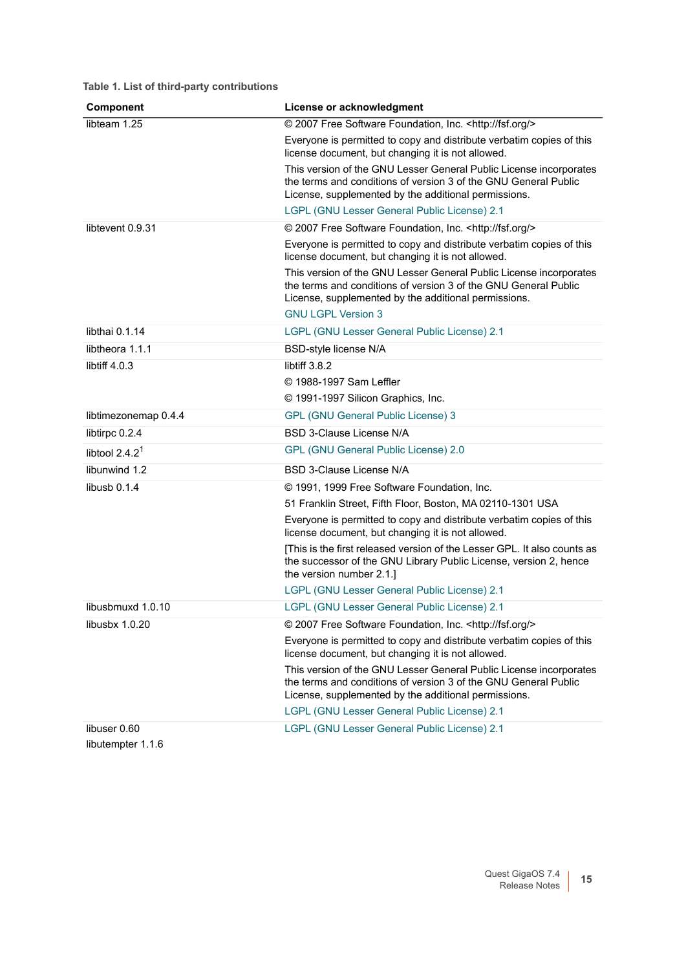| Component                         | License or acknowledgment                                                                                                                                                                     |
|-----------------------------------|-----------------------------------------------------------------------------------------------------------------------------------------------------------------------------------------------|
| libteam 1.25                      | © 2007 Free Software Foundation, Inc. < http://fsf.org/>                                                                                                                                      |
|                                   | Everyone is permitted to copy and distribute verbatim copies of this<br>license document, but changing it is not allowed.                                                                     |
|                                   | This version of the GNU Lesser General Public License incorporates<br>the terms and conditions of version 3 of the GNU General Public<br>License, supplemented by the additional permissions. |
|                                   | LGPL (GNU Lesser General Public License) 2.1                                                                                                                                                  |
| libtevent 0.9.31                  | © 2007 Free Software Foundation, Inc. < http://fsf.org/>                                                                                                                                      |
|                                   | Everyone is permitted to copy and distribute verbatim copies of this<br>license document, but changing it is not allowed.                                                                     |
|                                   | This version of the GNU Lesser General Public License incorporates<br>the terms and conditions of version 3 of the GNU General Public<br>License, supplemented by the additional permissions. |
|                                   | <b>GNU LGPL Version 3</b>                                                                                                                                                                     |
| libthai 0.1.14                    | LGPL (GNU Lesser General Public License) 2.1                                                                                                                                                  |
| libtheora 1.1.1                   | <b>BSD-style license N/A</b>                                                                                                                                                                  |
| libtiff $4.0.3$                   | libtiff $3.8.2$                                                                                                                                                                               |
|                                   | © 1988-1997 Sam Leffler                                                                                                                                                                       |
|                                   | © 1991-1997 Silicon Graphics, Inc.                                                                                                                                                            |
| libtimezonemap 0.4.4              | <b>GPL (GNU General Public License) 3</b>                                                                                                                                                     |
| libtirpc 0.2.4                    | BSD 3-Clause License N/A                                                                                                                                                                      |
| libtool $2.4.21$                  | GPL (GNU General Public License) 2.0                                                                                                                                                          |
| libunwind 1.2                     | <b>BSD 3-Clause License N/A</b>                                                                                                                                                               |
| libusb 0.1.4                      | © 1991, 1999 Free Software Foundation, Inc.                                                                                                                                                   |
|                                   | 51 Franklin Street, Fifth Floor, Boston, MA 02110-1301 USA                                                                                                                                    |
|                                   | Everyone is permitted to copy and distribute verbatim copies of this<br>license document, but changing it is not allowed.                                                                     |
|                                   | [This is the first released version of the Lesser GPL. It also counts as<br>the successor of the GNU Library Public License, version 2, hence<br>the version number 2.1.]                     |
|                                   | LGPL (GNU Lesser General Public License) 2.1                                                                                                                                                  |
| libusbmuxd 1.0.10                 | LGPL (GNU Lesser General Public License) 2.1                                                                                                                                                  |
| libusbx 1.0.20                    | © 2007 Free Software Foundation, Inc. <http: fsf.org=""></http:>                                                                                                                              |
|                                   | Everyone is permitted to copy and distribute verbatim copies of this<br>license document, but changing it is not allowed.                                                                     |
|                                   | This version of the GNU Lesser General Public License incorporates<br>the terms and conditions of version 3 of the GNU General Public<br>License, supplemented by the additional permissions. |
|                                   | LGPL (GNU Lesser General Public License) 2.1                                                                                                                                                  |
| libuser 0.60<br>libutempter 1.1.6 | LGPL (GNU Lesser General Public License) 2.1                                                                                                                                                  |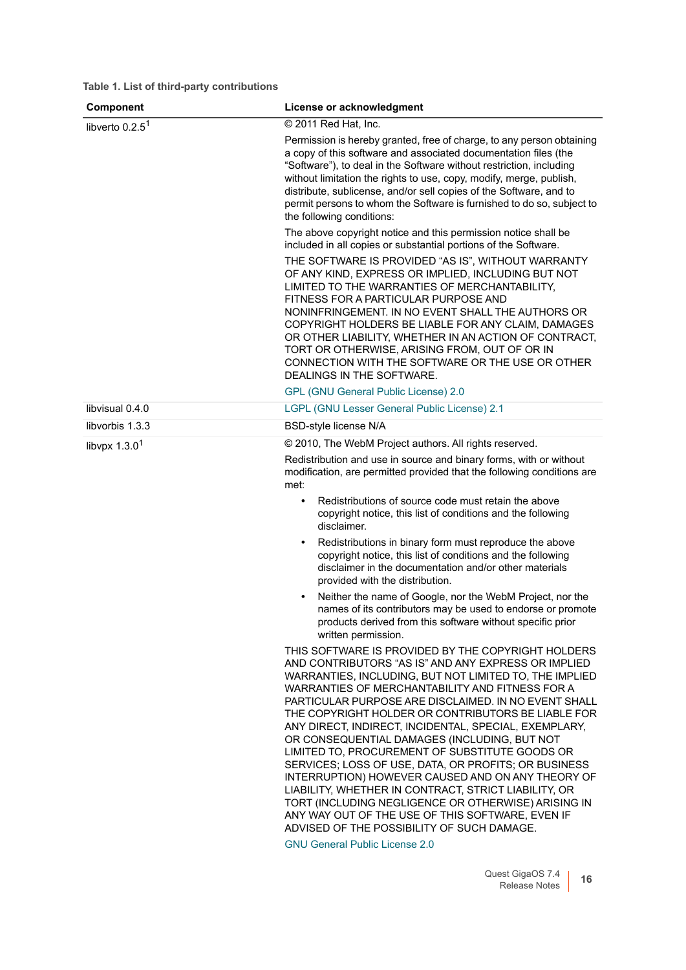| License or acknowledgment                                                                                                                                                                                                                                                                                                                                                                                                                                                                                                                                                                                                                                                                                                                                                                                                                                                                                                                                                                                                                                                                                                                                                                                                                                                                                                                                                                                                                                                                                                                                                                                                              |
|----------------------------------------------------------------------------------------------------------------------------------------------------------------------------------------------------------------------------------------------------------------------------------------------------------------------------------------------------------------------------------------------------------------------------------------------------------------------------------------------------------------------------------------------------------------------------------------------------------------------------------------------------------------------------------------------------------------------------------------------------------------------------------------------------------------------------------------------------------------------------------------------------------------------------------------------------------------------------------------------------------------------------------------------------------------------------------------------------------------------------------------------------------------------------------------------------------------------------------------------------------------------------------------------------------------------------------------------------------------------------------------------------------------------------------------------------------------------------------------------------------------------------------------------------------------------------------------------------------------------------------------|
| © 2011 Red Hat, Inc.                                                                                                                                                                                                                                                                                                                                                                                                                                                                                                                                                                                                                                                                                                                                                                                                                                                                                                                                                                                                                                                                                                                                                                                                                                                                                                                                                                                                                                                                                                                                                                                                                   |
| Permission is hereby granted, free of charge, to any person obtaining<br>a copy of this software and associated documentation files (the<br>"Software"), to deal in the Software without restriction, including<br>without limitation the rights to use, copy, modify, merge, publish,<br>distribute, sublicense, and/or sell copies of the Software, and to<br>permit persons to whom the Software is furnished to do so, subject to<br>the following conditions:                                                                                                                                                                                                                                                                                                                                                                                                                                                                                                                                                                                                                                                                                                                                                                                                                                                                                                                                                                                                                                                                                                                                                                     |
| The above copyright notice and this permission notice shall be<br>included in all copies or substantial portions of the Software.                                                                                                                                                                                                                                                                                                                                                                                                                                                                                                                                                                                                                                                                                                                                                                                                                                                                                                                                                                                                                                                                                                                                                                                                                                                                                                                                                                                                                                                                                                      |
| THE SOFTWARE IS PROVIDED "AS IS", WITHOUT WARRANTY<br>OF ANY KIND, EXPRESS OR IMPLIED, INCLUDING BUT NOT<br>LIMITED TO THE WARRANTIES OF MERCHANTABILITY,<br>FITNESS FOR A PARTICULAR PURPOSE AND<br>NONINFRINGEMENT. IN NO EVENT SHALL THE AUTHORS OR<br>COPYRIGHT HOLDERS BE LIABLE FOR ANY CLAIM, DAMAGES<br>OR OTHER LIABILITY, WHETHER IN AN ACTION OF CONTRACT,<br>TORT OR OTHERWISE, ARISING FROM, OUT OF OR IN<br>CONNECTION WITH THE SOFTWARE OR THE USE OR OTHER<br>DEALINGS IN THE SOFTWARE.                                                                                                                                                                                                                                                                                                                                                                                                                                                                                                                                                                                                                                                                                                                                                                                                                                                                                                                                                                                                                                                                                                                                |
| GPL (GNU General Public License) 2.0                                                                                                                                                                                                                                                                                                                                                                                                                                                                                                                                                                                                                                                                                                                                                                                                                                                                                                                                                                                                                                                                                                                                                                                                                                                                                                                                                                                                                                                                                                                                                                                                   |
| LGPL (GNU Lesser General Public License) 2.1                                                                                                                                                                                                                                                                                                                                                                                                                                                                                                                                                                                                                                                                                                                                                                                                                                                                                                                                                                                                                                                                                                                                                                                                                                                                                                                                                                                                                                                                                                                                                                                           |
| <b>BSD-style license N/A</b>                                                                                                                                                                                                                                                                                                                                                                                                                                                                                                                                                                                                                                                                                                                                                                                                                                                                                                                                                                                                                                                                                                                                                                                                                                                                                                                                                                                                                                                                                                                                                                                                           |
| © 2010, The WebM Project authors. All rights reserved.                                                                                                                                                                                                                                                                                                                                                                                                                                                                                                                                                                                                                                                                                                                                                                                                                                                                                                                                                                                                                                                                                                                                                                                                                                                                                                                                                                                                                                                                                                                                                                                 |
| Redistribution and use in source and binary forms, with or without<br>modification, are permitted provided that the following conditions are<br>met:<br>Redistributions of source code must retain the above<br>$\bullet$<br>copyright notice, this list of conditions and the following<br>disclaimer.<br>Redistributions in binary form must reproduce the above<br>$\bullet$<br>copyright notice, this list of conditions and the following<br>disclaimer in the documentation and/or other materials<br>provided with the distribution.<br>Neither the name of Google, nor the WebM Project, nor the<br>names of its contributors may be used to endorse or promote<br>products derived from this software without specific prior<br>written permission.<br>THIS SOFTWARE IS PROVIDED BY THE COPYRIGHT HOLDERS<br>AND CONTRIBUTORS "AS IS" AND ANY EXPRESS OR IMPLIED<br>WARRANTIES, INCLUDING, BUT NOT LIMITED TO, THE IMPLIED<br>WARRANTIES OF MERCHANTABILITY AND FITNESS FOR A<br>PARTICULAR PURPOSE ARE DISCLAIMED. IN NO EVENT SHALL<br>THE COPYRIGHT HOLDER OR CONTRIBUTORS BE LIABLE FOR<br>ANY DIRECT, INDIRECT, INCIDENTAL, SPECIAL, EXEMPLARY,<br>OR CONSEQUENTIAL DAMAGES (INCLUDING, BUT NOT<br>LIMITED TO, PROCUREMENT OF SUBSTITUTE GOODS OR<br>SERVICES; LOSS OF USE, DATA, OR PROFITS; OR BUSINESS<br>INTERRUPTION) HOWEVER CAUSED AND ON ANY THEORY OF<br>LIABILITY, WHETHER IN CONTRACT, STRICT LIABILITY, OR<br>TORT (INCLUDING NEGLIGENCE OR OTHERWISE) ARISING IN<br>ANY WAY OUT OF THE USE OF THIS SOFTWARE, EVEN IF<br>ADVISED OF THE POSSIBILITY OF SUCH DAMAGE.<br><b>GNU General Public License 2.0</b> |
|                                                                                                                                                                                                                                                                                                                                                                                                                                                                                                                                                                                                                                                                                                                                                                                                                                                                                                                                                                                                                                                                                                                                                                                                                                                                                                                                                                                                                                                                                                                                                                                                                                        |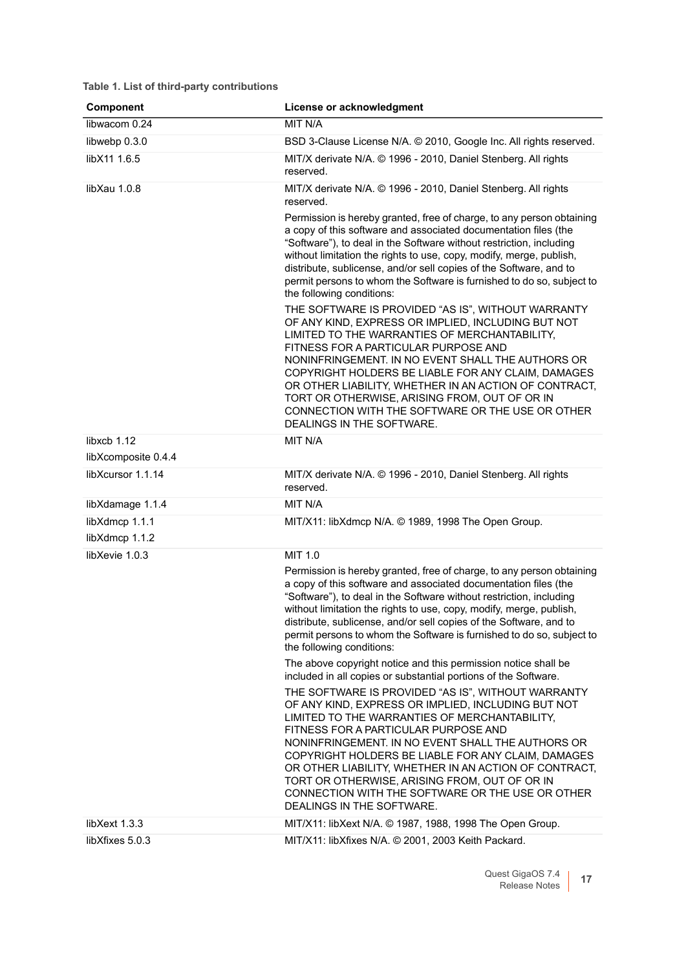| Component                        | License or acknowledgment                                                                                                                                                                                                                                                                                                                                                                                                                                                                               |
|----------------------------------|---------------------------------------------------------------------------------------------------------------------------------------------------------------------------------------------------------------------------------------------------------------------------------------------------------------------------------------------------------------------------------------------------------------------------------------------------------------------------------------------------------|
| libwacom 0.24                    | MIT N/A                                                                                                                                                                                                                                                                                                                                                                                                                                                                                                 |
| libwebp 0.3.0                    | BSD 3-Clause License N/A. @ 2010, Google Inc. All rights reserved.                                                                                                                                                                                                                                                                                                                                                                                                                                      |
| libX11 1.6.5                     | MIT/X derivate N/A. @ 1996 - 2010, Daniel Stenberg. All rights<br>reserved.                                                                                                                                                                                                                                                                                                                                                                                                                             |
| libXau 1.0.8                     | MIT/X derivate N/A. @ 1996 - 2010, Daniel Stenberg. All rights<br>reserved.                                                                                                                                                                                                                                                                                                                                                                                                                             |
|                                  | Permission is hereby granted, free of charge, to any person obtaining<br>a copy of this software and associated documentation files (the<br>"Software"), to deal in the Software without restriction, including<br>without limitation the rights to use, copy, modify, merge, publish,<br>distribute, sublicense, and/or sell copies of the Software, and to<br>permit persons to whom the Software is furnished to do so, subject to<br>the following conditions:                                      |
|                                  | THE SOFTWARE IS PROVIDED "AS IS", WITHOUT WARRANTY<br>OF ANY KIND, EXPRESS OR IMPLIED, INCLUDING BUT NOT<br>LIMITED TO THE WARRANTIES OF MERCHANTABILITY,<br>FITNESS FOR A PARTICULAR PURPOSE AND<br>NONINFRINGEMENT. IN NO EVENT SHALL THE AUTHORS OR<br>COPYRIGHT HOLDERS BE LIABLE FOR ANY CLAIM, DAMAGES<br>OR OTHER LIABILITY, WHETHER IN AN ACTION OF CONTRACT,<br>TORT OR OTHERWISE, ARISING FROM, OUT OF OR IN<br>CONNECTION WITH THE SOFTWARE OR THE USE OR OTHER<br>DEALINGS IN THE SOFTWARE. |
| libxcb 1.12                      | MIT N/A                                                                                                                                                                                                                                                                                                                                                                                                                                                                                                 |
| libXcomposite 0.4.4              |                                                                                                                                                                                                                                                                                                                                                                                                                                                                                                         |
| libXcursor 1.1.14                | MIT/X derivate N/A. @ 1996 - 2010, Daniel Stenberg. All rights<br>reserved.                                                                                                                                                                                                                                                                                                                                                                                                                             |
| libXdamage 1.1.4                 | MIT N/A                                                                                                                                                                                                                                                                                                                                                                                                                                                                                                 |
| libXdmcp 1.1.1<br>libXdmcp 1.1.2 | MIT/X11: libXdmcp N/A. © 1989, 1998 The Open Group.                                                                                                                                                                                                                                                                                                                                                                                                                                                     |
| libXevie 1.0.3                   | MIT 1.0                                                                                                                                                                                                                                                                                                                                                                                                                                                                                                 |
|                                  | Permission is hereby granted, free of charge, to any person obtaining<br>a copy of this software and associated documentation files (the<br>"Software"), to deal in the Software without restriction, including<br>without limitation the rights to use, copy, modify, merge, publish,<br>distribute, sublicense, and/or sell copies of the Software, and to<br>permit persons to whom the Software is furnished to do so, subject to<br>the following conditions:                                      |
|                                  | The above copyright notice and this permission notice shall be<br>included in all copies or substantial portions of the Software.                                                                                                                                                                                                                                                                                                                                                                       |
|                                  | THE SOFTWARE IS PROVIDED "AS IS", WITHOUT WARRANTY<br>OF ANY KIND, EXPRESS OR IMPLIED, INCLUDING BUT NOT<br>LIMITED TO THE WARRANTIES OF MERCHANTABILITY,<br>FITNESS FOR A PARTICULAR PURPOSE AND<br>NONINFRINGEMENT. IN NO EVENT SHALL THE AUTHORS OR<br>COPYRIGHT HOLDERS BE LIABLE FOR ANY CLAIM, DAMAGES<br>OR OTHER LIABILITY, WHETHER IN AN ACTION OF CONTRACT,<br>TORT OR OTHERWISE, ARISING FROM, OUT OF OR IN<br>CONNECTION WITH THE SOFTWARE OR THE USE OR OTHER<br>DEALINGS IN THE SOFTWARE. |
| libXext 1.3.3                    | MIT/X11: libXext N/A. @ 1987, 1988, 1998 The Open Group.                                                                                                                                                                                                                                                                                                                                                                                                                                                |
| libXfixes 5.0.3                  | MIT/X11: libXfixes N/A. @ 2001, 2003 Keith Packard.                                                                                                                                                                                                                                                                                                                                                                                                                                                     |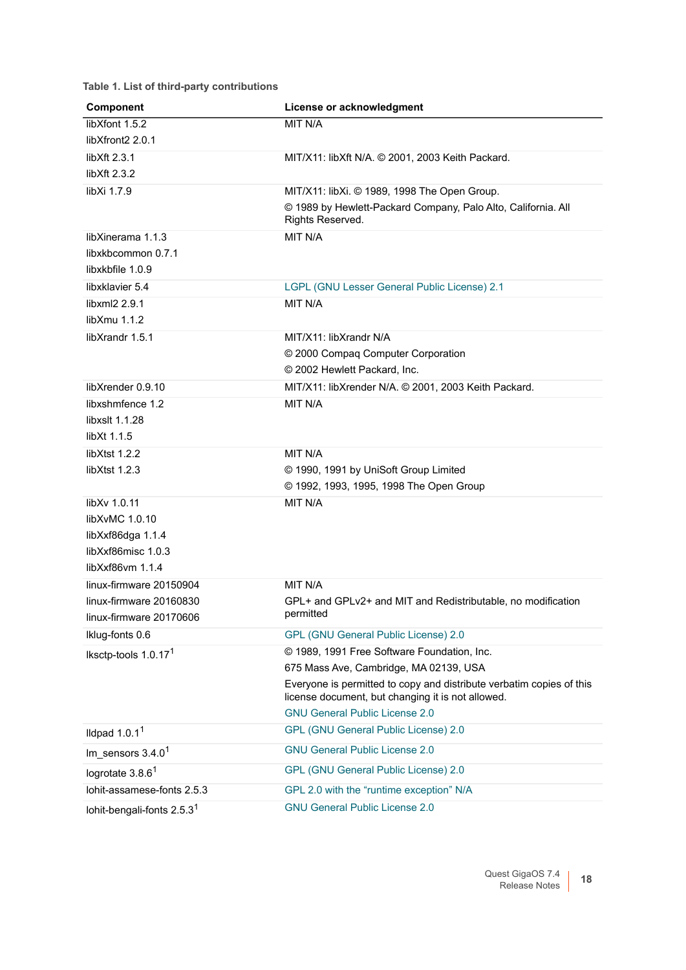| Table 1. List of third-party contributions |  |  |  |  |  |  |  |
|--------------------------------------------|--|--|--|--|--|--|--|
|--------------------------------------------|--|--|--|--|--|--|--|

| Component                                          | License or acknowledgment                                                                                                 |
|----------------------------------------------------|---------------------------------------------------------------------------------------------------------------------------|
| libXfont 1.5.2                                     | MIT N/A                                                                                                                   |
| libXfront2 2.0.1                                   |                                                                                                                           |
| libXft 2.3.1                                       | MIT/X11: libXft N/A. @ 2001, 2003 Keith Packard.                                                                          |
| lib $Xft$ 2.3.2                                    |                                                                                                                           |
| libXi 1.7.9                                        | MIT/X11: libXi. © 1989, 1998 The Open Group.                                                                              |
|                                                    | © 1989 by Hewlett-Packard Company, Palo Alto, California. All<br>Rights Reserved.                                         |
| libXinerama 1.1.3                                  | MIT N/A                                                                                                                   |
| libxkbcommon 0.7.1                                 |                                                                                                                           |
| libxkbfile 1.0.9                                   |                                                                                                                           |
| libxklavier 5.4                                    | LGPL (GNU Lesser General Public License) 2.1                                                                              |
| libxml2 2.9.1                                      | MIT N/A                                                                                                                   |
| lib $X$ mu 1.1.2                                   |                                                                                                                           |
| libXrandr 1.5.1                                    | MIT/X11: libXrandr N/A                                                                                                    |
|                                                    | © 2000 Compaq Computer Corporation<br>© 2002 Hewlett Packard, Inc.                                                        |
| libXrender 0.9.10                                  | MIT/X11: libXrender N/A. @ 2001, 2003 Keith Packard.                                                                      |
| libxshmfence 1.2                                   | MIT N/A                                                                                                                   |
| libxslt 1.1.28                                     |                                                                                                                           |
| libXt 1.1.5                                        |                                                                                                                           |
| libXtst 1.2.2                                      | MIT N/A                                                                                                                   |
| libXtst 1.2.3                                      | © 1990, 1991 by UniSoft Group Limited                                                                                     |
|                                                    | © 1992, 1993, 1995, 1998 The Open Group                                                                                   |
| libXv 1.0.11                                       | MIT N/A                                                                                                                   |
| libXvMC 1.0.10                                     |                                                                                                                           |
| libXxf86dga 1.1.4                                  |                                                                                                                           |
| libXxf86misc 1.0.3                                 |                                                                                                                           |
| libXxf86vm 1.1.4                                   |                                                                                                                           |
| linux-firmware 20150904                            | MIT N/A                                                                                                                   |
| linux-firmware 20160830<br>linux-firmware 20170606 | GPL+ and GPLv2+ and MIT and Redistributable, no modification<br>permitted                                                 |
| Iklug-fonts 0.6                                    | GPL (GNU General Public License) 2.0                                                                                      |
| lksctp-tools 1.0.17 <sup>1</sup>                   | © 1989, 1991 Free Software Foundation, Inc.                                                                               |
|                                                    | 675 Mass Ave, Cambridge, MA 02139, USA                                                                                    |
|                                                    | Everyone is permitted to copy and distribute verbatim copies of this<br>license document, but changing it is not allowed. |
|                                                    | <b>GNU General Public License 2.0</b>                                                                                     |
| lldpad $1.0.11$                                    | GPL (GNU General Public License) 2.0                                                                                      |
| Im sensors $3.4.01$                                | <b>GNU General Public License 2.0</b>                                                                                     |
| logrotate $3.8.61$                                 | GPL (GNU General Public License) 2.0                                                                                      |
| lohit-assamese-fonts 2.5.3                         | GPL 2.0 with the "runtime exception" N/A                                                                                  |
| lohit-bengali-fonts 2.5.3 <sup>1</sup>             | <b>GNU General Public License 2.0</b>                                                                                     |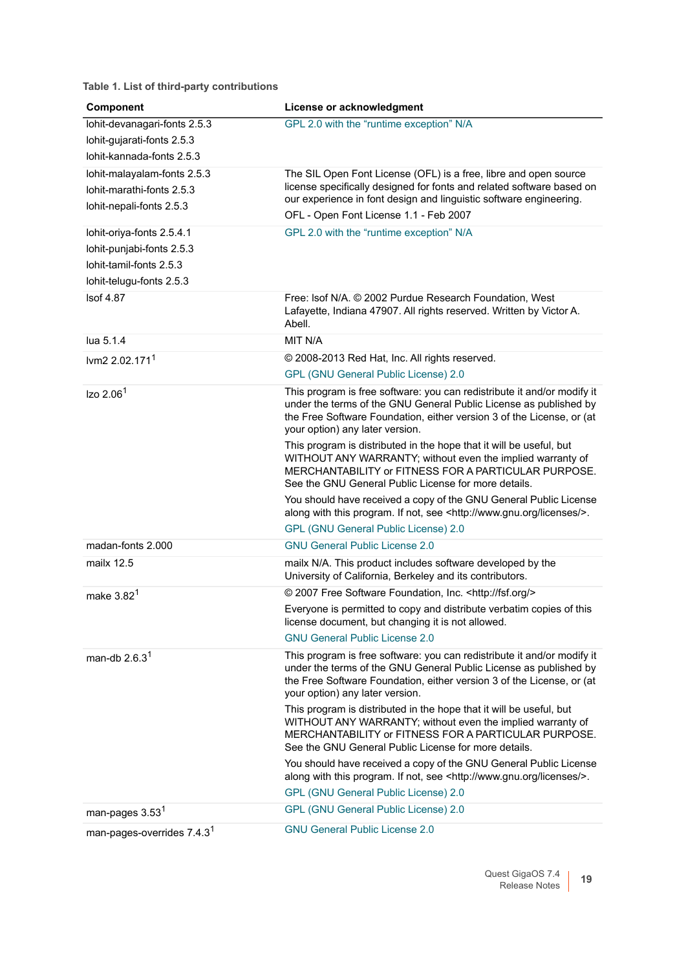| Component                                                                                                     | License or acknowledgment                                                                                                                                                                                                                                 |
|---------------------------------------------------------------------------------------------------------------|-----------------------------------------------------------------------------------------------------------------------------------------------------------------------------------------------------------------------------------------------------------|
| lohit-devanagari-fonts 2.5.3<br>lohit-gujarati-fonts 2.5.3<br>lohit-kannada-fonts 2.5.3                       | GPL 2.0 with the "runtime exception" N/A                                                                                                                                                                                                                  |
| lohit-malayalam-fonts 2.5.3<br>lohit-marathi-fonts 2.5.3<br>lohit-nepali-fonts 2.5.3                          | The SIL Open Font License (OFL) is a free, libre and open source<br>license specifically designed for fonts and related software based on<br>our experience in font design and linguistic software engineering.<br>OFL - Open Font License 1.1 - Feb 2007 |
| lohit-oriya-fonts 2.5.4.1<br>lohit-punjabi-fonts 2.5.3<br>lohit-tamil-fonts 2.5.3<br>lohit-telugu-fonts 2.5.3 | GPL 2.0 with the "runtime exception" N/A                                                                                                                                                                                                                  |
| <b>Isof 4.87</b>                                                                                              | Free: Isof N/A. © 2002 Purdue Research Foundation, West<br>Lafayette, Indiana 47907. All rights reserved. Written by Victor A.<br>Abell.                                                                                                                  |
| lua 5.1.4                                                                                                     | MIT N/A                                                                                                                                                                                                                                                   |
| lvm2 2.02.171 <sup>1</sup>                                                                                    | © 2008-2013 Red Hat, Inc. All rights reserved.                                                                                                                                                                                                            |
|                                                                                                               | GPL (GNU General Public License) 2.0                                                                                                                                                                                                                      |
| Izo 2.06 <sup>1</sup>                                                                                         | This program is free software: you can redistribute it and/or modify it<br>under the terms of the GNU General Public License as published by<br>the Free Software Foundation, either version 3 of the License, or (at<br>your option) any later version.  |
|                                                                                                               | This program is distributed in the hope that it will be useful, but<br>WITHOUT ANY WARRANTY; without even the implied warranty of<br>MERCHANTABILITY or FITNESS FOR A PARTICULAR PURPOSE.<br>See the GNU General Public License for more details.         |
|                                                                                                               | You should have received a copy of the GNU General Public License<br>along with this program. If not, see <http: licenses="" www.gnu.org=""></http:> .                                                                                                    |
|                                                                                                               | <b>GPL (GNU General Public License) 2.0</b>                                                                                                                                                                                                               |
| madan-fonts 2.000                                                                                             | <b>GNU General Public License 2.0</b>                                                                                                                                                                                                                     |
| mailx 12.5                                                                                                    | mailx N/A. This product includes software developed by the<br>University of California, Berkeley and its contributors.                                                                                                                                    |
| make 3.82 <sup>1</sup>                                                                                        | © 2007 Free Software Foundation, Inc. < http://fsf.org/>                                                                                                                                                                                                  |
|                                                                                                               | Everyone is permitted to copy and distribute verbatim copies of this<br>license document, but changing it is not allowed.                                                                                                                                 |
|                                                                                                               | <b>GNU General Public License 2.0</b>                                                                                                                                                                                                                     |
| man-db 2.6.3 <sup>1</sup>                                                                                     | This program is free software: you can redistribute it and/or modify it<br>under the terms of the GNU General Public License as published by<br>the Free Software Foundation, either version 3 of the License, or (at<br>your option) any later version.  |
|                                                                                                               | This program is distributed in the hope that it will be useful, but<br>WITHOUT ANY WARRANTY; without even the implied warranty of<br>MERCHANTABILITY or FITNESS FOR A PARTICULAR PURPOSE.<br>See the GNU General Public License for more details.         |
|                                                                                                               | You should have received a copy of the GNU General Public License<br>along with this program. If not, see <http: licenses="" www.gnu.org=""></http:> .<br>GPL (GNU General Public License) 2.0                                                            |
|                                                                                                               | <b>GPL (GNU General Public License) 2.0</b>                                                                                                                                                                                                               |
| man-pages 3.53 <sup>1</sup>                                                                                   |                                                                                                                                                                                                                                                           |
| man-pages-overrides 7.4.3 <sup>1</sup>                                                                        | <b>GNU General Public License 2.0</b>                                                                                                                                                                                                                     |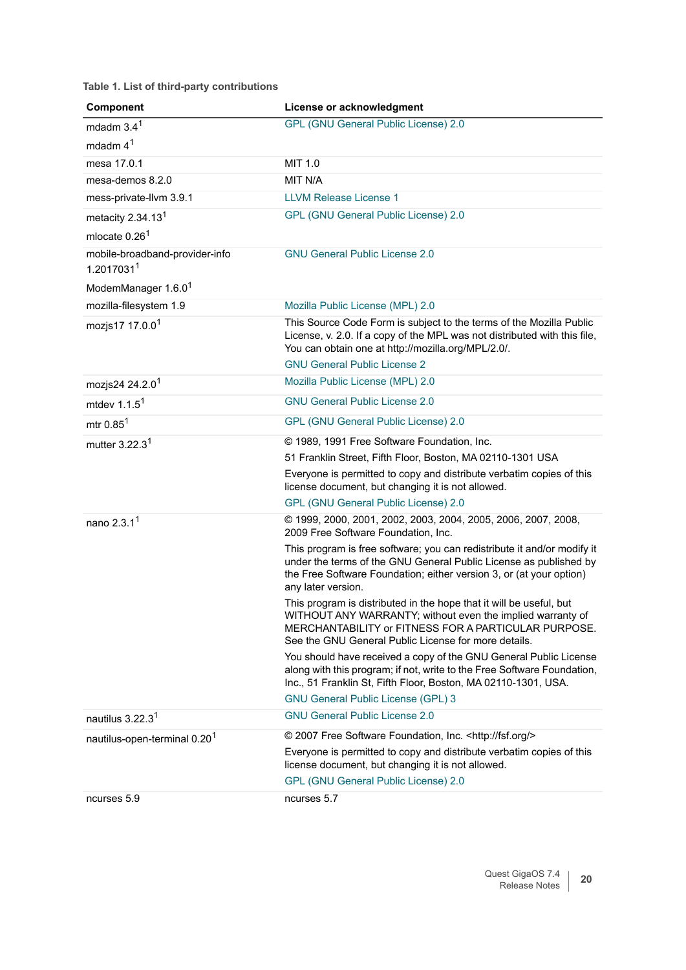| Component                                    | License or acknowledgment                                                                                                                                                                                                                         |
|----------------------------------------------|---------------------------------------------------------------------------------------------------------------------------------------------------------------------------------------------------------------------------------------------------|
| mdadm $3.41$                                 | <b>GPL (GNU General Public License) 2.0</b>                                                                                                                                                                                                       |
| mdadm $41$                                   |                                                                                                                                                                                                                                                   |
| mesa 17.0.1                                  | MIT 1.0                                                                                                                                                                                                                                           |
| mesa-demos 8.2.0                             | MIT N/A                                                                                                                                                                                                                                           |
| mess-private-llvm 3.9.1                      | <b>LLVM Release License 1</b>                                                                                                                                                                                                                     |
| metacity $2.34.131$                          | <b>GPL (GNU General Public License) 2.0</b>                                                                                                                                                                                                       |
| mlocate 0.26 <sup>1</sup>                    |                                                                                                                                                                                                                                                   |
| mobile-broadband-provider-info<br>1.20170311 | <b>GNU General Public License 2.0</b>                                                                                                                                                                                                             |
| ModemManager 1.6.0 <sup>1</sup>              |                                                                                                                                                                                                                                                   |
| mozilla-filesystem 1.9                       | Mozilla Public License (MPL) 2.0                                                                                                                                                                                                                  |
| mozjs17 17.0.0 <sup>1</sup>                  | This Source Code Form is subject to the terms of the Mozilla Public<br>License, v. 2.0. If a copy of the MPL was not distributed with this file,<br>You can obtain one at http://mozilla.org/MPL/2.0/.                                            |
|                                              | <b>GNU General Public License 2</b>                                                                                                                                                                                                               |
| mozjs24 24.2.0 <sup>1</sup>                  | Mozilla Public License (MPL) 2.0                                                                                                                                                                                                                  |
| mtdev $1.1.51$                               | <b>GNU General Public License 2.0</b>                                                                                                                                                                                                             |
| mtr $0.851$                                  | <b>GPL (GNU General Public License) 2.0</b>                                                                                                                                                                                                       |
| mutter 3.22.3 <sup>1</sup>                   | © 1989, 1991 Free Software Foundation, Inc.                                                                                                                                                                                                       |
|                                              | 51 Franklin Street, Fifth Floor, Boston, MA 02110-1301 USA                                                                                                                                                                                        |
|                                              | Everyone is permitted to copy and distribute verbatim copies of this<br>license document, but changing it is not allowed.                                                                                                                         |
|                                              | <b>GPL (GNU General Public License) 2.0</b>                                                                                                                                                                                                       |
| nano 2.3.1 <sup>1</sup>                      | © 1999, 2000, 2001, 2002, 2003, 2004, 2005, 2006, 2007, 2008,<br>2009 Free Software Foundation, Inc.                                                                                                                                              |
|                                              | This program is free software; you can redistribute it and/or modify it<br>under the terms of the GNU General Public License as published by<br>the Free Software Foundation; either version 3, or (at your option)<br>any later version.         |
|                                              | This program is distributed in the hope that it will be useful, but<br>WITHOUT ANY WARRANTY; without even the implied warranty of<br>MERCHANTABILITY or FITNESS FOR A PARTICULAR PURPOSE.<br>See the GNU General Public License for more details. |
|                                              | You should have received a copy of the GNU General Public License<br>along with this program; if not, write to the Free Software Foundation,<br>Inc., 51 Franklin St, Fifth Floor, Boston, MA 02110-1301, USA.                                    |
|                                              | <b>GNU General Public License (GPL) 3</b><br><b>GNU General Public License 2.0</b>                                                                                                                                                                |
| nautilus 3.22.3 <sup>1</sup>                 |                                                                                                                                                                                                                                                   |
| nautilus-open-terminal 0.20 <sup>1</sup>     | © 2007 Free Software Foundation, Inc. <http: fsf.org=""></http:><br>Everyone is permitted to copy and distribute verbatim copies of this                                                                                                          |
|                                              | license document, but changing it is not allowed.                                                                                                                                                                                                 |
|                                              | <b>GPL (GNU General Public License) 2.0</b>                                                                                                                                                                                                       |
| ncurses 5.9                                  | ncurses 5.7                                                                                                                                                                                                                                       |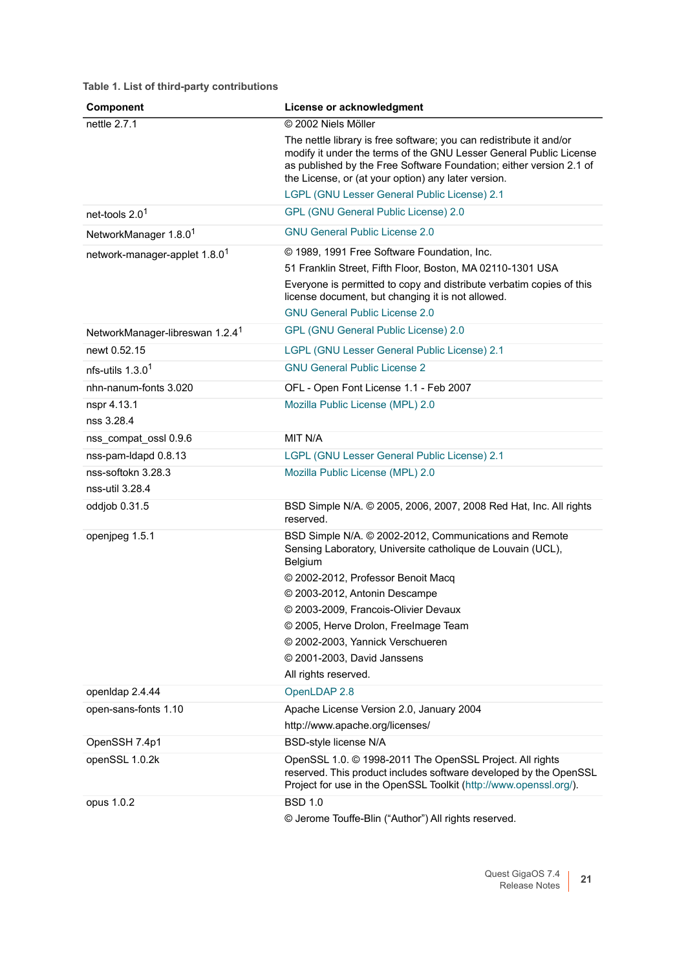| Component                                   | License or acknowledgment                                                                                                                                                                                                                                                                                                                                                          |
|---------------------------------------------|------------------------------------------------------------------------------------------------------------------------------------------------------------------------------------------------------------------------------------------------------------------------------------------------------------------------------------------------------------------------------------|
| nettle 2.7.1                                | © 2002 Niels Möller                                                                                                                                                                                                                                                                                                                                                                |
|                                             | The nettle library is free software; you can redistribute it and/or<br>modify it under the terms of the GNU Lesser General Public License<br>as published by the Free Software Foundation; either version 2.1 of<br>the License, or (at your option) any later version.                                                                                                            |
|                                             | LGPL (GNU Lesser General Public License) 2.1                                                                                                                                                                                                                                                                                                                                       |
| net-tools 2.0 <sup>1</sup>                  | GPL (GNU General Public License) 2.0                                                                                                                                                                                                                                                                                                                                               |
| NetworkManager 1.8.0 <sup>1</sup>           | <b>GNU General Public License 2.0</b>                                                                                                                                                                                                                                                                                                                                              |
| network-manager-applet 1.8.0 <sup>1</sup>   | © 1989, 1991 Free Software Foundation, Inc.<br>51 Franklin Street, Fifth Floor, Boston, MA 02110-1301 USA<br>Everyone is permitted to copy and distribute verbatim copies of this<br>license document, but changing it is not allowed.<br><b>GNU General Public License 2.0</b>                                                                                                    |
| NetworkManager-libreswan 1.2.4 <sup>1</sup> | GPL (GNU General Public License) 2.0                                                                                                                                                                                                                                                                                                                                               |
| newt 0.52.15                                | LGPL (GNU Lesser General Public License) 2.1                                                                                                                                                                                                                                                                                                                                       |
| nfs-utils $1.3.01$                          | <b>GNU General Public License 2</b>                                                                                                                                                                                                                                                                                                                                                |
| nhn-nanum-fonts 3.020                       | OFL - Open Font License 1.1 - Feb 2007                                                                                                                                                                                                                                                                                                                                             |
| nspr 4.13.1<br>nss 3.28.4                   | Mozilla Public License (MPL) 2.0                                                                                                                                                                                                                                                                                                                                                   |
| nss_compat_ossl 0.9.6                       | MIT N/A                                                                                                                                                                                                                                                                                                                                                                            |
| nss-pam-Idapd 0.8.13                        | LGPL (GNU Lesser General Public License) 2.1                                                                                                                                                                                                                                                                                                                                       |
| nss-softokn 3.28.3<br>nss-util 3.28.4       | Mozilla Public License (MPL) 2.0                                                                                                                                                                                                                                                                                                                                                   |
| oddjob 0.31.5                               | BSD Simple N/A. © 2005, 2006, 2007, 2008 Red Hat, Inc. All rights<br>reserved.                                                                                                                                                                                                                                                                                                     |
| openjpeg 1.5.1                              | BSD Simple N/A. @ 2002-2012, Communications and Remote<br>Sensing Laboratory, Universite catholique de Louvain (UCL),<br>Belgium<br>© 2002-2012, Professor Benoit Macq<br>© 2003-2012, Antonin Descampe<br>© 2003-2009, Francois-Olivier Devaux<br>© 2005, Herve Drolon, Freelmage Team<br>© 2002-2003, Yannick Verschueren<br>© 2001-2003, David Janssens<br>All rights reserved. |
| openIdap 2.4.44                             | OpenLDAP 2.8                                                                                                                                                                                                                                                                                                                                                                       |
| open-sans-fonts 1.10                        | Apache License Version 2.0, January 2004<br>http://www.apache.org/licenses/                                                                                                                                                                                                                                                                                                        |
| OpenSSH 7.4p1                               | <b>BSD-style license N/A</b>                                                                                                                                                                                                                                                                                                                                                       |
| openSSL 1.0.2k                              | OpenSSL 1.0. © 1998-2011 The OpenSSL Project. All rights<br>reserved. This product includes software developed by the OpenSSL<br>Project for use in the OpenSSL Toolkit (http://www.openssl.org/).                                                                                                                                                                                 |
| opus 1.0.2                                  | <b>BSD 1.0</b><br>© Jerome Touffe-Blin ("Author") All rights reserved.                                                                                                                                                                                                                                                                                                             |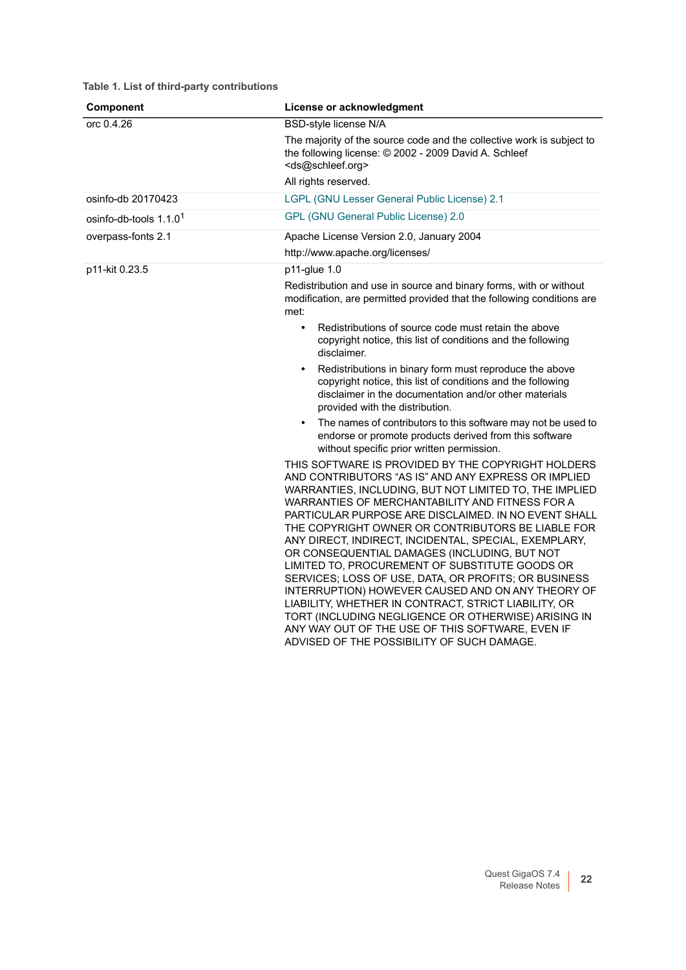| Component                | License or acknowledgment                                                                                                                                                                                                                                                                                                                                                                                                                                                                                                                                                                                                                                                                                                                                                                                                    |
|--------------------------|------------------------------------------------------------------------------------------------------------------------------------------------------------------------------------------------------------------------------------------------------------------------------------------------------------------------------------------------------------------------------------------------------------------------------------------------------------------------------------------------------------------------------------------------------------------------------------------------------------------------------------------------------------------------------------------------------------------------------------------------------------------------------------------------------------------------------|
| orc 0.4.26               | BSD-style license N/A                                                                                                                                                                                                                                                                                                                                                                                                                                                                                                                                                                                                                                                                                                                                                                                                        |
|                          | The majority of the source code and the collective work is subject to<br>the following license: @ 2002 - 2009 David A. Schleef<br><ds@schleef.org></ds@schleef.org>                                                                                                                                                                                                                                                                                                                                                                                                                                                                                                                                                                                                                                                          |
|                          | All rights reserved.                                                                                                                                                                                                                                                                                                                                                                                                                                                                                                                                                                                                                                                                                                                                                                                                         |
| osinfo-db 20170423       | LGPL (GNU Lesser General Public License) 2.1                                                                                                                                                                                                                                                                                                                                                                                                                                                                                                                                                                                                                                                                                                                                                                                 |
| osinfo-db-tools $1.1.01$ | <b>GPL (GNU General Public License) 2.0</b>                                                                                                                                                                                                                                                                                                                                                                                                                                                                                                                                                                                                                                                                                                                                                                                  |
| overpass-fonts 2.1       | Apache License Version 2.0, January 2004                                                                                                                                                                                                                                                                                                                                                                                                                                                                                                                                                                                                                                                                                                                                                                                     |
|                          | http://www.apache.org/licenses/                                                                                                                                                                                                                                                                                                                                                                                                                                                                                                                                                                                                                                                                                                                                                                                              |
| p11-kit 0.23.5           | p11-glue 1.0                                                                                                                                                                                                                                                                                                                                                                                                                                                                                                                                                                                                                                                                                                                                                                                                                 |
|                          | Redistribution and use in source and binary forms, with or without<br>modification, are permitted provided that the following conditions are<br>met:                                                                                                                                                                                                                                                                                                                                                                                                                                                                                                                                                                                                                                                                         |
|                          | Redistributions of source code must retain the above<br>$\bullet$<br>copyright notice, this list of conditions and the following<br>disclaimer.                                                                                                                                                                                                                                                                                                                                                                                                                                                                                                                                                                                                                                                                              |
|                          | Redistributions in binary form must reproduce the above<br>$\bullet$<br>copyright notice, this list of conditions and the following<br>disclaimer in the documentation and/or other materials<br>provided with the distribution.                                                                                                                                                                                                                                                                                                                                                                                                                                                                                                                                                                                             |
|                          | The names of contributors to this software may not be used to<br>endorse or promote products derived from this software<br>without specific prior written permission.                                                                                                                                                                                                                                                                                                                                                                                                                                                                                                                                                                                                                                                        |
|                          | THIS SOFTWARE IS PROVIDED BY THE COPYRIGHT HOLDERS<br>AND CONTRIBUTORS "AS IS" AND ANY EXPRESS OR IMPLIED<br>WARRANTIES, INCLUDING, BUT NOT LIMITED TO, THE IMPLIED<br>WARRANTIES OF MERCHANTABILITY AND FITNESS FOR A<br>PARTICULAR PURPOSE ARE DISCLAIMED. IN NO EVENT SHALL<br>THE COPYRIGHT OWNER OR CONTRIBUTORS BE LIABLE FOR<br>ANY DIRECT, INDIRECT, INCIDENTAL, SPECIAL, EXEMPLARY,<br>OR CONSEQUENTIAL DAMAGES (INCLUDING, BUT NOT<br>LIMITED TO, PROCUREMENT OF SUBSTITUTE GOODS OR<br>SERVICES; LOSS OF USE, DATA, OR PROFITS; OR BUSINESS<br>INTERRUPTION) HOWEVER CAUSED AND ON ANY THEORY OF<br>LIABILITY, WHETHER IN CONTRACT, STRICT LIABILITY, OR<br>TORT (INCLUDING NEGLIGENCE OR OTHERWISE) ARISING IN<br>ANY WAY OUT OF THE USE OF THIS SOFTWARE, EVEN IF<br>ADVISED OF THE POSSIBILITY OF SUCH DAMAGE. |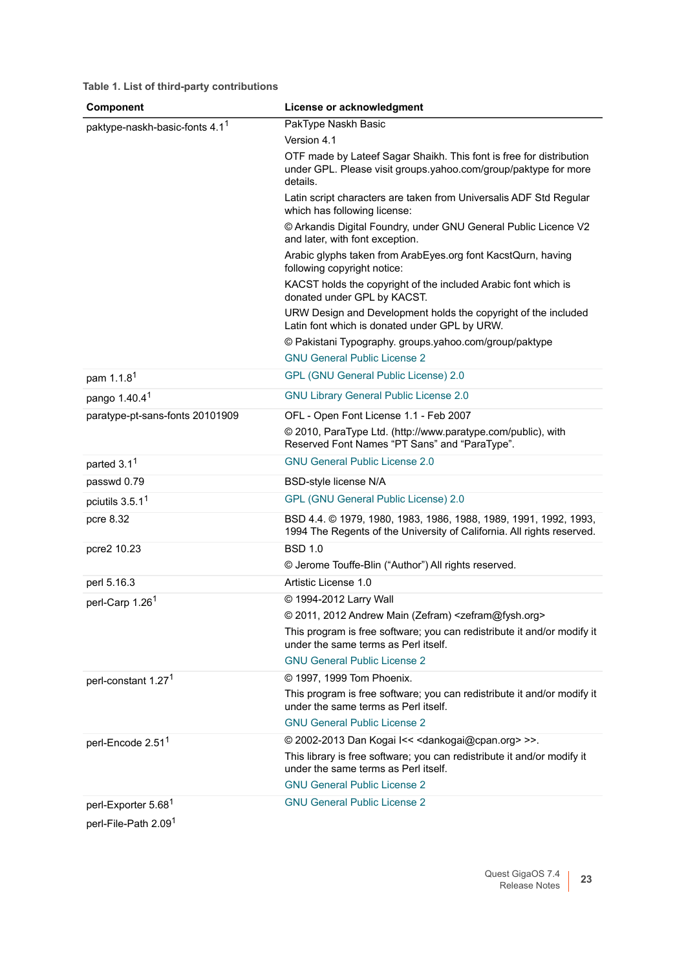| Component                                  | License or acknowledgment                                                                                                                          |
|--------------------------------------------|----------------------------------------------------------------------------------------------------------------------------------------------------|
| paktype-naskh-basic-fonts 4.1 <sup>1</sup> | PakType Naskh Basic                                                                                                                                |
|                                            | Version 4.1                                                                                                                                        |
|                                            | OTF made by Lateef Sagar Shaikh. This font is free for distribution<br>under GPL. Please visit groups.yahoo.com/group/paktype for more<br>details. |
|                                            | Latin script characters are taken from Universalis ADF Std Regular<br>which has following license:                                                 |
|                                            | © Arkandis Digital Foundry, under GNU General Public Licence V2<br>and later, with font exception.                                                 |
|                                            | Arabic glyphs taken from ArabEyes.org font KacstQurn, having<br>following copyright notice:                                                        |
|                                            | KACST holds the copyright of the included Arabic font which is<br>donated under GPL by KACST.                                                      |
|                                            | URW Design and Development holds the copyright of the included<br>Latin font which is donated under GPL by URW.                                    |
|                                            | © Pakistani Typography. groups.yahoo.com/group/paktype                                                                                             |
|                                            | <b>GNU General Public License 2</b>                                                                                                                |
| pam 1.1.8 <sup>1</sup>                     | GPL (GNU General Public License) 2.0                                                                                                               |
| pango 1.40.4 <sup>1</sup>                  | <b>GNU Library General Public License 2.0</b>                                                                                                      |
| paratype-pt-sans-fonts 20101909            | OFL - Open Font License 1.1 - Feb 2007                                                                                                             |
|                                            | © 2010, ParaType Ltd. (http://www.paratype.com/public), with<br>Reserved Font Names "PT Sans" and "ParaType".                                      |
| parted 3.1 <sup>1</sup>                    | <b>GNU General Public License 2.0</b>                                                                                                              |
| passwd 0.79                                | <b>BSD-style license N/A</b>                                                                                                                       |
| pciutils $3.5.11$                          | GPL (GNU General Public License) 2.0                                                                                                               |
| pcre 8.32                                  | BSD 4.4. © 1979, 1980, 1983, 1986, 1988, 1989, 1991, 1992, 1993,<br>1994 The Regents of the University of California. All rights reserved.         |
| pcre2 10.23                                | <b>BSD 1.0</b>                                                                                                                                     |
|                                            | © Jerome Touffe-Blin ("Author") All rights reserved.                                                                                               |
| perl 5.16.3                                | Artistic License 1.0                                                                                                                               |
| perl-Carp 1.26 <sup>1</sup>                | © 1994-2012 Larry Wall                                                                                                                             |
|                                            | © 2011, 2012 Andrew Main (Zefram) <zefram@fysh.org></zefram@fysh.org>                                                                              |
|                                            | This program is free software; you can redistribute it and/or modify it<br>under the same terms as Perl itself.                                    |
|                                            | <b>GNU General Public License 2</b>                                                                                                                |
| perl-constant 1.27 <sup>1</sup>            | © 1997, 1999 Tom Phoenix.                                                                                                                          |
|                                            | This program is free software; you can redistribute it and/or modify it<br>under the same terms as Perl itself.                                    |
|                                            | <b>GNU General Public License 2</b>                                                                                                                |
| perl-Encode 2.51 <sup>1</sup>              | © 2002-2013 Dan Kogai I<< <dankogai@cpan.org> &gt;&gt;.</dankogai@cpan.org>                                                                        |
|                                            | This library is free software; you can redistribute it and/or modify it<br>under the same terms as Perl itself.                                    |
|                                            | <b>GNU General Public License 2</b>                                                                                                                |
| perl-Exporter 5.68 <sup>1</sup>            | <b>GNU General Public License 2</b>                                                                                                                |
| perl-File-Path 2.091                       |                                                                                                                                                    |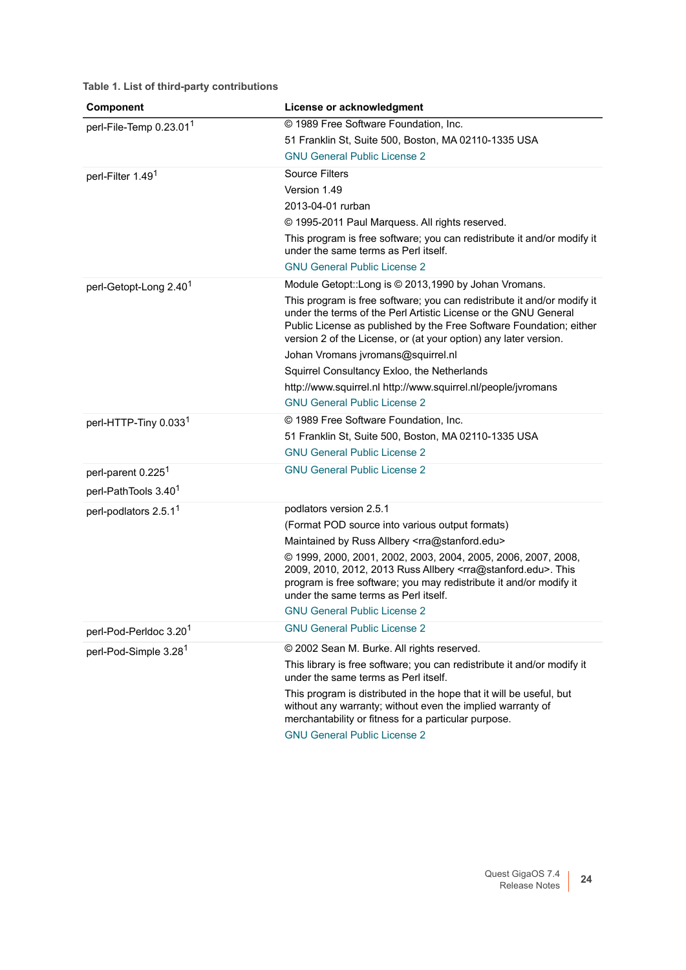| <b>Component</b>                    | License or acknowledgment                                                                                                                                                                                                                                                             |
|-------------------------------------|---------------------------------------------------------------------------------------------------------------------------------------------------------------------------------------------------------------------------------------------------------------------------------------|
| perl-File-Temp 0.23.01 <sup>1</sup> | © 1989 Free Software Foundation, Inc.                                                                                                                                                                                                                                                 |
|                                     | 51 Franklin St, Suite 500, Boston, MA 02110-1335 USA                                                                                                                                                                                                                                  |
|                                     | <b>GNU General Public License 2</b>                                                                                                                                                                                                                                                   |
| perl-Filter 1.49 <sup>1</sup>       | <b>Source Filters</b>                                                                                                                                                                                                                                                                 |
|                                     | Version 1.49                                                                                                                                                                                                                                                                          |
|                                     | 2013-04-01 rurban                                                                                                                                                                                                                                                                     |
|                                     | © 1995-2011 Paul Marquess. All rights reserved.                                                                                                                                                                                                                                       |
|                                     | This program is free software; you can redistribute it and/or modify it<br>under the same terms as Perl itself.                                                                                                                                                                       |
|                                     | <b>GNU General Public License 2</b>                                                                                                                                                                                                                                                   |
| perl-Getopt-Long 2.40 <sup>1</sup>  | Module Getopt:: Long is © 2013, 1990 by Johan Vromans.                                                                                                                                                                                                                                |
|                                     | This program is free software; you can redistribute it and/or modify it<br>under the terms of the Perl Artistic License or the GNU General<br>Public License as published by the Free Software Foundation; either<br>version 2 of the License, or (at your option) any later version. |
|                                     | Johan Vromans jvromans@squirrel.nl                                                                                                                                                                                                                                                    |
|                                     | Squirrel Consultancy Exloo, the Netherlands                                                                                                                                                                                                                                           |
|                                     | http://www.squirrel.nl http://www.squirrel.nl/people/jvromans                                                                                                                                                                                                                         |
|                                     | <b>GNU General Public License 2</b>                                                                                                                                                                                                                                                   |
| perl-HTTP-Tiny 0.033 <sup>1</sup>   | © 1989 Free Software Foundation, Inc.                                                                                                                                                                                                                                                 |
|                                     | 51 Franklin St, Suite 500, Boston, MA 02110-1335 USA                                                                                                                                                                                                                                  |
|                                     | <b>GNU General Public License 2</b>                                                                                                                                                                                                                                                   |
| perl-parent 0.225 <sup>1</sup>      | <b>GNU General Public License 2</b>                                                                                                                                                                                                                                                   |
| perl-PathTools 3.40 <sup>1</sup>    |                                                                                                                                                                                                                                                                                       |
| perl-podlators 2.5.1 <sup>1</sup>   | podlators version 2.5.1                                                                                                                                                                                                                                                               |
|                                     | (Format POD source into various output formats)                                                                                                                                                                                                                                       |
|                                     | Maintained by Russ Allbery <rra@stanford.edu></rra@stanford.edu>                                                                                                                                                                                                                      |
|                                     | © 1999, 2000, 2001, 2002, 2003, 2004, 2005, 2006, 2007, 2008,<br>2009, 2010, 2012, 2013 Russ Allbery <rra@stanford.edu>. This<br/>program is free software; you may redistribute it and/or modify it<br/>under the same terms as Perl itself.</rra@stanford.edu>                      |
|                                     | <b>GNU General Public License 2</b>                                                                                                                                                                                                                                                   |
| perl-Pod-Perldoc 3.20 <sup>1</sup>  | <b>GNU General Public License 2</b>                                                                                                                                                                                                                                                   |
| perl-Pod-Simple 3.28 <sup>1</sup>   | © 2002 Sean M. Burke. All rights reserved.                                                                                                                                                                                                                                            |
|                                     | This library is free software; you can redistribute it and/or modify it<br>under the same terms as Perl itself.                                                                                                                                                                       |
|                                     | This program is distributed in the hope that it will be useful, but<br>without any warranty; without even the implied warranty of<br>merchantability or fitness for a particular purpose.                                                                                             |
|                                     | <b>GNU General Public License 2</b>                                                                                                                                                                                                                                                   |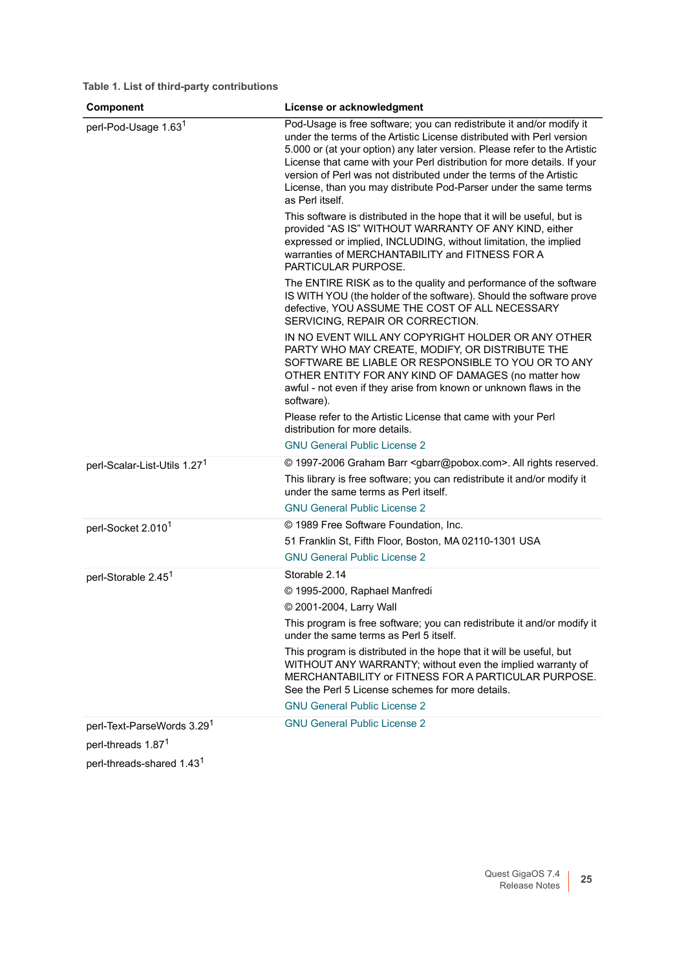| Component                                | License or acknowledgment                                                                                                                                                                                                                                                                                                                                                                                                                                           |
|------------------------------------------|---------------------------------------------------------------------------------------------------------------------------------------------------------------------------------------------------------------------------------------------------------------------------------------------------------------------------------------------------------------------------------------------------------------------------------------------------------------------|
| perl-Pod-Usage 1.63 <sup>1</sup>         | Pod-Usage is free software; you can redistribute it and/or modify it<br>under the terms of the Artistic License distributed with Perl version<br>5.000 or (at your option) any later version. Please refer to the Artistic<br>License that came with your Perl distribution for more details. If your<br>version of Perl was not distributed under the terms of the Artistic<br>License, than you may distribute Pod-Parser under the same terms<br>as Perl itself. |
|                                          | This software is distributed in the hope that it will be useful, but is<br>provided "AS IS" WITHOUT WARRANTY OF ANY KIND, either<br>expressed or implied, INCLUDING, without limitation, the implied<br>warranties of MERCHANTABILITY and FITNESS FOR A<br>PARTICULAR PURPOSE.                                                                                                                                                                                      |
|                                          | The ENTIRE RISK as to the quality and performance of the software<br>IS WITH YOU (the holder of the software). Should the software prove<br>defective, YOU ASSUME THE COST OF ALL NECESSARY<br>SERVICING, REPAIR OR CORRECTION.                                                                                                                                                                                                                                     |
|                                          | IN NO EVENT WILL ANY COPYRIGHT HOLDER OR ANY OTHER<br>PARTY WHO MAY CREATE, MODIFY, OR DISTRIBUTE THE<br>SOFTWARE BE LIABLE OR RESPONSIBLE TO YOU OR TO ANY<br>OTHER ENTITY FOR ANY KIND OF DAMAGES (no matter how<br>awful - not even if they arise from known or unknown flaws in the<br>software).                                                                                                                                                               |
|                                          | Please refer to the Artistic License that came with your Perl<br>distribution for more details.                                                                                                                                                                                                                                                                                                                                                                     |
|                                          | <b>GNU General Public License 2</b>                                                                                                                                                                                                                                                                                                                                                                                                                                 |
| perl-Scalar-List-Utils 1.27 <sup>1</sup> | © 1997-2006 Graham Barr <gbarr@pobox.com>. All rights reserved.<br/>This library is free software; you can redistribute it and/or modify it<br/>under the same terms as Perl itself.</gbarr@pobox.com>                                                                                                                                                                                                                                                              |
|                                          | <b>GNU General Public License 2</b>                                                                                                                                                                                                                                                                                                                                                                                                                                 |
| perl-Socket 2.010 <sup>1</sup>           | © 1989 Free Software Foundation, Inc.<br>51 Franklin St, Fifth Floor, Boston, MA 02110-1301 USA<br><b>GNU General Public License 2</b>                                                                                                                                                                                                                                                                                                                              |
| perl-Storable 2.45 <sup>1</sup>          | Storable 2.14<br>© 1995-2000, Raphael Manfredi<br>© 2001-2004, Larry Wall                                                                                                                                                                                                                                                                                                                                                                                           |
|                                          | This program is free software; you can redistribute it and/or modify it<br>under the same terms as Perl 5 itself.                                                                                                                                                                                                                                                                                                                                                   |
|                                          | This program is distributed in the hope that it will be useful, but<br>WITHOUT ANY WARRANTY; without even the implied warranty of<br>MERCHANTABILITY or FITNESS FOR A PARTICULAR PURPOSE.<br>See the Perl 5 License schemes for more details.                                                                                                                                                                                                                       |
|                                          | <b>GNU General Public License 2</b>                                                                                                                                                                                                                                                                                                                                                                                                                                 |
| perl-Text-ParseWords 3.29 <sup>1</sup>   | <b>GNU General Public License 2</b>                                                                                                                                                                                                                                                                                                                                                                                                                                 |
| perl-threads 1.871                       |                                                                                                                                                                                                                                                                                                                                                                                                                                                                     |
| perl-threads-shared 1.43 <sup>1</sup>    |                                                                                                                                                                                                                                                                                                                                                                                                                                                                     |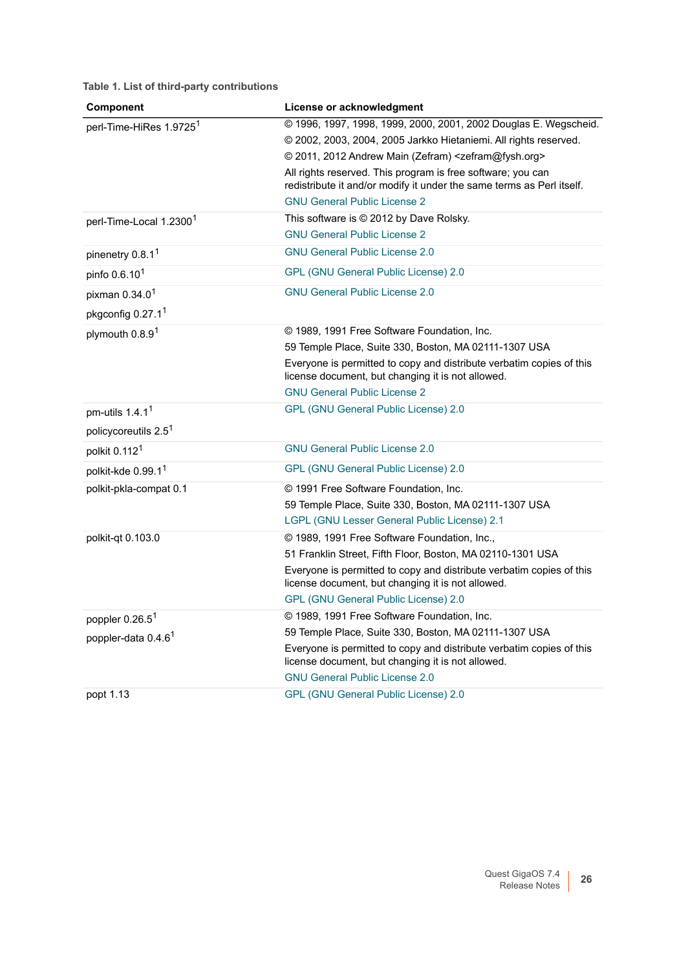| Component                                                       | License or acknowledgment                                                                                                                                                                                                                                                                                                                                                                       |
|-----------------------------------------------------------------|-------------------------------------------------------------------------------------------------------------------------------------------------------------------------------------------------------------------------------------------------------------------------------------------------------------------------------------------------------------------------------------------------|
| perl-Time-HiRes 1.9725 <sup>1</sup>                             | © 1996, 1997, 1998, 1999, 2000, 2001, 2002 Douglas E. Wegscheid.<br>© 2002, 2003, 2004, 2005 Jarkko Hietaniemi. All rights reserved.<br>© 2011, 2012 Andrew Main (Zefram) <zefram@fysh.org><br/>All rights reserved. This program is free software; you can<br/>redistribute it and/or modify it under the same terms as Perl itself.<br/><b>GNU General Public License 2</b></zefram@fysh.org> |
| perl-Time-Local 1.2300 <sup>1</sup>                             | This software is © 2012 by Dave Rolsky.<br><b>GNU General Public License 2</b>                                                                                                                                                                                                                                                                                                                  |
| pinenetry 0.8.1 <sup>1</sup>                                    | <b>GNU General Public License 2.0</b>                                                                                                                                                                                                                                                                                                                                                           |
| pinfo 0.6.10 <sup>1</sup>                                       | GPL (GNU General Public License) 2.0                                                                                                                                                                                                                                                                                                                                                            |
| pixman $0.34.01$<br>pkgconfig 0.27.1 <sup>1</sup>               | <b>GNU General Public License 2.0</b>                                                                                                                                                                                                                                                                                                                                                           |
| plymouth 0.8.91                                                 | © 1989, 1991 Free Software Foundation, Inc.<br>59 Temple Place, Suite 330, Boston, MA 02111-1307 USA<br>Everyone is permitted to copy and distribute verbatim copies of this<br>license document, but changing it is not allowed.<br><b>GNU General Public License 2</b>                                                                                                                        |
| pm-utils 1.4.1 <sup>1</sup><br>policycoreutils 2.5 <sup>1</sup> | <b>GPL (GNU General Public License) 2.0</b>                                                                                                                                                                                                                                                                                                                                                     |
| polkit 0.112 <sup>1</sup>                                       | <b>GNU General Public License 2.0</b>                                                                                                                                                                                                                                                                                                                                                           |
| polkit-kde 0.99.1 <sup>1</sup>                                  | GPL (GNU General Public License) 2.0                                                                                                                                                                                                                                                                                                                                                            |
| polkit-pkla-compat 0.1                                          | © 1991 Free Software Foundation, Inc.<br>59 Temple Place, Suite 330, Boston, MA 02111-1307 USA<br>LGPL (GNU Lesser General Public License) 2.1                                                                                                                                                                                                                                                  |
| polkit-qt 0.103.0                                               | © 1989, 1991 Free Software Foundation, Inc.,<br>51 Franklin Street, Fifth Floor, Boston, MA 02110-1301 USA<br>Everyone is permitted to copy and distribute verbatim copies of this<br>license document, but changing it is not allowed.<br><b>GPL (GNU General Public License) 2.0</b>                                                                                                          |
| poppler 0.26.5 <sup>1</sup><br>poppler-data 0.4.6 <sup>1</sup>  | © 1989, 1991 Free Software Foundation, Inc.<br>59 Temple Place, Suite 330, Boston, MA 02111-1307 USA<br>Everyone is permitted to copy and distribute verbatim copies of this<br>license document, but changing it is not allowed.<br><b>GNU General Public License 2.0</b>                                                                                                                      |
| popt 1.13                                                       | <b>GPL (GNU General Public License) 2.0</b>                                                                                                                                                                                                                                                                                                                                                     |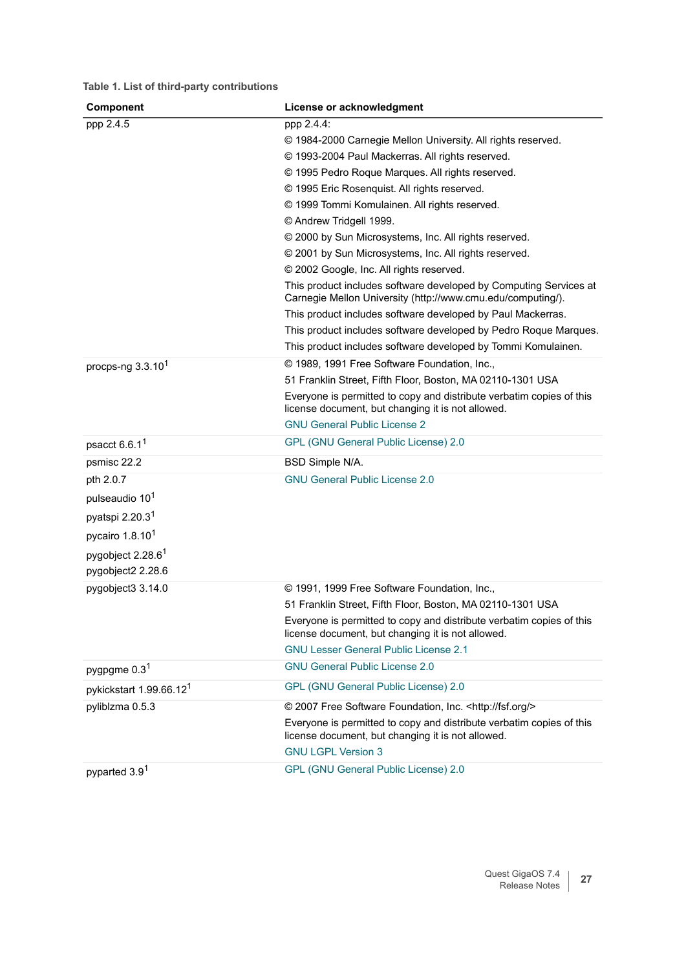| Component                           | License or acknowledgment                                                                                                        |
|-------------------------------------|----------------------------------------------------------------------------------------------------------------------------------|
| ppp $2.4.\overline{5}$              | ppp 2.4.4:                                                                                                                       |
|                                     | © 1984-2000 Carnegie Mellon University. All rights reserved.                                                                     |
|                                     | © 1993-2004 Paul Mackerras. All rights reserved.                                                                                 |
|                                     | © 1995 Pedro Roque Marques. All rights reserved.                                                                                 |
|                                     | © 1995 Eric Rosenquist. All rights reserved.                                                                                     |
|                                     | © 1999 Tommi Komulainen. All rights reserved.                                                                                    |
|                                     | © Andrew Tridgell 1999.                                                                                                          |
|                                     | © 2000 by Sun Microsystems, Inc. All rights reserved.                                                                            |
|                                     | © 2001 by Sun Microsystems, Inc. All rights reserved.                                                                            |
|                                     | © 2002 Google, Inc. All rights reserved.                                                                                         |
|                                     | This product includes software developed by Computing Services at<br>Carnegie Mellon University (http://www.cmu.edu/computing/). |
|                                     | This product includes software developed by Paul Mackerras.                                                                      |
|                                     | This product includes software developed by Pedro Roque Marques.                                                                 |
|                                     | This product includes software developed by Tommi Komulainen.                                                                    |
| procps-ng $3.3.101$                 | © 1989, 1991 Free Software Foundation, Inc.,                                                                                     |
|                                     | 51 Franklin Street, Fifth Floor, Boston, MA 02110-1301 USA                                                                       |
|                                     | Everyone is permitted to copy and distribute verbatim copies of this<br>license document, but changing it is not allowed.        |
|                                     | <b>GNU General Public License 2</b>                                                                                              |
| psacct $6.6.11$                     | GPL (GNU General Public License) 2.0                                                                                             |
| psmisc 22.2                         | BSD Simple N/A.                                                                                                                  |
| pth 2.0.7                           | <b>GNU General Public License 2.0</b>                                                                                            |
| pulseaudio 10 <sup>1</sup>          |                                                                                                                                  |
| pyatspi 2.20.3 <sup>1</sup>         |                                                                                                                                  |
| pycairo 1.8.10 <sup>1</sup>         |                                                                                                                                  |
| pygobject 2.28.6 <sup>1</sup>       |                                                                                                                                  |
| pygobject2 2.28.6                   |                                                                                                                                  |
| pygobject3 3.14.0                   | © 1991, 1999 Free Software Foundation, Inc.,                                                                                     |
|                                     | 51 Franklin Street, Fifth Floor, Boston, MA 02110-1301 USA                                                                       |
|                                     | Everyone is permitted to copy and distribute verbatim copies of this                                                             |
|                                     | license document, but changing it is not allowed.                                                                                |
|                                     | <b>GNU Lesser General Public License 2.1</b>                                                                                     |
| pygpgme 0.3 <sup>1</sup>            | <b>GNU General Public License 2.0</b>                                                                                            |
| pykickstart 1.99.66.12 <sup>1</sup> | GPL (GNU General Public License) 2.0                                                                                             |
| pyliblzma 0.5.3                     | © 2007 Free Software Foundation, Inc. < http://fsf.org/>                                                                         |
|                                     | Everyone is permitted to copy and distribute verbatim copies of this<br>license document, but changing it is not allowed.        |
|                                     | <b>GNU LGPL Version 3</b>                                                                                                        |
| pyparted 3.9 <sup>1</sup>           | GPL (GNU General Public License) 2.0                                                                                             |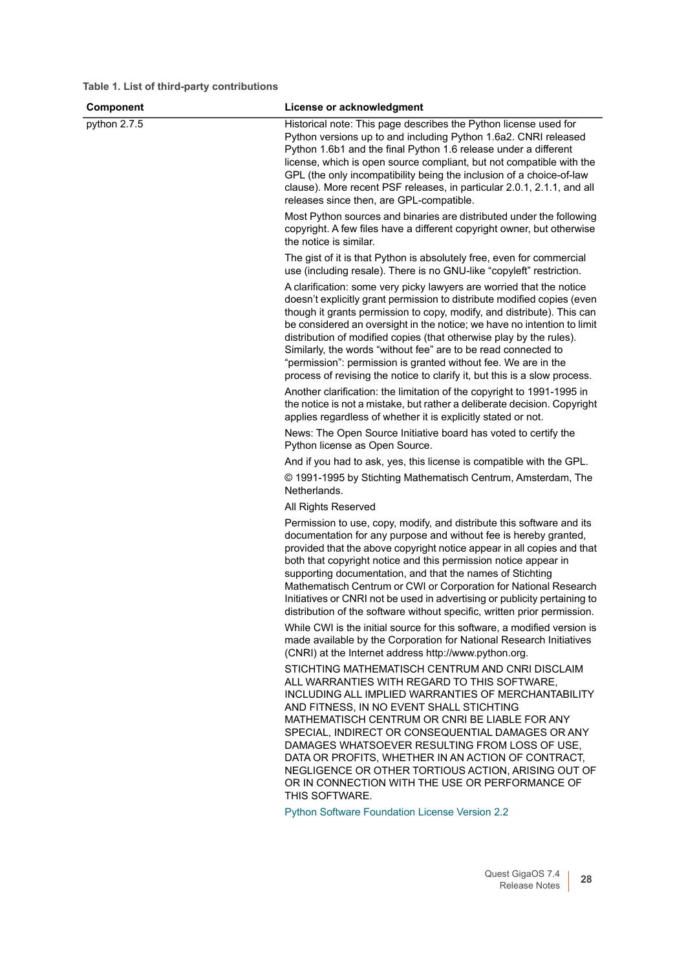| <b>Component</b> | License or acknowledgment                                                                                                                                                                                                                                                                                                                                                                                                                                                                                                                                                                        |
|------------------|--------------------------------------------------------------------------------------------------------------------------------------------------------------------------------------------------------------------------------------------------------------------------------------------------------------------------------------------------------------------------------------------------------------------------------------------------------------------------------------------------------------------------------------------------------------------------------------------------|
| python 2.7.5     | Historical note: This page describes the Python license used for<br>Python versions up to and including Python 1.6a2. CNRI released<br>Python 1.6b1 and the final Python 1.6 release under a different<br>license, which is open source compliant, but not compatible with the<br>GPL (the only incompatibility being the inclusion of a choice-of-law<br>clause). More recent PSF releases, in particular 2.0.1, 2.1.1, and all<br>releases since then, are GPL-compatible.                                                                                                                     |
|                  | Most Python sources and binaries are distributed under the following<br>copyright. A few files have a different copyright owner, but otherwise<br>the notice is similar.                                                                                                                                                                                                                                                                                                                                                                                                                         |
|                  | The gist of it is that Python is absolutely free, even for commercial<br>use (including resale). There is no GNU-like "copyleft" restriction.                                                                                                                                                                                                                                                                                                                                                                                                                                                    |
|                  | A clarification: some very picky lawyers are worried that the notice<br>doesn't explicitly grant permission to distribute modified copies (even<br>though it grants permission to copy, modify, and distribute). This can<br>be considered an oversight in the notice; we have no intention to limit<br>distribution of modified copies (that otherwise play by the rules).<br>Similarly, the words "without fee" are to be read connected to<br>"permission": permission is granted without fee. We are in the<br>process of revising the notice to clarify it, but this is a slow process.     |
|                  | Another clarification: the limitation of the copyright to 1991-1995 in<br>the notice is not a mistake, but rather a deliberate decision. Copyright<br>applies regardless of whether it is explicitly stated or not.                                                                                                                                                                                                                                                                                                                                                                              |
|                  | News: The Open Source Initiative board has voted to certify the<br>Python license as Open Source.                                                                                                                                                                                                                                                                                                                                                                                                                                                                                                |
|                  | And if you had to ask, yes, this license is compatible with the GPL.                                                                                                                                                                                                                                                                                                                                                                                                                                                                                                                             |
|                  | © 1991-1995 by Stichting Mathematisch Centrum, Amsterdam, The<br>Netherlands.                                                                                                                                                                                                                                                                                                                                                                                                                                                                                                                    |
|                  | All Rights Reserved                                                                                                                                                                                                                                                                                                                                                                                                                                                                                                                                                                              |
|                  | Permission to use, copy, modify, and distribute this software and its<br>documentation for any purpose and without fee is hereby granted,<br>provided that the above copyright notice appear in all copies and that<br>both that copyright notice and this permission notice appear in<br>supporting documentation, and that the names of Stichting<br>Mathematisch Centrum or CWI or Corporation for National Research<br>Initiatives or CNRI not be used in advertising or publicity pertaining to<br>distribution of the software without specific, written prior permission.                 |
|                  | While CWI is the initial source for this software, a modified version is<br>made available by the Corporation for National Research Initiatives<br>(CNRI) at the Internet address http://www.python.org.                                                                                                                                                                                                                                                                                                                                                                                         |
|                  | STICHTING MATHEMATISCH CENTRUM AND CNRI DISCLAIM<br>ALL WARRANTIES WITH REGARD TO THIS SOFTWARE,<br>INCLUDING ALL IMPLIED WARRANTIES OF MERCHANTABILITY<br>AND FITNESS, IN NO EVENT SHALL STICHTING<br>MATHEMATISCH CENTRUM OR CNRI BE LIABLE FOR ANY<br>SPECIAL, INDIRECT OR CONSEQUENTIAL DAMAGES OR ANY<br>DAMAGES WHATSOEVER RESULTING FROM LOSS OF USE,<br>DATA OR PROFITS, WHETHER IN AN ACTION OF CONTRACT,<br>NEGLIGENCE OR OTHER TORTIOUS ACTION, ARISING OUT OF<br>OR IN CONNECTION WITH THE USE OR PERFORMANCE OF<br>THIS SOFTWARE.<br>Python Software Foundation License Version 2.2 |
|                  |                                                                                                                                                                                                                                                                                                                                                                                                                                                                                                                                                                                                  |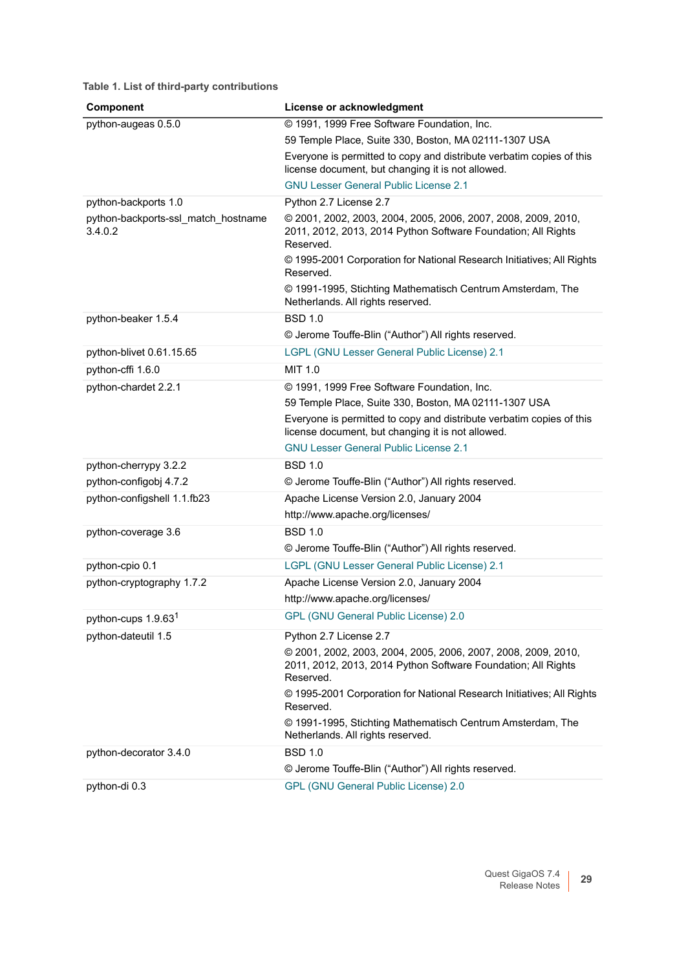| Component                                      | License or acknowledgment                                                                                                                   |
|------------------------------------------------|---------------------------------------------------------------------------------------------------------------------------------------------|
| python-augeas 0.5.0                            | © 1991, 1999 Free Software Foundation, Inc.                                                                                                 |
|                                                | 59 Temple Place, Suite 330, Boston, MA 02111-1307 USA                                                                                       |
|                                                | Everyone is permitted to copy and distribute verbatim copies of this<br>license document, but changing it is not allowed.                   |
|                                                | <b>GNU Lesser General Public License 2.1</b>                                                                                                |
| python-backports 1.0                           | Python 2.7 License 2.7                                                                                                                      |
| python-backports-ssl match hostname<br>3.4.0.2 | © 2001, 2002, 2003, 2004, 2005, 2006, 2007, 2008, 2009, 2010,<br>2011, 2012, 2013, 2014 Python Software Foundation; All Rights<br>Reserved. |
|                                                | © 1995-2001 Corporation for National Research Initiatives; All Rights<br>Reserved.                                                          |
|                                                | © 1991-1995, Stichting Mathematisch Centrum Amsterdam, The<br>Netherlands. All rights reserved.                                             |
| python-beaker 1.5.4                            | <b>BSD 1.0</b>                                                                                                                              |
|                                                | © Jerome Touffe-Blin ("Author") All rights reserved.                                                                                        |
| python-blivet 0.61.15.65                       | LGPL (GNU Lesser General Public License) 2.1                                                                                                |
| python-cffi 1.6.0                              | MIT 1.0                                                                                                                                     |
| python-chardet 2.2.1                           | © 1991, 1999 Free Software Foundation, Inc.                                                                                                 |
|                                                | 59 Temple Place, Suite 330, Boston, MA 02111-1307 USA                                                                                       |
|                                                | Everyone is permitted to copy and distribute verbatim copies of this<br>license document, but changing it is not allowed.                   |
|                                                | <b>GNU Lesser General Public License 2.1</b>                                                                                                |
| python-cherrypy 3.2.2                          | <b>BSD 1.0</b>                                                                                                                              |
| python-configobj 4.7.2                         | © Jerome Touffe-Blin ("Author") All rights reserved.                                                                                        |
| python-configshell 1.1.fb23                    | Apache License Version 2.0, January 2004                                                                                                    |
|                                                | http://www.apache.org/licenses/                                                                                                             |
| python-coverage 3.6                            | <b>BSD 1.0</b>                                                                                                                              |
|                                                | © Jerome Touffe-Blin ("Author") All rights reserved.                                                                                        |
| python-cpio 0.1                                | LGPL (GNU Lesser General Public License) 2.1                                                                                                |
| python-cryptography 1.7.2                      | Apache License Version 2.0, January 2004                                                                                                    |
|                                                | http://www.apache.org/licenses/                                                                                                             |
| python-cups 1.9.63 <sup>1</sup>                | GPL (GNU General Public License) 2.0                                                                                                        |
| python-dateutil 1.5                            | Python 2.7 License 2.7                                                                                                                      |
|                                                | © 2001, 2002, 2003, 2004, 2005, 2006, 2007, 2008, 2009, 2010,<br>2011, 2012, 2013, 2014 Python Software Foundation; All Rights<br>Reserved. |
|                                                | © 1995-2001 Corporation for National Research Initiatives; All Rights<br>Reserved.                                                          |
|                                                | © 1991-1995, Stichting Mathematisch Centrum Amsterdam, The<br>Netherlands. All rights reserved.                                             |
| python-decorator 3.4.0                         | <b>BSD 1.0</b>                                                                                                                              |
|                                                | © Jerome Touffe-Blin ("Author") All rights reserved.                                                                                        |
| python-di 0.3                                  | GPL (GNU General Public License) 2.0                                                                                                        |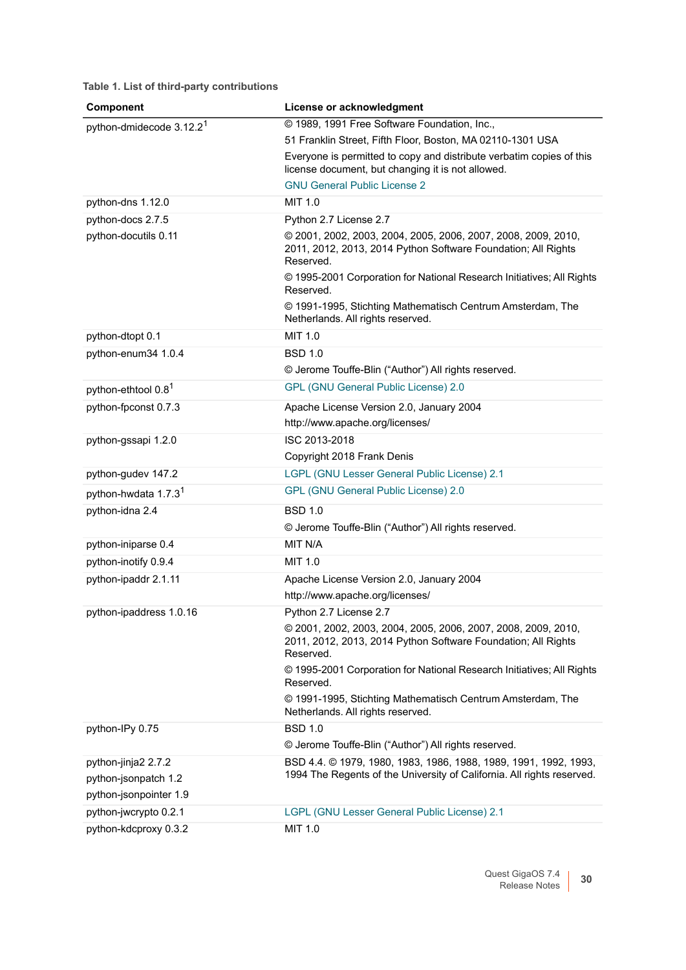| <b>Component</b>                     | License or acknowledgment                                                                                                                   |
|--------------------------------------|---------------------------------------------------------------------------------------------------------------------------------------------|
| python-dmidecode 3.12.2 <sup>1</sup> | © 1989, 1991 Free Software Foundation, Inc.,                                                                                                |
|                                      | 51 Franklin Street, Fifth Floor, Boston, MA 02110-1301 USA                                                                                  |
|                                      | Everyone is permitted to copy and distribute verbatim copies of this<br>license document, but changing it is not allowed.                   |
|                                      | <b>GNU General Public License 2</b>                                                                                                         |
| python-dns 1.12.0                    | MIT 1.0                                                                                                                                     |
| python-docs 2.7.5                    | Python 2.7 License 2.7                                                                                                                      |
| python-docutils 0.11                 | © 2001, 2002, 2003, 2004, 2005, 2006, 2007, 2008, 2009, 2010,<br>2011, 2012, 2013, 2014 Python Software Foundation; All Rights<br>Reserved. |
|                                      | © 1995-2001 Corporation for National Research Initiatives; All Rights<br>Reserved.                                                          |
|                                      | © 1991-1995, Stichting Mathematisch Centrum Amsterdam, The<br>Netherlands. All rights reserved.                                             |
| python-dtopt 0.1                     | MIT 1.0                                                                                                                                     |
| python-enum34 1.0.4                  | <b>BSD 1.0</b>                                                                                                                              |
|                                      | © Jerome Touffe-Blin ("Author") All rights reserved.                                                                                        |
| python-ethtool 0.8 <sup>1</sup>      | GPL (GNU General Public License) 2.0                                                                                                        |
| python-fpconst 0.7.3                 | Apache License Version 2.0, January 2004                                                                                                    |
|                                      | http://www.apache.org/licenses/                                                                                                             |
| python-gssapi 1.2.0                  | ISC 2013-2018                                                                                                                               |
|                                      | Copyright 2018 Frank Denis                                                                                                                  |
| python-gudev 147.2                   | LGPL (GNU Lesser General Public License) 2.1                                                                                                |
| python-hwdata 1.7.3 <sup>1</sup>     | GPL (GNU General Public License) 2.0                                                                                                        |
| python-idna 2.4                      | <b>BSD 1.0</b>                                                                                                                              |
|                                      | © Jerome Touffe-Blin ("Author") All rights reserved.                                                                                        |
| python-iniparse 0.4                  | MIT N/A                                                                                                                                     |
| python-inotify 0.9.4                 | MIT 1.0                                                                                                                                     |
| python-ipaddr 2.1.11                 | Apache License Version 2.0, January 2004                                                                                                    |
|                                      | http://www.apache.org/licenses/                                                                                                             |
| python-ipaddress 1.0.16              | Python 2.7 License 2.7                                                                                                                      |
|                                      | © 2001, 2002, 2003, 2004, 2005, 2006, 2007, 2008, 2009, 2010,<br>2011, 2012, 2013, 2014 Python Software Foundation; All Rights<br>Reserved. |
|                                      | © 1995-2001 Corporation for National Research Initiatives; All Rights<br>Reserved.                                                          |
|                                      | © 1991-1995, Stichting Mathematisch Centrum Amsterdam, The<br>Netherlands. All rights reserved.                                             |
| python-IPy 0.75                      | <b>BSD 1.0</b>                                                                                                                              |
|                                      | © Jerome Touffe-Blin ("Author") All rights reserved.                                                                                        |
| python-jinja2 2.7.2                  | BSD 4.4. © 1979, 1980, 1983, 1986, 1988, 1989, 1991, 1992, 1993,                                                                            |
| python-jsonpatch 1.2                 | 1994 The Regents of the University of California. All rights reserved.                                                                      |
| python-jsonpointer 1.9               |                                                                                                                                             |
| python-jwcrypto 0.2.1                | LGPL (GNU Lesser General Public License) 2.1                                                                                                |
| python-kdcproxy 0.3.2                | MIT 1.0                                                                                                                                     |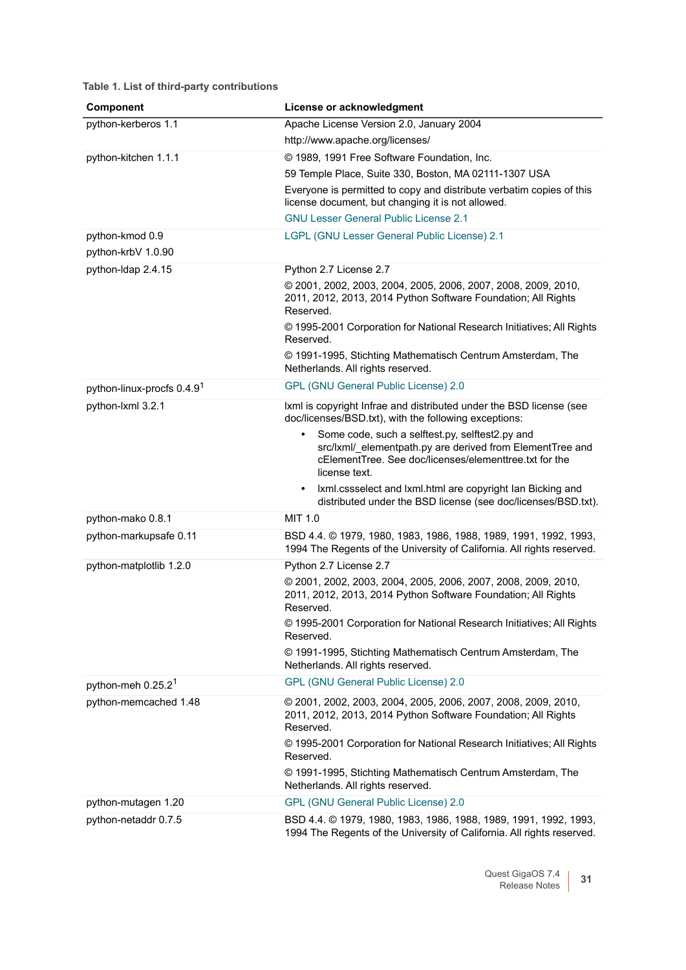| Component                             | License or acknowledgment                                                                                                                                                                            |
|---------------------------------------|------------------------------------------------------------------------------------------------------------------------------------------------------------------------------------------------------|
| python-kerberos 1.1                   | Apache License Version 2.0, January 2004                                                                                                                                                             |
|                                       | http://www.apache.org/licenses/                                                                                                                                                                      |
| python-kitchen 1.1.1                  | © 1989, 1991 Free Software Foundation, Inc.                                                                                                                                                          |
|                                       | 59 Temple Place, Suite 330, Boston, MA 02111-1307 USA                                                                                                                                                |
|                                       | Everyone is permitted to copy and distribute verbatim copies of this<br>license document, but changing it is not allowed.                                                                            |
|                                       | <b>GNU Lesser General Public License 2.1</b>                                                                                                                                                         |
| python-kmod 0.9<br>python-krbV 1.0.90 | LGPL (GNU Lesser General Public License) 2.1                                                                                                                                                         |
| python-Idap 2.4.15                    | Python 2.7 License 2.7                                                                                                                                                                               |
|                                       | © 2001, 2002, 2003, 2004, 2005, 2006, 2007, 2008, 2009, 2010,<br>2011, 2012, 2013, 2014 Python Software Foundation; All Rights<br>Reserved.                                                          |
|                                       | © 1995-2001 Corporation for National Research Initiatives; All Rights<br>Reserved.                                                                                                                   |
|                                       | © 1991-1995, Stichting Mathematisch Centrum Amsterdam, The<br>Netherlands. All rights reserved.                                                                                                      |
| python-linux-procfs 0.4.91            | GPL (GNU General Public License) 2.0                                                                                                                                                                 |
| python-lxml 3.2.1                     | Ixml is copyright Infrae and distributed under the BSD license (see<br>doc/licenses/BSD.txt), with the following exceptions:                                                                         |
|                                       | Some code, such a selftest.py, selftest2.py and<br>$\bullet$<br>src/lxml/_elementpath.py are derived from ElementTree and<br>cElementTree. See doc/licenses/elementtree.txt for the<br>license text. |
|                                       | Ixml.cssselect and Ixml.html are copyright Ian Bicking and<br>$\bullet$<br>distributed under the BSD license (see doc/licenses/BSD.txt).                                                             |
| python-mako 0.8.1                     | MIT 1.0                                                                                                                                                                                              |
| python-markupsafe 0.11                | BSD 4.4. © 1979, 1980, 1983, 1986, 1988, 1989, 1991, 1992, 1993,<br>1994 The Regents of the University of California. All rights reserved.                                                           |
| python-matplotlib 1.2.0               | Python 2.7 License 2.7                                                                                                                                                                               |
|                                       | © 2001, 2002, 2003, 2004, 2005, 2006, 2007, 2008, 2009, 2010,<br>2011, 2012, 2013, 2014 Python Software Foundation; All Rights<br>Reserved.                                                          |
|                                       | © 1995-2001 Corporation for National Research Initiatives; All Rights<br>Reserved.                                                                                                                   |
|                                       | © 1991-1995, Stichting Mathematisch Centrum Amsterdam, The<br>Netherlands. All rights reserved.                                                                                                      |
| python-meh 0.25.2 <sup>1</sup>        | GPL (GNU General Public License) 2.0                                                                                                                                                                 |
| python-memcached 1.48                 | © 2001, 2002, 2003, 2004, 2005, 2006, 2007, 2008, 2009, 2010,<br>2011, 2012, 2013, 2014 Python Software Foundation; All Rights<br>Reserved.                                                          |
|                                       | © 1995-2001 Corporation for National Research Initiatives; All Rights<br>Reserved.                                                                                                                   |
|                                       | © 1991-1995, Stichting Mathematisch Centrum Amsterdam, The<br>Netherlands. All rights reserved.                                                                                                      |
| python-mutagen 1.20                   | GPL (GNU General Public License) 2.0                                                                                                                                                                 |
| python-netaddr 0.7.5                  | BSD 4.4. © 1979, 1980, 1983, 1986, 1988, 1989, 1991, 1992, 1993,<br>1994 The Regents of the University of California. All rights reserved.                                                           |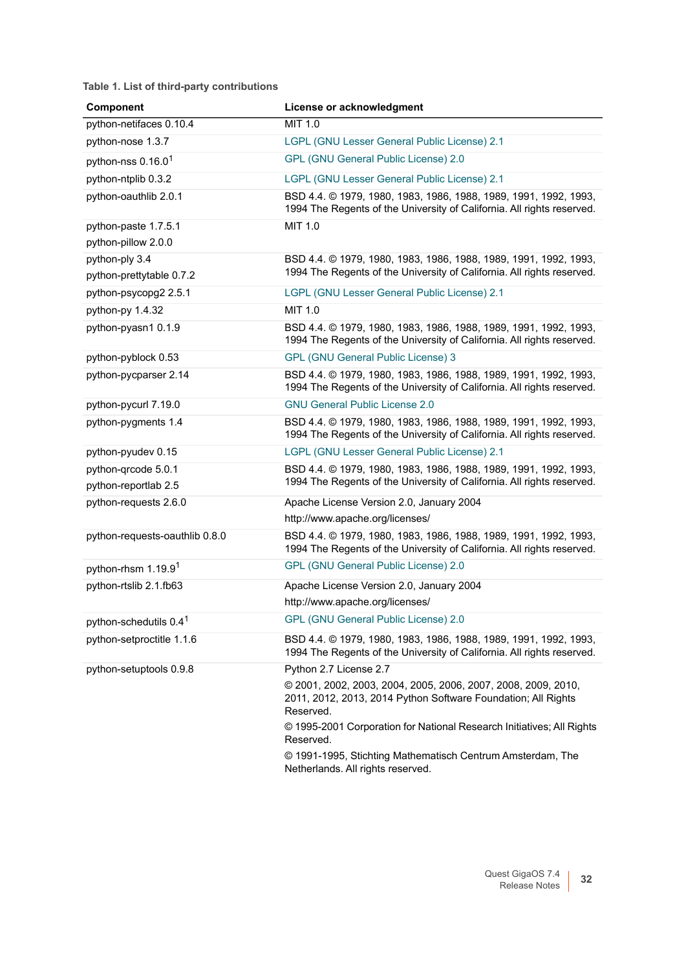| <b>Component</b>                            | License or acknowledgment                                                                                                                   |
|---------------------------------------------|---------------------------------------------------------------------------------------------------------------------------------------------|
| python-netifaces 0.10.4                     | MIT 1.0                                                                                                                                     |
| python-nose 1.3.7                           | LGPL (GNU Lesser General Public License) 2.1                                                                                                |
| python-nss 0.16.0 <sup>1</sup>              | GPL (GNU General Public License) 2.0                                                                                                        |
| python-ntplib 0.3.2                         | LGPL (GNU Lesser General Public License) 2.1                                                                                                |
| python-oauthlib 2.0.1                       | BSD 4.4. © 1979, 1980, 1983, 1986, 1988, 1989, 1991, 1992, 1993,<br>1994 The Regents of the University of California. All rights reserved.  |
| python-paste 1.7.5.1                        | MIT 1.0                                                                                                                                     |
| python-pillow 2.0.0                         |                                                                                                                                             |
| python-ply 3.4                              | BSD 4.4. © 1979, 1980, 1983, 1986, 1988, 1989, 1991, 1992, 1993,                                                                            |
| python-prettytable 0.7.2                    | 1994 The Regents of the University of California. All rights reserved.                                                                      |
| python-psycopg2 2.5.1                       | LGPL (GNU Lesser General Public License) 2.1                                                                                                |
| python-py 1.4.32                            | MIT 1.0                                                                                                                                     |
| python-pyasn1 0.1.9                         | BSD 4.4. © 1979, 1980, 1983, 1986, 1988, 1989, 1991, 1992, 1993,<br>1994 The Regents of the University of California. All rights reserved.  |
| python-pyblock 0.53                         | <b>GPL (GNU General Public License) 3</b>                                                                                                   |
| python-pycparser 2.14                       | BSD 4.4. © 1979, 1980, 1983, 1986, 1988, 1989, 1991, 1992, 1993,<br>1994 The Regents of the University of California. All rights reserved.  |
| python-pycurl 7.19.0                        | <b>GNU General Public License 2.0</b>                                                                                                       |
| python-pygments 1.4                         | BSD 4.4. © 1979, 1980, 1983, 1986, 1988, 1989, 1991, 1992, 1993,<br>1994 The Regents of the University of California. All rights reserved.  |
| python-pyudev 0.15                          | LGPL (GNU Lesser General Public License) 2.1                                                                                                |
| python-qrcode 5.0.1<br>python-reportlab 2.5 | BSD 4.4. © 1979, 1980, 1983, 1986, 1988, 1989, 1991, 1992, 1993,<br>1994 The Regents of the University of California. All rights reserved.  |
| python-requests 2.6.0                       | Apache License Version 2.0, January 2004                                                                                                    |
|                                             | http://www.apache.org/licenses/                                                                                                             |
| python-requests-oauthlib 0.8.0              | BSD 4.4. © 1979, 1980, 1983, 1986, 1988, 1989, 1991, 1992, 1993,<br>1994 The Regents of the University of California. All rights reserved.  |
| python-rhsm 1.19.9 <sup>1</sup>             | <b>GPL (GNU General Public License) 2.0</b>                                                                                                 |
| python-rtslib 2.1.fb63                      | Apache License Version 2.0, January 2004                                                                                                    |
|                                             | http://www.apache.org/licenses/                                                                                                             |
| python-schedutils 0.4 <sup>1</sup>          | <b>GPL (GNU General Public License) 2.0</b>                                                                                                 |
| python-setproctitle 1.1.6                   | BSD 4.4. © 1979, 1980, 1983, 1986, 1988, 1989, 1991, 1992, 1993,<br>1994 The Regents of the University of California. All rights reserved.  |
| python-setuptools 0.9.8                     | Python 2.7 License 2.7                                                                                                                      |
|                                             | © 2001, 2002, 2003, 2004, 2005, 2006, 2007, 2008, 2009, 2010,<br>2011, 2012, 2013, 2014 Python Software Foundation; All Rights<br>Reserved. |
|                                             | © 1995-2001 Corporation for National Research Initiatives; All Rights<br>Reserved.                                                          |
|                                             | © 1991-1995, Stichting Mathematisch Centrum Amsterdam, The<br>Netherlands. All rights reserved.                                             |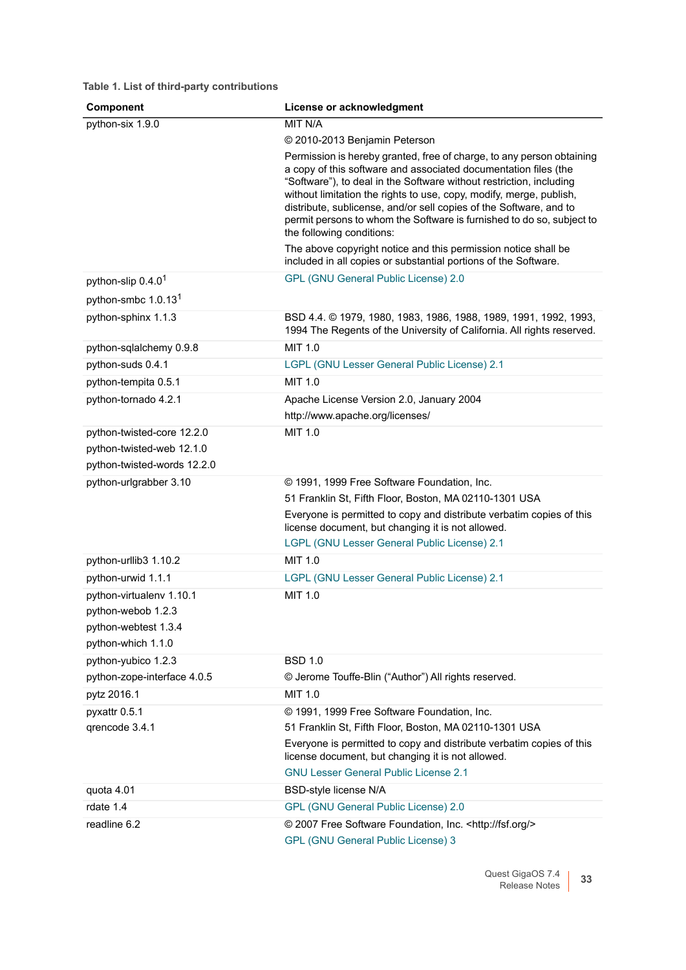| Component                                                                                    | License or acknowledgment                                                                                                                                                                                                                                                                                                                                                                                                                                          |
|----------------------------------------------------------------------------------------------|--------------------------------------------------------------------------------------------------------------------------------------------------------------------------------------------------------------------------------------------------------------------------------------------------------------------------------------------------------------------------------------------------------------------------------------------------------------------|
| python-six 1.9.0                                                                             | MIT N/A                                                                                                                                                                                                                                                                                                                                                                                                                                                            |
|                                                                                              | © 2010-2013 Benjamin Peterson                                                                                                                                                                                                                                                                                                                                                                                                                                      |
|                                                                                              | Permission is hereby granted, free of charge, to any person obtaining<br>a copy of this software and associated documentation files (the<br>"Software"), to deal in the Software without restriction, including<br>without limitation the rights to use, copy, modify, merge, publish,<br>distribute, sublicense, and/or sell copies of the Software, and to<br>permit persons to whom the Software is furnished to do so, subject to<br>the following conditions: |
|                                                                                              | The above copyright notice and this permission notice shall be<br>included in all copies or substantial portions of the Software.                                                                                                                                                                                                                                                                                                                                  |
| python-slip 0.4.0 <sup>1</sup>                                                               | GPL (GNU General Public License) 2.0                                                                                                                                                                                                                                                                                                                                                                                                                               |
| python-smbc 1.0.13 <sup>1</sup>                                                              |                                                                                                                                                                                                                                                                                                                                                                                                                                                                    |
| python-sphinx 1.1.3                                                                          | BSD 4.4. © 1979, 1980, 1983, 1986, 1988, 1989, 1991, 1992, 1993,<br>1994 The Regents of the University of California. All rights reserved.                                                                                                                                                                                                                                                                                                                         |
| python-sqlalchemy 0.9.8                                                                      | MIT 1.0                                                                                                                                                                                                                                                                                                                                                                                                                                                            |
| python-suds 0.4.1                                                                            | LGPL (GNU Lesser General Public License) 2.1                                                                                                                                                                                                                                                                                                                                                                                                                       |
| python-tempita 0.5.1                                                                         | MIT 1.0                                                                                                                                                                                                                                                                                                                                                                                                                                                            |
| python-tornado 4.2.1                                                                         | Apache License Version 2.0, January 2004                                                                                                                                                                                                                                                                                                                                                                                                                           |
|                                                                                              | http://www.apache.org/licenses/                                                                                                                                                                                                                                                                                                                                                                                                                                    |
| python-twisted-core 12.2.0                                                                   | MIT 1.0                                                                                                                                                                                                                                                                                                                                                                                                                                                            |
| python-twisted-web 12.1.0                                                                    |                                                                                                                                                                                                                                                                                                                                                                                                                                                                    |
| python-twisted-words 12.2.0                                                                  |                                                                                                                                                                                                                                                                                                                                                                                                                                                                    |
| python-urlgrabber 3.10                                                                       | © 1991, 1999 Free Software Foundation, Inc.                                                                                                                                                                                                                                                                                                                                                                                                                        |
|                                                                                              | 51 Franklin St, Fifth Floor, Boston, MA 02110-1301 USA                                                                                                                                                                                                                                                                                                                                                                                                             |
|                                                                                              | Everyone is permitted to copy and distribute verbatim copies of this<br>license document, but changing it is not allowed.                                                                                                                                                                                                                                                                                                                                          |
|                                                                                              | LGPL (GNU Lesser General Public License) 2.1                                                                                                                                                                                                                                                                                                                                                                                                                       |
| python-urllib3 1.10.2                                                                        | MIT 1.0                                                                                                                                                                                                                                                                                                                                                                                                                                                            |
| python-urwid 1.1.1                                                                           | LGPL (GNU Lesser General Public License) 2.1                                                                                                                                                                                                                                                                                                                                                                                                                       |
| python-virtualenv 1.10.1<br>python-webob 1.2.3<br>python-webtest 1.3.4<br>python-which 1.1.0 | MIT 1.0                                                                                                                                                                                                                                                                                                                                                                                                                                                            |
| python-yubico 1.2.3                                                                          | <b>BSD 1.0</b>                                                                                                                                                                                                                                                                                                                                                                                                                                                     |
| python-zope-interface 4.0.5                                                                  | © Jerome Touffe-Blin ("Author") All rights reserved.                                                                                                                                                                                                                                                                                                                                                                                                               |
| pytz 2016.1                                                                                  | MIT 1.0                                                                                                                                                                                                                                                                                                                                                                                                                                                            |
| pyxattr 0.5.1                                                                                | © 1991, 1999 Free Software Foundation, Inc.                                                                                                                                                                                                                                                                                                                                                                                                                        |
| qrencode 3.4.1                                                                               | 51 Franklin St, Fifth Floor, Boston, MA 02110-1301 USA                                                                                                                                                                                                                                                                                                                                                                                                             |
|                                                                                              | Everyone is permitted to copy and distribute verbatim copies of this<br>license document, but changing it is not allowed.<br><b>GNU Lesser General Public License 2.1</b>                                                                                                                                                                                                                                                                                          |
| quota 4.01                                                                                   | BSD-style license N/A                                                                                                                                                                                                                                                                                                                                                                                                                                              |
| rdate 1.4                                                                                    | GPL (GNU General Public License) 2.0                                                                                                                                                                                                                                                                                                                                                                                                                               |
| readline 6.2                                                                                 |                                                                                                                                                                                                                                                                                                                                                                                                                                                                    |
|                                                                                              | © 2007 Free Software Foundation, Inc. <http: fsf.org=""></http:><br><b>GPL (GNU General Public License) 3</b>                                                                                                                                                                                                                                                                                                                                                      |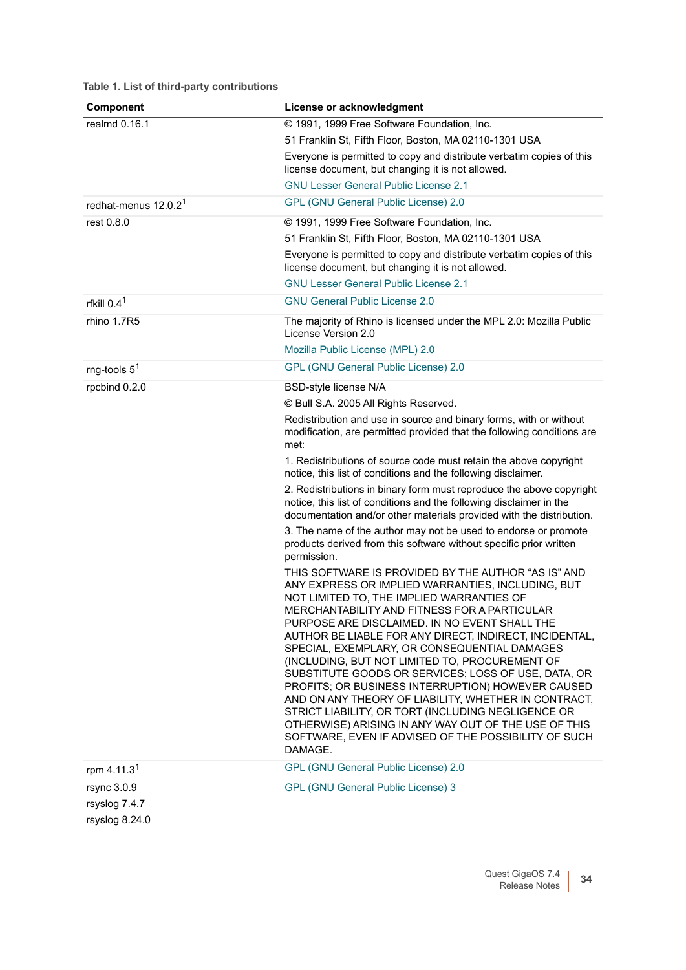| Component                                      | License or acknowledgment                                                                                                                                                                                                                                                                                                                                                                                                                                                                                                                                                                                                                                                                                                                                               |
|------------------------------------------------|-------------------------------------------------------------------------------------------------------------------------------------------------------------------------------------------------------------------------------------------------------------------------------------------------------------------------------------------------------------------------------------------------------------------------------------------------------------------------------------------------------------------------------------------------------------------------------------------------------------------------------------------------------------------------------------------------------------------------------------------------------------------------|
| realmd 0.16.1                                  | © 1991, 1999 Free Software Foundation, Inc.                                                                                                                                                                                                                                                                                                                                                                                                                                                                                                                                                                                                                                                                                                                             |
|                                                | 51 Franklin St, Fifth Floor, Boston, MA 02110-1301 USA                                                                                                                                                                                                                                                                                                                                                                                                                                                                                                                                                                                                                                                                                                                  |
|                                                | Everyone is permitted to copy and distribute verbatim copies of this<br>license document, but changing it is not allowed.                                                                                                                                                                                                                                                                                                                                                                                                                                                                                                                                                                                                                                               |
|                                                | <b>GNU Lesser General Public License 2.1</b>                                                                                                                                                                                                                                                                                                                                                                                                                                                                                                                                                                                                                                                                                                                            |
| redhat-menus 12.0.2 <sup>1</sup>               | <b>GPL (GNU General Public License) 2.0</b>                                                                                                                                                                                                                                                                                                                                                                                                                                                                                                                                                                                                                                                                                                                             |
| rest 0.8.0                                     | © 1991, 1999 Free Software Foundation, Inc.                                                                                                                                                                                                                                                                                                                                                                                                                                                                                                                                                                                                                                                                                                                             |
|                                                | 51 Franklin St, Fifth Floor, Boston, MA 02110-1301 USA                                                                                                                                                                                                                                                                                                                                                                                                                                                                                                                                                                                                                                                                                                                  |
|                                                | Everyone is permitted to copy and distribute verbatim copies of this<br>license document, but changing it is not allowed.                                                                                                                                                                                                                                                                                                                                                                                                                                                                                                                                                                                                                                               |
|                                                | <b>GNU Lesser General Public License 2.1</b>                                                                                                                                                                                                                                                                                                                                                                                                                                                                                                                                                                                                                                                                                                                            |
| rfkill $0.41$                                  | <b>GNU General Public License 2.0</b>                                                                                                                                                                                                                                                                                                                                                                                                                                                                                                                                                                                                                                                                                                                                   |
| rhino 1.7R5                                    | The majority of Rhino is licensed under the MPL 2.0: Mozilla Public<br>License Version 2.0                                                                                                                                                                                                                                                                                                                                                                                                                                                                                                                                                                                                                                                                              |
|                                                | Mozilla Public License (MPL) 2.0                                                                                                                                                                                                                                                                                                                                                                                                                                                                                                                                                                                                                                                                                                                                        |
| rng-tools $5^1$                                | <b>GPL (GNU General Public License) 2.0</b>                                                                                                                                                                                                                                                                                                                                                                                                                                                                                                                                                                                                                                                                                                                             |
| rpcbind 0.2.0                                  | BSD-style license N/A                                                                                                                                                                                                                                                                                                                                                                                                                                                                                                                                                                                                                                                                                                                                                   |
|                                                | © Bull S.A. 2005 All Rights Reserved.                                                                                                                                                                                                                                                                                                                                                                                                                                                                                                                                                                                                                                                                                                                                   |
|                                                | Redistribution and use in source and binary forms, with or without<br>modification, are permitted provided that the following conditions are<br>met:                                                                                                                                                                                                                                                                                                                                                                                                                                                                                                                                                                                                                    |
|                                                | 1. Redistributions of source code must retain the above copyright<br>notice, this list of conditions and the following disclaimer.                                                                                                                                                                                                                                                                                                                                                                                                                                                                                                                                                                                                                                      |
|                                                | 2. Redistributions in binary form must reproduce the above copyright<br>notice, this list of conditions and the following disclaimer in the<br>documentation and/or other materials provided with the distribution.                                                                                                                                                                                                                                                                                                                                                                                                                                                                                                                                                     |
|                                                | 3. The name of the author may not be used to endorse or promote<br>products derived from this software without specific prior written<br>permission.                                                                                                                                                                                                                                                                                                                                                                                                                                                                                                                                                                                                                    |
|                                                | THIS SOFTWARE IS PROVIDED BY THE AUTHOR "AS IS" AND<br>ANY EXPRESS OR IMPLIED WARRANTIES, INCLUDING, BUT<br>NOT LIMITED TO, THE IMPLIED WARRANTIES OF<br>MERCHANTABILITY AND FITNESS FOR A PARTICULAR<br>PURPOSE ARE DISCLAIMED. IN NO EVENT SHALL THE<br>AUTHOR BE LIABLE FOR ANY DIRECT, INDIRECT, INCIDENTAL,<br>SPECIAL, EXEMPLARY, OR CONSEQUENTIAL DAMAGES<br>(INCLUDING, BUT NOT LIMITED TO, PROCUREMENT OF<br>SUBSTITUTE GOODS OR SERVICES; LOSS OF USE, DATA, OR<br>PROFITS; OR BUSINESS INTERRUPTION) HOWEVER CAUSED<br>AND ON ANY THEORY OF LIABILITY, WHETHER IN CONTRACT,<br>STRICT LIABILITY, OR TORT (INCLUDING NEGLIGENCE OR<br>OTHERWISE) ARISING IN ANY WAY OUT OF THE USE OF THIS<br>SOFTWARE, EVEN IF ADVISED OF THE POSSIBILITY OF SUCH<br>DAMAGE. |
| rpm 4.11.3 <sup>1</sup>                        | GPL (GNU General Public License) 2.0                                                                                                                                                                                                                                                                                                                                                                                                                                                                                                                                                                                                                                                                                                                                    |
| rsync 3.0.9<br>rsyslog 7.4.7<br>rsyslog 8.24.0 | <b>GPL (GNU General Public License) 3</b>                                                                                                                                                                                                                                                                                                                                                                                                                                                                                                                                                                                                                                                                                                                               |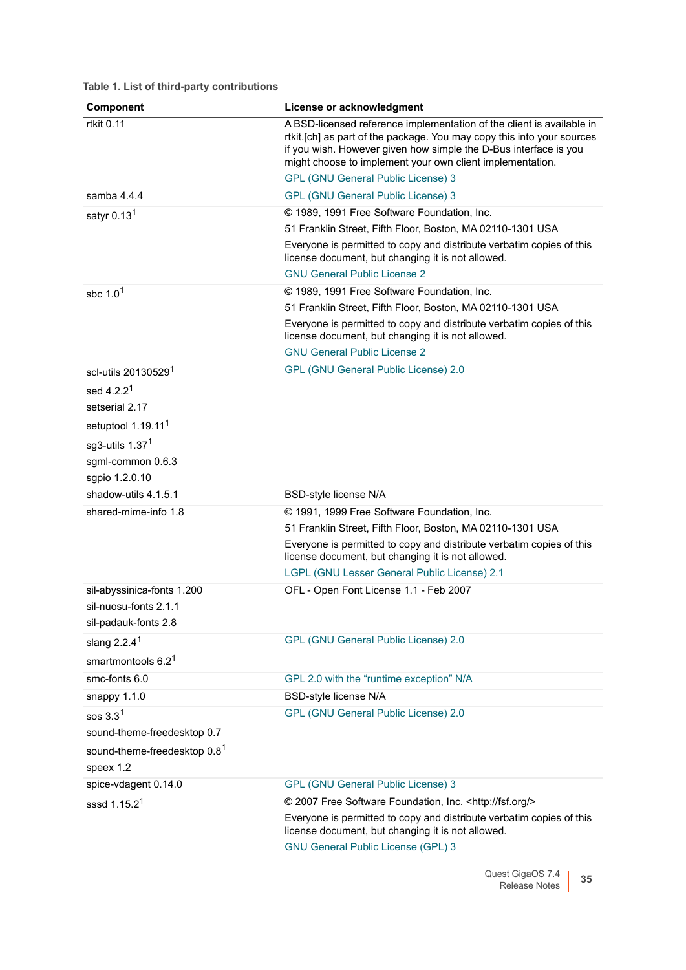| Component                                                                                                                                                               | License or acknowledgment                                                                                                                                                                                                                                                        |
|-------------------------------------------------------------------------------------------------------------------------------------------------------------------------|----------------------------------------------------------------------------------------------------------------------------------------------------------------------------------------------------------------------------------------------------------------------------------|
| rtkit 0.11                                                                                                                                                              | A BSD-licensed reference implementation of the client is available in<br>rtkit.[ch] as part of the package. You may copy this into your sources<br>if you wish. However given how simple the D-Bus interface is you<br>might choose to implement your own client implementation. |
|                                                                                                                                                                         | <b>GPL (GNU General Public License) 3</b>                                                                                                                                                                                                                                        |
| samba $4.4.4$                                                                                                                                                           | <b>GPL (GNU General Public License) 3</b>                                                                                                                                                                                                                                        |
| satyr $0.131$                                                                                                                                                           | © 1989, 1991 Free Software Foundation, Inc.                                                                                                                                                                                                                                      |
|                                                                                                                                                                         | 51 Franklin Street, Fifth Floor, Boston, MA 02110-1301 USA<br>Everyone is permitted to copy and distribute verbatim copies of this                                                                                                                                               |
|                                                                                                                                                                         | license document, but changing it is not allowed.                                                                                                                                                                                                                                |
|                                                                                                                                                                         | <b>GNU General Public License 2</b>                                                                                                                                                                                                                                              |
| sbc $1.01$                                                                                                                                                              | © 1989, 1991 Free Software Foundation, Inc.                                                                                                                                                                                                                                      |
|                                                                                                                                                                         | 51 Franklin Street, Fifth Floor, Boston, MA 02110-1301 USA                                                                                                                                                                                                                       |
|                                                                                                                                                                         | Everyone is permitted to copy and distribute verbatim copies of this<br>license document, but changing it is not allowed.                                                                                                                                                        |
|                                                                                                                                                                         | <b>GNU General Public License 2</b>                                                                                                                                                                                                                                              |
| scl-utils 20130529 <sup>1</sup><br>sed 4.2.2 <sup>1</sup><br>setserial 2.17<br>setuptool 1.19.11 <sup>1</sup><br>sg3-utils 1.371<br>sgml-common 0.6.3<br>sgpio 1.2.0.10 | <b>GPL (GNU General Public License) 2.0</b>                                                                                                                                                                                                                                      |
| shadow-utils 4.1.5.1                                                                                                                                                    | BSD-style license N/A                                                                                                                                                                                                                                                            |
| shared-mime-info 1.8                                                                                                                                                    | © 1991, 1999 Free Software Foundation, Inc.                                                                                                                                                                                                                                      |
|                                                                                                                                                                         | 51 Franklin Street, Fifth Floor, Boston, MA 02110-1301 USA                                                                                                                                                                                                                       |
|                                                                                                                                                                         | Everyone is permitted to copy and distribute verbatim copies of this<br>license document, but changing it is not allowed.                                                                                                                                                        |
|                                                                                                                                                                         | LGPL (GNU Lesser General Public License) 2.1                                                                                                                                                                                                                                     |
| sil-abyssinica-fonts 1.200<br>sil-nuosu-fonts 2.1.1<br>sil-padauk-fonts 2.8                                                                                             | OFL - Open Font License 1.1 - Feb 2007                                                                                                                                                                                                                                           |
| slang $2.2.41$                                                                                                                                                          | GPL (GNU General Public License) 2.0                                                                                                                                                                                                                                             |
| smartmontools 6.2 <sup>1</sup>                                                                                                                                          |                                                                                                                                                                                                                                                                                  |
| smc-fonts 6.0                                                                                                                                                           | GPL 2.0 with the "runtime exception" N/A                                                                                                                                                                                                                                         |
| snappy 1.1.0                                                                                                                                                            | BSD-style license N/A                                                                                                                                                                                                                                                            |
| sos $3.31$<br>sound-theme-freedesktop 0.7                                                                                                                               | <b>GPL (GNU General Public License) 2.0</b>                                                                                                                                                                                                                                      |
| sound-theme-freedesktop 0.8 <sup>1</sup>                                                                                                                                |                                                                                                                                                                                                                                                                                  |
| speex 1.2                                                                                                                                                               |                                                                                                                                                                                                                                                                                  |
| spice-vdagent 0.14.0                                                                                                                                                    | <b>GPL (GNU General Public License) 3</b>                                                                                                                                                                                                                                        |
| sssd $1.15.21$                                                                                                                                                          | © 2007 Free Software Foundation, Inc. < http://fsf.org/>                                                                                                                                                                                                                         |
|                                                                                                                                                                         | Everyone is permitted to copy and distribute verbatim copies of this<br>license document, but changing it is not allowed.                                                                                                                                                        |
|                                                                                                                                                                         | <b>GNU General Public License (GPL) 3</b>                                                                                                                                                                                                                                        |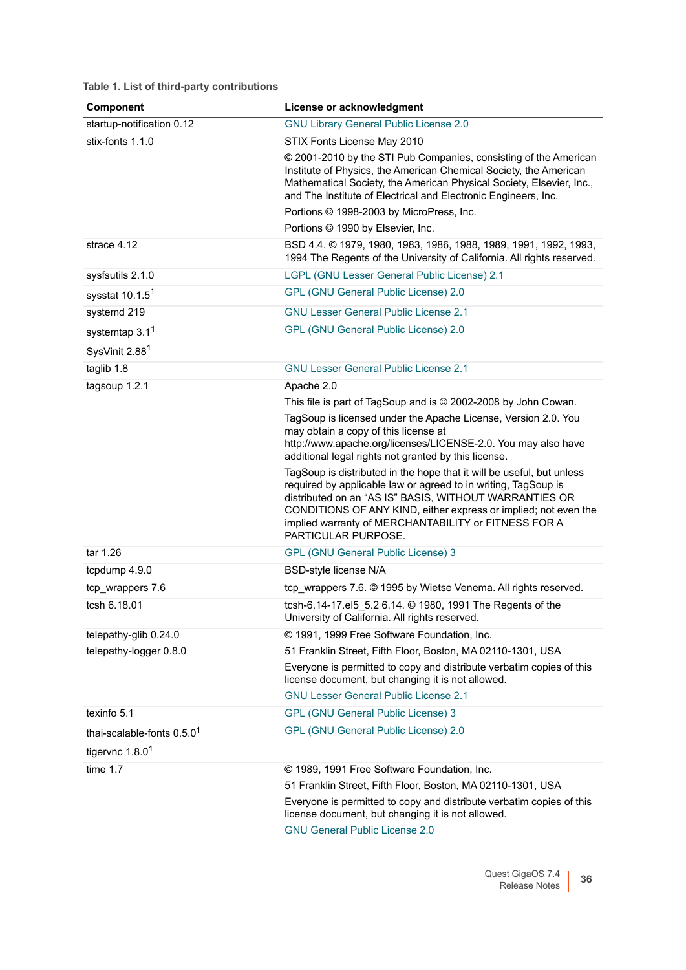| <b>Component</b>                                            | License or acknowledgment                                                                                                                                                                                                                                                                                                                                        |
|-------------------------------------------------------------|------------------------------------------------------------------------------------------------------------------------------------------------------------------------------------------------------------------------------------------------------------------------------------------------------------------------------------------------------------------|
| startup-notification 0.12                                   | <b>GNU Library General Public License 2.0</b>                                                                                                                                                                                                                                                                                                                    |
| stix-fonts 1.1.0                                            | STIX Fonts License May 2010                                                                                                                                                                                                                                                                                                                                      |
|                                                             | © 2001-2010 by the STI Pub Companies, consisting of the American<br>Institute of Physics, the American Chemical Society, the American<br>Mathematical Society, the American Physical Society, Elsevier, Inc.,<br>and The Institute of Electrical and Electronic Engineers, Inc.<br>Portions © 1998-2003 by MicroPress, Inc.<br>Portions © 1990 by Elsevier, Inc. |
| strace 4.12                                                 | BSD 4.4. © 1979, 1980, 1983, 1986, 1988, 1989, 1991, 1992, 1993,<br>1994 The Regents of the University of California. All rights reserved.                                                                                                                                                                                                                       |
| sysfsutils 2.1.0                                            | LGPL (GNU Lesser General Public License) 2.1                                                                                                                                                                                                                                                                                                                     |
| sysstat $10.1.51$                                           | GPL (GNU General Public License) 2.0                                                                                                                                                                                                                                                                                                                             |
| systemd 219                                                 | <b>GNU Lesser General Public License 2.1</b>                                                                                                                                                                                                                                                                                                                     |
| systemtap $3.11$                                            | GPL (GNU General Public License) 2.0                                                                                                                                                                                                                                                                                                                             |
| SysVinit 2.88 <sup>1</sup>                                  |                                                                                                                                                                                                                                                                                                                                                                  |
| taglib 1.8                                                  | <b>GNU Lesser General Public License 2.1</b>                                                                                                                                                                                                                                                                                                                     |
| tagsoup 1.2.1                                               | Apache 2.0                                                                                                                                                                                                                                                                                                                                                       |
|                                                             | This file is part of TagSoup and is © 2002-2008 by John Cowan.                                                                                                                                                                                                                                                                                                   |
|                                                             | TagSoup is licensed under the Apache License, Version 2.0. You<br>may obtain a copy of this license at<br>http://www.apache.org/licenses/LICENSE-2.0. You may also have<br>additional legal rights not granted by this license.                                                                                                                                  |
|                                                             | TagSoup is distributed in the hope that it will be useful, but unless<br>required by applicable law or agreed to in writing, TagSoup is<br>distributed on an "AS IS" BASIS, WITHOUT WARRANTIES OR<br>CONDITIONS OF ANY KIND, either express or implied; not even the<br>implied warranty of MERCHANTABILITY or FITNESS FOR A<br>PARTICULAR PURPOSE.              |
| tar 1.26                                                    | <b>GPL (GNU General Public License) 3</b>                                                                                                                                                                                                                                                                                                                        |
| tcpdump 4.9.0                                               | BSD-style license N/A                                                                                                                                                                                                                                                                                                                                            |
| tcp_wrappers 7.6                                            | tcp_wrappers 7.6. © 1995 by Wietse Venema. All rights reserved.                                                                                                                                                                                                                                                                                                  |
| tcsh 6.18.01                                                | tcsh-6.14-17.el5 5.2 6.14. © 1980, 1991 The Regents of the<br>University of California. All rights reserved.                                                                                                                                                                                                                                                     |
| telepathy-glib 0.24.0                                       | © 1991, 1999 Free Software Foundation, Inc.                                                                                                                                                                                                                                                                                                                      |
| telepathy-logger 0.8.0                                      | 51 Franklin Street, Fifth Floor, Boston, MA 02110-1301, USA                                                                                                                                                                                                                                                                                                      |
|                                                             | Everyone is permitted to copy and distribute verbatim copies of this<br>license document, but changing it is not allowed.                                                                                                                                                                                                                                        |
|                                                             | <b>GNU Lesser General Public License 2.1</b>                                                                                                                                                                                                                                                                                                                     |
| texinfo 5.1                                                 | <b>GPL (GNU General Public License) 3</b>                                                                                                                                                                                                                                                                                                                        |
| thai-scalable-fonts 0.5.0 <sup>1</sup><br>tigervnc $1.8.01$ | GPL (GNU General Public License) 2.0                                                                                                                                                                                                                                                                                                                             |
| time $1.7$                                                  | © 1989, 1991 Free Software Foundation, Inc.                                                                                                                                                                                                                                                                                                                      |
|                                                             | 51 Franklin Street, Fifth Floor, Boston, MA 02110-1301, USA                                                                                                                                                                                                                                                                                                      |
|                                                             | Everyone is permitted to copy and distribute verbatim copies of this<br>license document, but changing it is not allowed.                                                                                                                                                                                                                                        |
|                                                             | <b>GNU General Public License 2.0</b>                                                                                                                                                                                                                                                                                                                            |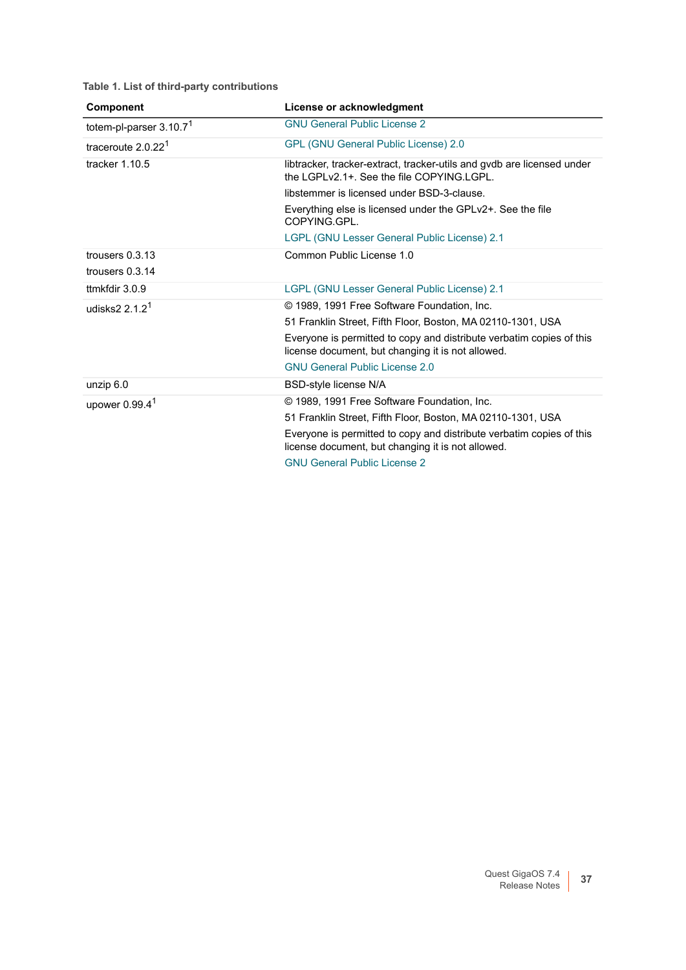| Component                 | License or acknowledgment                                                                                                 |
|---------------------------|---------------------------------------------------------------------------------------------------------------------------|
| totem-pl-parser $3.10.71$ | <b>GNU General Public License 2</b>                                                                                       |
| traceroute $2.0.221$      | <b>GPL (GNU General Public License) 2.0</b>                                                                               |
| tracker $1.10.5$          | libtracker, tracker-extract, tracker-utils and gydb are licensed under<br>the LGPLv2.1+. See the file COPYING.LGPL.       |
|                           | libstemmer is licensed under BSD-3-clause.                                                                                |
|                           | Everything else is licensed under the GPLv2+. See the file<br>COPYING.GPL.                                                |
|                           | LGPL (GNU Lesser General Public License) 2.1                                                                              |
| trousers $0.3.13$         | Common Public License 1.0                                                                                                 |
| trousers $0.3.14$         |                                                                                                                           |
| ttmkfdir 3.0.9            | LGPL (GNU Lesser General Public License) 2.1                                                                              |
| udisks $2.2.1.21$         | © 1989. 1991 Free Software Foundation. Inc.                                                                               |
|                           | 51 Franklin Street, Fifth Floor, Boston, MA 02110-1301, USA                                                               |
|                           | Everyone is permitted to copy and distribute verbatim copies of this<br>license document, but changing it is not allowed. |
|                           | <b>GNU General Public License 2.0</b>                                                                                     |
| unzip 6.0                 | <b>BSD-style license N/A</b>                                                                                              |
| upower $0.99.41$          | © 1989, 1991 Free Software Foundation, Inc.                                                                               |
|                           | 51 Franklin Street, Fifth Floor, Boston, MA 02110-1301, USA                                                               |
|                           | Everyone is permitted to copy and distribute verbatim copies of this<br>license document, but changing it is not allowed. |
|                           | <b>GNU General Public License 2</b>                                                                                       |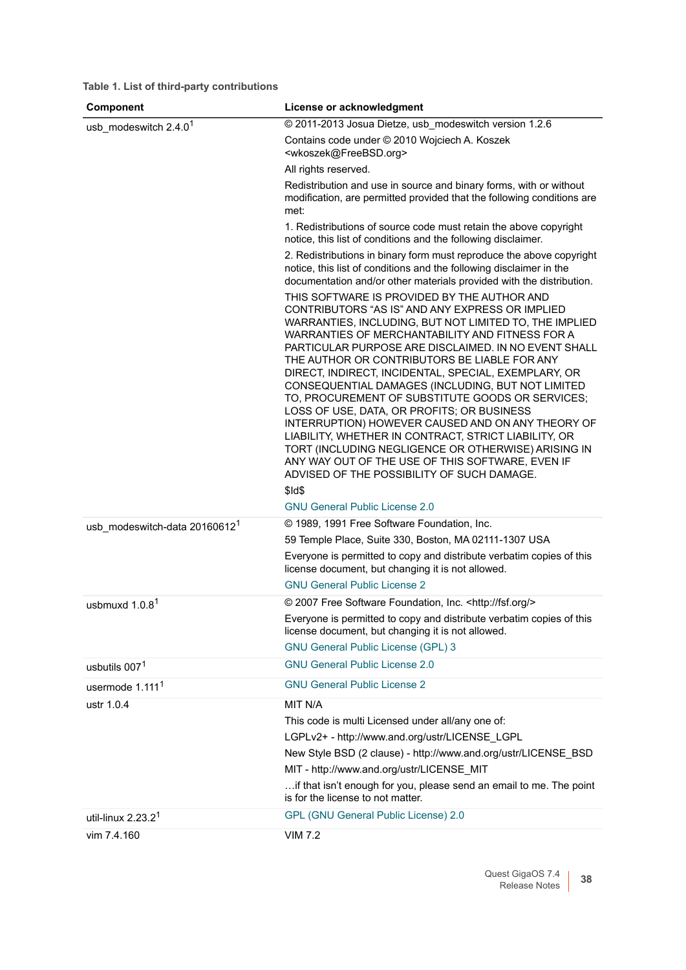| Component                                 | License or acknowledgment                                                                                                                                                                                                                                                                                                                                                                                                                                                                                                                                                                                                                                                                                                                                                                                          |
|-------------------------------------------|--------------------------------------------------------------------------------------------------------------------------------------------------------------------------------------------------------------------------------------------------------------------------------------------------------------------------------------------------------------------------------------------------------------------------------------------------------------------------------------------------------------------------------------------------------------------------------------------------------------------------------------------------------------------------------------------------------------------------------------------------------------------------------------------------------------------|
| usb_modeswitch 2.4.0 <sup>1</sup>         | © 2011-2013 Josua Dietze, usb modeswitch version 1.2.6                                                                                                                                                                                                                                                                                                                                                                                                                                                                                                                                                                                                                                                                                                                                                             |
|                                           | Contains code under © 2010 Wojciech A. Koszek<br><wkoszek@freebsd.org></wkoszek@freebsd.org>                                                                                                                                                                                                                                                                                                                                                                                                                                                                                                                                                                                                                                                                                                                       |
|                                           | All rights reserved.                                                                                                                                                                                                                                                                                                                                                                                                                                                                                                                                                                                                                                                                                                                                                                                               |
|                                           | Redistribution and use in source and binary forms, with or without<br>modification, are permitted provided that the following conditions are<br>met:                                                                                                                                                                                                                                                                                                                                                                                                                                                                                                                                                                                                                                                               |
|                                           | 1. Redistributions of source code must retain the above copyright<br>notice, this list of conditions and the following disclaimer.                                                                                                                                                                                                                                                                                                                                                                                                                                                                                                                                                                                                                                                                                 |
|                                           | 2. Redistributions in binary form must reproduce the above copyright<br>notice, this list of conditions and the following disclaimer in the<br>documentation and/or other materials provided with the distribution.                                                                                                                                                                                                                                                                                                                                                                                                                                                                                                                                                                                                |
|                                           | THIS SOFTWARE IS PROVIDED BY THE AUTHOR AND<br>CONTRIBUTORS "AS IS" AND ANY EXPRESS OR IMPLIED<br>WARRANTIES, INCLUDING, BUT NOT LIMITED TO, THE IMPLIED<br>WARRANTIES OF MERCHANTABILITY AND FITNESS FOR A<br>PARTICULAR PURPOSE ARE DISCLAIMED. IN NO EVENT SHALL<br>THE AUTHOR OR CONTRIBUTORS BE LIABLE FOR ANY<br>DIRECT, INDIRECT, INCIDENTAL, SPECIAL, EXEMPLARY, OR<br>CONSEQUENTIAL DAMAGES (INCLUDING, BUT NOT LIMITED<br>TO, PROCUREMENT OF SUBSTITUTE GOODS OR SERVICES;<br>LOSS OF USE, DATA, OR PROFITS; OR BUSINESS<br>INTERRUPTION) HOWEVER CAUSED AND ON ANY THEORY OF<br>LIABILITY, WHETHER IN CONTRACT, STRICT LIABILITY, OR<br>TORT (INCLUDING NEGLIGENCE OR OTHERWISE) ARISING IN<br>ANY WAY OUT OF THE USE OF THIS SOFTWARE, EVEN IF<br>ADVISED OF THE POSSIBILITY OF SUCH DAMAGE.<br>\$Id\$ |
|                                           | <b>GNU General Public License 2.0</b>                                                                                                                                                                                                                                                                                                                                                                                                                                                                                                                                                                                                                                                                                                                                                                              |
| usb_modeswitch-data 20160612 <sup>1</sup> | © 1989, 1991 Free Software Foundation, Inc.                                                                                                                                                                                                                                                                                                                                                                                                                                                                                                                                                                                                                                                                                                                                                                        |
|                                           | 59 Temple Place, Suite 330, Boston, MA 02111-1307 USA<br>Everyone is permitted to copy and distribute verbatim copies of this<br>license document, but changing it is not allowed.<br><b>GNU General Public License 2</b>                                                                                                                                                                                                                                                                                                                                                                                                                                                                                                                                                                                          |
| usbmuxd 1.0.8 <sup>1</sup>                | © 2007 Free Software Foundation, Inc. < http://fsf.org/><br>Everyone is permitted to copy and distribute verbatim copies of this<br>license document, but changing it is not allowed.<br><b>GNU General Public License (GPL) 3</b>                                                                                                                                                                                                                                                                                                                                                                                                                                                                                                                                                                                 |
| usbutils 007 <sup>1</sup>                 | <b>GNU General Public License 2.0</b>                                                                                                                                                                                                                                                                                                                                                                                                                                                                                                                                                                                                                                                                                                                                                                              |
| usermode 1.111 <sup>1</sup>               | <b>GNU General Public License 2</b>                                                                                                                                                                                                                                                                                                                                                                                                                                                                                                                                                                                                                                                                                                                                                                                |
| ustr 1.0.4                                | MIT N/A                                                                                                                                                                                                                                                                                                                                                                                                                                                                                                                                                                                                                                                                                                                                                                                                            |
|                                           | This code is multi Licensed under all/any one of:                                                                                                                                                                                                                                                                                                                                                                                                                                                                                                                                                                                                                                                                                                                                                                  |
|                                           | LGPLv2+ - http://www.and.org/ustr/LICENSE LGPL                                                                                                                                                                                                                                                                                                                                                                                                                                                                                                                                                                                                                                                                                                                                                                     |
|                                           | New Style BSD (2 clause) - http://www.and.org/ustr/LICENSE_BSD                                                                                                                                                                                                                                                                                                                                                                                                                                                                                                                                                                                                                                                                                                                                                     |
|                                           | MIT - http://www.and.org/ustr/LICENSE_MIT                                                                                                                                                                                                                                                                                                                                                                                                                                                                                                                                                                                                                                                                                                                                                                          |
|                                           | if that isn't enough for you, please send an email to me. The point<br>is for the license to not matter.                                                                                                                                                                                                                                                                                                                                                                                                                                                                                                                                                                                                                                                                                                           |
| util-linux $2.23.21$                      | GPL (GNU General Public License) 2.0                                                                                                                                                                                                                                                                                                                                                                                                                                                                                                                                                                                                                                                                                                                                                                               |
| vim 7.4.160                               | <b>VIM 7.2</b>                                                                                                                                                                                                                                                                                                                                                                                                                                                                                                                                                                                                                                                                                                                                                                                                     |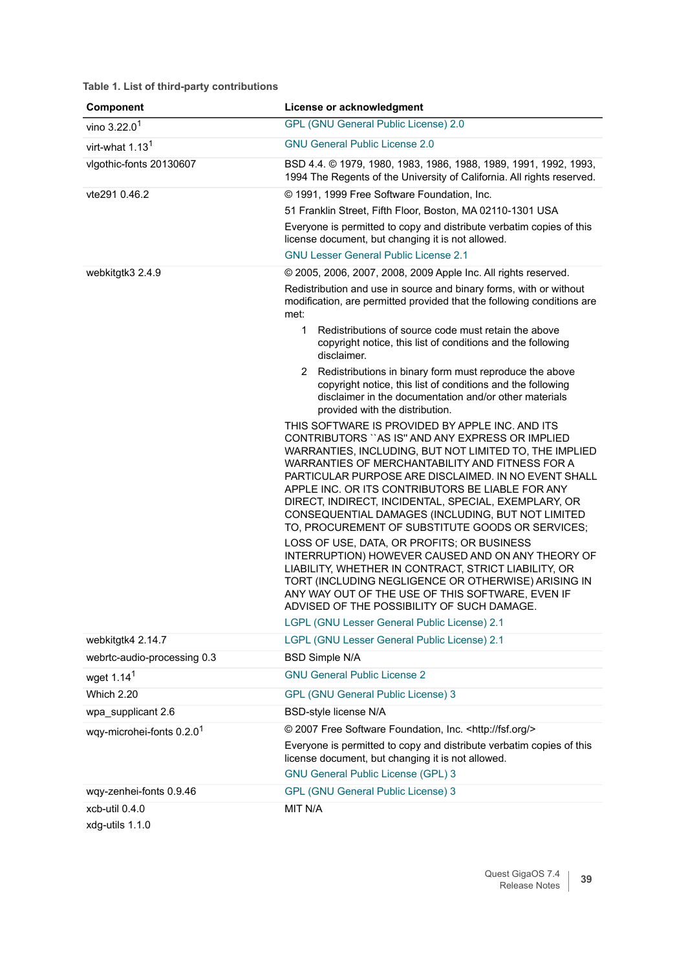| Component                             | License or acknowledgment                                                                                                                                                                                                                                                                                                                                                                                                                                                                    |
|---------------------------------------|----------------------------------------------------------------------------------------------------------------------------------------------------------------------------------------------------------------------------------------------------------------------------------------------------------------------------------------------------------------------------------------------------------------------------------------------------------------------------------------------|
| vino $3.22.01$                        | <b>GPL (GNU General Public License) 2.0</b>                                                                                                                                                                                                                                                                                                                                                                                                                                                  |
| virt-what 1.13 <sup>1</sup>           | <b>GNU General Public License 2.0</b>                                                                                                                                                                                                                                                                                                                                                                                                                                                        |
| vlgothic-fonts 20130607               | BSD 4.4. © 1979, 1980, 1983, 1986, 1988, 1989, 1991, 1992, 1993,<br>1994 The Regents of the University of California. All rights reserved.                                                                                                                                                                                                                                                                                                                                                   |
| vte291 0.46.2                         | © 1991, 1999 Free Software Foundation, Inc.                                                                                                                                                                                                                                                                                                                                                                                                                                                  |
|                                       | 51 Franklin Street, Fifth Floor, Boston, MA 02110-1301 USA                                                                                                                                                                                                                                                                                                                                                                                                                                   |
|                                       | Everyone is permitted to copy and distribute verbatim copies of this<br>license document, but changing it is not allowed.                                                                                                                                                                                                                                                                                                                                                                    |
|                                       | <b>GNU Lesser General Public License 2.1</b>                                                                                                                                                                                                                                                                                                                                                                                                                                                 |
| webkitgtk3 2.4.9                      | © 2005, 2006, 2007, 2008, 2009 Apple Inc. All rights reserved.                                                                                                                                                                                                                                                                                                                                                                                                                               |
|                                       | Redistribution and use in source and binary forms, with or without<br>modification, are permitted provided that the following conditions are<br>met:                                                                                                                                                                                                                                                                                                                                         |
|                                       | Redistributions of source code must retain the above<br>1<br>copyright notice, this list of conditions and the following<br>disclaimer.                                                                                                                                                                                                                                                                                                                                                      |
|                                       | Redistributions in binary form must reproduce the above<br>2<br>copyright notice, this list of conditions and the following<br>disclaimer in the documentation and/or other materials<br>provided with the distribution.                                                                                                                                                                                                                                                                     |
|                                       | THIS SOFTWARE IS PROVIDED BY APPLE INC. AND ITS<br>CONTRIBUTORS "AS IS" AND ANY EXPRESS OR IMPLIED<br>WARRANTIES, INCLUDING, BUT NOT LIMITED TO, THE IMPLIED<br>WARRANTIES OF MERCHANTABILITY AND FITNESS FOR A<br>PARTICULAR PURPOSE ARE DISCLAIMED. IN NO EVENT SHALL<br>APPLE INC. OR ITS CONTRIBUTORS BE LIABLE FOR ANY<br>DIRECT, INDIRECT, INCIDENTAL, SPECIAL, EXEMPLARY, OR<br>CONSEQUENTIAL DAMAGES (INCLUDING, BUT NOT LIMITED<br>TO, PROCUREMENT OF SUBSTITUTE GOODS OR SERVICES; |
|                                       | LOSS OF USE, DATA, OR PROFITS; OR BUSINESS<br>INTERRUPTION) HOWEVER CAUSED AND ON ANY THEORY OF<br>LIABILITY, WHETHER IN CONTRACT, STRICT LIABILITY, OR<br>TORT (INCLUDING NEGLIGENCE OR OTHERWISE) ARISING IN<br>ANY WAY OUT OF THE USE OF THIS SOFTWARE, EVEN IF<br>ADVISED OF THE POSSIBILITY OF SUCH DAMAGE.                                                                                                                                                                             |
|                                       | LGPL (GNU Lesser General Public License) 2.1                                                                                                                                                                                                                                                                                                                                                                                                                                                 |
| webkitgtk4 2.14.7                     | LGPL (GNU Lesser General Public License) 2.1                                                                                                                                                                                                                                                                                                                                                                                                                                                 |
| webrtc-audio-processing 0.3           | <b>BSD Simple N/A</b>                                                                                                                                                                                                                                                                                                                                                                                                                                                                        |
| wget $1.141$                          | <b>GNU General Public License 2</b>                                                                                                                                                                                                                                                                                                                                                                                                                                                          |
| Which 2.20                            | <b>GPL (GNU General Public License) 3</b>                                                                                                                                                                                                                                                                                                                                                                                                                                                    |
| wpa supplicant 2.6                    | BSD-style license N/A                                                                                                                                                                                                                                                                                                                                                                                                                                                                        |
| wqy-microhei-fonts 0.2.0 <sup>1</sup> | © 2007 Free Software Foundation, Inc. <http: fsf.org=""></http:>                                                                                                                                                                                                                                                                                                                                                                                                                             |
|                                       | Everyone is permitted to copy and distribute verbatim copies of this<br>license document, but changing it is not allowed.                                                                                                                                                                                                                                                                                                                                                                    |
|                                       | <b>GNU General Public License (GPL) 3</b>                                                                                                                                                                                                                                                                                                                                                                                                                                                    |
| wqy-zenhei-fonts 0.9.46               | <b>GPL (GNU General Public License) 3</b>                                                                                                                                                                                                                                                                                                                                                                                                                                                    |
| xcb-util 0.4.0<br>xdg-utils 1.1.0     | MIT N/A                                                                                                                                                                                                                                                                                                                                                                                                                                                                                      |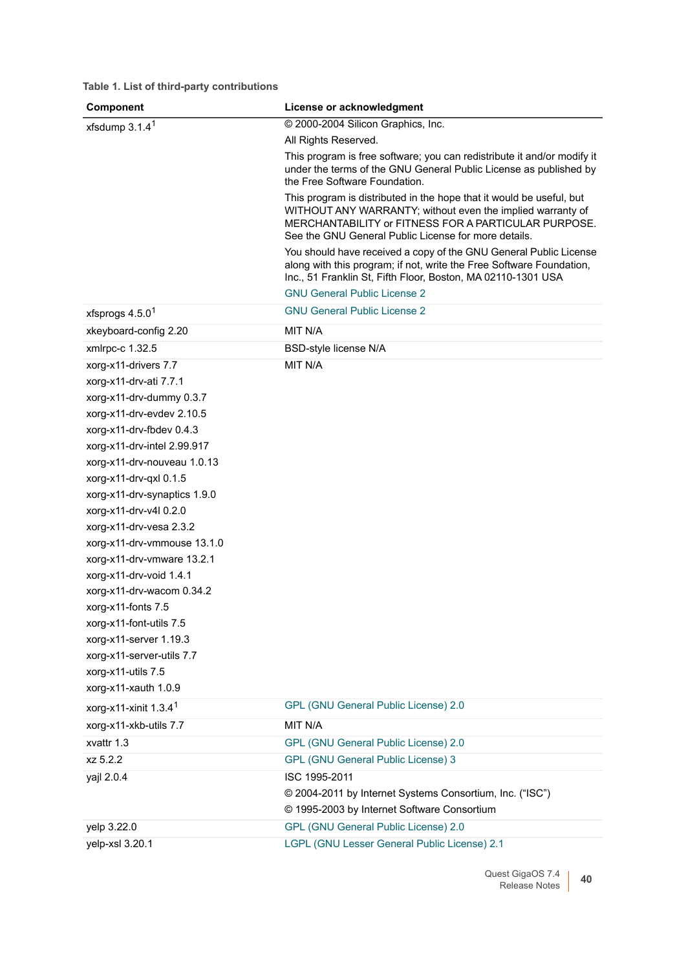| Component                                                                                                                                                                                                                                                                                                                                                                                                                                                                              | License or acknowledgment                                                                                                                                                                                                                          |
|----------------------------------------------------------------------------------------------------------------------------------------------------------------------------------------------------------------------------------------------------------------------------------------------------------------------------------------------------------------------------------------------------------------------------------------------------------------------------------------|----------------------------------------------------------------------------------------------------------------------------------------------------------------------------------------------------------------------------------------------------|
| xfsdump $3.1.41$                                                                                                                                                                                                                                                                                                                                                                                                                                                                       | © 2000-2004 Silicon Graphics, Inc.                                                                                                                                                                                                                 |
|                                                                                                                                                                                                                                                                                                                                                                                                                                                                                        | All Rights Reserved.                                                                                                                                                                                                                               |
|                                                                                                                                                                                                                                                                                                                                                                                                                                                                                        | This program is free software; you can redistribute it and/or modify it<br>under the terms of the GNU General Public License as published by<br>the Free Software Foundation.                                                                      |
|                                                                                                                                                                                                                                                                                                                                                                                                                                                                                        | This program is distributed in the hope that it would be useful, but<br>WITHOUT ANY WARRANTY; without even the implied warranty of<br>MERCHANTABILITY or FITNESS FOR A PARTICULAR PURPOSE.<br>See the GNU General Public License for more details. |
|                                                                                                                                                                                                                                                                                                                                                                                                                                                                                        | You should have received a copy of the GNU General Public License<br>along with this program; if not, write the Free Software Foundation,<br>Inc., 51 Franklin St, Fifth Floor, Boston, MA 02110-1301 USA                                          |
|                                                                                                                                                                                                                                                                                                                                                                                                                                                                                        | <b>GNU General Public License 2</b>                                                                                                                                                                                                                |
| xfsprogs $4.5.01$                                                                                                                                                                                                                                                                                                                                                                                                                                                                      | <b>GNU General Public License 2</b>                                                                                                                                                                                                                |
| xkeyboard-config 2.20                                                                                                                                                                                                                                                                                                                                                                                                                                                                  | MIT N/A                                                                                                                                                                                                                                            |
| xmlrpc-c 1.32.5                                                                                                                                                                                                                                                                                                                                                                                                                                                                        | BSD-style license N/A                                                                                                                                                                                                                              |
| xorg-x11-drivers 7.7<br>xorg-x11-drv-ati 7.7.1<br>xorg-x11-drv-dummy 0.3.7<br>xorg-x11-drv-evdev 2.10.5<br>xorg-x11-drv-fbdev 0.4.3<br>xorg-x11-drv-intel 2.99.917<br>xorg-x11-drv-nouveau 1.0.13<br>xorg-x11-drv-qxl 0.1.5<br>xorg-x11-drv-synaptics 1.9.0<br>xorg-x11-drv-v4l 0.2.0<br>xorg-x11-drv-vesa 2.3.2<br>xorg-x11-drv-vmmouse 13.1.0<br>xorg-x11-drv-vmware 13.2.1<br>xorg-x11-drv-void 1.4.1<br>xorg-x11-drv-wacom 0.34.2<br>xorg-x11-fonts 7.5<br>xorg-x11-font-utils 7.5 | MIT N/A                                                                                                                                                                                                                                            |
| xorg-x11-server 1.19.3                                                                                                                                                                                                                                                                                                                                                                                                                                                                 |                                                                                                                                                                                                                                                    |
| xorg-x11-server-utils 7.7<br>xorg-x11-utils 7.5                                                                                                                                                                                                                                                                                                                                                                                                                                        |                                                                                                                                                                                                                                                    |
| xorg-x11-xauth 1.0.9                                                                                                                                                                                                                                                                                                                                                                                                                                                                   |                                                                                                                                                                                                                                                    |
| xorg-x11-xinit $1.3.41$                                                                                                                                                                                                                                                                                                                                                                                                                                                                | GPL (GNU General Public License) 2.0                                                                                                                                                                                                               |
| xorg-x11-xkb-utils 7.7                                                                                                                                                                                                                                                                                                                                                                                                                                                                 | MIT N/A                                                                                                                                                                                                                                            |
| xvattr 1.3                                                                                                                                                                                                                                                                                                                                                                                                                                                                             | GPL (GNU General Public License) 2.0                                                                                                                                                                                                               |
| xz 5.2.2                                                                                                                                                                                                                                                                                                                                                                                                                                                                               | <b>GPL (GNU General Public License) 3</b>                                                                                                                                                                                                          |
| yajl 2.0.4                                                                                                                                                                                                                                                                                                                                                                                                                                                                             | ISC 1995-2011                                                                                                                                                                                                                                      |
|                                                                                                                                                                                                                                                                                                                                                                                                                                                                                        | © 2004-2011 by Internet Systems Consortium, Inc. ("ISC")<br>© 1995-2003 by Internet Software Consortium                                                                                                                                            |
| yelp 3.22.0                                                                                                                                                                                                                                                                                                                                                                                                                                                                            | GPL (GNU General Public License) 2.0                                                                                                                                                                                                               |
| yelp-xsl 3.20.1                                                                                                                                                                                                                                                                                                                                                                                                                                                                        | LGPL (GNU Lesser General Public License) 2.1                                                                                                                                                                                                       |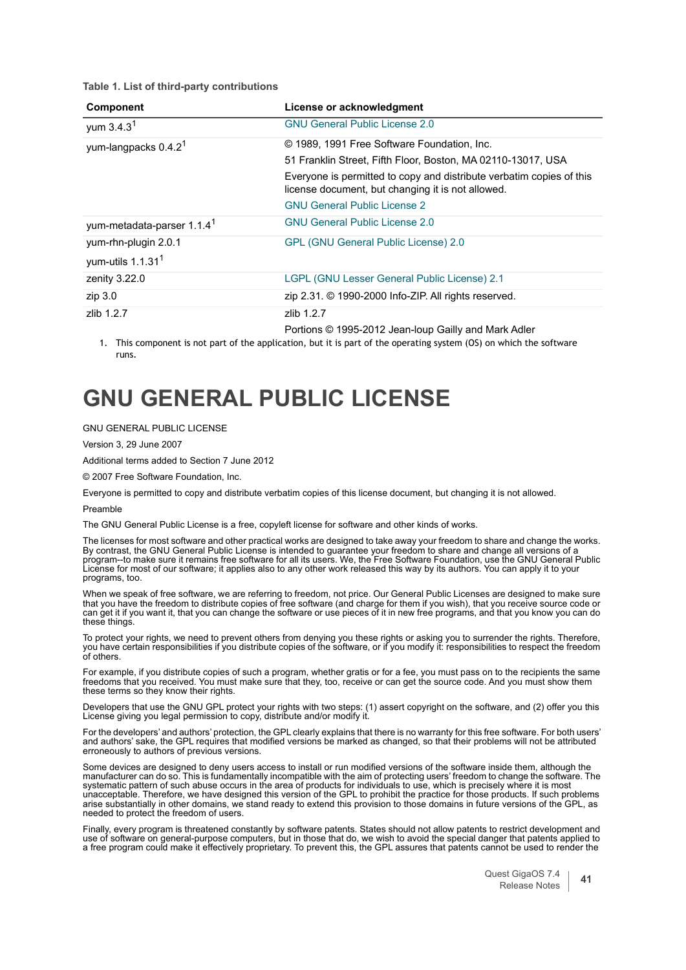| Component                              | License or acknowledgment                                                                                                 |
|----------------------------------------|---------------------------------------------------------------------------------------------------------------------------|
| yum $3.4.31$                           | <b>GNU General Public License 2.0</b>                                                                                     |
| yum-langpacks 0.4.2 <sup>1</sup>       | © 1989, 1991 Free Software Foundation, Inc.                                                                               |
|                                        | 51 Franklin Street, Fifth Floor, Boston, MA 02110-13017, USA                                                              |
|                                        | Everyone is permitted to copy and distribute verbatim copies of this<br>license document, but changing it is not allowed. |
|                                        | <b>GNU General Public License 2</b>                                                                                       |
| yum-metadata-parser 1.1.4 <sup>1</sup> | <b>GNU General Public License 2.0</b>                                                                                     |
| yum-rhn-plugin 2.0.1                   | <b>GPL (GNU General Public License) 2.0</b>                                                                               |
| yum-utils $1.1.311$                    |                                                                                                                           |
| zenity 3.22.0                          | LGPL (GNU Lesser General Public License) 2.1                                                                              |
| zip 3.0                                | zip 2.31. © 1990-2000 Info-ZIP. All rights reserved.                                                                      |
| zlib 1.2.7                             | zlib 1.2.7                                                                                                                |
|                                        | Portions © 1995-2012 Jean-loup Gailly and Mark Adler                                                                      |

<span id="page-40-0"></span>1. This component is not part of the application, but it is part of the operating system (OS) on which the software runs.

# **GNU GENERAL PUBLIC LICENSE**

# GNU GENERAL PUBLIC LICENSE

Version 3, 29 June 2007

Additional terms added to Section 7 June 2012

© 2007 Free Software Foundation, Inc.

Everyone is permitted to copy and distribute verbatim copies of this license document, but changing it is not allowed.

Preamble

The GNU General Public License is a free, copyleft license for software and other kinds of works.

The licenses for most software and other practical works are designed to take away your freedom to share and change the works. By contrast, the GNU General Public License is intended to guarantee your freedom to share and change all versions of a<br>program--to make sure it remains free software for all its users. We, the Free Software Foundation, us programs, too.

When we speak of free software, we are referring to freedom, not price. Our General Public Licenses are designed to make sure<br>that you have the freedom to distribute copies of free software (and charge for them if you wish can get it if you want it, that you can change the software or use pieces of it in new free programs, and that you know you can do these things.

To protect your rights, we need to prevent others from denying you these rights or asking you to surrender the rights. Therefore, you have certain responsibilities if you distribute copies of the software, or if you modify it: responsibilities to respect the freedom of others.

For example, if you distribute copies of such a program, whether gratis or for a fee, you must pass on to the recipients the same freedoms that you received. You must make sure that they, too, receive or can get the source code. And you must show them these terms so they know their rights.

Developers that use the GNU GPL protect your rights with two steps: (1) assert copyright on the software, and (2) offer you this License giving you legal permission to copy, distribute and/or modify it.

For the developers' and authors' protection, the GPL clearly explains that there is no warranty for this free software. For both users'<br>and authors' sake, the GPL requires that modified versions be marked as changed, so th erroneously to authors of previous versions.

Some devices are designed to deny users access to install or run modified versions of the software inside them, although the<br>manufacturer can do so. This is fundamentally incompatible with the aim of protecting users' free systematic pattern of such abuse occurs in the area of products for individuals to use, which is precisely where it is most unacceptable. Therefore, we have designed this version of the GPL to prohibit the practice for those products. If such problems arise substantially in other domains, we stand ready to extend this provision to those domains in future versions of the GPL, as needed to protect the freedom of users.

Finally, every program is threatened constantly by software patents. States should not allow patents to restrict development and<br>use of software on general-purpose computers, but in those that do, we wish to avoid the spec a free program could make it effectively proprietary. To prevent this, the GPL assures that patents cannot be used to render the

> Quest GigaOS 7.4 est GigaOS 7.4 **41**<br>Release Notes **41**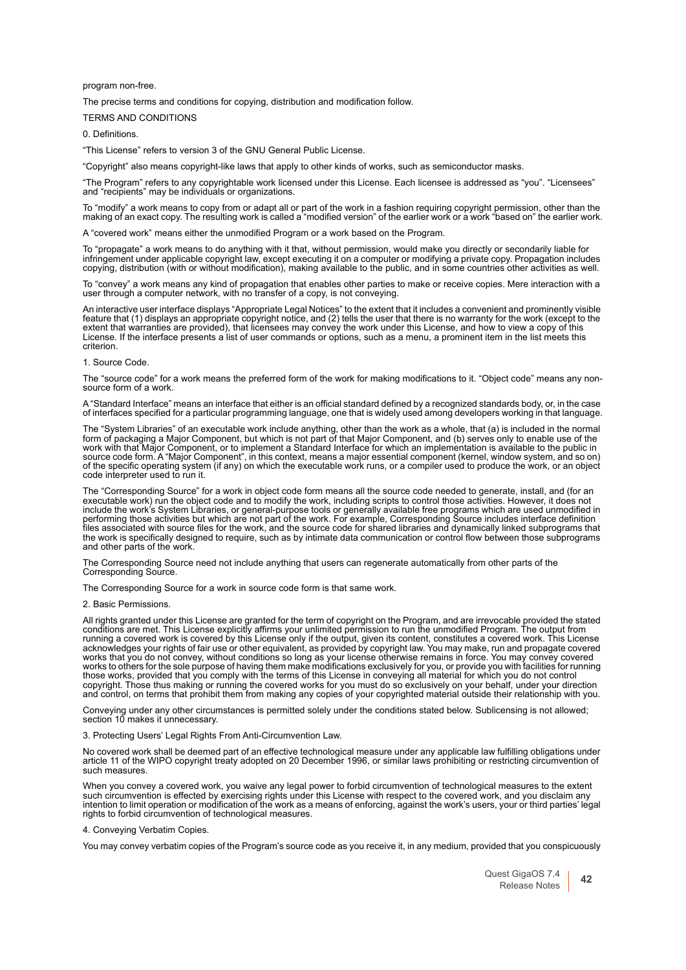program non-free.

The precise terms and conditions for copying, distribution and modification follow.

TERMS AND CONDITIONS

0. Definitions.

"This License" refers to version 3 of the GNU General Public License.

"Copyright" also means copyright-like laws that apply to other kinds of works, such as semiconductor masks.

"The Program" refers to any copyrightable work licensed under this License. Each licensee is addressed as "you". "Licensees" and "recipients" may be individuals or organizations.

To "modify" a work means to copy from or adapt all or part of the work in a fashion requiring copyright permission, other than the<br>making of an exact copy. The resulting work is called a "modified version" of the earlier w

A "covered work" means either the unmodified Program or a work based on the Program.

To "propagate" a work means to do anything with it that, without permission, would make you directly or secondarily liable for infringement under applicable copyright law, except executing it on a computer or modifying a private copy. Propagation includes copying, distribution (with or without modification), making available to the public, and in some countries other activities as well.

To "convey" a work means any kind of propagation that enables other parties to make or receive copies. Mere interaction with a user through a computer network, with no transfer of a copy, is not conveying.

An interactive user interface displays "Appropriate Legal Notices" to the extent that it includes a convenient and prominently visible feature that (1) displays an appropriate copyright notice, and (2) tells the user that there is no warranty for the work (except to the extent that warranties are provided), that licensees may convey the work under this License, and how to view a copy of this License. If the interface presents a list of user commands or options, such as a menu, a prominent item in the list meets this criterion.

### 1. Source Code.

The "source code" for a work means the preferred form of the work for making modifications to it. "Object code" means any nonsource form of a work.

A "Standard Interface" means an interface that either is an official standard defined by a recognized standards body, or, in the case of interfaces specified for a particular programming language, one that is widely used among developers working in that language.

The "System Libraries" of an executable work include anything, other than the work as a whole, that (a) is included in the normal form of packaging a Major Component, but which is not part of that Major Component, and (b) serves only to enable use of the<br>work with that Major Component, or to implement a Standard Interface for which an implementation of the specific operating system (if any) on which the executable work runs, or a compiler used to produce the work, or an object code interpreter used to run it.

The "Corresponding Source" for a work in object code form means all the source code needed to generate, install, and (for an executable work) run the object code and to modify the work, including scripts to control those activities. However, it does not include the work's System Libraries, or general-purpose tools or generally available free programs which are used unmodified in performing those activities but which are not part of the work. For example, Corresponding Source includes interface definition files associated with source files for the work, and the source code for shared libraries and dynamically linked subprograms that the work is specifically designed to require, such as by intimate data communication or control flow between those subprograms and other parts of the work.

The Corresponding Source need not include anything that users can regenerate automatically from other parts of the Corresponding Source.

The Corresponding Source for a work in source code form is that same work.

2. Basic Permissions.

All rights granted under this License are granted for the term of copyright on the Program, and are irrevocable provided the stated conditions are met. This License explicitly affirms your unlimited permission to run the unmodified Program. The output from running a covered work is covered by this License only if the output, given its content, constitutes a covered work. This License<br>acknowledges your rights of fair use or other equivalent, as provided by copyright law. You works to others for the sole purpose of having them make modifications exclusively for you, or provide you with facilities for running<br>those works, provided that you comply with the terms of this License in conveying all m copyright. Those thus making or running the covered works for you must do so exclusively on your behalf, under your direction and control, on terms that prohibit them from making any copies of your copyrighted material outside their relationship with you.

Conveying under any other circumstances is permitted solely under the conditions stated below. Sublicensing is not allowed; section 10 makes it unnecessary.

3. Protecting Users' Legal Rights From Anti-Circumvention Law.

No covered work shall be deemed part of an effective technological measure under any applicable law fulfilling obligations under article 11 of the WIPO copyright treaty adopted on 20 December 1996, or similar laws prohibit such measures.

When you convey a covered work, you waive any legal power to forbid circumvention of technological measures to the extent such circumvention is effected by exercising rights under this License with respect to the covered work, and you disclaim any intention to limit operation or modification of the work as a means of enforcing, against the work's users, your or third parties' legal rights to forbid circumvention of technological measures.

# 4. Conveying Verbatim Copies.

You may convey verbatim copies of the Program's source code as you receive it, in any medium, provided that you conspicuously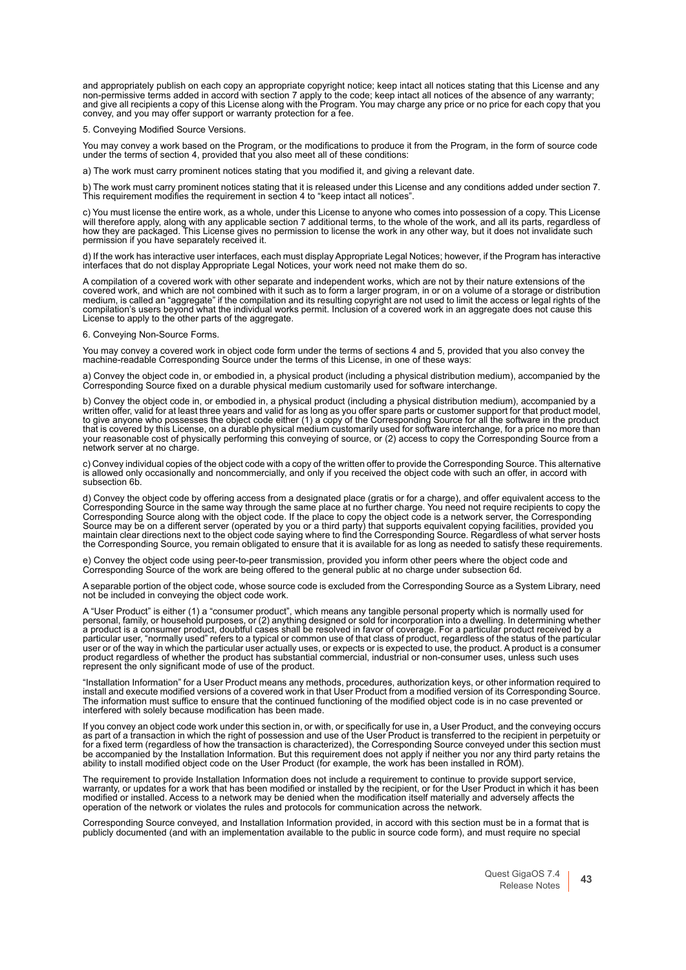and appropriately publish on each copy an appropriate copyright notice; keep intact all notices stating that this License and any non-permissive terms added in accord with section 7 apply to the code; keep intact all notices of the absence of any warranty;<br>and give all recipients a copy of this License along with the Program. You may charge any price

5. Conveying Modified Source Versions.

You may convey a work based on the Program, or the modifications to produce it from the Program, in the form of source code under the terms of section 4, provided that you also meet all of these conditions:

a) The work must carry prominent notices stating that you modified it, and giving a relevant date.

b) The work must carry prominent notices stating that it is released under this License and any conditions added under section 7. This requirement modifies the requirement in section 4 to "keep intact all notices".

c) You must license the entire work, as a whole, under this License to anyone who comes into possession of a copy. This License will therefore apply, along with any applicable section 7 additional terms, to the whole of the work, and all its parts, regardless of<br>how they are packaged. This License gives no permission to license the work in any othe permission if you have separately received it.

d) If the work has interactive user interfaces, each must display Appropriate Legal Notices; however, if the Program has interactive interfaces that do not display Appropriate Legal Notices, your work need not make them do so.

A compilation of a covered work with other separate and independent works, which are not by their nature extensions of the covered work, and which are not combined with it such as to form a larger program, in or on a volume of a storage or distribution medium, is called an "aggregate" if the compilation and its resulting copyright are not used to limit the access or legal rights of the compilation's users beyond what the individual works permit. Inclusion of a covered work in an aggregate does not cause this License to apply to the other parts of the aggregate.

6. Conveying Non-Source Forms.

You may convey a covered work in object code form under the terms of sections 4 and 5, provided that you also convey the machine-readable Corresponding Source under the terms of this License, in one of these ways:

a) Convey the object code in, or embodied in, a physical product (including a physical distribution medium), accompanied by the<br>Corresponding Source fixed on a durable physical medium customarily used for software intercha

b) Convey the object code in, or embodied in, a physical product (including a physical distribution medium), accompanied by a written offer, valid for at least three years and valid for as long as you offer spare parts or customer support for that product model, to give anyone who possesses the object code either (1) a copy of the Corresponding Source for all the software in the product<br>that is covered by this License, on a durable physical medium customarily used for software int your reasonable cost of physically performing this conveying of source, or (2) access to copy the Corresponding Source from a network server at no charge.

c) Convey individual copies of the object code with a copy of the written offer to provide the Corresponding Source. This alternative is allowed only occasionally and noncommercially, and only if you received the object code with such an offer, in accord with subsection 6b.

d) Convey the object code by offering access from a designated place (gratis or for a charge), and offer equivalent access to the Corresponding Source in the same way through the same place at no further charge. You need not require recipients to copy the Corresponding Source along with the object code. If the place to copy the object code is a network server, the Corresponding Source may be on a different server (operated by you or a third party) that supports equivalent copying facilities, provided you maintain clear directions next to the object code saying where to find the Corresponding Source. Regardless of what server hosts<br>the Corresponding Source, you remain obligated to ensure that it is available for as long as

e) Convey the object code using peer-to-peer transmission, provided you inform other peers where the object code and Corresponding Source of the work are being offered to the general public at no charge under subsection 6d.

A separable portion of the object code, whose source code is excluded from the Corresponding Source as a System Library, need not be included in conveying the object code work.

A "User Product" is either (1) a "consumer product", which means any tangible personal property which is normally used for personal, family, or household purposes, or (2) anything designed or sold for incorporation into a dwelling. In determining whether a product is a consumer product, doubtful cases shall be resolved in favor of coverage. For a particular product received by a particular user, "normally used" refers to a typical or common use of that class of product, regardless of the status of the particular<br>user or of the way in which the particular user actually uses, or expects or is expect represent the only significant mode of use of the product.

"Installation Information" for a User Product means any methods, procedures, authorization keys, or other information required to<br>install and execute modified versions of a covered work in that User Product from a modified The information must suffice to ensure that the continued functioning of the modified object code is in no case prevented or interfered with solely because modification has been made.

If you convey an object code work under this section in, or with, or specifically for use in, a User Product, and the conveying occurs as part of a transaction in which the right of possession and use of the User Product is transferred to the recipient in perpetuity or for a fixed term (regardless of how the transaction is characterized), the Corresponding Source conveyed under this section must<br>be accompanied by the Installation Information. But this requirement does not apply if neithe ability to install modified object code on the User Product (for example, the work has been installed in ROM).

The requirement to provide Installation Information does not include a requirement to continue to provide support service, warranty, or updates for a work that has been modified or installed by the recipient, or for the User Product in which it has been modified or installed. Access to a network may be denied when the modification itself materially and adversely affects the operation of the network or violates the rules and protocols for communication across the network.

Corresponding Source conveyed, and Installation Information provided, in accord with this section must be in a format that is publicly documented (and with an implementation available to the public in source code form), and must require no special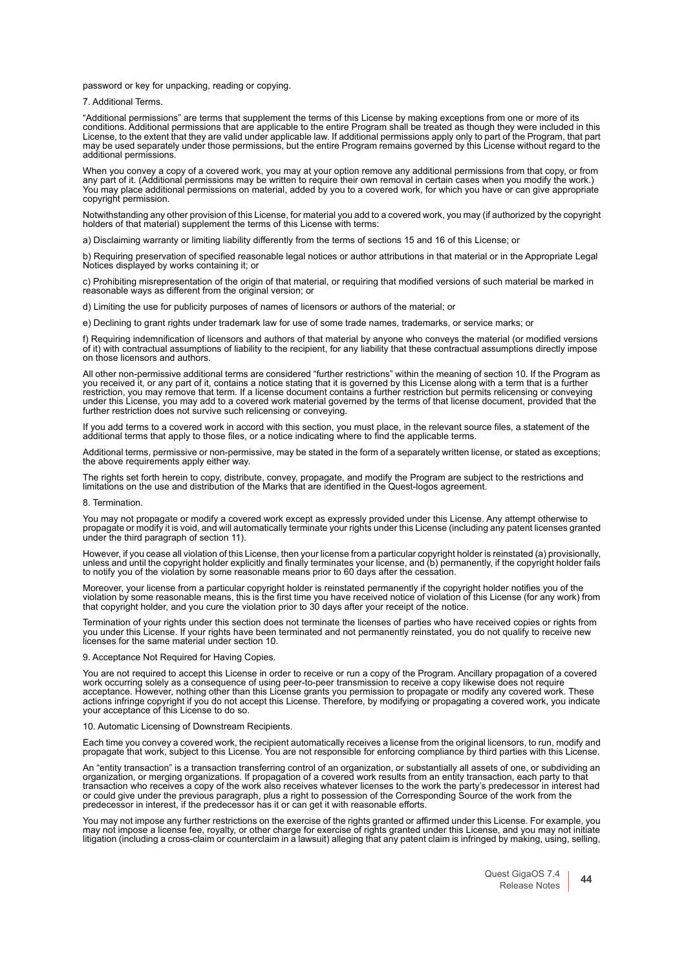password or key for unpacking, reading or copying.

7. Additional Terms.

"Additional permissions" are terms that supplement the terms of this License by making exceptions from one or more of its<br>conditions. Additional permissions that are applicable to the entire Program shall be treated as tho License, to the extent that they are valid under applicable law. If additional permissions apply only to part of the Program, that part<br>may be used separately under those permissions, but the entire Program remains governe additional permissions.

When you convey a copy of a covered work, you may at your option remove any additional permissions from that copy, or from<br>any part of it. (Additional permissions may be written to require their own removal in certain case copyright permission.

Notwithstanding any other provision of this License, for material you add to a covered work, you may (if authorized by the copyright holders of that material) supplement the terms of this License with terms:

a) Disclaiming warranty or limiting liability differently from the terms of sections 15 and 16 of this License; or

b) Requiring preservation of specified reasonable legal notices or author attributions in that material or in the Appropriate Legal Notices displayed by works containing it; or

c) Prohibiting misrepresentation of the origin of that material, or requiring that modified versions of such material be marked in reasonable ways as different from the original version; or

d) Limiting the use for publicity purposes of names of licensors or authors of the material; or

e) Declining to grant rights under trademark law for use of some trade names, trademarks, or service marks; or

f) Requiring indemnification of licensors and authors of that material by anyone who conveys the material (or modified versions of it) with contractual assumptions of liability to the recipient, for any liability that these contractual assumptions directly impose on those licensors and authors.

All other non-permissive additional terms are considered "further restrictions" within the meaning of section 10. If the Program as you received it, or any part of it, contains a notice stating that it is governed by this License along with a term that is a further<br>restriction, you may remove that term. If a license document contains a further restrict under this License, you may add to a covered work material governed by the terms of that license document, provided that the further restriction does not survive such relicensing or conveying.

If you add terms to a covered work in accord with this section, you must place, in the relevant source files, a statement of the<br>additional terms that apply to those files, or a notice indicating where to find the applicab

Additional terms, permissive or non-permissive, may be stated in the form of a separately written license, or stated as exceptions; the above requirements apply either way.

The rights set forth herein to copy, distribute, convey, propagate, and modify the Program are subject to the restrictions and limitations on the use and distribution of the Marks that are identified in the Quest-logos agreement.

#### 8. Termination.

You may not propagate or modify a covered work except as expressly provided under this License. Any attempt otherwise to propagate or modify it is void, and will automatically terminate your rights under this License (including any patent licenses granted under the third paragraph of section 11).

However, if you cease all violation of this License, then your license from a particular copyright holder is reinstated (a) provisionally, unless and until the copyright holder explicitly and finally terminates your license, and (b) permanently, if the copyright holder fails to notify you of the violation by some reasonable means prior to 60 days after the cessation.

Moreover, your license from a particular copyright holder is reinstated permanently if the copyright holder notifies you of the violation by some reasonable means, this is the first time you have received notice of violation of this License (for any work) from that copyright holder, and you cure the violation prior to 30 days after your receipt of the notice.

Termination of your rights under this section does not terminate the licenses of parties who have received copies or rights from you under this License. If your rights have been terminated and not permanently reinstated, you do not qualify to receive new licenses for the same material under section 10.

#### 9. Acceptance Not Required for Having Copies.

You are not required to accept this License in order to receive or run a copy of the Program. Ancillary propagation of a covered work occurring solely as a consequence of using peer-to-peer transmission to receive a copy likewise does not require acceptance. However, nothing other than this License grants you permission to propagate or modify any covered work. These actions infringe copyright if you do not accept this License. Therefore, by modifying or propagating a covered work, you indicate your acceptance of this License to do so.

#### 10. Automatic Licensing of Downstream Recipients.

Each time you convey a covered work, the recipient automatically receives a license from the original licensors, to run, modify and propagate that work, subject to this License. You are not responsible for enforcing compliance by third parties with this License.

An "entity transaction" is a transaction transferring control of an organization, or substantially all assets of one, or subdividing an organization, or merging organizations. If propagation of a covered work results from an entity transaction, each party to that<br>transaction who receives a copy of the work also receives whatever licenses to the work the pa or could give under the previous paragraph, plus a right to possession of the Corresponding Source of the work from the predecessor in interest, if the predecessor has it or can get it with reasonable efforts.

You may not impose any further restrictions on the exercise of the rights granted or affirmed under this License. For example, you may not impose a license fee, royalty, or other charge for exercise of rights granted under this License, and you may not initiate litigation (including a cross-claim or counterclaim in a lawsuit) alleging that any patent claim is infringed by making, using, selling,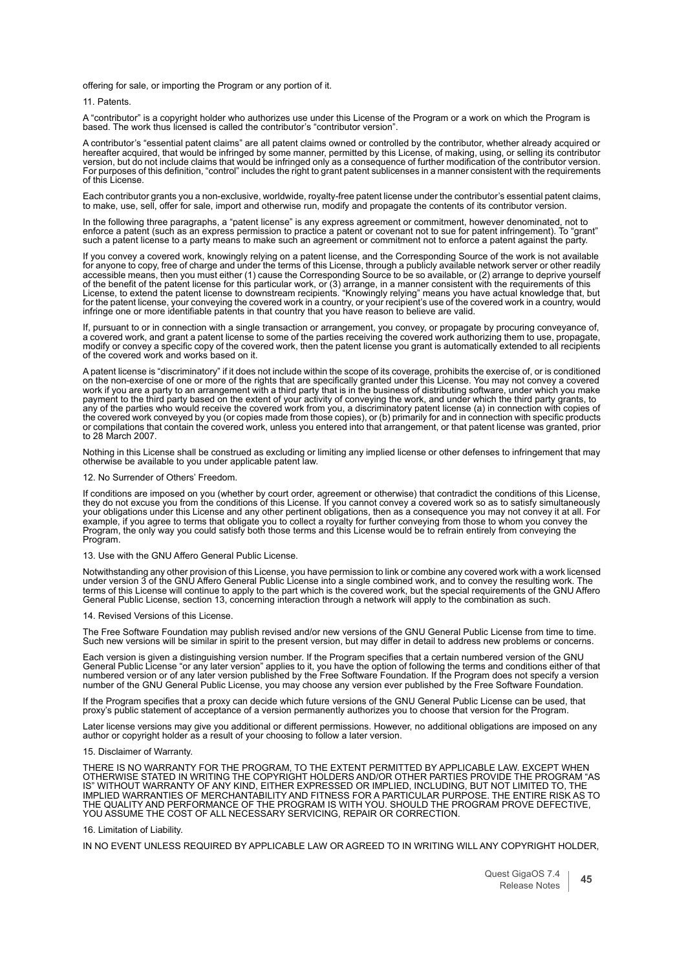offering for sale, or importing the Program or any portion of it.

11. Patents.

A "contributor" is a copyright holder who authorizes use under this License of the Program or a work on which the Program is based. The work thus licensed is called the contributor's "contributor version".

A contributor's "essential patent claims" are all patent claims owned or controlled by the contributor, whether already acquired or<br>hereafter acquired, that would be infringed by some manner, permitted by this License, of For purposes of this definition, "control" includes the right to grant patent sublicenses in a manner consistent with the requirements of this License.

Each contributor grants you a non-exclusive, worldwide, royalty-free patent license under the contributor's essential patent claims, to make, use, sell, offer for sale, import and otherwise run, modify and propagate the contents of its contributor version.

In the following three paragraphs, a "patent license" is any express agreement or commitment, however denominated, not to<br>enforce a patent (such as an express permission to practice a patent or covenant not to sue for pate such a patent license to a party means to make such an agreement or commitment not to enforce a patent against the party.

If you convey a covered work, knowingly relying on a patent license, and the Corresponding Source of the work is not available for anyone to copy, free of charge and under the terms of this License, through a publicly available network server or other readily<br>accessible means, then you must either (1) cause the Corresponding Source to be so availa of the benefit of the patent license for this particular work, or (3) arrange, in a manner consistent with the requirements of this License, to extend the patent license to downstream recipients. "Knowingly relying" means you have actual knowledge that, but<br>for the patent license, your conveying the covered work in a country, or your recipient's use of infringe one or more identifiable patents in that country that you have reason to believe are valid.

If, pursuant to or in connection with a single transaction or arrangement, you convey, or propagate by procuring conveyance of,<br>a covered work, and grant a patent license to some of the parties receiving the covered work a of the covered work and works based on it.

A patent license is "discriminatory" if it does not include within the scope of its coverage, prohibits the exercise of, or is conditioned on the non-exercise of one or more of the rights that are specifically granted under this License. You may not convey a covered work if you are a party to an arrangement with a third party that is in the business of distributing software, under which you make<br>payment to the third party based on the extent of your activity of conveying the work, and any of the parties who would receive the covered work from you, a discriminatory patent license (a) in connection with copies of the covered work conveyed by you (or copies made from those copies), or (b) primarily for and in connection with specific products or compilations that contain the covered work, unless you entered into that arrangement, or that patent license was granted, prior to 28 March 2007.

Nothing in this License shall be construed as excluding or limiting any implied license or other defenses to infringement that may otherwise be available to you under applicable patent law.

12. No Surrender of Others' Freedom.

If conditions are imposed on you (whether by court order, agreement or otherwise) that contradict the conditions of this License,<br>they do not excuse you from the conditions of this License. If you cannot convey a covered w your obligations under this License and any other pertinent obligations, then as a consequence you may not convey it at all. For example, if you agree to terms that obligate you to collect a royalty for further conveying from those to whom you convey the<br>Program, the only way you could satisfy both those terms and this License would be to refrain en Program.

13. Use with the GNU Affero General Public License.

Notwithstanding any other provision of this License, you have permission to link or combine any covered work with a work licensed<br>under version 3 of the GNU Affero General Public License into a single combined work, and to terms of this License will continue to apply to the part which is the covered work, but the special requirements of the GNU Affero General Public License, section 13, concerning interaction through a network will apply to the combination as such.

14. Revised Versions of this License.

The Free Software Foundation may publish revised and/or new versions of the GNU General Public License from time to time. Such new versions will be similar in spirit to the present version, but may differ in detail to address new problems or concerns.

Each version is given a distinguishing version number. If the Program specifies that a certain numbered version of the GNU General Public License "or any later version" applies to it, you have the option of following the terms and conditions either of that<br>numbered version or of any later version published by the Free Software Foundation. If t number of the GNU General Public License, you may choose any version ever published by the Free Software Foundation.

If the Program specifies that a proxy can decide which future versions of the GNU General Public License can be used, that proxy's public statement of acceptance of a version permanently authorizes you to choose that version for the Program.

Later license versions may give you additional or different permissions. However, no additional obligations are imposed on any author or copyright holder as a result of your choosing to follow a later version.

# 15. Disclaimer of Warranty.

THERE IS NO WARRANTY FOR THE PROGRAM, TO THE EXTENT PERMITTED BY APPLICABLE LAW. EXCEPT WHEN OTHERWISE STATED IN WRITING THE COPYRIGHT HOLDERS AND/OR OTHER PARTIES PROVIDE THE PROGRAM "AS IS" WITHOUT WARRANTY OF ANY KIND, EITHER EXPRESSED OR IMPLIED, INCLUDING, BUT NOT LIMITED TO, THE<br>IMPLIED WARRANTIES OF MERCHANTABILITY AND FITNESS FOR A PARTICULAR PURPOSE. THE ENTIRE RISK AS TO THE QUALITY AND PERFORMANCE OF THE PROGRAM IS WITH YOU. SHOULD THE PROGRAM PROVE DEFECTIVE, YOU ASSUME THE COST OF ALL NECESSARY SERVICING, REPAIR OR CORRECTION.

# 16. Limitation of Liability.

IN NO EVENT UNLESS REQUIRED BY APPLICABLE LAW OR AGREED TO IN WRITING WILL ANY COPYRIGHT HOLDER,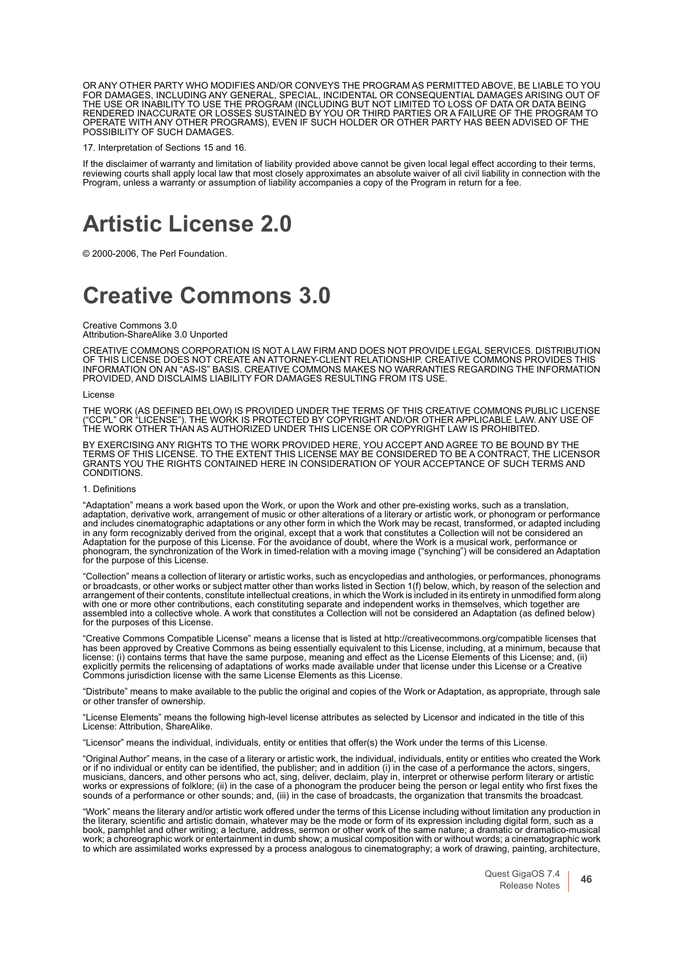OR ANY OTHER PARTY WHO MODIFIES AND/OR CONVEYS THE PROGRAM AS PERMITTED ABOVE, BE LIABLE TO YOU FOR DAMAGES, INCLUDING ANY GENERAL, SPECIAL, INCIDENTAL OR CONSEQUENTIAL DAMAGES ARISING OUT OF<br>THE USE OR INABILITY TO USE THE PROGRAM (INCLUDING BUT NOT LIMITED TO LOSS OF DATA OR DATA BEING<br>RENDERED INACCURATE OR LOSSES OPERATE WITH ANY OTHER PROGRAMS), EVEN IF SUCH HOLDER OR OTHER PARTY HAS BEEN ADVISED OF THE POSSIBILITY OF SUCH DAMAGES.

17. Interpretation of Sections 15 and 16.

If the disclaimer of warranty and limitation of liability provided above cannot be given local legal effect according to their terms, reviewing courts shall apply local law that most closely approximates an absolute waiver of all civil liability in connection with the<br>Program, unless a warranty or assumption of liability accompanies a copy of the Program

# **Artistic License 2.0**

© 2000-2006, The Perl Foundation.

# **Creative Commons 3.0**

#### Creative Commons 3.0 Attribution-ShareAlike 3.0 Unported

CREATIVE COMMONS CORPORATION IS NOT A LAW FIRM AND DOES NOT PROVIDE LEGAL SERVICES. DISTRIBUTION OF THIS LICENSE DOES NOT CREATE AN ATTORNEY-CLIENT RELATIONSHIP. CREATIVE COMMONS PROVIDES THIS INFORMATION ON AN "AS-IS" BASIS. CREATIVE COMMONS MAKES NO WARRANTIES REGARDING THE INFORMATION PROVIDED, AND DISCLAIMS LIABILITY FOR DAMAGES RESULTING FROM ITS USE.

#### License

THE WORK (AS DEFINED BELOW) IS PROVIDED UNDER THE TERMS OF THIS CREATIVE COMMONS PUBLIC LICENSE ("CCPL" OR "LICENSE"). THE WORK IS PROTECTED BY COPYRIGHT AND/OR OTHER APPLICABLE LAW. ANY USE OF<br>THE WORK OTHER THAN AS AUTHORIZED UNDER THIS LICENSE OR COPYRIGHT LAW IS PROHIBITED.

BY EXERCISING ANY RIGHTS TO THE WORK PROVIDED HERE, YOU ACCEPT AND AGREE TO BE BOUND BY THE<br>TERMS OF THIS LICENSE. TO THE EXTENT THIS LICENSE MAY BE CONSIDERED TO BE A CONTRACT, THE LICENSOR<br>GRANTS YOU THE RIGHTS CONTAINED CONDITIONS.

# 1. Definitions

"Adaptation" means a work based upon the Work, or upon the Work and other pre-existing works, such as a translation, adaptation, derivative work, arrangement of music or other alterations of a literary or artistic work, or phonogram or performance and includes cinematographic adaptations or any other form in which the Work may be recast, transformed, or adapted including in any form recognizably derived from the original, except that a work that constitutes a Collection will not be considered an Adaptation for the purpose of this License. For the avoidance of doubt, where the Work is a musical work, performance or phonogram, the synchronization of the Work in timed-relation with a moving image ("synching") will be considered an Adaptation for the purpose of this License.

"Collection" means a collection of literary or artistic works, such as encyclopedias and anthologies, or performances, phonograms<br>or broadcasts, or other works or subject matter other than works listed in Section 1(f) belo arrangement of their contents, constitute intellectual creations, in which the Work is included in its entirety in unmodified form along with one or more other contributions, each constituting separate and independent works in themselves, which together are assembled into a collective whole. A work that constitutes a Collection will not be considered an Adaptation (as defined below) for the purposes of this License.

"Creative Commons Compatible License" means a license that is listed at http://creativecommons.org/compatible licenses that<br>has been approved by Creative Commons as being essentially equivalent to this License, including, explicitly permits the relicensing of adaptations of works made available under that license under this License or a Creative Commons jurisdiction license with the same License Elements as this License.

"Distribute" means to make available to the public the original and copies of the Work or Adaptation, as appropriate, through sale or other transfer of ownership.

"License Elements" means the following high-level license attributes as selected by Licensor and indicated in the title of this License: Attribution, ShareAlike.

"Licensor" means the individual, individuals, entity or entities that offer(s) the Work under the terms of this License.

"Original Author" means, in the case of a literary or artistic work, the individual, individuals, entity or entities who created the Work or if no individual or entity can be identified, the publisher; and in addition (i) in the case of a performance the actors, singers, musicians, dancers, and other persons who act, sing, deliver, declaim, play in, interpret or otherwise perform literary or artistic<br>works or expressions of folklore; (ii) in the case of a phonogram the producer being the p sounds of a performance or other sounds; and, (iii) in the case of broadcasts, the organization that transmits the broadcast.

"Work" means the literary and/or artistic work offered under the terms of this License including without limitation any production in the literary, scientific and artistic domain, whatever may be the mode or form of its expression including digital form, such as a book, pamphlet and other writing; a lecture, address, sermon or other work of the same nature; a dramatic or dramatico-musical work; a choreographic work or entertainment in dumb show; a musical composition with or without words; a cinematographic work to which are assimilated works expressed by a process analogous to cinematography; a work of drawing, painting, architecture,

> Quest GigaOS 7.4 est GigaOS 7.4 **46**<br>Release Notes **46**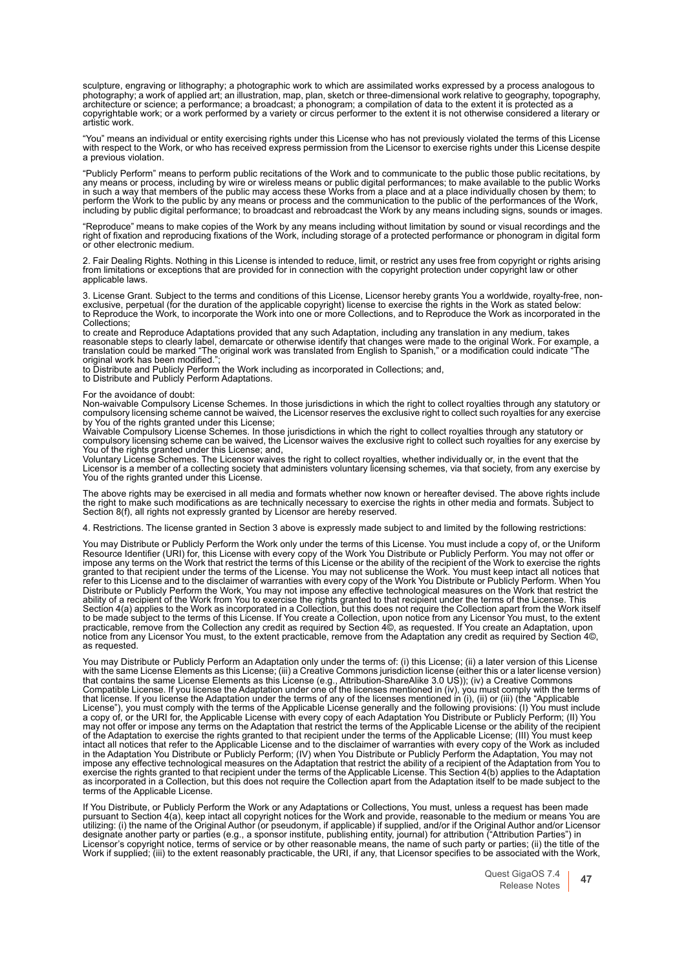sculpture, engraving or lithography; a photographic work to which are assimilated works expressed by a process analogous to photography; a work of applied art; an illustration, map, plan, sketch or three-dimensional work relative to geography, topography, architecture or science; a performance; a broadcast; a phonogram; a compilation of data to the extent it is protected as a<br>copyrightable work; or a work performed by a variety or circus performer to the extent it is not ot artistic work.

"You" means an individual or entity exercising rights under this License who has not previously violated the terms of this License<br>with respect to the Work, or who has received express permission from the Licensor to exerc a previous violation.

"Publicly Perform" means to perform public recitations of the Work and to communicate to the public those public recitations, by any means or process, including by wire or wireless means or public digital performances; to make available to the public Works in such a way that members of the public may access these Works from a place and at a place individually chosen by them; to<br>perform the Work to the public by any means or process and the communication to the public of the

"Reproduce" means to make copies of the Work by any means including without limitation by sound or visual recordings and the right of fixation and reproducing fixations of the Work, including storage of a protected performance or phonogram in digital form or other electronic medium.

2. Fair Dealing Rights. Nothing in this License is intended to reduce, limit, or restrict any uses free from copyright or rights arising from limitations or exceptions that are provided for in connection with the copyright protection under copyright law or other applicable laws.

3. License Grant. Subject to the terms and conditions of this License, Licensor hereby grants You a worldwide, royalty-free, non-<br>exclusive, perpetual (for the duration of the applicable copyright) license to exercise the to Reproduce the Work, to incorporate the Work into one or more Collections, and to Reproduce the Work as incorporated in the Collections;

to create and Reproduce Adaptations provided that any such Adaptation, including any translation in any medium, takes reasonable steps to clearly label, demarcate or otherwise identify that changes were made to the original Work. For example, a<br>translation could be marked "The original work was translated from English to Spanish," or a mo original work has been modified.";

to Distribute and Publicly Perform the Work including as incorporated in Collections; and,

to Distribute and Publicly Perform Adaptations.

For the avoidance of doubt:<br>Non-waivable Compulsory License Schemes. In those jurisdictions in which the right to collect royalties through any statutory or compulsory licensing scheme cannot be waived, the Licensor reserves the exclusive right to collect such royalties for any exercise by You of the rights granted under this License;

Waivable Compulsory License Schemes. In those jurisdictions in which the right to collect royalties through any statutory or<br>compulsory licensing scheme can be waived, the Licensor waives the exclusive right to collect suc You of the rights granted under this License; and,

Voluntary License Schemes. The Licensor waives the right to collect royalties, whether individually or, in the event that the Licensor is a member of a collecting society that administers voluntary licensing schemes, via that society, from any exercise by You of the rights granted under this License.

The above rights may be exercised in all media and formats whether now known or hereafter devised. The above rights include the right to make such modifications as are technically necessary to exercise the rights in other media and formats. Subject to Section 8(f), all rights not expressly granted by Licensor are hereby reserved.

4. Restrictions. The license granted in Section 3 above is expressly made subject to and limited by the following restrictions:

You may Distribute or Publicly Perform the Work only under the terms of this License. You must include a copy of, or the Uniform<br>Resource Identifier (URI) for, this License with every copy of the Work You Distribute or Pub impose any terms on the Work that restrict the terms of this License or the ability of the recipient of the Work to exercise the rights granted to that recipient under the terms of the License. You may not sublicense the Work. You must keep intact all notices that refer to this License and to the disclaimer of warranties with every copy of the Work You Distribute or Publicly Perform. When You Distribute or Publicly Perform the Work, You may not impose any effective technological measures on the Work that restrict the<br>ability of a recipient of the Work from You to exercise the rights granted to that recipient un Section 4(a) applies to the Work as incorporated in a Collection, but this does not require the Collection apart from the Work itself to be made subject to the terms of this License. If You create a Collection, upon notice from any Licensor You must, to the extent<br>practicable, remove from the Collection any credit as required by Section 4©, as requested. notice from any Licensor You must, to the extent practicable, remove from the Adaptation any credit as required by Section 4©, as requested.

You may Distribute or Publicly Perform an Adaptation only under the terms of: (i) this License; (ii) a later version of this License with the same License Elements as this License; (iii) a Creative Commons jurisdiction license (either this or a later license version) that contains the same License Elements as this License (e.g., Attribution-ShareAlike 3.0 US)); (iv) a Creative Commons<br>Compatible License. If you license the Adaptation under one of the licenses mentioned in (iv), you mus License"), you must comply with the terms of the Applicable License generally and the following provisions: (I) You must include<br>a copy of, or the URI for, the Applicable License with every copy of each Adaptation You Dist may not offer or impose any terms on the Adaptation that restrict the terms of the Applicable License or the ability of the recipient of the Adaptation to exercise the rights granted to that recipient under the terms of the Applicable License; (III) You must keep<br>intact all notices that refer to the Applicable License and to the disclaimer of warranties impose any effective technological measures on the Adaptation that restrict the ability of a recipient of the Adaptation from You to exercise the rights granted to that recipient under the terms of the Applicable License. This Section 4(b) applies to the Adaptation as incorporated in a Collection, but this does not require the Collection apart from the Adaptation itself to be made subject to the terms of the Applicable License.

If You Distribute, or Publicly Perform the Work or any Adaptations or Collections, You must, unless a request has been made<br>pursuant to Section 4(a), keep intact all copyright notices for the Work and provide, reasonable t utilizing: (i) the name of the Original Author (or pseudonym, if applicable) if supplied, and/or if the Original Author and/or Licensor<br>designate another party or parties (e.g., a sponsor institute, publishing entity, jour Work if supplied; (iii) to the extent reasonably practicable, the URI, if any, that Licensor specifies to be associated with the Work,

> Quest GigaOS 7.4 est GigaOS 7.4 **47**<br>Release Notes **47**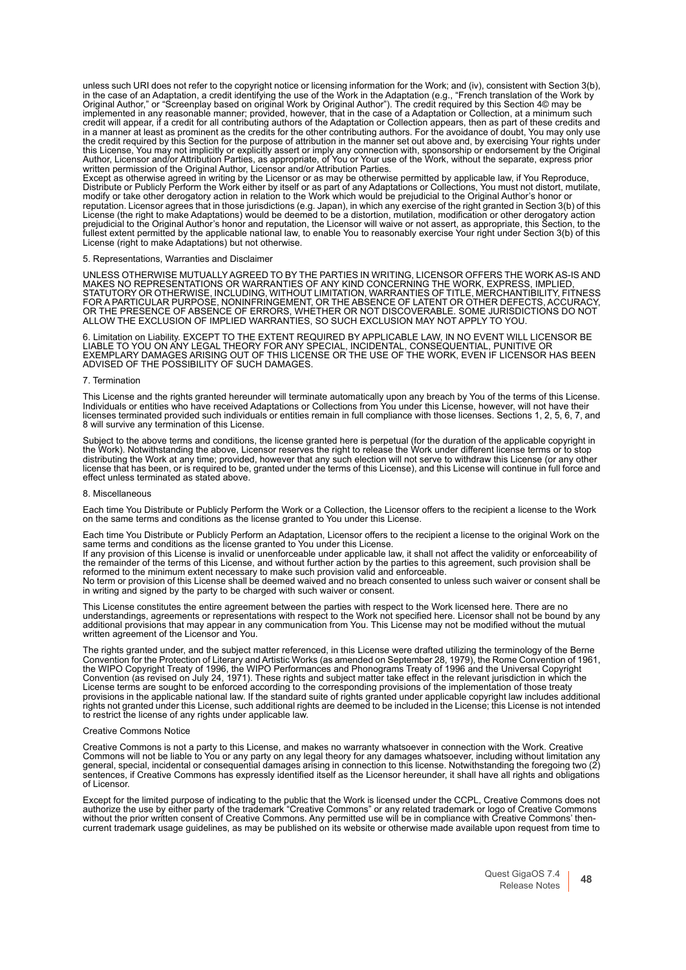unless such URI does not refer to the copyright notice or licensing information for the Work; and (iv), consistent with Section 3(b), in the case of an Adaptation, a credit identifying the use of the Work in the Adaptation (e.g., "French translation of the Work by<br>Original Author," or "Screenplay based on original Work by Original Author"). The credit re credit will appear, if a credit for all contributing authors of the Adaptation or Collection appears, then as part of these credits and in a manner at least as prominent as the credits for the other contributing authors. For the avoidance of doubt, You may only use the credit required by this Section for the purpose of attribution in the manner set out above and, by exercising Your rights under this License, You may not implicitly or explicitly assert or imply any connection with, sponsorship or endorsement by the Original<br>Author, Licensor and/or Attribution Parties, as appropriate, of You or Your use of the Work

Except as otherwise agreed in writing by the Licensor or as may be otherwise permitted by applicable law, if You Reproduce, Distribute or Publicly Perform the Work either by itself or as part of any Adaptations or Collections, You must not distort, mutilate,<br>modify or take other derogatory action in relation to the Work which would be prejudici reputation. Licensor agrees that in those jurisdictions (e.g. Japan), in which any exercise of the right granted in Section 3(b) of this License (the right to make Adaptations) would be deemed to be a distortion, mutilation, modification or other derogatory action<br>prejudicial to the Original Author's honor and reputation, the Licensor will waive or not asse fullest extent permitted by the applicable national law, to enable You to reasonably exercise Your right under Section 3(b) of this License (right to make Adaptations) but not otherwise.

# 5. Representations, Warranties and Disclaimer

UNLESS OTHERWISE MUTUALLY AGREED TO BY THE PARTIES IN WRITING, LICENSOR OFFERS THE WORK AS-IS AND MAKES NO REPRESENTATIONS OR WARRANTIES OF ANY KIND CONCERNING THE WORK, EXPRESS, IMPLIED, STATUTORY OR OTHERWISE, INCLUDING, WITHOUT LIMITATION, WARRANTIES OF TITLE, MERCHANTIBILITY, FITNESS<br>FOR A PARTICULAR PURPOSE, NONINFRINGEMENT, OR THE ABSENCE OF LATENT OR OTHER DEFECTS, ACCURACY,<br>OR THE PRESENCE OF ABSENC ALLOW THE EXCLUSION OF IMPLIED WARRANTIES, SO SUCH EXCLUSION MAY NOT APPLY TO YOU.

6. Limitation on Liability. EXCEPT TO THE EXTENT REQUIRED BY APPLICABLE LAW, IN NO EVENT WILL LICENSOR BE LIABLE TO YOU ON ANY LEGAL THEORY FOR ANY SPECIAL, INCIDENTAL, CONSEQUENTIAL, PUNITIVE OR EXEMPLARY DAMAGES ARISING OUT OF THIS LICENSE OR THE USE OF THE WORK, EVEN IF LICENSOR HAS BEEN ADVISED OF THE POSSIBILITY OF SUCH DAMAGES.

#### 7. Termination

This License and the rights granted hereunder will terminate automatically upon any breach by You of the terms of this License.<br>Individuals or entities who have received Adaptations or Collections from You under this Licen licenses terminated provided such individuals or entities remain in full compliance with those licenses. Sections 1, 2, 5, 6, 7, and 8 will survive any termination of this License.

Subject to the above terms and conditions, the license granted here is perpetual (for the duration of the applicable copyright in the Work). Notwithstanding the above, Licensor reserves the right to release the Work under different license terms or to stop distributing the Work at any time; provided, however that any such election will not serve to withdraw this License (or any other license that has been, or is required to be, granted under the terms of this License), and this License will continue in full force and effect unless terminated as stated above.

#### 8. Miscellaneous

Each time You Distribute or Publicly Perform the Work or a Collection, the Licensor offers to the recipient a license to the Work on the same terms and conditions as the license granted to You under this License.

Each time You Distribute or Publicly Perform an Adaptation, Licensor offers to the recipient a license to the original Work on the same terms and conditions as the license granted to You under this License.

If any provision of this License is invalid or unenforceable under applicable law, it shall not affect the validity or enforceability of the remainder of the terms of this License, and without further action by the parties to this agreement, such provision shall be reformed to the minimum extent necessary to make such provision valid and enforceable.

No term or provision of this License shall be deemed waived and no breach consented to unless such waiver or consent shall be in writing and signed by the party to be charged with such waiver or consent.

This License constitutes the entire agreement between the parties with respect to the Work licensed here. There are no understandings, agreements or representations with respect to the Work not specified here. Licensor shall not be bound by any additional provisions that may appear in any communication from You. This License may not be modified without the mutual written agreement of the Licensor and You.

The rights granted under, and the subject matter referenced, in this License were drafted utilizing the terminology of the Berne Convention for the Protection of Literary and Artistic Works (as amended on September 28, 1979), the Rome Convention of 1961,<br>the WIPO Copyright Treaty of 1996, the WIPO Performances and Phonograms Treaty of 1996 and the U License terms are sought to be enforced according to the corresponding provisions of the implementation of those treaty<br>provisions in the applicable national law. If the standard suite of rights granted under applicable co to restrict the license of any rights under applicable law.

#### Creative Commons Notice

Creative Commons is not a party to this License, and makes no warranty whatsoever in connection with the Work. Creative Commons will not be liable to You or any party on any legal theory for any damages whatsoever, including without limitation any general, special, incidental or consequential damages arising in connection to this license. Notwithstanding the foregoing two (2) sentences, if Creative Commons has expressly identified itself as the Licensor hereunder, it shall have all rights and obligations of Licensor.

Except for the limited purpose of indicating to the public that the Work is licensed under the CCPL, Creative Commons does not authorize the use by either party of the trademark "Creative Commons" or any related trademark or logo of Creative Commons without the prior written consent of Creative Commons. Any permitted use will be in compliance with Creative Commons' thencurrent trademark usage guidelines, as may be published on its website or otherwise made available upon request from time to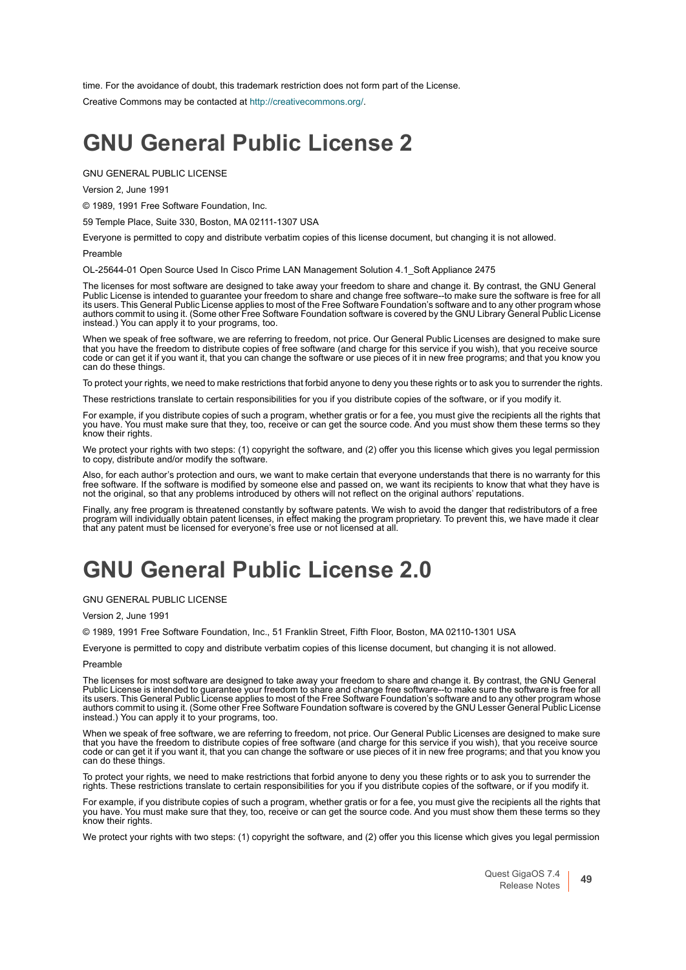time. For the avoidance of doubt, this trademark restriction does not form part of the License.

Creative Commons may be contacted at <http://creativecommons.org/>.

# <span id="page-48-0"></span>**GNU General Public License 2**

GNU GENERAL PUBLIC LICENSE

Version 2, June 1991

© 1989, 1991 Free Software Foundation, Inc.

59 Temple Place, Suite 330, Boston, MA 02111-1307 USA

Everyone is permitted to copy and distribute verbatim copies of this license document, but changing it is not allowed.

#### Preamble

OL-25644-01 Open Source Used In Cisco Prime LAN Management Solution 4.1\_Soft Appliance 2475

The licenses for most software are designed to take away your freedom to share and change it. By contrast, the GNU General Public License is intended to guarantee your freedom to share and change free software--to make sure the software is free for all its users. This General Public License applies to most of the Free Software Foundation's software and to any other program whose authors commit to using it. (Some other Free Software Foundation software is covered by the GNU Library General Public License instead.) You can apply it to your programs, too.

When we speak of free software, we are referring to freedom, not price. Our General Public Licenses are designed to make sure that you have the freedom to distribute copies of free software (and charge for this service if you wish), that you receive source code or can get it if you want it, that you can change the software or use pieces of it in new free programs; and that you know you can do these things.

To protect your rights, we need to make restrictions that forbid anyone to deny you these rights or to ask you to surrender the rights.

These restrictions translate to certain responsibilities for you if you distribute copies of the software, or if you modify it.

For example, if you distribute copies of such a program, whether gratis or for a fee, you must give the recipients all the rights that you have. You must make sure that they, too, receive or can get the source code. And you must show them these terms so they know their rights.

We protect your rights with two steps: (1) copyright the software, and (2) offer you this license which gives you legal permission to copy, distribute and/or modify the software.

Also, for each author's protection and ours, we want to make certain that everyone understands that there is no warranty for this free software. If the software is modified by someone else and passed on, we want its recipients to know that what they have is not the original, so that any problems introduced by others will not reflect on the original authors' reputations.

Finally, any free program is threatened constantly by software patents. We wish to avoid the danger that redistributors of a free<br>program will individually obtain patent licenses, in effect making the program proprietary. that any patent must be licensed for everyone's free use or not licensed at all.

# <span id="page-48-1"></span>**GNU General Public License 2.0**

# GNU GENERAL PUBLIC LICENSE

Version 2, June 1991

© 1989, 1991 Free Software Foundation, Inc., 51 Franklin Street, Fifth Floor, Boston, MA 02110-1301 USA

Everyone is permitted to copy and distribute verbatim copies of this license document, but changing it is not allowed.

#### Preamble

The licenses for most software are designed to take away your freedom to share and change it. By contrast, the GNU General Public License is intended to guarantee your freedom to share and change free software--to make sure the software is free for all<br>its users. This General Public License applies to most of the Free Software Foundation's sof authors commit to using it. (Some other Free Software Foundation software is covered by the GNU Lesser General Public License instead.) You can apply it to your programs, too.

When we speak of free software, we are referring to freedom, not price. Our General Public Licenses are designed to make sure that you have the freedom to distribute copies of free software (and charge for this service if you wish), that you receive source code or can get it if you want it, that you can change the software or use pieces of it in new free programs; and that you know you can do these things.

To protect your rights, we need to make restrictions that forbid anyone to deny you these rights or to ask you to surrender the<br>rights. These restrictions translate to certain responsibilities for you if you distribute cop

For example, if you distribute copies of such a program, whether gratis or for a fee, you must give the recipients all the rights that you have. You must make sure that they, too, receive or can get the source code. And you must show them these terms so they<br>know their rights.

We protect your rights with two steps: (1) copyright the software, and (2) offer you this license which gives you legal permission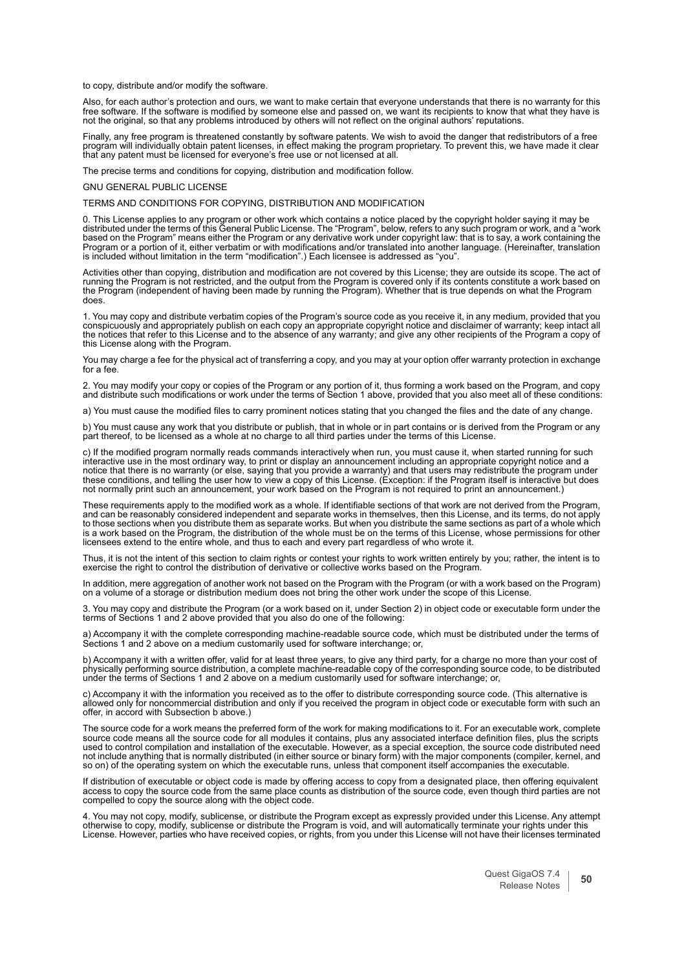to copy, distribute and/or modify the software.

Also, for each author's protection and ours, we want to make certain that everyone understands that there is no warranty for this free software. If the software is modified by someone else and passed on, we want its recipients to know that what they have is<br>not the original, so that any problems introduced by others will not reflect on the original a

Finally, any free program is threatened constantly by software patents. We wish to avoid the danger that redistributors of a free<br>program will individually obtain patent licenses, in effect making the program proprietary.

The precise terms and conditions for copying, distribution and modification follow.

#### GNU GENERAL PUBLIC LICENSE

TERMS AND CONDITIONS FOR COPYING, DISTRIBUTION AND MODIFICATION

0. This License applies to any program or other work which contains a notice placed by the copyright holder saying it may be distributed under the terms of this General Public License. The "Program", below, refers to any such program or work, and a "work<br>based on the Program" means either the Program or any derivative work under copyright law: t Program or a portion of it, either verbatim or with modifications and/or translated into another language. (Hereinafter, translation is included without limitation in the term "modification".) Each licensee is addressed as "you".

Activities other than copying, distribution and modification are not covered by this License; they are outside its scope. The act of nuning the Program is not restricted, and the output from the Program is covered only if its contents constitute a work based on<br>the Program (independent of having been made by running the Program). Whether that is true de does.

1. You may copy and distribute verbatim copies of the Program's source code as you receive it, in any medium, provided that you conspicuously and appropriately publish on each copy an appropriate copyright notice and disclaimer of warranty; keep intact all the notices that refer to this License and to the absence of any warranty; and give any other recipients of the Program a copy of this License along with the Program.

You may charge a fee for the physical act of transferring a copy, and you may at your option offer warranty protection in exchange for a fee.

2. You may modify your copy or copies of the Program or any portion of it, thus forming a work based on the Program, and copy<br>and distribute such modifications or work under the terms of Section 1 above, provided that you

a) You must cause the modified files to carry prominent notices stating that you changed the files and the date of any change.

b) You must cause any work that you distribute or publish, that in whole or in part contains or is derived from the Program or any part thereof, to be licensed as a whole at no charge to all third parties under the terms of this License.

c) If the modified program normally reads commands interactively when run, you must cause it, when started running for such interactive use in the most ordinary way, to print or display an announcement including an appropriate copyright notice and a<br>notice that there is no warranty (or else, saying that you provide a warranty) and that users ma these conditions, and telling the user how to view a copy of this License. (Exception: if the Program itself is interactive but does<br>not normally print such an announcement, your work based on the Program is not required t

These requirements apply to the modified work as a whole. If identifiable sections of that work are not derived from the Program, and can be reasonably considered independent and separate works in themselves, then this License, and its terms, do not apply to those sections when you distribute them as separate works. But when you distribute the same sections as part of a whole which<br>is a work based on the Program, the distribution of the whole must be on the terms of this Li licensees extend to the entire whole, and thus to each and every part regardless of who wrote it.

Thus, it is not the intent of this section to claim rights or contest your rights to work written entirely by you; rather, the intent is to exercise the right to control the distribution of derivative or collective works based on the Program.

In addition, mere aggregation of another work not based on the Program with the Program (or with a work based on the Program) on a volume of a storage or distribution medium does not bring the other work under the scope of this License.

3. You may copy and distribute the Program (or a work based on it, under Section 2) in object code or executable form under the terms of Sections 1 and 2 above provided that you also do one of the following:

a) Accompany it with the complete corresponding machine-readable source code, which must be distributed under the terms of Sections 1 and 2 above on a medium customarily used for software interchange; or,

b) Accompany it with a written offer, valid for at least three years, to give any third party, for a charge no more than your cost of physically performing source distribution, a complete machine-readable copy of the corresponding source code, to be distributed under the terms of Sections 1 and 2 above on a medium customarily used for software interchange; or,

c) Accompany it with the information you received as to the offer to distribute corresponding source code. (This alternative is allowed only for noncommercial distribution and only if you received the program in object code or executable form with such an offer, in accord with Subsection b above.)

The source code for a work means the preferred form of the work for making modifications to it. For an executable work, complete source code means all the source code for all modules it contains, plus any associated interface definition files, plus the scripts<br>used to control compilation and installation of the executable. However, as a special exce not include anything that is normally distributed (in either source or binary form) with the major components (compiler, kernel, and so on) of the operating system on which the executable runs, unless that component itself accompanies the executable.

If distribution of executable or object code is made by offering access to copy from a designated place, then offering equivalent access to copy the source code from the same place counts as distribution of the source code, even though third parties are not compelled to copy the source along with the object code.

4. You may not copy, modify, sublicense, or distribute the Program except as expressly provided under this License. Any attempt otherwise to copy, modify, sublicense or distribute the Program is void, and will automatically terminate your rights under this<br>License. However, parties who have received copies, or rights, from you under this License wi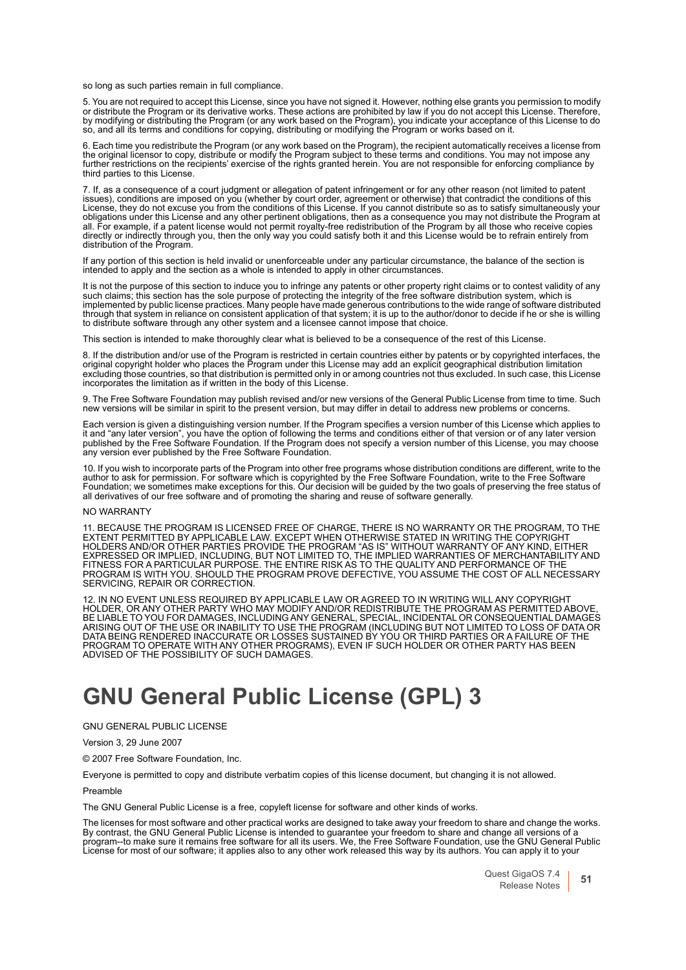so long as such parties remain in full compliance.

5. You are not required to accept this License, since you have not signed it. However, nothing else grants you permission to modify or distribute the Program or its derivative works. These actions are prohibited by law if you do not accept this License. Therefore,<br>by modifying or distributing the Program (or any work based on the Program), you indicate so, and all its terms and conditions for copying, distributing or modifying the Program or works based on it.

6. Each time you redistribute the Program (or any work based on the Program), the recipient automatically receives a license from<br>the original licensor to copy, distribute or modify the Program subject to these terms and c further restrictions on the recipients' exercise of the rights granted herein. You are not responsible for enforcing compliance by third parties to this License.

7. If, as a consequence of a court judgment or allegation of patent infringement or for any other reason (not limited to patent issues), conditions are imposed on you (whether by court order, agreement or otherwise) that contradict the conditions of this License, they do not excuse you from the conditions of this License. If you cannot distribute so as to satisfy simultaneously your<br>obligations under this License and any other pertinent obligations, then as a consequence y all. For example, if a patent license would not permit royalty-free redistribution of the Program by all those who receive copies<br>directly or indirectly through you, then the only way you could satisfy both it and this Lic

If any portion of this section is held invalid or unenforceable under any particular circumstance, the balance of the section is intended to apply and the section as a whole is intended to apply in other circumstances.

It is not the purpose of this section to induce you to infringe any patents or other property right claims or to contest validity of any<br>such claims; this section has the sole purpose of protecting the integrity of the fre implemented by public license practices. Many people have made generous contributions to the wide range of software distributed through that system in reliance on consistent application of that system; it is up to the author/donor to decide if he or she is willing to distribute software through any other system and a licensee cannot impose that choice.

This section is intended to make thoroughly clear what is believed to be a consequence of the rest of this License.

8. If the distribution and/or use of the Program is restricted in certain countries either by patents or by copyrighted interfaces, the<br>original copyright holder who places the Program under this License may add an explici excluding those countries, so that distribution is permitted only in or among countries not thus excluded. In such case, this License incorporates the limitation as if written in the body of this License.

9. The Free Software Foundation may publish revised and/or new versions of the General Public License from time to time. Such new versions will be similar in spirit to the present version, but may differ in detail to address new problems or concerns.

Each version is given a distinguishing version number. If the Program specifies a version number of this License which applies to it and "any later version", you have the option of following the terms and conditions either of that version or of any later version<br>published by the Free Software Foundation. If the Program does not specify a version numb any version ever published by the Free Software Foundation.

10. If you wish to incorporate parts of the Program into other free programs whose distribution conditions are different, write to the author to ask for permission. For software which is copyrighted by the Free Software Foundation, write to the Free Software Foundation; we sometimes make exceptions for this. Our decision will be guided by the two goals of preserving the free status of all derivatives of our free software and of promoting the sharing and reuse of software generally.

#### NO WARRANTY

11. BECAUSE THE PROGRAM IS LICENSED FREE OF CHARGE, THERE IS NO WARRANTY OR THE PROGRAM, TO THE<br>EXTENT PERMITTED BY APPLICABLE LAW. EXCEPT WHEN OTHERWISE STATED IN WRITING THE COPYRIGHT<br>HOLDERS AND/OR OTHER PARTIES PROVIDE EXPRESSED OR IMPLIED, INCLUDING, BUT NOT LIMITED TO, THE IMPLIED WARRANTIES OF MERCHANTABILITY AND FITNESS FOR A PARTICULAR PURPOSE. THE ENTIRE RISK AS TO THE QUALITY AND PERFORMANCE OF THE PROGRAM IS WITH YOU. SHOULD THE PROGRAM PROVE DEFECTIVE, YOU ASSUME THE COST OF ALL NECESSARY SERVICING, REPAIR OR CORRECTION.

12. IN NO EVENT UNLESS REQUIRED BY APPLICABLE LAW OR AGREED TO IN WRITING WILL ANY COPYRIGHT HOLDER, OR ANY OTHER PARTY WHO MAY MODIFY AND/OR REDISTRIBUTE THE PROGRAM AS PERMITTED ABOVE, BE LIABLE TO YOU FOR DAMAGES, INCLUDING ANY GENERAL, SPECIAL, INCIDENTAL OR CONSEQUENTIAL DAMAGES ARISING OUT OF THE USE OR INABILITY TO USE THE PROGRAM (INCLUDING BUT NOT LIMITED TO LOSS OF DATA OR DATA BEING RENDERED INACCURATE OR LOSSES SUSTAINED BY YOU OR THIRD PARTIES OR A FAILURE OF THE PROGRAM TO OPERATE WITH ANY OTHER PROGRAMS), EVEN IF SUCH HOLDER OR OTHER PARTY HAS BEEN ADVISED OF THE POSSIBILITY OF SUCH DAMAGES.

# <span id="page-50-0"></span>**GNU General Public License (GPL) 3**

### GNU GENERAL PUBLIC LICENSE

Version 3, 29 June 2007

© 2007 Free Software Foundation, Inc.

Everyone is permitted to copy and distribute verbatim copies of this license document, but changing it is not allowed.

Preamble

The GNU General Public License is a free, copyleft license for software and other kinds of works.

The licenses for most software and other practical works are designed to take away your freedom to share and change the works. By contrast, the GNU General Public License is intended to guarantee your freedom to share and change all versions of a<br>program--to make sure it remains free software for all its users. We, the Free Software Foundation, us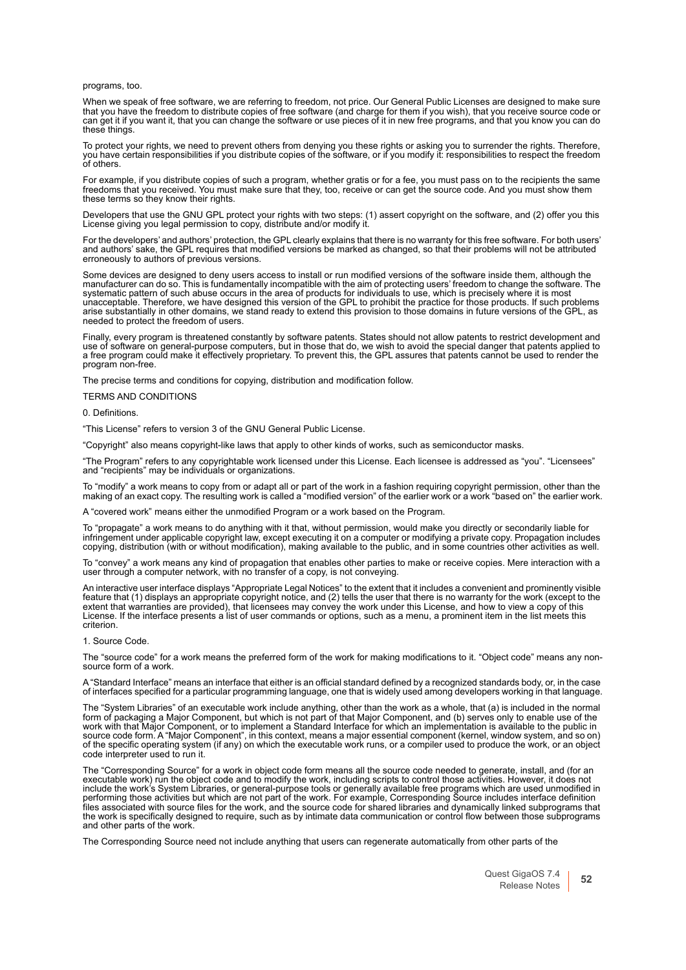programs, too.

When we speak of free software, we are referring to freedom, not price. Our General Public Licenses are designed to make sure that you have the freedom to distribute copies of free software (and charge for them if you wish), that you receive source code or can get it if you want it, that you can change the software or use pieces of it in new free these things.

To protect your rights, we need to prevent others from denying you these rights or asking you to surrender the rights. Therefore,<br>you have certain responsibilities if you distribute copies of the software, or if you modify of others.

For example, if you distribute copies of such a program, whether gratis or for a fee, you must pass on to the recipients the same<br>freedoms that you received. You must make sure that they, too, receive or can get the source these terms so they know their rights.

Developers that use the GNU GPL protect your rights with two steps: (1) assert copyright on the software, and (2) offer you this License giving you legal permission to copy, distribute and/or modify it.

For the developers' and authors' protection, the GPL clearly explains that there is no warranty for this free software. For both users'<br>and authors' sake, the GPL requires that modified versions be marked as changed, so th erroneously to authors of previous versions.

Some devices are designed to deny users access to install or run modified versions of the software inside them, although the manufacturer can do so. This is fundamentally incompatible with the aim of protecting users' freedom to change the software. The systematic pattern of such abuse occurs in the area of products for individuals to use, which is precisely where it is most<br>unacceptable. Therefore, we have designed this version of the GPL to prohibit the practice for tho arise substantially in other domains, we stand ready to extend this provision to those domains in future versions of the GPL, as needed to protect the freedom of users.

Finally, every program is threatened constantly by software patents. States should not allow patents to restrict development and use of software on general-purpose computers, but in those that do, we wish to avoid the special danger that patents applied to a free program could make it effectively proprietary. To prevent this, the GPL assures that patents cannot be used to render the program non-free.

The precise terms and conditions for copying, distribution and modification follow.

TERMS AND CONDITIONS

0. Definitions.

"This License" refers to version 3 of the GNU General Public License.

"Copyright" also means copyright-like laws that apply to other kinds of works, such as semiconductor masks.

"The Program" refers to any copyrightable work licensed under this License. Each licensee is addressed as "you". "Licensees" and "recipients" may be individuals or organizations.

To "modify" a work means to copy from or adapt all or part of the work in a fashion requiring copyright permission, other than the<br>making of an exact copy. The resulting work is called a "modified version" of the earlier w

A "covered work" means either the unmodified Program or a work based on the Program.

To "propagate" a work means to do anything with it that, without permission, would make you directly or secondarily liable for<br>infringement under applicable copyright law, except executing it on a computer or modifying a p

To "convey" a work means any kind of propagation that enables other parties to make or receive copies. Mere interaction with a user through a computer network, with no transfer of a copy, is not conveying.

An interactive user interface displays "Appropriate Legal Notices" to the extent that it includes a convenient and prominently visible feature that (1) displays an appropriate copyright notice, and (2) tells the user that there is no warranty for the work (except to the extent that warranties are provided), that licensees may convey the work under this License, and how to view a copy of this License. If the interface presents a list of user commands or options, such as a menu, a prominent item in the list meets this criterion.

1. Source Code.

The "source code" for a work means the preferred form of the work for making modifications to it. "Object code" means any nonsource form of a work.

A "Standard Interface" means an interface that either is an official standard defined by a recognized standards body, or, in the case of interfaces specified for a particular programming language, one that is widely used among developers working in that language.

The "System Libraries" of an executable work include anything, other than the work as a whole, that (a) is included in the normal<br>form of packaging a Major Component, but which is not part of that Major Component, and (b) work with that Major Component, or to implement a Standard Interface for which an implementation is available to the public in source code form. A "Major Component", in this context, means a major essential component (kernel, window system, and so on) of the specific operating system (if any) on which the executable work runs, or a compiler used to produce the work, or an object code interpreter used to run it.

The "Corresponding Source" for a work in object code form means all the source code needed to generate, install, and (for an executable work) run the object code and to modify the work, including scripts to control those activities. However, it does not include the work's System Libraries, or general-purpose tools or generally available free programs which are used unmodified in performing those activities but which are not part of the work. For example, Corresponding Source includes interface definition<br>files associated with source files for the work, and the source code for shared libraries and the work is specifically designed to require, such as by intimate data communication or control flow between those subprograms and other parts of the work.

The Corresponding Source need not include anything that users can regenerate automatically from other parts of the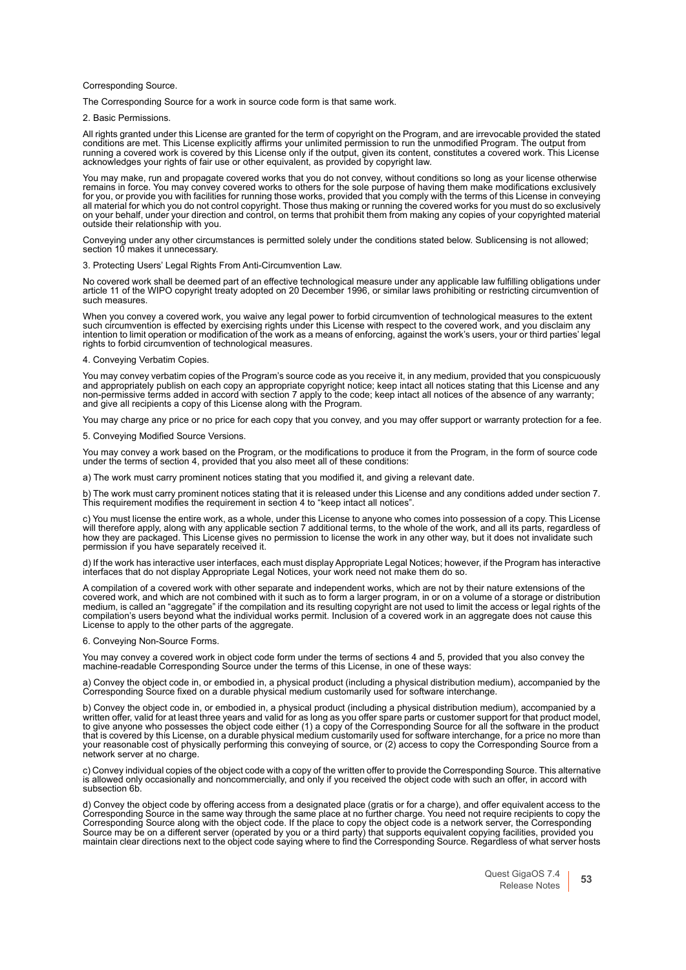#### Corresponding Source.

The Corresponding Source for a work in source code form is that same work.

### 2. Basic Permissions.

All rights granted under this License are granted for the term of copyright on the Program, and are irrevocable provided the stated conditions are met. This License explicitly affirms your unlimited permission to run the unmodified Program. The output from<br>running a covered work is covered by this License only if the output, given its content, constitu

You may make, run and propagate covered works that you do not convey, without conditions so long as your license otherwise remains in force. You may convey covered works to others for the sole purpose of having them make modifications exclusively<br>for you, or provide you with facilities for running those works, provided that you comply with the all material for which you do not control copyright. Those thus making or running the covered works for you must do so exclusively on your behalf, under your direction and control, on terms that prohibit them from making any copies of your copyrighted material<br>outside their relationship with you.

Conveying under any other circumstances is permitted solely under the conditions stated below. Sublicensing is not allowed; section 10 makes it unnecessary.

3. Protecting Users' Legal Rights From Anti-Circumvention Law.

No covered work shall be deemed part of an effective technological measure under any applicable law fulfilling obligations under article 11 of the WIPO copyright treaty adopted on 20 December 1996, or similar laws prohibit such measures.

When you convey a covered work, you waive any legal power to forbid circumvention of technological measures to the extent such circumvention is effected by exercising rights under this License with respect to the covered work, and you disclaim any intention to limit operation or modification of the work as a means of enforcing, against the work's users, your or third parties' legal rights to forbid circumvention of technological measures.

### 4. Conveying Verbatim Copies.

You may convey verbatim copies of the Program's source code as you receive it, in any medium, provided that you conspicuously<br>and appropriately publish on each copy an appropriate copyright notice; keep intact all notices and give all recipients a copy of this License along with the Program.

You may charge any price or no price for each copy that you convey, and you may offer support or warranty protection for a fee.

#### 5. Conveying Modified Source Versions.

You may convey a work based on the Program, or the modifications to produce it from the Program, in the form of source code under the terms of section 4, provided that you also meet all of these conditions:

a) The work must carry prominent notices stating that you modified it, and giving a relevant date.

b) The work must carry prominent notices stating that it is released under this License and any conditions added under section 7. This requirement modifies the requirement in section 4 to "keep intact all notices".

c) You must license the entire work, as a whole, under this License to anyone who comes into possession of a copy. This License will therefore apply, along with any applicable section 7 additional terms, to the whole of the work, and all its parts, regardless of<br>how they are packaged. This License gives no permission to license the work in any othe permission if you have separately received it.

d) If the work has interactive user interfaces, each must display Appropriate Legal Notices; however, if the Program has interactive interfaces that do not display Appropriate Legal Notices, your work need not make them do so.

A compilation of a covered work with other separate and independent works, which are not by their nature extensions of the covered work, and which are not combined with it such as to form a larger program, in or on a volume of a storage or distribution medium, is called an "aggregate" if the compilation and its resulting copyright are not used to limit the access or legal rights of the compilation's users beyond what the individual works permit. Inclusion of a covered work in an aggregate does not cause this License to apply to the other parts of the aggregate.

### 6. Conveying Non-Source Forms.

You may convey a covered work in object code form under the terms of sections 4 and 5, provided that you also convey the machine-readable Corresponding Source under the terms of this License, in one of these ways:

a) Convey the object code in, or embodied in, a physical product (including a physical distribution medium), accompanied by the Corresponding Source fixed on a durable physical medium customarily used for software interchange.

b) Convey the object code in, or embodied in, a physical product (including a physical distribution medium), accompanied by a written offer, valid for at least three years and valid for as long as you offer spare parts or customer support for that product model, to give anyone who possesses the object code either (1) a copy of the Corresponding Source for all the software in the product that is covered by this License, on a durable physical medium customarily used for software interchange, for a price no more than your reasonable cost of physically performing this conveying of source, or (2) access to copy the Corresponding Source from a network server at no charge.

c) Convey individual copies of the object code with a copy of the written offer to provide the Corresponding Source. This alternative is allowed only occasionally and noncommercially, and only if you received the object code with such an offer, in accord with subsection 6b

d) Convey the object code by offering access from a designated place (gratis or for a charge), and offer equivalent access to the Corresponding Source in the same way through the same place at no further charge. You need not require recipients to copy the Corresponding Source along with the object code. If the place to copy the object code is a network server, the Corresponding Source may be on a different server (operated by you or a third party) that supports equivalent copying facilities, provided you<br>maintain clear directions next to the object code saying where to find the Corresponding Sour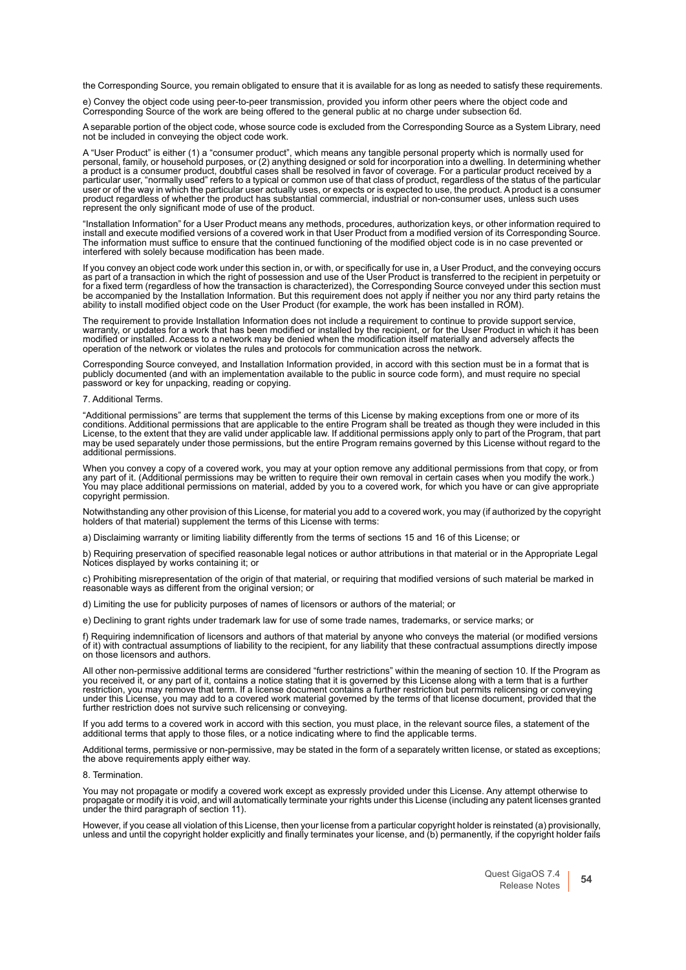the Corresponding Source, you remain obligated to ensure that it is available for as long as needed to satisfy these requirements.

e) Convey the object code using peer-to-peer transmission, provided you inform other peers where the object code and Corresponding Source of the work are being offered to the general public at no charge under subsection 6d.

A separable portion of the object code, whose source code is excluded from the Corresponding Source as a System Library, need not be included in conveying the object code work.

A "User Product" is either (1) a "consumer product", which means any tangible personal property which is normally used for<br>personal, family, or household purposes, or (2) anything designed or sold for incorporation into a a product is a consumer product, doubtful cases shall be resolved in favor of coverage. For a particular product received by a particular user, "normally used" refers to a typical or common use of that class of product, regardless of the status of the particular user or of the way in which the particular user actually uses, or expects or is expected to use, the product. A product is a consumer product regardless of whether the product has substantial commercial, industrial or non-consumer uses, unless such uses represent the only significant mode of use of the product.

"Installation Information" for a User Product means any methods, procedures, authorization keys, or other information required to The information must suffice to ensure that the continued functioning of the modified object code is in no case prevented or interfered with solely because modification has been made.

If you convey an object code work under this section in, or with, or specifically for use in, a User Product, and the conveying occurs<br>as part of a transaction in which the right of possession and use of the User Product i for a fixed term (regardless of how the transaction is characterized), the Corresponding Source conveyed under this section must<br>be accompanied by the Installation Information. But this requirement does not apply if neithe ability to install modified object code on the User Product (for example, the work has been installed in ROM).

The requirement to provide Installation Information does not include a requirement to continue to provide support service, warranty, or updates for a work that has been modified or installed by the recipient, or for the User Product in which it has been modified or installed. Access to a network may be denied when the modification itself materially and adversely affects the operation of the network or violates the rules and protocols for communication across the network.

Corresponding Source conveyed, and Installation Information provided, in accord with this section must be in a format that is publicly documented (and with an implementation available to the public in source code form), and must require no special password or key for unpacking, reading or copying.

# 7. Additional Terms.

"Additional permissions" are terms that supplement the terms of this License by making exceptions from one or more of its conditions. Additional permissions that are applicable to the entire Program shall be treated as though they were included in this<br>License, to the extent that they are valid under applicable law. If additional permissions additional permissions.

When you convey a copy of a covered work, you may at your option remove any additional permissions from that copy, or from<br>any part of it. (Additional permissions may be written to require their own removal in certain case You may place additional permissions on material, added by you to a covered work, for which you have or can give appropriate copyright permission.

Notwithstanding any other provision of this License, for material you add to a covered work, you may (if authorized by the copyright holders of that material) supplement the terms of this License with terms:

a) Disclaiming warranty or limiting liability differently from the terms of sections 15 and 16 of this License; or

b) Requiring preservation of specified reasonable legal notices or author attributions in that material or in the Appropriate Legal Notices displayed by works containing it; or

c) Prohibiting misrepresentation of the origin of that material, or requiring that modified versions of such material be marked in reasonable ways as different from the original version; or

d) Limiting the use for publicity purposes of names of licensors or authors of the material; or

e) Declining to grant rights under trademark law for use of some trade names, trademarks, or service marks; or

f) Requiring indemnification of licensors and authors of that material by anyone who conveys the material (or modified versions of it) with contractual assumptions of liability to the recipient, for any liability that these contractual assumptions directly impose on those licensors and authors.

All other non-permissive additional terms are considered "further restrictions" within the meaning of section 10. If the Program as you received it, or any part of it, contains a notice stating that it is governed by this License along with a term that is a further<br>restriction, you may remove that term. If a license document contains a further restrict under this License, you may add to a covered work material governed by the terms of that license document, provided that the further restriction does not survive such relicensing or conveying.

If you add terms to a covered work in accord with this section, you must place, in the relevant source files, a statement of the additional terms that apply to those files, or a notice indicating where to find the applicable terms.

Additional terms, permissive or non-permissive, may be stated in the form of a separately written license, or stated as exceptions; the above requirements apply either way.

### 8. Termination.

You may not propagate or modify a covered work except as expressly provided under this License. Any attempt otherwise to propagate or modify it is void, and will automatically terminate your rights under this License (including any patent licenses granted under the third paragraph of section 11).

However, if you cease all violation of this License, then your license from a particular copyright holder is reinstated (a) provisionally, unless and until the copyright holder explicitly and finally terminates your license, and (b) permanently, if the copyright holder fails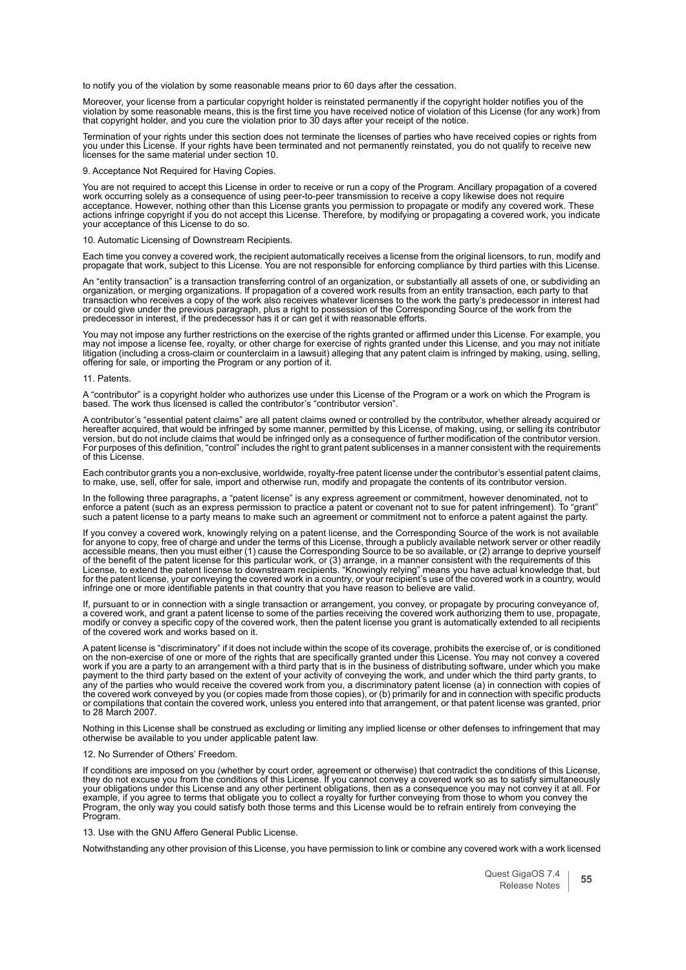to notify you of the violation by some reasonable means prior to 60 days after the cessation.

Moreover, your license from a particular copyright holder is reinstated permanently if the copyright holder notifies you of the violation by some reasonable means, this is the first time you have received notice of violation of this License (for any work) from<br>that copyright holder, and you cure the violation prior to 30 days after your receipt of

Termination of your rights under this section does not terminate the licenses of parties who have received copies or rights from<br>you under this License. If your rights have been terminated and not permanently reinstated, y

9. Acceptance Not Required for Having Copies.

You are not required to accept this License in order to receive or run a copy of the Program. Ancillary propagation of a covered<br>work occurring solely as a consequence of using peer-to-peer transmission to receive a copy l acceptance. However, nothing other than this License grants you permission to propagate or modify any covered work. These actions infringe copyright if you do not accept this License. Therefore, by modifying or propagating a covered work, you indicate your acceptance of this License to do so.

10. Automatic Licensing of Downstream Recipients.

Each time you convey a covered work, the recipient automatically receives a license from the original licensors, to run, modify and propagate that work, subject to this License. You are not responsible for enforcing compliance by third parties with this License.

An "entity transaction" is a transaction transferring control of an organization, or substantially all assets of one, or subdividing an organization, or merging organizations. If propagation of a covered work results from an entity transaction, each party to that transaction who receives a copy of the work also receives whatever licenses to the work the party's predecessor in interest had or could give under the previous paragraph, plus a right to possession of the Corresponding Source of the work from the predecessor in interest, if the predecessor has it or can get it with reasonable efforts.

You may not impose any further restrictions on the exercise of the rights granted or affirmed under this License. For example, you may not impose a license fee, royalty, or other charge for exercise of rights granted under this License, and you may not initiate<br>litigation (including a cross-claim or counterclaim in a lawsuit) alleging that any patent offering for sale, or importing the Program or any portion of it.

11. Patents.

A "contributor" is a copyright holder who authorizes use under this License of the Program or a work on which the Program is based. The work thus licensed is called the contributor's "contributor version".

A contributor's "essential patent claims" are all patent claims owned or controlled by the contributor, whether already acquired or hereafter acquired, that would be infringed by some manner, permitted by this License, of making, using, or selling its contributor version, but do not include claims that would be infringed only as a consequence of further modification of the contributor version. For purposes of this definition, "control" includes the right to grant patent sublicenses in a manner consistent with the requirements of this License.

Each contributor grants you a non-exclusive, worldwide, royalty-free patent license under the contributor's essential patent claims, to make, use, sell, offer for sale, import and otherwise run, modify and propagate the contents of its contributor version.

In the following three paragraphs, a "patent license" is any express agreement or commitment, however denominated, not to enforce a patent (such as an express permission to practice a patent or covenant not to sue for patent infringement). To "grant" such a patent license to a party means to make such an agreement or commitment not to enforce a patent against the party.

If you convey a covered work, knowingly relying on a patent license, and the Corresponding Source of the work is not available for anyone to copy, free of charge and under the terms of this License, through a publicly available network server or other readily accessible means, then you must either (1) cause the Corresponding Source to be so available, or (2) arrange to deprive yourself of the benefit of the patent license for this particular work, or (3) arrange, in a manner consistent with the requirements of this License, to extend the patent license to downstream recipients. "Knowingly relying" means you have actual knowledge that, but<br>for the patent license, your conveying the covered work in a country, or your recipient's use of infringe one or more identifiable patents in that country that you have reason to believe are valid.

If, pursuant to or in connection with a single transaction or arrangement, you convey, or propagate by procuring conveyance of, a covered work, and grant a patent license to some of the parties receiving the covered work authorizing them to use, propagate, modify or convey a specific copy of the covered work, then the patent license you grant is automatically extended to all recipients of the covered work and works based on it.

A patent license is "discriminatory" if it does not include within the scope of its coverage, prohibits the exercise of, or is conditioned<br>on the non-exercise of one or more of the rights that are specifically granted unde work if you are a party to an arrangement with a third party that is in the business of distributing software, under which you make payment to the third party based on the extent of your activity of conveying the work, and under which the third party grants, to any of the parties who would receive the covered work from you, a discriminatory patent license (a) in connection with copies of the covered work conveyed by you (or copies made from those copies), or (b) primarily for and in connection with specific products or compilations that contain the covered work, unless you entered into that arrangement, or that patent license was granted, prior to 28 March 2007.

Nothing in this License shall be construed as excluding or limiting any implied license or other defenses to infringement that may otherwise be available to you under applicable patent law.

### 12. No Surrender of Others' Freedom.

If conditions are imposed on you (whether by court order, agreement or otherwise) that contradict the conditions of this License,<br>they do not excuse you from the conditions of this License. If you cannot convey a covered w your obligations under this License and any other pertinent obligations, then as a consequence you may not convey it at all. For example, if you agree to terms that obligate you to collect a royalty for further conveying from those to whom you convey the Program, the only way you could satisfy both those terms and this License would be to refrain entirely from conveying the Program.

13. Use with the GNU Affero General Public License.

Notwithstanding any other provision of this License, you have permission to link or combine any covered work with a work licensed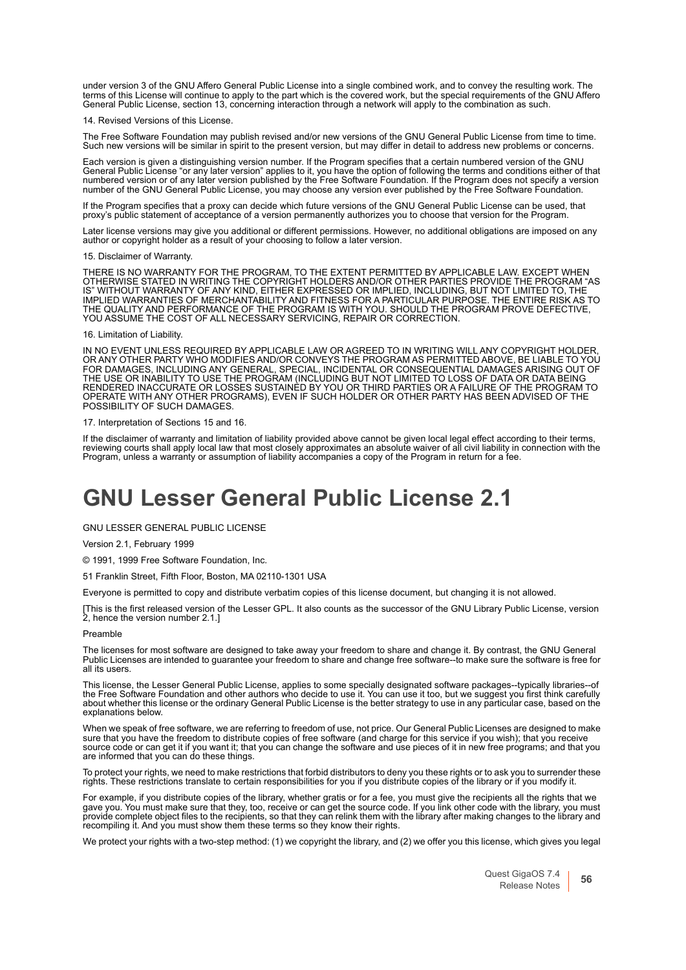under version 3 of the GNU Affero General Public License into a single combined work, and to convey the resulting work. The terms of this License will continue to apply to the part which is the covered work, but the special requirements of the GNU Affero General Public License, section 13, concerning interaction through a network will apply to the combination as such.

14. Revised Versions of this License.

The Free Software Foundation may publish revised and/or new versions of the GNU General Public License from time to time. Such new versions will be similar in spirit to the present version, but may differ in detail to address new problems or concerns.

Each version is given a distinguishing version number. If the Program specifies that a certain numbered version of the GNU General Public License "or any later version" applies to it, you have the option of following the terms and conditions either of that numbered version or of any later version published by the Free Software Foundation. If the Program does not specify a version number of the GNU General Public License, you may choose any version ever published by the Free Software Foundation.

If the Program specifies that a proxy can decide which future versions of the GNU General Public License can be used, that proxy's public statement of acceptance of a version permanently authorizes you to choose that version for the Program.

Later license versions may give you additional or different permissions. However, no additional obligations are imposed on any author or copyright holder as a result of your choosing to follow a later version.

15. Disclaimer of Warranty.

THERE IS NO WARRANTY FOR THE PROGRAM, TO THE EXTENT PERMITTED BY APPLICABLE LAW. EXCEPT WHEN OTHERWISE STATED IN WRITING THE COPYRIGHT HOLDERS AND/OR OTHER PARTIES PROVIDE THE PROGRAM "AS IS" WITHOUT WARRANTY OF ANY KIND, EITHER EXPRESSED OR IMPLIED, INCLUDING, BUT NOT LIMITED TO, THE IMPLIED WARRANTIES OF MERCHANTABILITY AND FITNESS FOR A PARTICULAR PURPOSE. THE ENTIRE RISK AS TO THE QUALITY AND PERFORMANCE OF THE PROGRAM IS WITH YOU. SHOULD THE PROGRAM PROVE DEFECTIVE, YOU ASSUME THE COST OF ALL NECESSARY SERVICING, REPAIR OR CORRECTION.

16. Limitation of Liability.

IN NO EVENT UNLESS REQUIRED BY APPLICABLE LAW OR AGREED TO IN WRITING WILL ANY COPYRIGHT HOLDER,<br>OR ANY OTHER PARTY WHO MODIFIES AND/OR CONVEYS THE PROGRAM AS PERMITTED ABOVE, BE LIABLE TO YOU FOR DAMAGES, INCLUDING ANY GENERAL, SPECIAL, INCIDENTAL OR CONSEQUENTIAL DAMAGES ARISING OUT OF<br>THE USE OR INABILITY TO USE THE PROGRAM (INCLUDING BUT NOT LIMITED TO LOSS OF DATA OR DATA BEING<br>RENDERED INACCURATE OR LOSSES OPERATE WITH ANY OTHER PROGRAMS), EVEN IF SUCH HOLDER OR OTHER PARTY HAS BEEN ADVISED OF THE POSSIBILITY OF SUCH DAMAGES.

17. Interpretation of Sections 15 and 16.

If the disclaimer of warranty and limitation of liability provided above cannot be given local legal effect according to their terms, reviewing courts shall apply local law that most closely approximates an absolute waiver of all civil liability in connection with the Program, unless a warranty or assumption of liability accompanies a copy of the Program in return for a fee.

# <span id="page-55-0"></span>**GNU Lesser General Public License 2.1**

GNU LESSER GENERAL PUBLIC LICENSE

Version 2.1, February 1999

© 1991, 1999 Free Software Foundation, Inc.

51 Franklin Street, Fifth Floor, Boston, MA 02110-1301 USA

Everyone is permitted to copy and distribute verbatim copies of this license document, but changing it is not allowed.

[This is the first released version of the Lesser GPL. It also counts as the successor of the GNU Library Public License, version 2, hence the version number 2.1.]

# Preamble

The licenses for most software are designed to take away your freedom to share and change it. By contrast, the GNU General Public Licenses are intended to guarantee your freedom to share and change free software--to make sure the software is free for all its users.

This license, the Lesser General Public License, applies to some specially designated software packages--typically libraries--of the Free Software Foundation and other authors who decide to use it. You can use it too, but we suggest you first think carefully about whether this license or the ordinary General Public License is the better strategy to use in any particular case, based on the explanations below.

When we speak of free software, we are referring to freedom of use, not price. Our General Public Licenses are designed to make sure that you have the freedom to distribute copies of free software (and charge for this serv source code or can get it if you want it; that you can change the software and use pieces of it in new free programs; and that you are informed that you can do these things.

To protect your rights, we need to make restrictions that forbid distributors to deny you these rights or to ask you to surrender these rights. These restrictions translate to certain responsibilities for you if you distribute copies of the library or if you modify it.

For example, if you distribute copies of the library, whether gratis or for a fee, you must give the recipients all the rights that we gave you. You must make sure that they, too, receive or can get the source code. If you link other code with the library, you must provide complete object files to the recipients, so that they can relink them with the library after making changes to the library and recompiling it. And you must show them these terms so they know their rights.

We protect your rights with a two-step method: (1) we copyright the library, and (2) we offer you this license, which gives you legal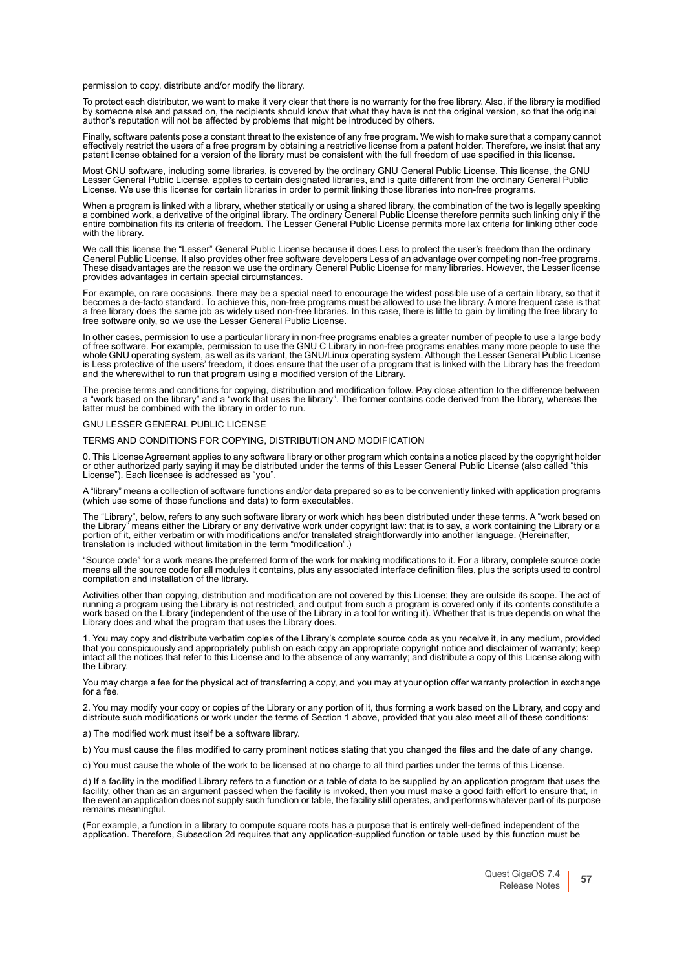permission to copy, distribute and/or modify the library.

To protect each distributor, we want to make it very clear that there is no warranty for the free library. Also, if the library is modified by someone else and passed on, the recipients should know that what they have is not the original version, so that the original author's reputation will not be affected by problems that might be introduced by others.

Finally, software patents pose a constant threat to the existence of any free program. We wish to make sure that a company cannot<br>effectively restrict the users of a free program by obtaining a restrictive license from a p

Most GNU software, including some libraries, is covered by the ordinary GNU General Public License. This license, the GNU Lesser General Public License, applies to certain designated libraries, and is quite different from the ordinary General Public<br>License. We use this license for certain libraries in order to permit linking those libraries

When a program is linked with a library, whether statically or using a shared library, the combination of the two is legally speaking a combined work, a derivative of the original library. The ordinary General Public License therefore permits such linking only if the<br>entire combination fits its criteria of freedom. The Lesser General Public License permi with the library.

We call this license the "Lesser" General Public License because it does Less to protect the user's freedom than the ordinary General Public License. It also provides other free software developers Less of an advantage over competing non-free programs. These disadvantages are the reason we use the ordinary General Public License for many libraries. However, the Lesser license provides advantages in certain special circumstances.

For example, on rare occasions, there may be a special need to encourage the widest possible use of a certain library, so that it becomes a de-facto standard. To achieve this, non-free programs must be allowed to use the library. A more frequent case is that a free library does the same job as widely used non-free libraries. In this case, there is little to gain by limiting the free library to free software only, so we use the Lesser General Public License.

In other cases, permission to use a particular library in non-free programs enables a greater number of people to use a large body<br>of free software. For example, permission to use the GNU C Library in non-free programs ena whole GNU operating system, as well as its variant, the GNU/Linux operating system. Although the Lesser General Public License is Less protective of the users' freedom, it does ensure that the user of a program that is linked with the Library has the freedom and the wherewithal to run that program using a modified version of the Library.

The precise terms and conditions for copying, distribution and modification follow. Pay close attention to the difference between<br>a "work based on the library" and a "work that uses the library". The former contains code d

# GNU LESSER GENERAL PUBLIC LICENSE

TERMS AND CONDITIONS FOR COPYING, DISTRIBUTION AND MODIFICATION

0. This License Agreement applies to any software library or other program which contains a notice placed by the copyright holder or other authorized party saying it may be distributed under the terms of this Lesser General Public License (also called "this License"). Each licensee is addressed as "you".

A "library" means a collection of software functions and/or data prepared so as to be conveniently linked with application programs (which use some of those functions and data) to form executables.

The "Library", below, refers to any such software library or work which has been distributed under these terms. A "work based on<br>the Library" means either the Library or any derivative work under copyright law: that is to portion of it, either verbatim or with modifications and/or translated straightforwardly into another language. (Hereinafter, translation is included without limitation in the term "modification".)

"Source code" for a work means the preferred form of the work for making modifications to it. For a library, complete source code means all the source code for all modules it contains, plus any associated interface definition files, plus the scripts used to control compilation and installation of the library.

Activities other than copying, distribution and modification are not covered by this License; they are outside its scope. The act of running a program using the Library is not restricted, and output from such a program is covered only if its contents constitute a work based on the Library (independent of the use of the Library in a tool for writing it). Whether that is true depends on what the Library does and what the program that uses the Library does.

1. You may copy and distribute verbatim copies of the Library's complete source code as you receive it, in any medium, provided that you conspicuously and appropriately publish on each copy an appropriate copyright notice and disclaimer of warranty; keep<br>intact all the notices that refer to this License and to the absence of any warranty; and distr the Library.

You may charge a fee for the physical act of transferring a copy, and you may at your option offer warranty protection in exchange for a fee.

2. You may modify your copy or copies of the Library or any portion of it, thus forming a work based on the Library, and copy and distribute such modifications or work under the terms of Section 1 above, provided that you also meet all of these conditions:

a) The modified work must itself be a software library.

b) You must cause the files modified to carry prominent notices stating that you changed the files and the date of any change.

c) You must cause the whole of the work to be licensed at no charge to all third parties under the terms of this License.

d) If a facility in the modified Library refers to a function or a table of data to be supplied by an application program that uses the facility, other than as an argument passed when the facility is invoked, then you must make a good faith effort to ensure that, in<br>the event an application does not supply such function or table, the facility still operate remains meaningful.

(For example, a function in a library to compute square roots has a purpose that is entirely well-defined independent of the application. Therefore, Subsection 2d requires that any application-supplied function or table used by this function must be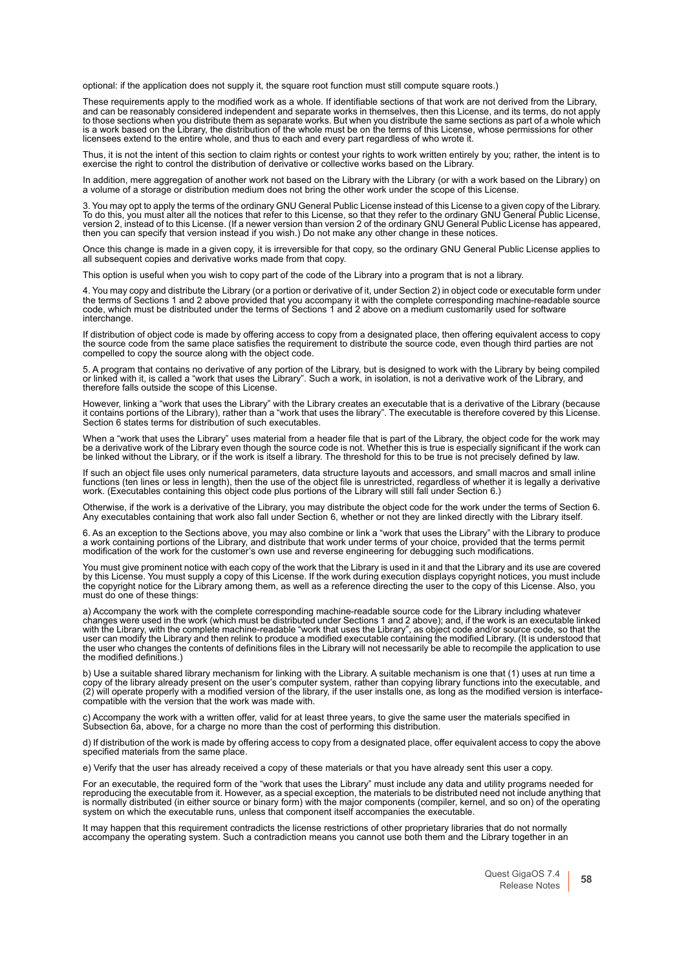optional: if the application does not supply it, the square root function must still compute square roots.)

These requirements apply to the modified work as a whole. If identifiable sections of that work are not derived from the Library, and can be reasonably considered independent and separate works in themselves, then this License, and its terms, do not apply<br>to those sections when you distribute them as separate works. But when you distribute the same s is a work based on the Library, the distribution of the whole must be on the terms of this License, whose permissions for other<br>licensees extend to the entire whole, and thus to each and every part regardless of who wrote

Thus, it is not the intent of this section to claim rights or contest your rights to work written entirely by you; rather, the intent is to exercise the right to control the distribution of derivative or collective works based on the Library.

In addition, mere aggregation of another work not based on the Library with the Library (or with a work based on the Library) on a volume of a storage or distribution medium does not bring the other work under the scope of this License.

3. You may opt to apply the terms of the ordinary GNU General Public License instead of this License to a given copy of the Library. To do this, you must alter all the notices that refer to this License, so that they refer to the ordinary GNU General Public License,<br>version 2, instead of to this License. (If a newer version than version 2 of the ordinar then you can specify that version instead if you wish.) Do not make any other change in these notices.

Once this change is made in a given copy, it is irreversible for that copy, so the ordinary GNU General Public License applies to all subsequent copies and derivative works made from that copy.

This option is useful when you wish to copy part of the code of the Library into a program that is not a library.

4. You may copy and distribute the Library (or a portion or derivative of it, under Section 2) in object code or executable form under the terms of Sections 1 and 2 above provided that you accompany it with the complete corresponding machine-readable source<br>code, which must be distributed under the terms of Sections 1 and 2 above on a medium customarily u interchange.

If distribution of object code is made by offering access to copy from a designated place, then offering equivalent access to copy the source code from the same place satisfies the requirement to distribute the source code, even though third parties are not compelled to copy the source along with the object code.

5. A program that contains no derivative of any portion of the Library, but is designed to work with the Library by being compiled<br>or linked with it, is called a "work that uses the Library". Such a work, in isolation, is therefore falls outside the scope of this License.

However, linking a "work that uses the Library" with the Library creates an executable that is a derivative of the Library (because it contains portions of the Library), rather than a "work that uses the library". The exec Section 6 states terms for distribution of such executables.

When a "work that uses the Library" uses material from a header file that is part of the Library, the object code for the work may<br>be a derivative work of the Library even though the source code is not. Whether this is tru

If such an object file uses only numerical parameters, data structure layouts and accessors, and small macros and small inline functions (ten lines or less in length), then the use of the object file is unrestricted, regardless of whether it is legally a derivative work. (Executables containing this object code plus portions of the Library will still fall under Section 6.)

Otherwise, if the work is a derivative of the Library, you may distribute the object code for the work under the terms of Section 6. Any executables containing that work also fall under Section 6, whether or not they are linked directly with the Library itself.

6. As an exception to the Sections above, you may also combine or link a "work that uses the Library" with the Library to produce a work containing portions of the Library, and distribute that work under terms of your choice, provided that the terms permit modification of the work for the customer's own use and reverse engineering for debugging such modifications.

You must give prominent notice with each copy of the work that the Library is used in it and that the Library and its use are covered by this License. You must supply a copy of this License. If the work during execution displays copyright notices, you must include<br>the copyright notice for the Library among them, as well as a reference directing the user must do one of these things:

a) Accompany the work with the complete corresponding machine-readable source code for the Library including whatever changes were used in the work (which must be distributed under Sections 1 and 2 above); and, if the work is an executable linked with the Library, with the complete machine-readable "work that uses the Library", as object code and/or source code, so that the user can modify the Library and then relink to produce a modified executable containing the modified Library. (It is understood that the user who changes the contents of definitions files in the Library will not necessarily be able to recompile the application to use the modified definitions.)

b) Use a suitable shared library mechanism for linking with the Library. A suitable mechanism is one that (1) uses at run time a copy of the library already present on the user's computer system, rather than copying library functions into the executable, and (2) will operate properly with a modified version of the library, if the user installs one, as long as the modified version is interfacecompatible with the version that the work was made with.

c) Accompany the work with a written offer, valid for at least three years, to give the same user the materials specified in Subsection 6a, above, for a charge no more than the cost of performing this distribution.

d) If distribution of the work is made by offering access to copy from a designated place, offer equivalent access to copy the above specified materials from the same place.

e) Verify that the user has already received a copy of these materials or that you have already sent this user a copy.

For an executable, the required form of the "work that uses the Library" must include any data and utility programs needed for<br>reproducing the executable from it. However, as a special exception, the materials to be distri system on which the executable runs, unless that component itself accompanies the executable.

It may happen that this requirement contradicts the license restrictions of other proprietary libraries that do not normally accompany the operating system. Such a contradiction means you cannot use both them and the Library together in an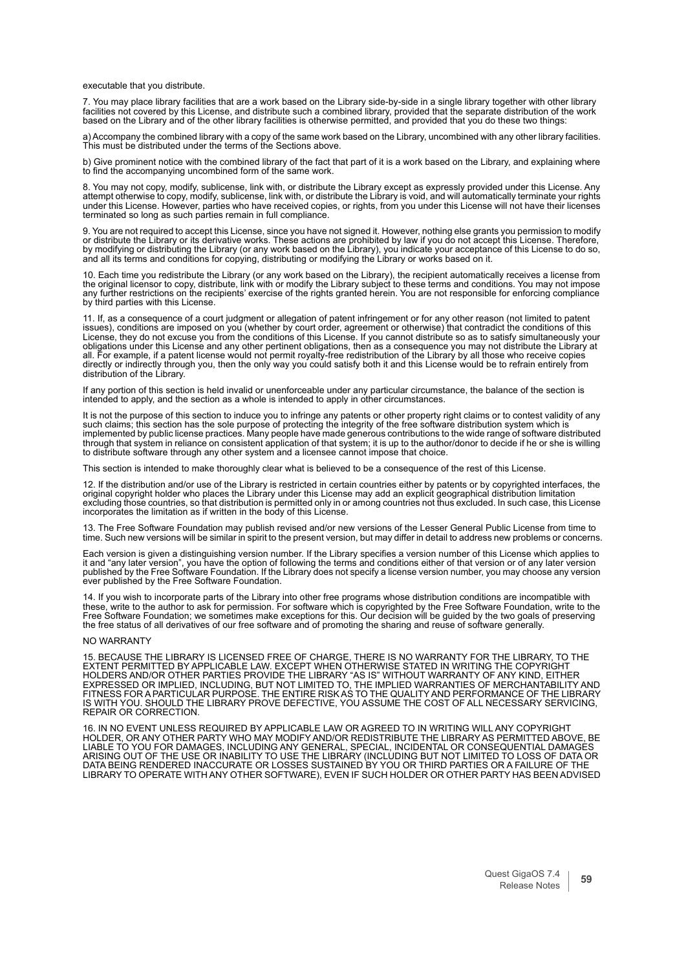executable that you distribute.

7. You may place library facilities that are a work based on the Library side-by-side in a single library together with other library facilities not covered by this License, and distribute such a combined library, provided that the separate distribution of the work<br>based on the Library and of the other library facilities is otherwise permitted, and provi

a) Accompany the combined library with a copy of the same work based on the Library, uncombined with any other library facilities. This must be distributed under the terms of the Sections above.

b) Give prominent notice with the combined library of the fact that part of it is a work based on the Library, and explaining where to find the accompanying uncombined form of the same work.

8. You may not copy, modify, sublicense, link with, or distribute the Library except as expressly provided under this License. Any<br>attempt otherwise to copy, modify, sublicense, link with, or distribute the Library is void under this License. However, parties who have received copies, or rights, from you under this License will not have their licenses terminated so long as such parties remain in full compliance.

9. You are not required to accept this License, since you have not signed it. However, nothing else grants you permission to modify or distribute the Library or its derivative works. These actions are prohibited by law if you do not accept this License. Therefore,<br>by modifying or distributing the Library (or any work based on the Library), you indicate and all its terms and conditions for copying, distributing or modifying the Library or works based on it.

10. Each time you redistribute the Library (or any work based on the Library), the recipient automatically receives a license from the original licensor to copy, distribute, link with or modify the Library subject to these terms and conditions. You may not impose any further restrictions on the recipients' exercise of the rights granted herein. You are not responsible for enforcing compliance by third parties with this License.

11. If, as a consequence of a court judgment or allegation of patent infringement or for any other reason (not limited to patent issues), conditions are imposed on you (whether by court order, agreement or otherwise) that contradict the conditions of this<br>License, they do not excuse you from the conditions of this License. If you cannot distribute s all. For example, if a patent license would not permit royalty-free redistribution of the Library by all those who receive copies directly or indirectly through you, then the only way you could satisfy both it and this License would be to refrain entirely from distribution of the Library.

If any portion of this section is held invalid or unenforceable under any particular circumstance, the balance of the section is intended to apply, and the section as a whole is intended to apply in other circumstances.

It is not the purpose of this section to induce you to infringe any patents or other property right claims or to contest validity of any such claims; this section has the sole purpose of protecting the integrity of the free software distribution system which is<br>implemented by public license practices. Many people have made generous contributions to the wide through that system in reliance on consistent application of that system; it is up to the author/donor to decide if he or she is willing to distribute software through any other system and a licensee cannot impose that choice.

This section is intended to make thoroughly clear what is believed to be a consequence of the rest of this License.

12. If the distribution and/or use of the Library is restricted in certain countries either by patents or by copyrighted interfaces, the original copyright holder who places the Library under this License may add an explicit geographical distribution limitation excluding those countries, so that distribution is permitted only in or among countries not thus excluded. In such case, this License incorporates the limitation as if written in the body of this License.

13. The Free Software Foundation may publish revised and/or new versions of the Lesser General Public License from time to time. Such new versions will be similar in spirit to the present version, but may differ in detail to address new problems or concerns.

Each version is given a distinguishing version number. If the Library specifies a version number of this License which applies to it and "any later version", you have the option of following the terms and conditions either of that version or of any later version<br>published by the Free Software Foundation. If the Library does not specify a license vers ever published by the Free Software Foundation.

14. If you wish to incorporate parts of the Library into other free programs whose distribution conditions are incompatible with<br>these, write to the author to ask for permission. For software which is copyrighted by the Fr Free Software Foundation; we sometimes make exceptions for this. Our decision will be guided by the two goals of preserving the free status of all derivatives of our free software and of promoting the sharing and reuse of software generally.

#### NO WARRANTY

15. BECAUSE THE LIBRARY IS LICENSED FREE OF CHARGE, THERE IS NO WARRANTY FOR THE LIBRARY, TO THE EXTENT PERMITTED BY APPLICABLE LAW. EXCEPT WHEN OTHERWISE STATED IN WRITING THE COPYRIGHT<br>HOLDERS AND/OR OTHER PARTIES PROVIDE THE LIBRARY "AS IS" WITHOUT WARRANTY OF ANY KIND, EITHER<br>EXPRESSED OR IMPLIED, INCLUDING, BUT N FITNESS FOR A PARTICULAR PURPOSE. THE ENTIRE RISK AS TO THE QUALITY AND PERFORMANCE OF THE LIBRARY<br>IS WITH YOU. SHOULD THE LIBRARY PROVE DEFECTIVE, YOU ASSUME THE COST OF ALL NECESSARY SERVICING, REPAIR OR CORRECTION.

16. IN NO EVENT UNLESS REQUIRED BY APPLICABLE LAW OR AGREED TO IN WRITING WILL ANY COPYRIGHT HOLDER, OR ANY OTHER PARTY WHO MAY MODIFY AND/OR REDISTRIBUTE THE LIBRARY AS PERMITTED ABOVE, BE LIABLE TO YOU FOR DAMAGES, INCLUDING ANY GENERAL, SPECIAL, INCIDENTAL OR CONSEQUENTIAL DAMAGES ARISING OUT OF THE USE OR INABILITY TO USE THE LIBRARY (INCLUDING BUT NOT LIMITED TO LOSS OF DATA OR<br>DATA BEING RENDERED INACCURATE OR LOSSES SUSTAINED BY YOU OR THIRD PARTIES OR A FAILURE OF THE LIBRARY TO OPERATE WITH ANY OTHER SOFTWARE), EVEN IF SUCH HOLDER OR OTHER PARTY HAS BEEN ADVISED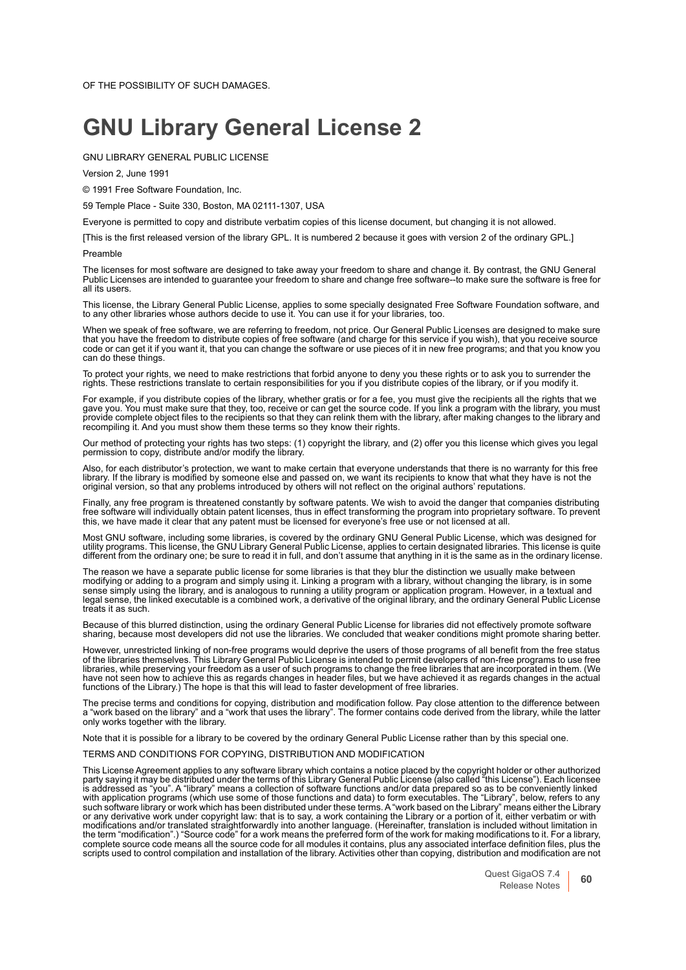OF THE POSSIBILITY OF SUCH DAMAGES.

# **GNU Library General License 2**

GNU LIBRARY GENERAL PUBLIC LICENSE

Version 2, June 1991

© 1991 Free Software Foundation, Inc.

59 Temple Place - Suite 330, Boston, MA 02111-1307, USA

Everyone is permitted to copy and distribute verbatim copies of this license document, but changing it is not allowed.

[This is the first released version of the library GPL. It is numbered 2 because it goes with version 2 of the ordinary GPL.]

#### Preamble

The licenses for most software are designed to take away your freedom to share and change it. By contrast, the GNU General Public Licenses are intended to guarantee your freedom to share and change free software--to make sure the software is free for all its users.

This license, the Library General Public License, applies to some specially designated Free Software Foundation software, and to any other libraries whose authors decide to use it. You can use it for your libraries, too.

When we speak of free software, we are referring to freedom, not price. Our General Public Licenses are designed to make sure<br>that you have the freedom to distribute copies of free software (and charge for this service if code or can get it if you want it, that you can change the software or use pieces of it in new free programs; and that you know you can do these things.

To protect your rights, we need to make restrictions that forbid anyone to deny you these rights or to ask you to surrender the rights. These restrictions translate to certain responsibilities for you if you distribute copies of the library, or if you modify it.

For example, if you distribute copies of the library, whether gratis or for a fee, you must give the recipients all the rights that we gave you. You must make sure that they, too, receive or can get the source code. If you link a program with the library, you must provide complete object files to the recipients so that they can relink them with the library, after making changes to the library and recompiling it. And you must show them these terms so they know their rights.

Our method of protecting your rights has two steps: (1) copyright the library, and (2) offer you this license which gives you legal permission to copy, distribute and/or modify the library.

Also, for each distributor's protection, we want to make certain that everyone understands that there is no warranty for this free library. If the library is modified by someone else and passed on, we want its recipients to know that what they have is not the original version, so that any problems introduced by others will not reflect on the original authors' reputations.

Finally, any free program is threatened constantly by software patents. We wish to avoid the danger that companies distributing free software will individually obtain patent licenses, thus in effect transforming the program into proprietary software. To prevent this, we have made it clear that any patent must be licensed for everyone's free use or not licensed at all.

Most GNU software, including some libraries, is covered by the ordinary GNU General Public License, which was designed for<br>utility programs. This license, the GNU Library General Public License, applies to certain designat different from the ordinary one; be sure to read it in full, and don't assume that anything in it is the same as in the ordinary license.

The reason we have a separate public license for some libraries is that they blur the distinction we usually make between modifying or adding to a program and simply using it. Linking a program with a library, without changing the library, is in some sense simply using the library, and is analogous to running a utility program or application program. However, in a textual and legal sense, the linked executable is a combined work, a derivative of the original library, and the ordinary General Public License treats it as such.

Because of this blurred distinction, using the ordinary General Public License for libraries did not effectively promote software sharing, because most developers did not use the libraries. We concluded that weaker conditions might promote sharing better.

However, unrestricted linking of non-free programs would deprive the users of those programs of all benefit from the free status of the libraries themselves. This Library General Public License is intended to permit developers of non-free programs to use free libraries, while preserving your freedom as a user of such programs to change the free libraries that are incorporated in them. (We have not seen how to achieve this as regards changes in header files, but we have achieved it as regards changes in the actual functions of the Library.) The hope is that this will lead to faster development of free libraries.

The precise terms and conditions for copying, distribution and modification follow. Pay close attention to the difference between a "work based on the library" and a "work that uses the library". The former contains code derived from the library, while the latter only works together with the library.

Note that it is possible for a library to be covered by the ordinary General Public License rather than by this special one.

# TERMS AND CONDITIONS FOR COPYING, DISTRIBUTION AND MODIFICATION

This License Agreement applies to any software library which contains a notice placed by the copyright holder or other authorized party saying it may be distributed under the terms of this Library General Public License (a party saying it may be distributed under the terms of this Library General Public License (also called "this License"). Each licensee<br>is addressed as "you". A "library" means a collection of software functions and/or data with application programs (which use some of those functions and data) to form executables. The "Library", below, refers to any such software library or work which has been distributed under these terms. A "work based on the Library" means either the Library<br>or any derivative work under copyright law: that is to say, a work containing the Library o modifications and/or translated straightforwardly into another language. (Hereinafter, translation is included without limitation in<br>the term "modification".) "Source code" for a work means the preferred form of the work f complete source code means all the source code for all modules it contains, plus any associated interface definition files, plus the scripts used to control compilation and installation of the library. Activities other than copying, distribution and modification are not

> Quest GigaOS 7.4 Release Notes **<sup>60</sup>**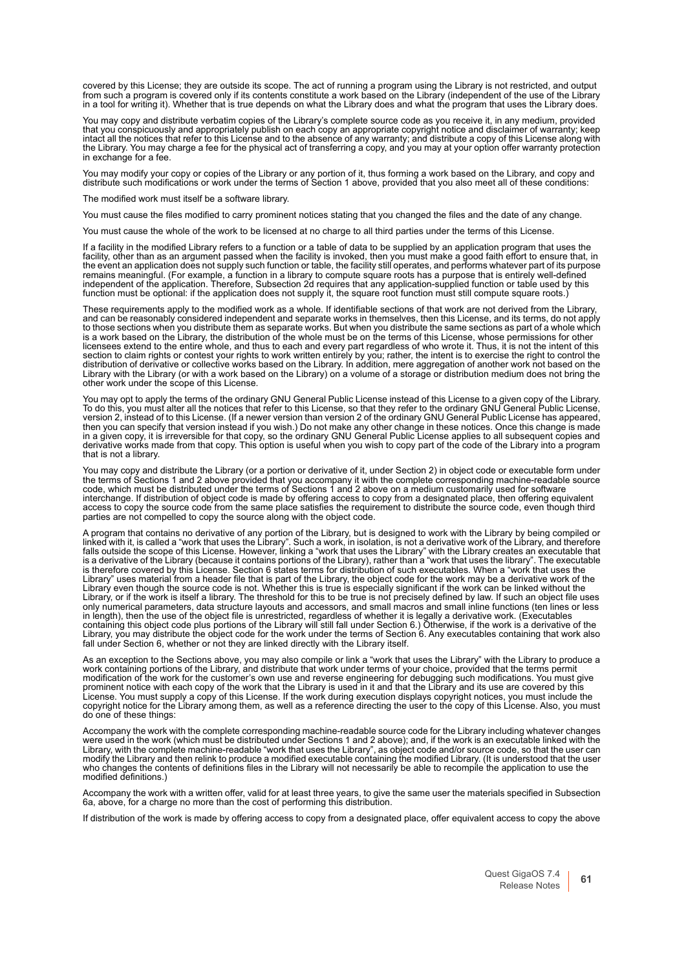covered by this License; they are outside its scope. The act of running a program using the Library is not restricted, and output from such a program is covered only if its contents constitute a work based on the Library (independent of the use of the Library in a tool for writing it). Whether that is true depends on what the Library does and what the program that uses the Library does.

You may copy and distribute verbatim copies of the Library's complete source code as you receive it, in any medium, provided that you conspicuously and appropriately publish on each copy an appropriate copyright notice and disclaimer of warranty; keep<br>intact all the notices that refer to this License and to the absence of any warranty; and distr in exchange for a fee.

You may modify your copy or copies of the Library or any portion of it, thus forming a work based on the Library, and copy and<br>distribute such modifications or work under the terms of Section 1 above, provided that you als

The modified work must itself be a software library.

You must cause the files modified to carry prominent notices stating that you changed the files and the date of any change.

You must cause the whole of the work to be licensed at no charge to all third parties under the terms of this License.

If a facility in the modified Library refers to a function or a table of data to be supplied by an application program that uses the facility, other than as an argument passed when the facility is invoked, then you must make a good faith effort to ensure that, in the event an application does not supply such function or table, the facility still operates, and performs whatever part of its purpose remains meaningful. (For example, a function in a library to compute square roots has a purpose that is entirely well-defined independent of the application. Therefore, Subsection 2d requires that any application-supplied function or table used by this function must be optional: if the application does not supply it, the square root function must still compute square roots.)

These requirements apply to the modified work as a whole. If identifiable sections of that work are not derived from the Library, and can be reasonably considered independent and separate works in themselves, then this License, and its terms, do not apply to those sections when you distribute them as separate works. But when you distribute the same sections as part of a whole which<br>is a work based on the Library, the distribution of the whole must be on the terms of this Li section to claim rights or contest your rights to work written entirely by you; rather, the intent is to exercise the right to control the distribution of derivative or collective works based on the Library. In addition, mere aggregation of another work not based on the Library with the Library (or with a work based on the Library) on a volume of a storage or distribution medium does not bring the other work under the scope of this License.

You may opt to apply the terms of the ordinary GNU General Public License instead of this License to a given copy of the Library.<br>To do this, you must alter all the notices that refer to this License, so that they refer to version 2, instead of to this License. (If a newer version than version 2 of the ordinary GNU General Public License has appeared, then you can specify that version instead if you wish.) Do not make any other change in these notices. Once this change is made in a given copy, it is irreversible for that copy, so the ordinary GNU General Public License applies to all subsequent copies and derivative works made from that copy. This option is useful when you wish to copy part of the code of the Library into a program that is not a library.

You may copy and distribute the Library (or a portion or derivative of it, under Section 2) in object code or executable form under the terms of Sections 1 and 2 above provided that you accompany it with the complete corresponding machine-readable source<br>code, which must be distributed under the terms of Sections 1 and 2 above on a medium customarily u interchange. If distribution of object code is made by offering access to copy from a designated place, then offering equivalent access to copy the source code from the same place satisfies the requirement to distribute the source code, even though third parties are not compelled to copy the source along with the object code.

A program that contains no derivative of any portion of the Library, but is designed to work with the Library by being compiled or linked with it, is called a "work that uses the Library". Such a work, in isolation, is not a derivative work of the Library, and therefore<br>falls outside the scope of this License. However, linking a "work that uses the Li is therefore covered by this License. Section 6 states terms for distribution of such executables. When a "work that uses the<br>Library" uses material from a header file that is part of the Library, the object code for the w Library even though the source code is not. Whether this is true is especially significant if the work can be linked without the Library, or if the work is itself a library. The threshold for this to be true is not precisely defined by law. If such an object file uses only numerical parameters, data structure layouts and accessors, and small macros and small inline functions (ten lines or less in length), then the use of the object file is unrestricted, regardless of whether it is legally a derivative work. (Executables containing this object code plus portions of the Library will still fall under Section 6.) Otherwise, if the work is a derivative of the<br>Library, you may distribute the object code for the work under the terms of Section 6

As an exception to the Sections above, you may also compile or link a "work that uses the Library" with the Library to produce a work containing portions of the Library, and distribute that work under terms of your choice, provided that the terms permit modification of the work for the customer's own use and reverse engineering for debugging such modifications. You must give prominent notice with each copy of the work that the Library is used in it and that the Library and its use are covered by this<br>License. You must supply a copy of this License. If the work during execution displays copyrig do one of these things:

Accompany the work with the complete corresponding machine-readable source code for the Library including whatever changes were used in the work (which must be distributed under Sections 1 and 2 above); and, if the work is an executable linked with the Library, with the complete machine-readable "work that uses the Library", as object code and/or source code, so that the user can modify the Library and then relink to produce a modified executable containing the modified Library. (It is understood that the user who changes the contents of definitions files in the Library will not necessarily be able to recompile the application to use the modified definitions.)

Accompany the work with a written offer, valid for at least three years, to give the same user the materials specified in Subsection 6a, above, for a charge no more than the cost of performing this distribution.

If distribution of the work is made by offering access to copy from a designated place, offer equivalent access to copy the above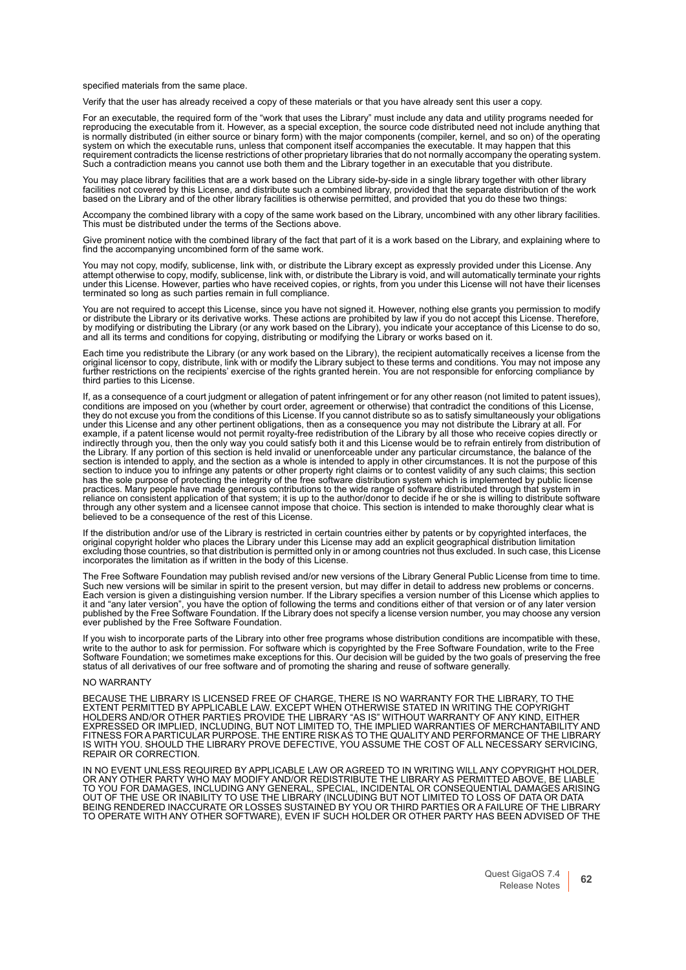specified materials from the same place.

Verify that the user has already received a copy of these materials or that you have already sent this user a copy.

For an executable, the required form of the "work that uses the Library" must include any data and utility programs needed for<br>reproducing the executable from it. However, as a special exception, the source code distribute is normally distributed (in either source or binary form) with the major components (compiler, kernel, and so on) of the operating<br>system on which the executable runs, unless that component itself accompanies the executabl requirement contradicts the license restrictions of other proprietary libraries that do not normally accompany the operating system. Such a contradiction means you cannot use both them and the Library together in an executable that you distribute.

You may place library facilities that are a work based on the Library side-by-side in a single library together with other library facilities not covered by this License, and distribute such a combined library, provided that the separate distribution of the work based on the Library and of the other library facilities is otherwise permitted, and provided that you do these two things:

Accompany the combined library with a copy of the same work based on the Library, uncombined with any other library facilities. This must be distributed under the terms of the Sections above.

Give prominent notice with the combined library of the fact that part of it is a work based on the Library, and explaining where to find the accompanying uncombined form of the same work.

You may not copy, modify, sublicense, link with, or distribute the Library except as expressly provided under this License. Any<br>attempt otherwise to copy, modify, sublicense, link with, or distribute the Library is void, a under this License. However, parties who have received copies, or rights, from you under this License will not have their licenses terminated so long as such parties remain in full compliance.

You are not required to accept this License, since you have not signed it. However, nothing else grants you permission to modify or distribute the Library or its derivative works. These actions are prohibited by law if you do not accept this License. Therefore, by modifying or distributing the Library (or any work based on the Library), you indicate your acceptance of this License to do so,<br>and all its terms and conditions for copying, distributing or modifying the Library or wor

Each time you redistribute the Library (or any work based on the Library), the recipient automatically receives a license from the original licensor to copy, distribute, link with or modify the Library subject to these terms and conditions. You may not impose any<br>further restrictions on the recipients' exercise of the rights granted herein. You are no third parties to this License.

If, as a consequence of a court judgment or allegation of patent infringement or for any other reason (not limited to patent issues), conditions are imposed on you (whether by court order, agreement or otherwise) that contradict the conditions of this License, they do not excuse you from the conditions of this License. If you cannot distribute so as to satisfy simultaneously your obligations under this License and any other pertinent obligations, then as a consequence you may not distribute the Library at all. For<br>example, if a patent license would not permit royalty-free redistribution of the Library by all t the Library. If any portion of this section is held invalid or unenforceable under any particular circumstance, the balance of the section is intended to apply, and the section as a whole is intended to apply in other circumstances. It is not the purpose of this section to induce you to infringe any patents or other property right claims or to contest validity of any such claims; this section has the sole purpose of protecting the integrity of the free software distribution system which is implemented by public license<br>practices. Many people have made generous contributions to the wide range of software distrib through any other system and a licensee cannot impose that choice. This section is intended to make thoroughly clear what is believed to be a consequence of the rest of this License.

If the distribution and/or use of the Library is restricted in certain countries either by patents or by copyrighted interfaces, the original copyright holder who places the Library under this License may add an explicit geographical distribution limitation excluding those countries, so that distribution is permitted only in or among countries not thus excluded. In such case, this License incorporates the limitation as if written in the body of this License.

The Free Software Foundation may publish revised and/or new versions of the Library General Public License from time to time.<br>Such new versions will be similar in spirit to the present version, but may differ in detail to it and "any later version", you have the option of following the terms and conditions either of that version or of any later version<br>published by the Free Software Foundation. If the Library does not specify a license vers ever published by the Free Software Foundation.

If you wish to incorporate parts of the Library into other free programs whose distribution conditions are incompatible with these,<br>write to the author to ask for permission. For software which is copyrighted by the Free S status of all derivatives of our free software and of promoting the sharing and reuse of software generally.

#### NO WARRANTY

BECAUSE THE LIBRARY IS LICENSED FREE OF CHARGE, THERE IS NO WARRANTY FOR THE LIBRARY, TO THE EXTENT PERMITTED BY APPLICABLE LAW. EXCEPT WHEN OTHERWISE STATED IN WRITING THE COPYRIGHT<br>HOLDERS AND/OR OTHER PARTIES PROVIDE THE LIBRARY "AS IS" WITHOUT WARRANTY OF ANY KIND, EITHER<br>EXPRESSED OR IMPLIED, INCLUDING, BUT N FITNESS FOR A PARTICULAR PURPOSE. THE ENTIRE RISK AS TO THE QUALITY AND PERFORMANCE OF THE LIBRARY<br>IS WITH YOU. SHOULD THE LIBRARY PROVE DEFECTIVE, YOU ASSUME THE COST OF ALL NECESSARY SERVICING, REPAIR OR CORRECTION.

IN NO EVENT UNLESS REQUIRED BY APPLICABLE LAW OR AGREED TO IN WRITING WILL ANY COPYRIGHT HOLDER,<br>OR ANY OTHER PARTY WHO MAY MODIFY AND/OR REDISTRIBUTE THE LIBRARY AS PERMITTED ABOVE, BE LIABLE TO YOU FOR DAMAGES, INCLUDING ANY GENERAL, SPECIAL, INCIDENTAL OR CONSEQUENTIAL DAMAGES ARISING OUT OF THE USE OR INABILITY TO USE THE LIBRARY (INCLUDING BUT NOT LIMITED TO LOSS OF DATA OR DATA<br>BEING RENDERED INACCURATE OR LOSSES SUSTAINED BY YOU OR THIRD PARTIES OR A FAILURE OF THE LIBRARY<br>TO OPERATE WITH ANY OTHER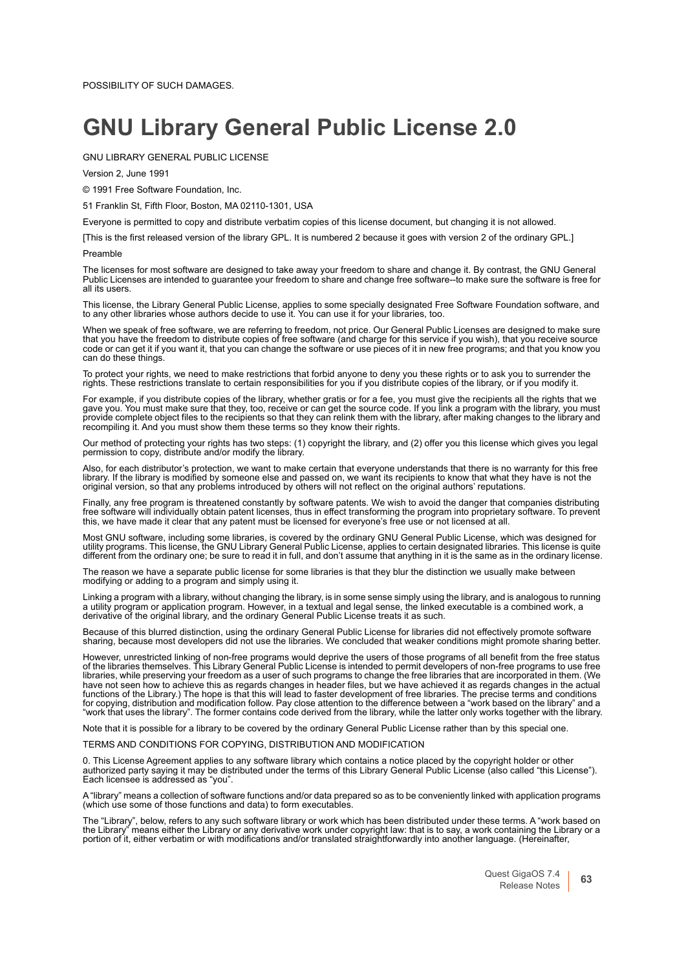POSSIBILITY OF SUCH DAMAGES.

# **GNU Library General Public License 2.0**

GNU LIBRARY GENERAL PUBLIC LICENSE

Version 2, June 1991

© 1991 Free Software Foundation, Inc.

51 Franklin St, Fifth Floor, Boston, MA 02110-1301, USA

Everyone is permitted to copy and distribute verbatim copies of this license document, but changing it is not allowed.

[This is the first released version of the library GPL. It is numbered 2 because it goes with version 2 of the ordinary GPL.]

#### Preamble

The licenses for most software are designed to take away your freedom to share and change it. By contrast, the GNU General Public Licenses are intended to guarantee your freedom to share and change free software--to make sure the software is free for all its users.

This license, the Library General Public License, applies to some specially designated Free Software Foundation software, and to any other libraries whose authors decide to use it. You can use it for your libraries, too.

When we speak of free software, we are referring to freedom, not price. Our General Public Licenses are designed to make sure<br>that you have the freedom to distribute copies of free software (and charge for this service if code or can get it if you want it, that you can change the software or use pieces of it in new free programs; and that you know you can do these things.

To protect your rights, we need to make restrictions that forbid anyone to deny you these rights or to ask you to surrender the rights. These restrictions translate to certain responsibilities for you if you distribute copies of the library, or if you modify it.

For example, if you distribute copies of the library, whether gratis or for a fee, you must give the recipients all the rights that we gave you. You must make sure that they, too, receive or can get the source code. If you link a program with the library, you must provide complete object files to the recipients so that they can relink them with the library, after making changes to the library and recompiling it. And you must show them these terms so they know their rights.

Our method of protecting your rights has two steps: (1) copyright the library, and (2) offer you this license which gives you legal permission to copy, distribute and/or modify the library.

Also, for each distributor's protection, we want to make certain that everyone understands that there is no warranty for this free library. If the library is modified by someone else and passed on, we want its recipients to know that what they have is not the original version, so that any problems introduced by others will not reflect on the original authors' reputations.

Finally, any free program is threatened constantly by software patents. We wish to avoid the danger that companies distributing free software will individually obtain patent licenses, thus in effect transforming the program into proprietary software. To prevent this, we have made it clear that any patent must be licensed for everyone's free use or not licensed at all.

Most GNU software, including some libraries, is covered by the ordinary GNU General Public License, which was designed for<br>utility programs. This license, the GNU Library General Public License, applies to certain designat different from the ordinary one; be sure to read it in full, and don't assume that anything in it is the same as in the ordinary license.

The reason we have a separate public license for some libraries is that they blur the distinction we usually make between modifying or adding to a program and simply using it.

Linking a program with a library, without changing the library, is in some sense simply using the library, and is analogous to running a utility program or application program. However, in a textual and legal sense, the linked executable is a combined work, a derivative of the original library, and the ordinary General Public License treats it as such.

Because of this blurred distinction, using the ordinary General Public License for libraries did not effectively promote software sharing, because most developers did not use the libraries. We concluded that weaker conditions might promote sharing better.

However, unrestricted linking of non-free programs would deprive the users of those programs of all benefit from the free status of the libraries themselves. This Library General Public License is intended to permit developers of non-free programs to use free<br>libraries, while preserving your freedom as a user of such programs to change the free libr have not seen how to achieve this as regards changes in header files, but we have achieved it as regards changes in the actual functions of the Library.) The hope is that this will lead to faster development of free libraries. The precise terms and conditions for copying, distribution and modification follow. Pay close attention to the difference between a "work based on the library" and a "work that uses the library". The former contains code derived from the library, while the latter only works together with the library.

Note that it is possible for a library to be covered by the ordinary General Public License rather than by this special one.

TERMS AND CONDITIONS FOR COPYING, DISTRIBUTION AND MODIFICATION

0. This License Agreement applies to any software library which contains a notice placed by the copyright holder or other authorized party saying it may be distributed under the terms of this Library General Public License (also called "this License"). Each licensee is addressed as "you".

A "library" means a collection of software functions and/or data prepared so as to be conveniently linked with application programs (which use some of those functions and data) to form executables.

The "Library", below, refers to any such software library or work which has been distributed under these terms. A "work based on the Library" means either the Library or any derivative work under copyright law: that is to say, a work containing the Library or a portion of it, either verbatim or with modifications and/or translated straightforwardly into another language. (Hereinafter,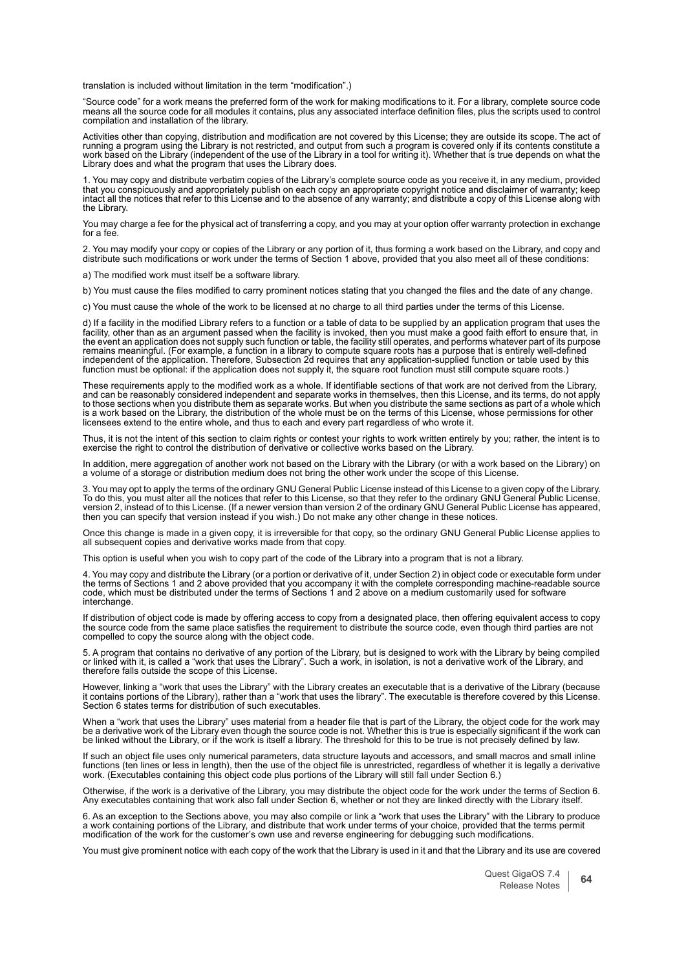translation is included without limitation in the term "modification".)

"Source code" for a work means the preferred form of the work for making modifications to it. For a library, complete source code means all the source code for all modules it contains, plus any associated interface definition files, plus the scripts used to control compilation and installation of the library.

Activities other than copying, distribution and modification are not covered by this License; they are outside its scope. The act of<br>running a program using the Library is not restricted, and output from such a program is Library does and what the program that uses the Library does.

1. You may copy and distribute verbatim copies of the Library's complete source code as you receive it, in any medium, provided that you conspicuously and appropriately publish on each copy an appropriate copyright notice and disclaimer of warranty; keep intact all the notices that refer to this License and to the absence of any warranty; and distribute a copy of this License along with the Library.

You may charge a fee for the physical act of transferring a copy, and you may at your option offer warranty protection in exchange for a fee.

2. You may modify your copy or copies of the Library or any portion of it, thus forming a work based on the Library, and copy and distribute such modifications or work under the terms of Section 1 above, provided that you also meet all of these conditions:

a) The modified work must itself be a software library.

b) You must cause the files modified to carry prominent notices stating that you changed the files and the date of any change.

c) You must cause the whole of the work to be licensed at no charge to all third parties under the terms of this License.

d) If a facility in the modified Library refers to a function or a table of data to be supplied by an application program that uses the facility, other than as an argument passed when the facility is invoked, then you must make a good faith effort to ensure that, in the event an application does not supply such function or table, the facility still operates, and performs whatever part of its purpose remains meaningful. (For example, a function in a library to compute square roots has a purpose that is entirely well-defined independent of the application. Therefore, Subsection 2d requires that any application-supplied function or table used by this function must be optional: if the application does not supply it, the square root function must still compute square roots.)

These requirements apply to the modified work as a whole. If identifiable sections of that work are not derived from the Library, and can be reasonably considered independent and separate works in themselves, then this License, and its terms, do not apply to those sections when you distribute them as separate works. But when you distribute the same sections as part of a whole which is a work based on the Library, the distribution of the whole must be on the terms of this License, whose permissions for other licensees extend to the entire whole, and thus to each and every part regardless of who wrote it.

Thus, it is not the intent of this section to claim rights or contest your rights to work written entirely by you; rather, the intent is to exercise the right to control the distribution of derivative or collective works based on the Library.

In addition, mere aggregation of another work not based on the Library with the Library (or with a work based on the Library) on a volume of a storage or distribution medium does not bring the other work under the scope of this License.

3. You may opt to apply the terms of the ordinary GNU General Public License instead of this License to a given copy of the Library. To do this, you must alter all the notices that refer to this License, so that they refer to the ordinary GNU General Public License, version 2, instead of to this License. (If a newer version than version 2 of the ordinary GNU General Public License has appeared, then you can specify that version instead if you wish.) Do not make any other change in these notices.

Once this change is made in a given copy, it is irreversible for that copy, so the ordinary GNU General Public License applies to all subsequent copies and derivative works made from that copy.

This option is useful when you wish to copy part of the code of the Library into a program that is not a library.

4. You may copy and distribute the Library (or a portion or derivative of it, under Section 2) in object code or executable form under the terms of Sections 1 and 2 above provided that you accompany it with the complete corresponding machine-readable source<br>code, which must be distributed under the terms of Sections 1 and 2 above on a medium customarily u interchange.

If distribution of object code is made by offering access to copy from a designated place, then offering equivalent access to copy the source code from the same place satisfies the requirement to distribute the source code, even though third parties are not compelled to copy the source along with the object code.

5. A program that contains no derivative of any portion of the Library, but is designed to work with the Library by being compiled<br>or linked with it, is called a "work that uses the Library". Such a work, in isolation, is therefore falls outside the scope of this License.

However, linking a "work that uses the Library" with the Library creates an executable that is a derivative of the Library (because<br>it contains portions of the Library), rather than a "work that uses the library". The exec Section 6 states terms for distribution of such executables.

When a "work that uses the Library" uses material from a header file that is part of the Library, the object code for the work may be a derivative work of the Library even though the source code is not. Whether this is true is especially significant if the work can<br>be linked without the Library, or if the work is itself a library. The threshold for th

If such an object file uses only numerical parameters, data structure layouts and accessors, and small macros and small inline functions (ten lines or less in length), then the use of the object file is unrestricted, regardless of whether it is legally a derivative work. (Executables containing this object code plus portions of the Library will still fall under Section 6.)

Otherwise, if the work is a derivative of the Library, you may distribute the object code for the work under the terms of Section 6. Any executables containing that work also fall under Section 6, whether or not they are linked directly with the Library itself.

6. As an exception to the Sections above, you may also compile or link a "work that uses the Library" with the Library to produce a work containing portions of the Library, and distribute that work under terms of your choice, provided that the terms permit<br>modification of the work for the customer's own use and reverse engineering for debugging such

You must give prominent notice with each copy of the work that the Library is used in it and that the Library and its use are covered

Quest GigaOS 7.4 Release Notes **<sup>64</sup>**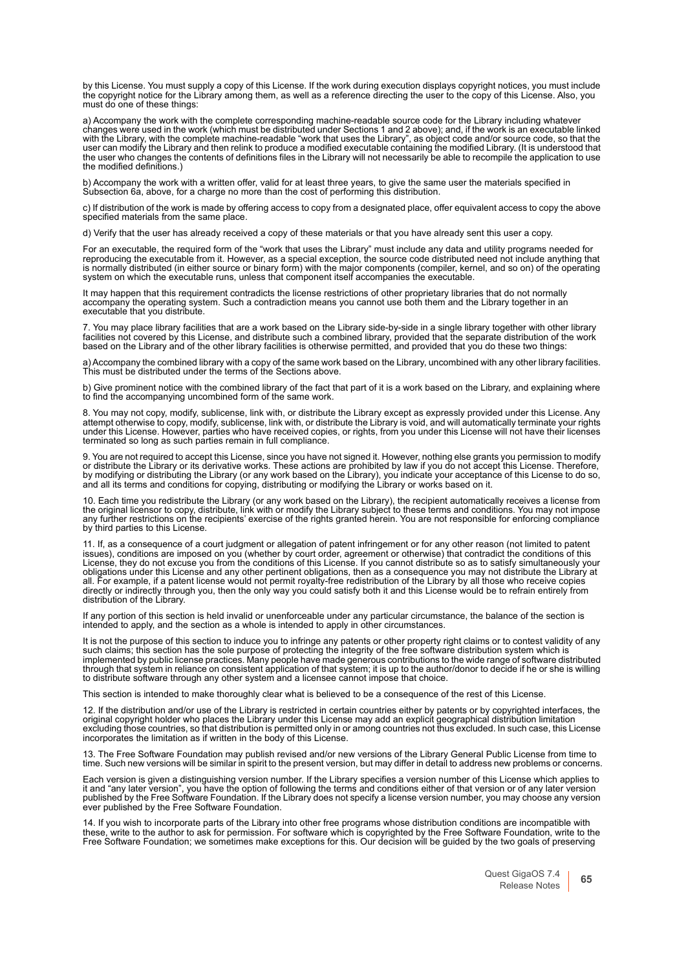by this License. You must supply a copy of this License. If the work during execution displays copyright notices, you must include the copyright notice for the Library among them, as well as a reference directing the user to the copy of this License. Also, you must do one of these things:

a) Accompany the work with the complete corresponding machine-readable source code for the Library including whatever changes were used in the work (which must be distributed under Sections 1 and 2 above); and, if the work is an executable linked<br>with the Library, with the complete machine-readable "work that uses the Library", as object the user who changes the contents of definitions files in the Library will not necessarily be able to recompile the application to use the modified definitions.)

b) Accompany the work with a written offer, valid for at least three years, to give the same user the materials specified in Subsection 6a, above, for a charge no more than the cost of performing this distribution.

c) If distribution of the work is made by offering access to copy from a designated place, offer equivalent access to copy the above specified materials from the same place.

d) Verify that the user has already received a copy of these materials or that you have already sent this user a copy.

For an executable, the required form of the "work that uses the Library" must include any data and utility programs needed for reproducing the executable from it. However, as a special exception, the source code distributed need not include anything that is normally distributed (in either source or binary form) with the major components (compiler, kernel, and so on) of the operating system on which the executable runs, unless that component itself accompanies the executable.

It may happen that this requirement contradicts the license restrictions of other proprietary libraries that do not normally<br>accompany the operating system. Such a contradiction means you cannot use both them and the Libra executable that you distribute.

7. You may place library facilities that are a work based on the Library side-by-side in a single library together with other library<br>facilities not covered by this License, and distribute such a combined library, provided

a) Accompany the combined library with a copy of the same work based on the Library, uncombined with any other library facilities. This must be distributed under the terms of the Sections above.

b) Give prominent notice with the combined library of the fact that part of it is a work based on the Library, and explaining where to find the accompanying uncombined form of the same work.

8. You may not copy, modify, sublicense, link with, or distribute the Library except as expressly provided under this License. Any attempt otherwise to copy, modify, sublicense, link with, or distribute the Library is void, and will automatically terminate your rights under this License. However, parties who have received copies, or rights, from you under this License will not have their licenses<br>terminated so long as such parties remain in full compliance.

9. You are not required to accept this License, since you have not signed it. However, nothing else grants you permission to modify or distribute the Library or its derivative works. These actions are prohibited by law if you do not accept this License. Therefore,<br>by modifying or distributing the Library (or any work based on the Library), you indicate

10. Each time you redistribute the Library (or any work based on the Library), the recipient automatically receives a license from the original licensor to copy, distribute, link with or modify the Library subject to these terms and conditions. You may not impose any further restrictions on the recipients' exercise of the rights granted herein. You are not responsible for enforcing compliance by third parties to this License.

11. If, as a consequence of a court judgment or allegation of patent infringement or for any other reason (not limited to patent<br>issues), conditions are imposed on you (whether by court order, agreement or otherwise) that License, they do not excuse you from the conditions of this License. If you cannot distribute so as to satisfy simultaneously your obligations under this License and any other pertinent obligations, then as a consequence you may not distribute the Library at all. For example, if a patent license would not permit royalty-free redistribution of the Library by all those who receive copies directly or indirectly through you, then the only way you could satisfy both it and this License would be to refrain entirely from distribution of the Library.

If any portion of this section is held invalid or unenforceable under any particular circumstance, the balance of the section is intended to apply, and the section as a whole is intended to apply in other circumstances.

It is not the purpose of this section to induce you to infringe any patents or other property right claims or to contest validity of any<br>such claims; this section has the sole purpose of protecting the integrity of the fre implemented by public license practices. Many people have made generous contributions to the wide range of software distributed through that system in reliance on consistent application of that system; it is up to the author/donor to decide if he or she is willing to distribute software through any other system and a licensee cannot impose that choice.

This section is intended to make thoroughly clear what is believed to be a consequence of the rest of this License.

12. If the distribution and/or use of the Library is restricted in certain countries either by patents or by copyrighted interfaces, the original copyright holder who places the Library under this License may add an explicit geographical distribution limitation excluding those countries, so that distribution is permitted only in or among countries not thus excluded. In such case, this License incorporates the limitation as if written in the body of this License.

13. The Free Software Foundation may publish revised and/or new versions of the Library General Public License from time to time. Such new versions will be similar in spirit to the present version, but may differ in detail to address new problems or concerns.

Each version is given a distinguishing version number. If the Library specifies a version number of this License which applies to it and "any later version", you have the option of following the terms and conditions either of that version or of any later version published by the Free Software Foundation. If the Library does not specify a license version number, you may choose any version ever published by the Free Software Foundation.

14. If you wish to incorporate parts of the Library into other free programs whose distribution conditions are incompatible with these, write to the author to ask for permission. For software which is copyrighted by the Free Software Foundation, write to the<br>Free Software Foundation; we sometimes make exceptions for this. Our decision will be guided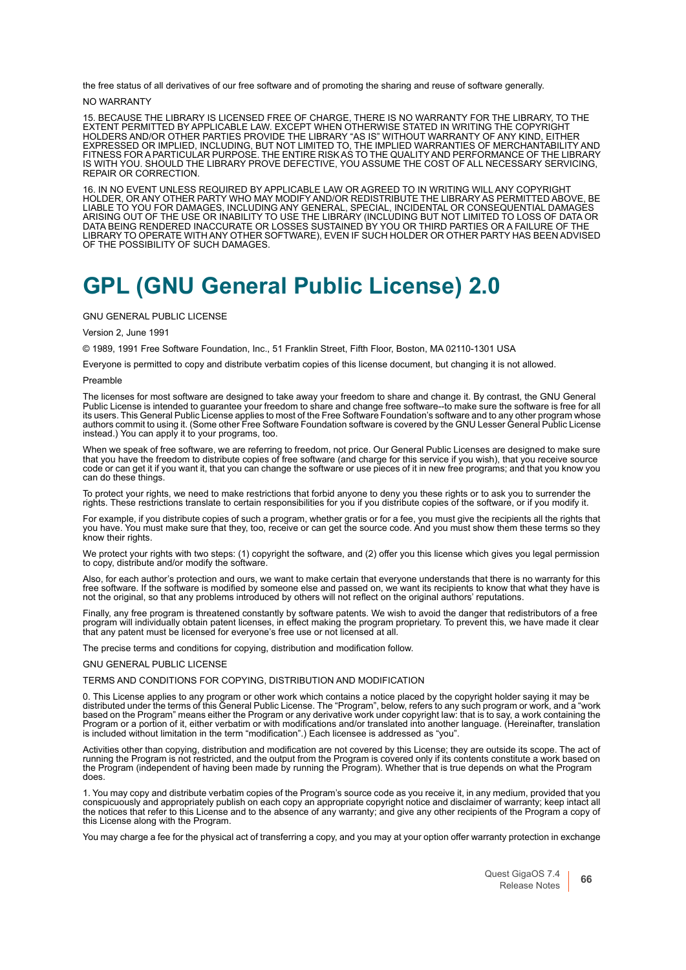the free status of all derivatives of our free software and of promoting the sharing and reuse of software generally.

NO WARRANTY

15. BECAUSE THE LIBRARY IS LICENSED FREE OF CHARGE, THERE IS NO WARRANTY FOR THE LIBRARY, TO THE EXTENT PERMITTED BY APPLICABLE LAW. EXCEPT WHEN OTHERWISE STATED IN WRITING THE COPYRIGHT HOLDERS AND/OR OTHER PARTIES PROVIDE THE LIBRARY "AS IS" WITHOUT WARRANTY OF ANY KIND, EITHER<br>EXPRESSED OR IMPLIED, INCLUDING, BUT NOT LIMITED TO, THE IMPLIED WARRANTIES OF MERCHANTABILITY AND<br>FITNESS FOR A PARTICULAR PURP IS WITH YOU. SHOULD THE LIBRARY PROVE DEFECTIVE, YOU ASSUME THE COST OF ALL NECESSARY SERVICING, REPAIR OR CORRECTION.

16. IN NO EVENT UNLESS REQUIRED BY APPLICABLE LAW OR AGREED TO IN WRITING WILL ANY COPYRIGHT HOLDER, OR ANY OTHER PARTY WHO MAY MODIFY AND/OR REDISTRIBUTE THE LIBRARY AS PERMITTED ABOVE, BE<br>LIABLE TO YOU FOR DAMAGES, INCLUDING ANY GENERAL, SPECIAL, INCIDENTAL OR CONSEQUENTIAL DAMAGES<br>ARISING OUT OF THE USE OR INAB DATA BEING RENDERED INACCURATE OR LOSSES SUSTAINED BY YOU OR THIRD PARTIES OR A FAILURE OF THE LIBRARY TO OPERATE WITH ANY OTHER SOFTWARE), EVEN IF SUCH HOLDER OR OTHER PARTY HAS BEEN ADVISED OF THE POSSIBILITY OF SUCH DAMAGES.

# <span id="page-65-0"></span>**GPL (GNU General Public License) 2.0**

#### GNU GENERAL PUBLIC LICENSE

#### Version 2, June 1991

© 1989, 1991 Free Software Foundation, Inc., 51 Franklin Street, Fifth Floor, Boston, MA 02110-1301 USA

Everyone is permitted to copy and distribute verbatim copies of this license document, but changing it is not allowed.

#### Preamble

The licenses for most software are designed to take away your freedom to share and change it. By contrast, the GNU General Public License is intended to guarantee your freedom to share and change free software--to make sure the software is free for all its users. This General Public License applies to most of the Free Software Foundation's software and to any other program whose authors commit to using it. (Some other Free Software Foundation software is covered by the GNU Lesser General Public License instead.) You can apply it to your programs, too.

When we speak of free software, we are referring to freedom, not price. Our General Public Licenses are designed to make sure that you have the freedom to distribute copies of free software (and charge for this service if you wish), that you receive source code or can get it if you want it, that you can change the software or use pieces of it in new free programs; and that you know you can do these things.

To protect your rights, we need to make restrictions that forbid anyone to deny you these rights or to ask you to surrender the rights. These restrictions translate to certain responsibilities for you if you distribute copies of the software, or if you modify it.

For example, if you distribute copies of such a program, whether gratis or for a fee, you must give the recipients all the rights that you have. You must make sure that they, too, receive or can get the source code. And you must show them these terms so they know their rights.

We protect your rights with two steps: (1) copyright the software, and (2) offer you this license which gives you legal permission to copy, distribute and/or modify the software.

Also, for each author's protection and ours, we want to make certain that everyone understands that there is no warranty for this free software. If the software is modified by someone else and passed on, we want its recipients to know that what they have is not the original, so that any problems introduced by others will not reflect on the original authors' reputations.

Finally, any free program is threatened constantly by software patents. We wish to avoid the danger that redistributors of a free<br>program will individually obtain patent licenses, in effect making the program proprietary. that any patent must be licensed for everyone's free use or not licensed at all.

The precise terms and conditions for copying, distribution and modification follow.

#### GNU GENERAL PUBLIC LICENSE

# TERMS AND CONDITIONS FOR COPYING, DISTRIBUTION AND MODIFICATION

0. This License applies to any program or other work which contains a notice placed by the copyright holder saying it may be<br>distributed under the terms of this General Public License. The "Program", below, refers to any s based on the Program" means either the Program or any derivative work under copyright law: that is to say, a work containing the Program or a portion of it, either verbatim or with modifications and/or translated into another language. (Hereinafter, translation is included without limitation in the term "modification".) Each licensee is addressed as "you".

Activities other than copying, distribution and modification are not covered by this License; they are outside its scope. The act of running the Program is not restricted, and the output from the Program is covered only if its contents constitute a work based on<br>the Program (independent of having been made by running the Program). Whether that is true d does.

1. You may copy and distribute verbatim copies of the Program's source code as you receive it, in any medium, provided that you<br>conspicuously and appropriately publish on each copy an appropriate copyright notice and discl the notices that refer to this License and to the absence of any warranty; and give any other recipients of the Program a copy of this License along with the Program.

You may charge a fee for the physical act of transferring a copy, and you may at your option offer warranty protection in exchange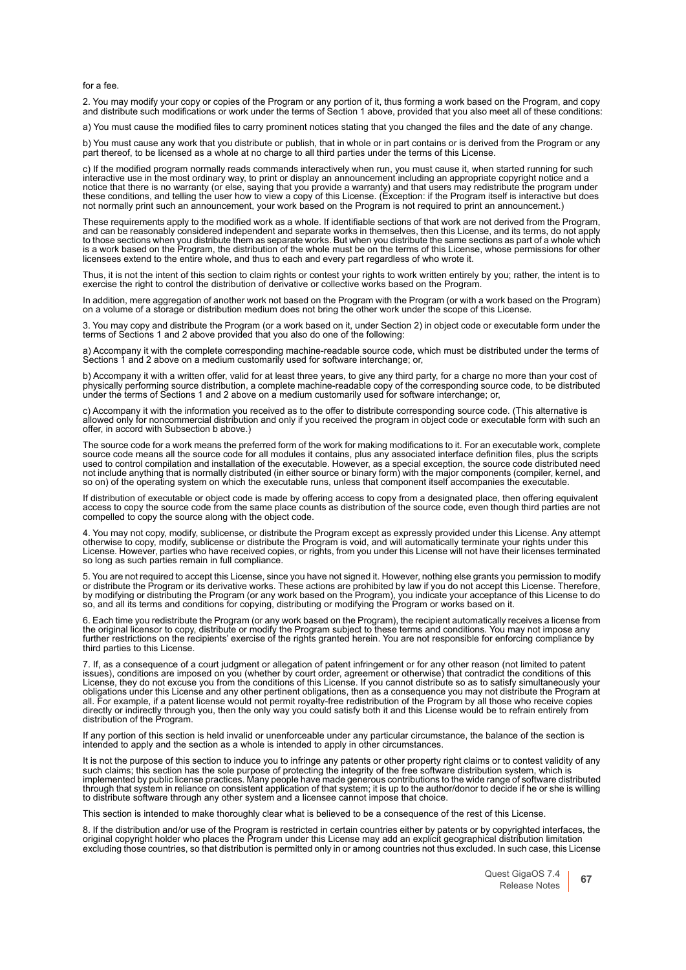### for a fee.

2. You may modify your copy or copies of the Program or any portion of it, thus forming a work based on the Program, and copy and distribute such modifications or work under the terms of Section 1 above, provided that you also meet all of these conditions:

a) You must cause the modified files to carry prominent notices stating that you changed the files and the date of any change.

b) You must cause any work that you distribute or publish, that in whole or in part contains or is derived from the Program or any<br>part thereof, to be licensed as a whole at no charge to all third parties under the terms o

c) If the modified program normally reads commands interactively when run, you must cause it, when started running for such interactive use in the most ordinary way, to print or display an announcement including an appropriate copyright notice and a<br>notice that there is no warranty (or else, saying that you provide a warranty) and that users ma not normally print such an announcement, your work based on the Program is not required to print an announcement.)

These requirements apply to the modified work as a whole. If identifiable sections of that work are not derived from the Program,<br>and can be reasonably considered independent and separate works in themselves, then this Lic to those sections when you distribute them as separate works. But when you distribute the same sections as part of a whole which<br>is a work based on the Program, the distribution of the whole must be on the terms of this Li licensees extend to the entire whole, and thus to each and every part regardless of who wrote it.

Thus, it is not the intent of this section to claim rights or contest your rights to work written entirely by you; rather, the intent is to exercise the right to control the distribution of derivative or collective works based on the Program.

In addition, mere aggregation of another work not based on the Program with the Program (or with a work based on the Program) on a volume of a storage or distribution medium does not bring the other work under the scope of this License.

3. You may copy and distribute the Program (or a work based on it, under Section 2) in object code or executable form under the terms of Sections 1 and 2 above provided that you also do one of the following:

a) Accompany it with the complete corresponding machine-readable source code, which must be distributed under the terms of Sections 1 and 2 above on a medium customarily used for software interchange; or,

b) Accompany it with a written offer, valid for at least three years, to give any third party, for a charge no more than your cost of<br>physically performing source distribution, a complete machine-readable copy of the corre

c) Accompany it with the information you received as to the offer to distribute corresponding source code. (This alternative is allowed only for noncommercial distribution and only if you received the program in object code or executable form with such an offer, in accord with Subsection b above.)

The source code for a work means the preferred form of the work for making modifications to it. For an executable work, complete source code means all the source code for all modules it contains, plus any associated interface definition files, plus the scripts used to control compilation and installation of the executable. However, as a special exception, the source code distributed need not include anything that is normally distributed (in either source or binary form) with the major components (compiler, kernel, and so on) of the operating system on which the executable runs, unless that component itself accompanies the executable.

If distribution of executable or object code is made by offering access to copy from a designated place, then offering equivalent access to copy the source code from the same place counts as distribution of the source code, even though third parties are not compelled to copy the source along with the object code.

4. You may not copy, modify, sublicense, or distribute the Program except as expressly provided under this License. Any attempt otherwise to copy, modify, sublicense or distribute the Program is void, and will automatically terminate your rights under this<br>License. However, parties who have received copies, or rights, from you under this License wi so long as such parties remain in full compliance.

5. You are not required to accept this License, since you have not signed it. However, nothing else grants you permission to modify<br>or distribute the Program or its derivative works. These actions are prohibited by law if so, and all its terms and conditions for copying, distributing or modifying the Program or works based on it.

6. Each time you redistribute the Program (or any work based on the Program), the recipient automatically receives a license from the original licensor to copy, distribute or modify the Program subject to these terms and conditions. You may not impose any further restrictions on the recipients' exercise of the rights granted herein. You are not responsible for enforcing compliance by third parties to this License.

7. If, as a consequence of a court judgment or allegation of patent infringement or for any other reason (not limited to patent issues), conditions are imposed on you (whether by court order, agreement or otherwise) that contradict the conditions of this<br>License, they do not excuse you from the conditions of this License. If you cannot distribute s obligations under this License and any other pertinent obligations, then as a consequence you may not distribute the Program at all. For example, if a patent license would not permit royalty-free redistribution of the Program by all those who receive copies directly or indirectly through you, then the only way you could satisfy both it and this License would be to refrain entirely from distribution of the Program.

If any portion of this section is held invalid or unenforceable under any particular circumstance, the balance of the section is intended to apply and the section as a whole is intended to apply in other circumstances.

It is not the purpose of this section to induce you to infringe any patents or other property right claims or to contest validity of any such claims; this section has the sole purpose of protecting the integrity of the free software distribution system, which is<br>implemented by public license practices. Many people have made generous contributions to the wid through that system in reliance on consistent application of that system; it is up to the author/donor to decide if he or she is willing to distribute software through any other system and a licensee cannot impose that choice.

This section is intended to make thoroughly clear what is believed to be a consequence of the rest of this License.

8. If the distribution and/or use of the Program is restricted in certain countries either by patents or by copyrighted interfaces, the original copyright holder who places the Program under this License may add an explicit geographical distribution limitation excluding those countries, so that distribution is permitted only in or among countries not thus excluded. In such case, this License

> Quest GigaOS 7.4 Release Notes **<sup>67</sup>**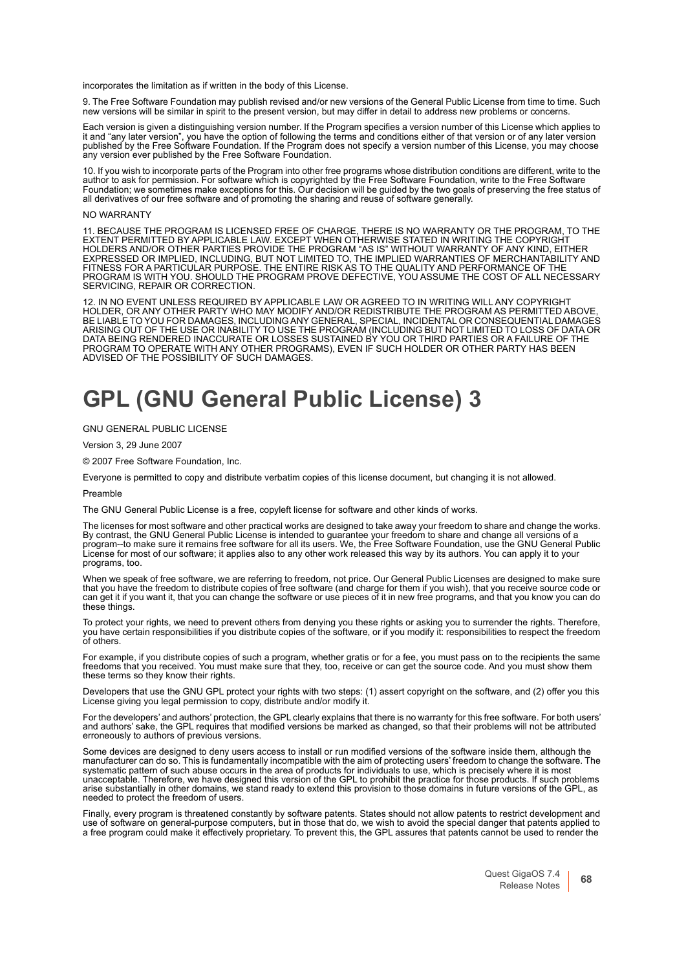incorporates the limitation as if written in the body of this License.

9. The Free Software Foundation may publish revised and/or new versions of the General Public License from time to time. Such new versions will be similar in spirit to the present version, but may differ in detail to address new problems or concerns.

Each version is given a distinguishing version number. If the Program specifies a version number of this License which applies to it and "any later version", you have the option of following the terms and conditions either of that version or of any later version<br>published by the Free Software Foundation. If the Program does not specify a version numb any version ever published by the Free Software Foundation.

10. If you wish to incorporate parts of the Program into other free programs whose distribution conditions are different, write to the author to ask for permission. For software which is copyrighted by the Free Software Foundation, write to the Free Software<br>Foundation; we sometimes make exceptions for this. Our decision will be guided by the two goals of all derivatives of our free software and of promoting the sharing and reuse of software generally.

#### NO WARRANTY

11. BECAUSE THE PROGRAM IS LICENSED FREE OF CHARGE, THERE IS NO WARRANTY OR THE PROGRAM, TO THE EXTENT PERMITTED BY APPLICABLE LAW. EXCEPT WHEN OTHERWISE STATED IN WRITING THE COPYRIGHT HOLDERS AND/OR OTHER PARTIES PROVIDE THE PROGRAM "AS IS" WITHOUT WARRANTY OF ANY KIND, EITHER EXPRESSED OR IMPLIED, INCLUDING, BUT NOT LIMITED TO, THE IMPLIED WARRANTIES OF MERCHANTABILITY AND FITNESS FOR A PARTICULAR PURPOSE. THE ENTIRE RISK AS TO THE QUALITY AND PERFORMANCE OF THE PROGRAM IS WITH YOU. SHOULD THE PROGRAM PROVE DEFECTIVE, YOU ASSUME THE COST OF ALL NECESSARY SERVICING, REPAIR OR CORRECTION.

12. IN NO EVENT UNLESS REQUIRED BY APPLICABLE LAW OR AGREED TO IN WRITING WILL ANY COPYRIGHT HOLDER, OR ANY OTHER PARTY WHO MAY MODIFY AND/OR REDISTRIBUTE THE PROGRAM AS PERMITTED ABOVE, BE LIABLE TO YOU FOR DAMAGES, INCLUDING ANY GENERAL, SPECIAL, INCIDENTAL OR CONSEQUENTIAL DAMAGES ARISING OUT OF THE USE OR INABILITY TO USE THE PROGRAM (INCLUDING BUT NOT LIMITED TO LOSS OF DATA OR DATA BEING RENDERED INACCURATE OR LOSSES SUSTAINED BY YOU OR THIRD PARTIES OR A FAILURE OF THE PROGRAM TO OPERATE WITH ANY OTHER PROGRAMS), EVEN IF SUCH HOLDER OR OTHER PARTY HAS BEEN ADVISED OF THE POSSIBILITY OF SUCH DAMAGES.

# <span id="page-67-0"></span>**GPL (GNU General Public License) 3**

# GNU GENERAL PUBLIC LICENSE

Version 3, 29 June 2007

© 2007 Free Software Foundation, Inc.

Everyone is permitted to copy and distribute verbatim copies of this license document, but changing it is not allowed.

#### Preamble

The GNU General Public License is a free, copyleft license for software and other kinds of works.

The licenses for most software and other practical works are designed to take away your freedom to share and change the works. By contrast, the GNU General Public License is intended to guarantee your freedom to share and change all versions of a<br>program--to make sure it remains free software for all its users. We, the Free Software Foundation, us programs, too.

When we speak of free software, we are referring to freedom, not price. Our General Public Licenses are designed to make sure<br>that you have the freedom to distribute copies of free software (and charge for them if you wish can get it if you want it, that you can change the software or use pieces of it in new free programs, and that you know you can do these things.

To protect your rights, we need to prevent others from denying you these rights or asking you to surrender the rights. Therefore, you have certain responsibilities if you distribute copies of the software, or if you modify it: responsibilities to respect the freedom of others.

For example, if you distribute copies of such a program, whether gratis or for a fee, you must pass on to the recipients the same freedoms that you received. You must make sure that they, too, receive or can get the source code. And you must show them these terms so they know their rights.

Developers that use the GNU GPL protect your rights with two steps: (1) assert copyright on the software, and (2) offer you this License giving you legal permission to copy, distribute and/or modify it.

For the developers' and authors' protection, the GPL clearly explains that there is no warranty for this free software. For both users' and authors' sake, the GPL requires that modified versions be marked as changed, so that their problems will not be attributed erroneously to authors of previous versions.

Some devices are designed to deny users access to install or run modified versions of the software inside them, although the<br>manufacturer can do so. This is fundamentally incompatible with the aim of protecting users' free systematic pattern of such abuse occurs in the area of products for individuals to use, which is precisely where it is most unacceptable. Therefore, we have designed this version of the GPL to prohibit the practice for those products. If such problems arise substantially in other domains, we stand ready to extend this provision to those domains in future versions of the GPL, as needed to protect the freedom of users.

Finally, every program is threatened constantly by software patents. States should not allow patents to restrict development and use of software on general-purpose computers, but in those that do, we wish to avoid the special danger that patents applied to a free program could make it effectively proprietary. To prevent this, the GPL assures that patents cannot be used to render the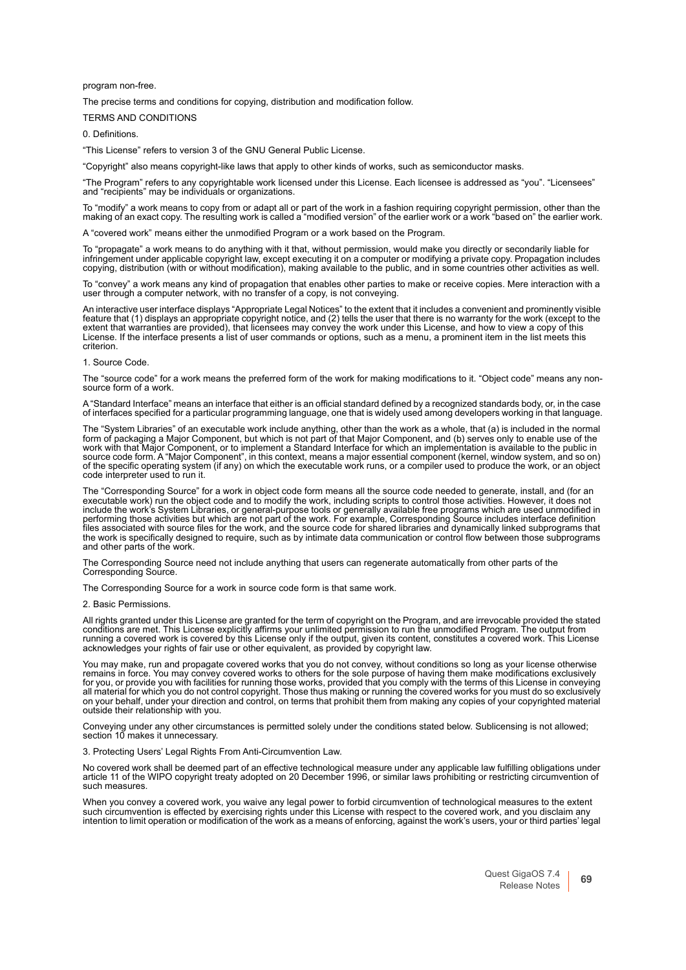program non-free.

The precise terms and conditions for copying, distribution and modification follow.

TERMS AND CONDITIONS

0. Definitions.

"This License" refers to version 3 of the GNU General Public License.

"Copyright" also means copyright-like laws that apply to other kinds of works, such as semiconductor masks.

"The Program" refers to any copyrightable work licensed under this License. Each licensee is addressed as "you". "Licensees" and "recipients" may be individuals or organizations.

To "modify" a work means to copy from or adapt all or part of the work in a fashion requiring copyright permission, other than the<br>making of an exact copy. The resulting work is called a "modified version" of the earlier w

A "covered work" means either the unmodified Program or a work based on the Program.

To "propagate" a work means to do anything with it that, without permission, would make you directly or secondarily liable for infringement under applicable copyright law, except executing it on a computer or modifying a private copy. Propagation includes copying, distribution (with or without modification), making available to the public, and in some countries other activities as well.

To "convey" a work means any kind of propagation that enables other parties to make or receive copies. Mere interaction with a user through a computer network, with no transfer of a copy, is not conveying.

An interactive user interface displays "Appropriate Legal Notices" to the extent that it includes a convenient and prominently visible feature that (1) displays an appropriate copyright notice, and (2) tells the user that there is no warranty for the work (except to the extent that warranties are provided), that licensees may convey the work under this License, and how to view a copy of this License. If the interface presents a list of user commands or options, such as a menu, a prominent item in the list meets this criterion.

# 1. Source Code.

The "source code" for a work means the preferred form of the work for making modifications to it. "Object code" means any nonsource form of a work.

A "Standard Interface" means an interface that either is an official standard defined by a recognized standards body, or, in the case of interfaces specified for a particular programming language, one that is widely used among developers working in that language.

The "System Libraries" of an executable work include anything, other than the work as a whole, that (a) is included in the normal form of packaging a Major Component, but which is not part of that Major Component, and (b) serves only to enable use of the<br>work with that Major Component, or to implement a Standard Interface for which an implementation of the specific operating system (if any) on which the executable work runs, or a compiler used to produce the work, or an object code interpreter used to run it.

The "Corresponding Source" for a work in object code form means all the source code needed to generate, install, and (for an executable work) run the object code and to modify the work, including scripts to control those activities. However, it does not include the work's System Libraries, or general-purpose tools or generally available free programs which are used unmodified in performing those activities but which are not part of the work. For example, Corresponding Source includes interface definition files associated with source files for the work, and the source code for shared libraries and dynamically linked subprograms that the work is specifically designed to require, such as by intimate data communication or control flow between those subprograms and other parts of the work.

The Corresponding Source need not include anything that users can regenerate automatically from other parts of the Corresponding Source.

The Corresponding Source for a work in source code form is that same work.

2. Basic Permissions.

All rights granted under this License are granted for the term of copyright on the Program, and are irrevocable provided the stated conditions are met. This License explicitly affirms your unlimited permission to run the unmodified Program. The output from running a covered work is covered by this License only if the output, given its content, constitutes a covered work. This License acknowledges your rights of fair use or other equivalent, as provided by copyright law.

You may make, run and propagate covered works that you do not convey, without conditions so long as your license otherwise remains in force. You may convey covered works to others for the sole purpose of having them make modifications exclusively<br>for you, or provide you with facilities for running those works, provided that you comply with the on your behalf, under your direction and control, on terms that prohibit them from making any copies of your copyrighted material outside their relationship with you.

Conveying under any other circumstances is permitted solely under the conditions stated below. Sublicensing is not allowed; section 10 makes it unnecessary.

3. Protecting Users' Legal Rights From Anti-Circumvention Law.

No covered work shall be deemed part of an effective technological measure under any applicable law fulfilling obligations under article 11 of the WIPO copyright treaty adopted on 20 December 1996, or similar laws prohibiting or restricting circumvention of such measures.

When you convey a covered work, you waive any legal power to forbid circumvention of technological measures to the extent such circumvention is effected by exercising rights under this License with respect to the covered work, and you disclaim any intention to limit operation or modification of the work as a means of enforcing, against the work's users, your or third parties' legal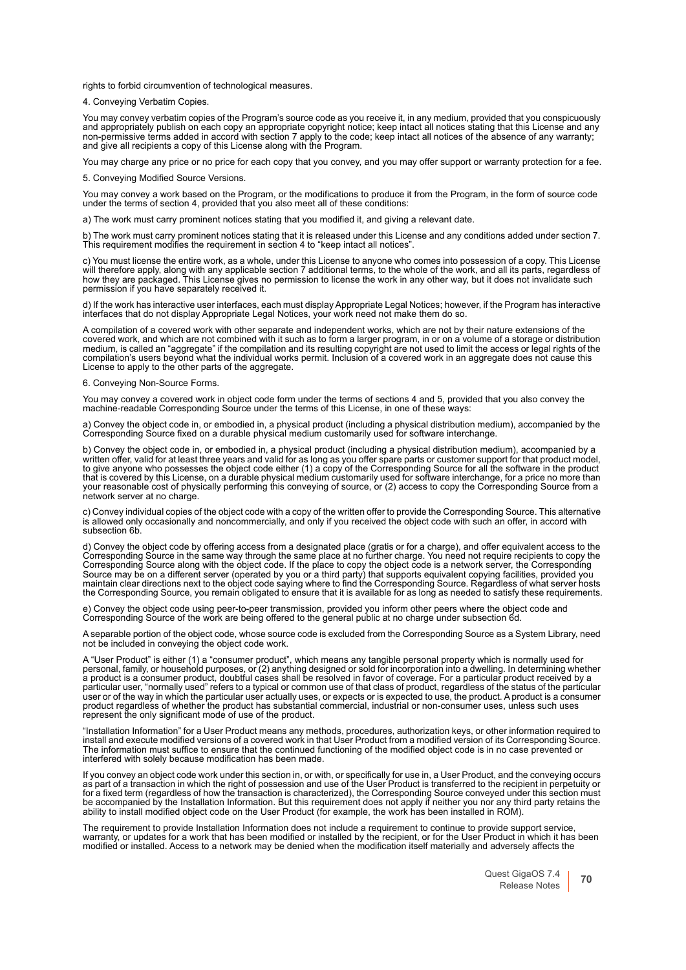rights to forbid circumvention of technological measures.

4. Conveying Verbatim Copies.

You may convey verbatim copies of the Program's source code as you receive it, in any medium, provided that you conspicuously<br>and appropriately publish on each copy an appropriate copyright notice; keep intact all notices non-permissive terms added in accord with section 7 apply to the code; keep intact all notices of the absence of any warranty; and give all recipients a copy of this License along with the Program.

You may charge any price or no price for each copy that you convey, and you may offer support or warranty protection for a fee.

5. Conveying Modified Source Versions.

You may convey a work based on the Program, or the modifications to produce it from the Program, in the form of source code under the terms of section 4, provided that you also meet all of these conditions:

a) The work must carry prominent notices stating that you modified it, and giving a relevant date.

b) The work must carry prominent notices stating that it is released under this License and any conditions added under section 7. This requirement modifies the requirement in section 4 to "keep intact all notices".

c) You must license the entire work, as a whole, under this License to anyone who comes into possession of a copy. This License will therefore apply, along with any applicable section 7 additional terms, to the whole of the work, and all its parts, regardless of how they are packaged. This License gives no permission to license the work in any other way, but it does not invalidate such permission if you have separately received it.

d) If the work has interactive user interfaces, each must display Appropriate Legal Notices; however, if the Program has interactive interfaces that do not display Appropriate Legal Notices, your work need not make them do so.

A compilation of a covered work with other separate and independent works, which are not by their nature extensions of the covered work, and which are not combined with it such as to form a larger program, in or on a volume of a storage or distribution medium, is called an "aggregate" if the compilation and its resulting copyright are not used to limit the access or legal rights of the compilation's users beyond what the individual works permit. Inclusion of a covered work in an aggregate does not cause this License to apply to the other parts of the aggregate.

6. Conveying Non-Source Forms.

You may convey a covered work in object code form under the terms of sections 4 and 5, provided that you also convey the machine-readable Corresponding Source under the terms of this License, in one of these ways:

a) Convey the object code in, or embodied in, a physical product (including a physical distribution medium), accompanied by the Corresponding Source fixed on a durable physical medium customarily used for software interchange.

b) Convey the object code in, or embodied in, a physical product (including a physical distribution medium), accompanied by a written offer, valid for at least three years and valid for as long as you offer spare parts or customer support for that product model,<br>to give anyone who possesses the object code either (1) a copy of the Corresponding S that is covered by this License, on a durable physical medium customarily used for software interchange, for a price no more than your reasonable cost of physically performing this conveying of source, or (2) access to copy the Corresponding Source from a network server at no charge.

c) Convey individual copies of the object code with a copy of the written offer to provide the Corresponding Source. This alternative is allowed only occasionally and noncommercially, and only if you received the object code with such an offer, in accord with subsection 6b.

d) Convey the object code by offering access from a designated place (gratis or for a charge), and offer equivalent access to the Corresponding Source in the same way through the same place at no further charge. You need not require recipients to copy the Corresponding Source along with the object code. If the place to copy the object code is a network server, the Corresponding<br>Source may be on a different server (operated by you or a third party) that supports equivalent c maintain clear directions next to the object code saying where to find the Corresponding Source. Regardless of what server hosts<br>the Corresponding Source, you remain obligated to ensure that it is available for as long as

e) Convey the object code using peer-to-peer transmission, provided you inform other peers where the object code and Corresponding Source of the work are being offered to the general public at no charge under subsection 6d.

A separable portion of the object code, whose source code is excluded from the Corresponding Source as a System Library, need not be included in conveying the object code work.

A "User Product" is either (1) a "consumer product", which means any tangible personal property which is normally used for personal, family, or household purposes, or (2) anything designed or sold for incorporation into a dwelling. In determining whether<br>a product is a consumer product, doubtful cases shall be resolved in favor of coverage. Fo particular user, "normally used" refers to a typical or common use of that class of product, regardless of the status of the particular user or of the way in which the particular user actually uses, or expects or is expected to use, the product. A product is a consumer<br>product regardless of whether the product has substantial commercial, industrial or nonrepresent the only significant mode of use of the product.

"Installation Information" for a User Product means any methods, procedures, authorization keys, or other information required to install and execute modified versions of a covered work in that User Product from a modified version of its Corresponding Source. The information must suffice to ensure that the continued functioning of the modified object code is in no case prevented or interfered with solely because modification has been made.

If you convey an object code work under this section in, or with, or specifically for use in, a User Product, and the conveying occurs as part of a transaction in which the right of possession and use of the User Product is transferred to the recipient in perpetuity or<br>for a fixed term (regardless of how the transaction is characterized), the Correspondin ability to install modified object code on the User Product (for example, the work has been installed in ROM).

The requirement to provide Installation Information does not include a requirement to continue to provide support service, warranty, or updates for a work that has been modified or installed by the recipient, or for the User Product in which it has been modified or installed. Access to a network may be denied when the modification itself materially and adversely affects the

> Quest GigaOS 7.4 **Release Notes** 70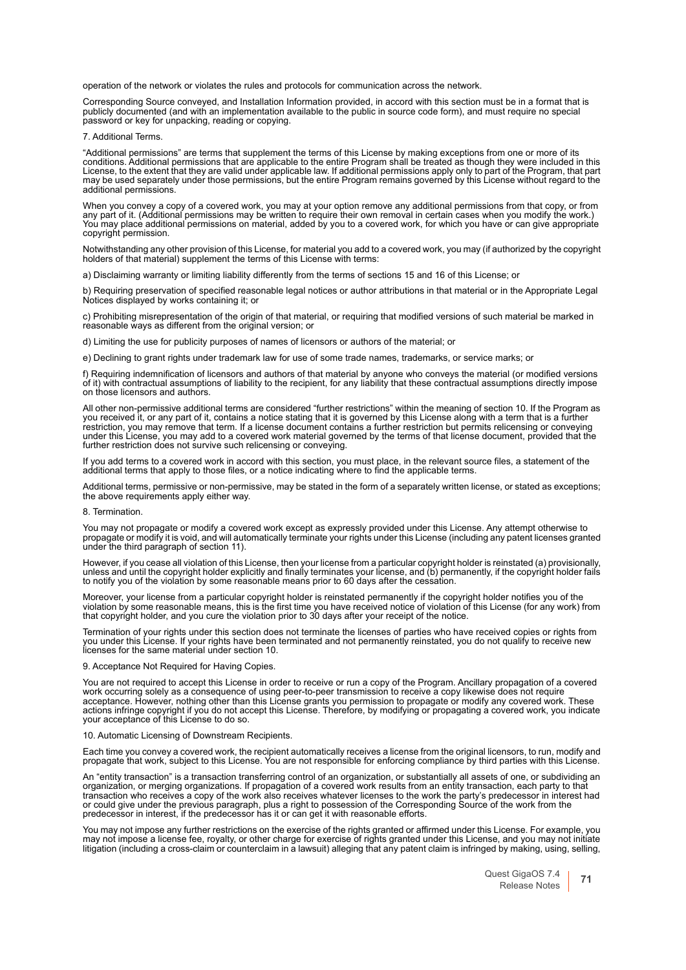operation of the network or violates the rules and protocols for communication across the network.

Corresponding Source conveyed, and Installation Information provided, in accord with this section must be in a format that is publicly documented (and with an implementation available to the public in source code form), and must require no special password or key for unpacking, reading or copying.

7. Additional Terms.

"Additional permissions" are terms that supplement the terms of this License by making exceptions from one or more of its<br>conditions. Additional permissions that are applicable to the entire Program shall be treated as tho License, to the extent that they are valid under applicable law. If additional permissions apply only to part of the Program, that part may be used separately under those permissions, but the entire Program remains governed by this License without regard to the additional permissions.

When you convey a copy of a covered work, you may at your option remove any additional permissions from that copy, or from any part of it. (Additional permissions may be written to require their own removal in certain cases when you modify the work.)<br>You may place additional permissions on material, added by you to a covered work, for which yo copyright permission.

Notwithstanding any other provision of this License, for material you add to a covered work, you may (if authorized by the copyright holders of that material) supplement the terms of this License with terms:

a) Disclaiming warranty or limiting liability differently from the terms of sections 15 and 16 of this License; or

b) Requiring preservation of specified reasonable legal notices or author attributions in that material or in the Appropriate Legal Notices displayed by works containing it; or

c) Prohibiting misrepresentation of the origin of that material, or requiring that modified versions of such material be marked in reasonable ways as different from the original version; or

d) Limiting the use for publicity purposes of names of licensors or authors of the material; or

e) Declining to grant rights under trademark law for use of some trade names, trademarks, or service marks; or

f) Requiring indemnification of licensors and authors of that material by anyone who conveys the material (or modified versions of it) with contractual assumptions of liability to the recipient, for any liability that these contractual assumptions directly impose on those licensors and authors.

All other non-permissive additional terms are considered "further restrictions" within the meaning of section 10. If the Program as you received it, or any part of it, contains a notice stating that it is governed by this License along with a term that is a further restriction, you may remove that term. If a license document contains a further restriction but permits relicensing or conveying under this License, you may add to a covered work material governed by the terms of that license document, provided that the further restriction does not survive such relicensing or conveying.

If you add terms to a covered work in accord with this section, you must place, in the relevant source files, a statement of the additional terms that apply to those files, or a notice indicating where to find the applicab

Additional terms, permissive or non-permissive, may be stated in the form of a separately written license, or stated as exceptions; the above requirements apply either way.

#### 8. Termination.

You may not propagate or modify a covered work except as expressly provided under this License. Any attempt otherwise to<br>propagate or modify it is void, and will automatically terminate your rights under this License (incl under the third paragraph of section 11).

However, if you cease all violation of this License, then your license from a particular copyright holder is reinstated (a) provisionally, unless and until the copyright holder explicitly and finally terminates your license, and (b) permanently, if the copyright holder fails to notify you of the violation by some reasonable means prior to 60 days after the cessation.

Moreover, your license from a particular copyright holder is reinstated permanently if the copyright holder notifies you of the<br>violation by some reasonable means, this is the first time you have received notice of violati that copyright holder, and you cure the violation prior to 30 days after your receipt of the notice.

Termination of your rights under this section does not terminate the licenses of parties who have received copies or rights from<br>you under this License. If your rights have been terminated and not permanently reinstated, y

9. Acceptance Not Required for Having Copies.

You are not required to accept this License in order to receive or run a copy of the Program. Ancillary propagation of a covered<br>work occurring solely as a consequence of using peer-to-peer transmission to receive a copy l acceptance. However, nothing other than this License grants you permission to propagate or modify any covered work. These actions infringe copyright if you do not accept this License. Therefore, by modifying or propagating a covered work, you indicate your acceptance of this License to do so.

### 10. Automatic Licensing of Downstream Recipients.

Each time you convey a covered work, the recipient automatically receives a license from the original licensors, to run, modify and<br>propagate that work, subject to this License. You are not responsible for enforcing compli

An "entity transaction" is a transaction transferring control of an organization, or substantially all assets of one, or subdividing an<br>organization, or merging organizations. If propagation of a covered work results from transaction who receives a copy of the work also receives whatever licenses to the work the party's predecessor in interest had or could give under the previous paragraph, plus a right to possession of the Corresponding Source of the work from the predecessor in interest, if the predecessor has it or can get it with reasonable efforts.

You may not impose any further restrictions on the exercise of the rights granted or affirmed under this License. For example, you may not impose a license fee, royalty, or other charge for exercise of rights granted under this License, and you may not initiate litigation (including a cross-claim or counterclaim in a lawsuit) alleging that any patent claim is infringed by making, using, selling,

> Quest GigaOS 7.4 **Release Notes 71**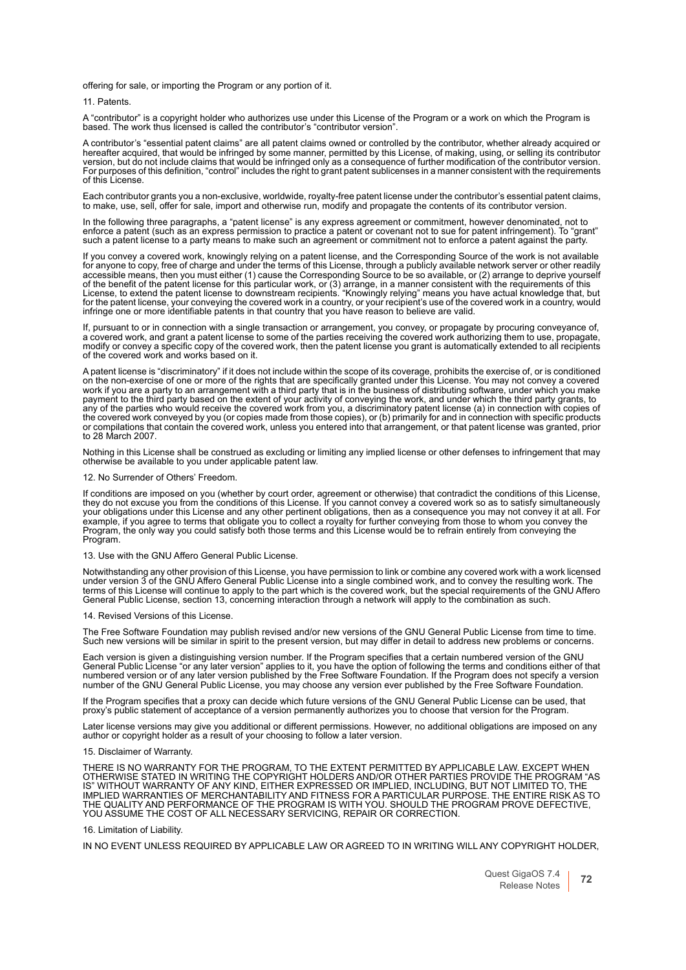offering for sale, or importing the Program or any portion of it.

11. Patents.

A "contributor" is a copyright holder who authorizes use under this License of the Program or a work on which the Program is based. The work thus licensed is called the contributor's "contributor version".

A contributor's "essential patent claims" are all patent claims owned or controlled by the contributor, whether already acquired or<br>hereafter acquired, that would be infringed by some manner, permitted by this License, of For purposes of this definition, "control" includes the right to grant patent sublicenses in a manner consistent with the requirements of this License.

Each contributor grants you a non-exclusive, worldwide, royalty-free patent license under the contributor's essential patent claims, to make, use, sell, offer for sale, import and otherwise run, modify and propagate the contents of its contributor version.

In the following three paragraphs, a "patent license" is any express agreement or commitment, however denominated, not to<br>enforce a patent (such as an express permission to practice a patent or covenant not to sue for pate such a patent license to a party means to make such an agreement or commitment not to enforce a patent against the party.

If you convey a covered work, knowingly relying on a patent license, and the Corresponding Source of the work is not available for anyone to copy, free of charge and under the terms of this License, through a publicly available network server or other readily<br>accessible means, then you must either (1) cause the Corresponding Source to be so availa of the benefit of the patent license for this particular work, or (3) arrange, in a manner consistent with the requirements of this License, to extend the patent license to downstream recipients. "Knowingly relying" means you have actual knowledge that, but<br>for the patent license, your conveying the covered work in a country, or your recipient's use of infringe one or more identifiable patents in that country that you have reason to believe are valid.

If, pursuant to or in connection with a single transaction or arrangement, you convey, or propagate by procuring conveyance of,<br>a covered work, and grant a patent license to some of the parties receiving the covered work a of the covered work and works based on it.

A patent license is "discriminatory" if it does not include within the scope of its coverage, prohibits the exercise of, or is conditioned on the non-exercise of one or more of the rights that are specifically granted under this License. You may not convey a covered work if you are a party to an arrangement with a third party that is in the business of distributing software, under which you make<br>payment to the third party based on the extent of your activity of conveying the work, and any of the parties who would receive the covered work from you, a discriminatory patent license (a) in connection with copies of the covered work conveyed by you (or copies made from those copies), or (b) primarily for and in connection with specific products or compilations that contain the covered work, unless you entered into that arrangement, or that patent license was granted, prior to 28 March 2007.

Nothing in this License shall be construed as excluding or limiting any implied license or other defenses to infringement that may otherwise be available to you under applicable patent law.

#### 12. No Surrender of Others' Freedom.

If conditions are imposed on you (whether by court order, agreement or otherwise) that contradict the conditions of this License,<br>they do not excuse you from the conditions of this License. If you cannot convey a covered w your obligations under this License and any other pertinent obligations, then as a consequence you may not convey it at all. For example, if you agree to terms that obligate you to collect a royalty for further conveying from those to whom you convey the<br>Program, the only way you could satisfy both those terms and this License would be to refrain en Program.

#### 13. Use with the GNU Affero General Public License.

Notwithstanding any other provision of this License, you have permission to link or combine any covered work with a work licensed<br>under version 3 of the GNU Affero General Public License into a single combined work, and to terms of this License will continue to apply to the part which is the covered work, but the special requirements of the GNU Affero General Public License, section 13, concerning interaction through a network will apply to the combination as such.

#### 14. Revised Versions of this License.

The Free Software Foundation may publish revised and/or new versions of the GNU General Public License from time to time. Such new versions will be similar in spirit to the present version, but may differ in detail to address new problems or concerns.

Each version is given a distinguishing version number. If the Program specifies that a certain numbered version of the GNU General Public License "or any later version" applies to it, you have the option of following the terms and conditions either of that<br>numbered version or of any later version published by the Free Software Foundation. If t number of the GNU General Public License, you may choose any version ever published by the Free Software Foundation.

If the Program specifies that a proxy can decide which future versions of the GNU General Public License can be used, that proxy's public statement of acceptance of a version permanently authorizes you to choose that version for the Program.

Later license versions may give you additional or different permissions. However, no additional obligations are imposed on any author or copyright holder as a result of your choosing to follow a later version.

# 15. Disclaimer of Warranty.

THERE IS NO WARRANTY FOR THE PROGRAM, TO THE EXTENT PERMITTED BY APPLICABLE LAW. EXCEPT WHEN OTHERWISE STATED IN WRITING THE COPYRIGHT HOLDERS AND/OR OTHER PARTIES PROVIDE THE PROGRAM "AS IS" WITHOUT WARRANTY OF ANY KIND, EITHER EXPRESSED OR IMPLIED, INCLUDING, BUT NOT LIMITED TO, THE<br>IMPLIED WARRANTIES OF MERCHANTABILITY AND FITNESS FOR A PARTICULAR PURPOSE. THE ENTIRE RISK AS TO THE QUALITY AND PERFORMANCE OF THE PROGRAM IS WITH YOU. SHOULD THE PROGRAM PROVE DEFECTIVE, YOU ASSUME THE COST OF ALL NECESSARY SERVICING, REPAIR OR CORRECTION.

# 16. Limitation of Liability.

IN NO EVENT UNLESS REQUIRED BY APPLICABLE LAW OR AGREED TO IN WRITING WILL ANY COPYRIGHT HOLDER,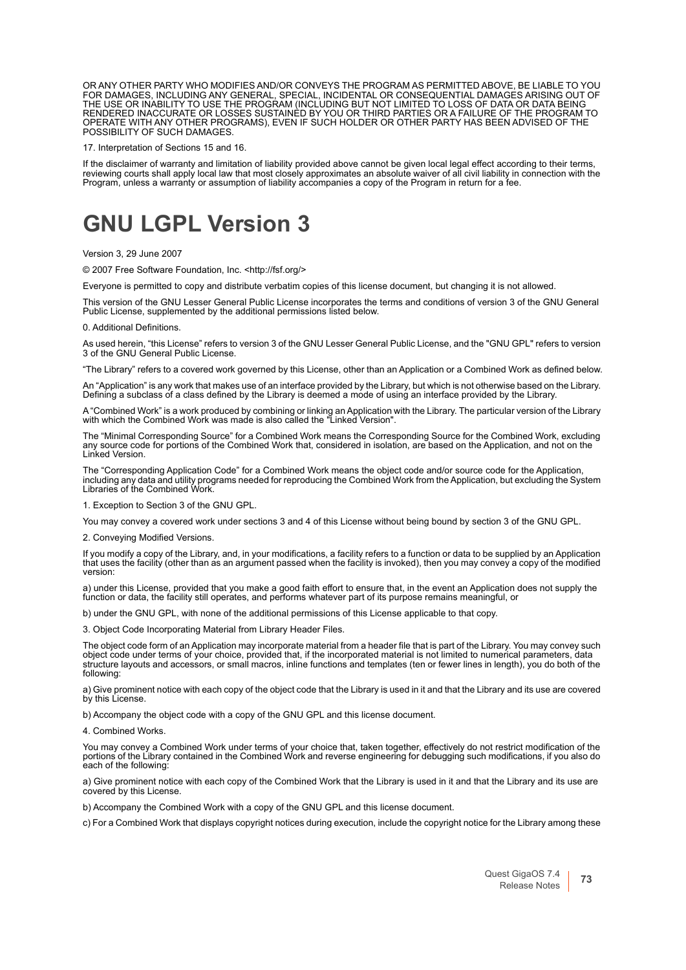OR ANY OTHER PARTY WHO MODIFIES AND/OR CONVEYS THE PROGRAM AS PERMITTED ABOVE, BE LIABLE TO YOU FOR DAMAGES, INCLUDING ANY GENERAL, SPECIAL, INCIDENTAL OR CONSEQUENTIAL DAMAGES ARISING OUT OF<br>THE USE OR INABILITY TO USE THE PROGRAM (INCLUDING BUT NOT LIMITED TO LOSS OF DATA OR DATA BEING<br>RENDERED INACCURATE OR LOSSES OPERATE WITH ANY OTHER PROGRAMS), EVEN IF SUCH HOLDER OR OTHER PARTY HAS BEEN ADVISED OF THE POSSIBILITY OF SUCH DAMAGES.

17. Interpretation of Sections 15 and 16.

If the disclaimer of warranty and limitation of liability provided above cannot be given local legal effect according to their terms, reviewing courts shall apply local law that most closely approximates an absolute waiver of all civil liability in connection with the<br>Program, unless a warranty or assumption of liability accompanies a copy of the Program

# **GNU LGPL Version 3**

Version 3, 29 June 2007

© 2007 Free Software Foundation, Inc. <http://fsf.org/>

Everyone is permitted to copy and distribute verbatim copies of this license document, but changing it is not allowed.

This version of the GNU Lesser General Public License incorporates the terms and conditions of version 3 of the GNU General Public License, supplemented by the additional permissions listed below.

0. Additional Definitions.

As used herein, "this License" refers to version 3 of the GNU Lesser General Public License, and the "GNU GPL" refers to version 3 of the GNU General Public License.

"The Library" refers to a covered work governed by this License, other than an Application or a Combined Work as defined below.

An "Application" is any work that makes use of an interface provided by the Library, but which is not otherwise based on the Library. Defining a subclass of a class defined by the Library is deemed a mode of using an interface provided by the Library.

A "Combined Work" is a work produced by combining or linking an Application with the Library. The particular version of the Library with which the Combined Work was made is also called the "Linked Version".

The "Minimal Corresponding Source" for a Combined Work means the Corresponding Source for the Combined Work, excluding any source code for portions of the Combined Work that, considered in isolation, are based on the Application, and not on the Linked Version.

The "Corresponding Application Code" for a Combined Work means the object code and/or source code for the Application, including any data and utility programs needed for reproducing the Combined Work from the Application, but excluding the System Libraries of the Combined Work.

1. Exception to Section 3 of the GNU GPL.

You may convey a covered work under sections 3 and 4 of this License without being bound by section 3 of the GNU GPL.

2. Conveying Modified Versions.

If you modify a copy of the Library, and, in your modifications, a facility refers to a function or data to be supplied by an Application that uses the facility (other than as an argument passed when the facility is invoked), then you may convey a copy of the modified version:

a) under this License, provided that you make a good faith effort to ensure that, in the event an Application does not supply the function or data, the facility still operates, and performs whatever part of its purpose remains meaningful, or

b) under the GNU GPL, with none of the additional permissions of this License applicable to that copy.

3. Object Code Incorporating Material from Library Header Files.

The object code form of an Application may incorporate material from a header file that is part of the Library. You may convey such object code under terms of your choice, provided that, if the incorporated material is not limited to numerical parameters, data structure layouts and accessors, or small macros, inline functions and templates (ten or fewer lines in length), you do both of the following:

a) Give prominent notice with each copy of the object code that the Library is used in it and that the Library and its use are covered by this License.

b) Accompany the object code with a copy of the GNU GPL and this license document.

4. Combined Works.

You may convey a Combined Work under terms of your choice that, taken together, effectively do not restrict modification of the portions of the Library contained in the Combined Work and reverse engineering for debugging such modifications, if you also do each of the following:

a) Give prominent notice with each copy of the Combined Work that the Library is used in it and that the Library and its use are covered by this License.

b) Accompany the Combined Work with a copy of the GNU GPL and this license document.

c) For a Combined Work that displays copyright notices during execution, include the copyright notice for the Library among these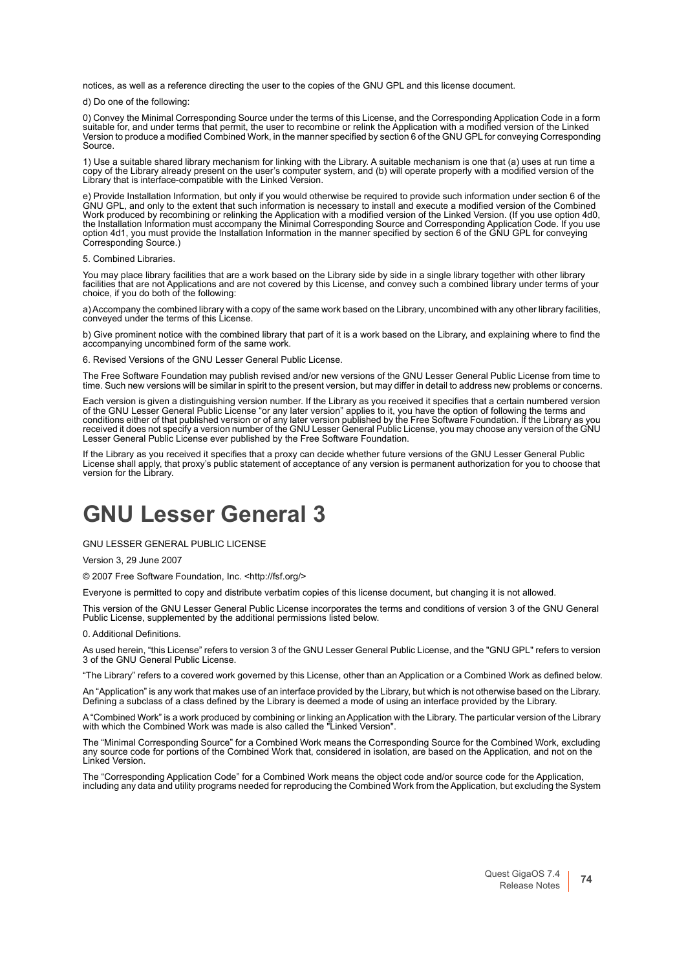notices, as well as a reference directing the user to the copies of the GNU GPL and this license document.

d) Do one of the following:

0) Convey the Minimal Corresponding Source under the terms of this License, and the Corresponding Application Code in a form<br>suitable for, and under terms that permit, the user to recombine or relink the Application with a Version to produce a modified Combined Work, in the manner specified by section 6 of the GNU GPL for conveying Corresponding Source.

1) Use a suitable shared library mechanism for linking with the Library. A suitable mechanism is one that (a) uses at run time a copy of the Library already present on the user's computer system, and (b) will operate properly with a modified version of the Library that is interface-compatible with the Linked Version.

e) Provide Installation Information, but only if you would otherwise be required to provide such information under section 6 of the GNU GPL, and only to the extent that such information is necessary to install and execute a modified version of the Combined Work produced by recombining or relinking the Application with a modified version of the Linked Version. (If you use option 4d0,<br>the Installation Information must accompany the Minimal Corresponding Source and Correspondin option 4d1, you must provide the Installation Information in the manner specified by section 6 of the GNU GPL for conveying Corresponding Source.)

5. Combined Libraries.

You may place library facilities that are a work based on the Library side by side in a single library together with other library facilities that are not Applications and are not covered by this License, and convey such a combined library under terms of your choice, if you do both of the following:

a) Accompany the combined library with a copy of the same work based on the Library, uncombined with any other library facilities, conveyed under the terms of this License.

b) Give prominent notice with the combined library that part of it is a work based on the Library, and explaining where to find the accompanying uncombined form of the same work.

6. Revised Versions of the GNU Lesser General Public License.

The Free Software Foundation may publish revised and/or new versions of the GNU Lesser General Public License from time to time. Such new versions will be similar in spirit to the present version, but may differ in detail to address new problems or concerns.

Each version is given a distinguishing version number. If the Library as you received it specifies that a certain numbered version of the GNU Lesser General Public License "or any later version" applies to it, you have the option of following the terms and conditions either of that published version or of any later version published by the Free Software Foundation. If the Library as you received it does not specify a version number of the GNU Lesser General Public License, you may choose any version of the GNU Lesser General Public License ever published by the Free Software Foundation.

If the Library as you received it specifies that a proxy can decide whether future versions of the GNU Lesser General Public License shall apply, that proxy's public statement of acceptance of any version is permanent authorization for you to choose that version for the Library.

# **GNU Lesser General 3**

GNU LESSER GENERAL PUBLIC LICENSE

Version 3, 29 June 2007

© 2007 Free Software Foundation, Inc. <http://fsf.org/>

Everyone is permitted to copy and distribute verbatim copies of this license document, but changing it is not allowed.

This version of the GNU Lesser General Public License incorporates the terms and conditions of version 3 of the GNU General Public License, supplemented by the additional permissions listed below.

0. Additional Definitions.

As used herein, "this License" refers to version 3 of the GNU Lesser General Public License, and the "GNU GPL" refers to version 3 of the GNU General Public License.

"The Library" refers to a covered work governed by this License, other than an Application or a Combined Work as defined below.

An "Application" is any work that makes use of an interface provided by the Library, but which is not otherwise based on the Library. Defining a subclass of a class defined by the Library is deemed a mode of using an interface provided by the Library.

A "Combined Work" is a work produced by combining or linking an Application with the Library. The particular version of the Library with which the Combined Work was made is also called the "Linked Version".

The "Minimal Corresponding Source" for a Combined Work means the Corresponding Source for the Combined Work, excluding any source code for portions of the Combined Work that, considered in isolation, are based on the Application, and not on the Linked Version.

The "Corresponding Application Code" for a Combined Work means the object code and/or source code for the Application, including any data and utility programs needed for reproducing the Combined Work from the Application, but excluding the System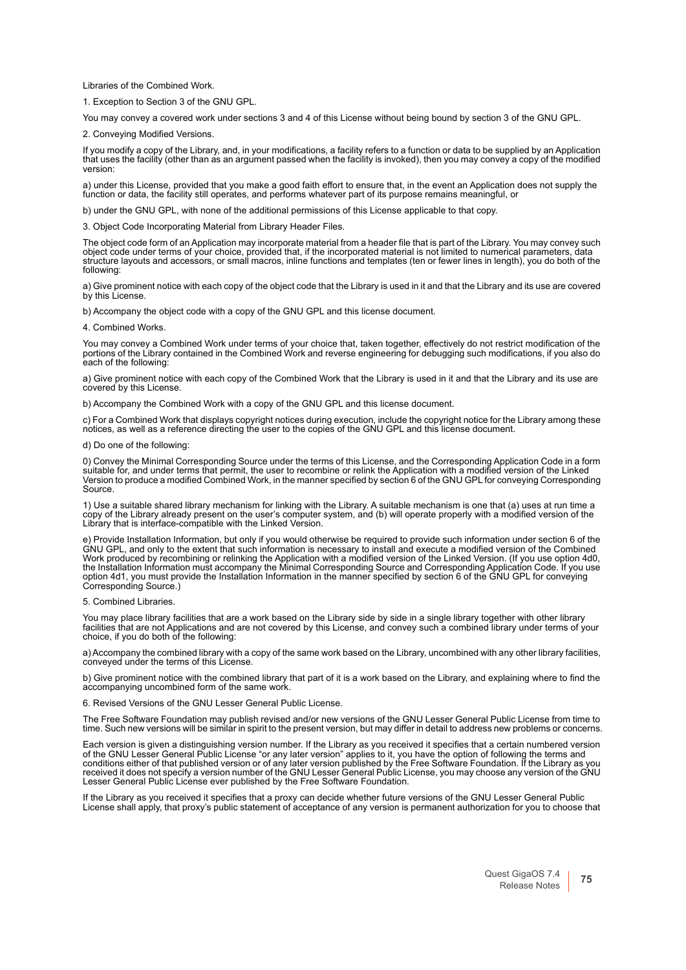Libraries of the Combined Work.

1. Exception to Section 3 of the GNU GPL.

You may convey a covered work under sections 3 and 4 of this License without being bound by section 3 of the GNU GPL.

2. Conveying Modified Versions.

If you modify a copy of the Library, and, in your modifications, a facility refers to a function or data to be supplied by an Application that uses the facility (other than as an argument passed when the facility is invoked), then you may convey a copy of the modified version:

a) under this License, provided that you make a good faith effort to ensure that, in the event an Application does not supply the<br>function or data, the facility still operates, and performs whatever part of its purpose rem

b) under the GNU GPL, with none of the additional permissions of this License applicable to that copy.

3. Object Code Incorporating Material from Library Header Files.

The object code form of an Application may incorporate material from a header file that is part of the Library. You may convey such object code under terms of your choice, provided that, if the incorporated material is not limited to numerical parameters, data<br>structure layouts and accessors, or small macros, inline functions and templates (ten or fewe following:

a) Give prominent notice with each copy of the object code that the Library is used in it and that the Library and its use are covered by this License.

b) Accompany the object code with a copy of the GNU GPL and this license document.

4. Combined Works.

You may convey a Combined Work under terms of your choice that, taken together, effectively do not restrict modification of the<br>portions of the Library contained in the Combined Work and reverse engineering for debugging s each of the following:

a) Give prominent notice with each copy of the Combined Work that the Library is used in it and that the Library and its use are covered by this License.

b) Accompany the Combined Work with a copy of the GNU GPL and this license document.

c) For a Combined Work that displays copyright notices during execution, include the copyright notice for the Library among these notices, as well as a reference directing the user to the copies of the GNU GPL and this license document.

#### d) Do one of the following:

0) Convey the Minimal Corresponding Source under the terms of this License, and the Corresponding Application Code in a form suitable for, and under terms that permit, the user to recombine or relink the Application with a modified version of the Linked Version to produce a modified Combined Work, in the manner specified by section 6 of the GNU GPL for conveying Corresponding Source.

1) Use a suitable shared library mechanism for linking with the Library. A suitable mechanism is one that (a) uses at run time a copy of the Library already present on the user's computer system, and (b) will operate properly with a modified version of the Library that is interface-compatible with the Linked Version.

e) Provide Installation Information, but only if you would otherwise be required to provide such information under section 6 of the GNU GPL, and only to the extent that such information is necessary to install and execute a modified version of the Combined Work produced by recombining or relinking the Application with a modified version of the Linked Version. (If you use option 4d0, the Installation Information must accompany the Minimal Corresponding Source and Corresponding Application Code. If you use option 4d1, you must provide the Installation Information in the manner specified by section 6 of the GNU GPL for conveying Corresponding Source.)

#### 5. Combined Libraries.

You may place library facilities that are a work based on the Library side by side in a single library together with other library facilities that are not Applications and are not covered by this License, and convey such a combined library under terms of your choice, if you do both of the following:

a) Accompany the combined library with a copy of the same work based on the Library, uncombined with any other library facilities, conveyed under the terms of this License.

b) Give prominent notice with the combined library that part of it is a work based on the Library, and explaining where to find the accompanying uncombined form of the same work.

6. Revised Versions of the GNU Lesser General Public License.

The Free Software Foundation may publish revised and/or new versions of the GNU Lesser General Public License from time to time. Such new versions will be similar in spirit to the present version, but may differ in detail to address new problems or concerns.

Each version is given a distinguishing version number. If the Library as you received it specifies that a certain numbered version<br>of the GNU Lesser General Public License "or any later version" applies to it, you have the conditions either of that published version or of any later version published by the Free Software Foundation. If the Library as you received it does not specify a version number of the GNU Lesser General Public License, you may choose any version of the GNU Lesser General Public License ever published by the Free Software Foundation.

If the Library as you received it specifies that a proxy can decide whether future versions of the GNU Lesser General Public License shall apply, that proxy's public statement of acceptance of any version is permanent authorization for you to choose that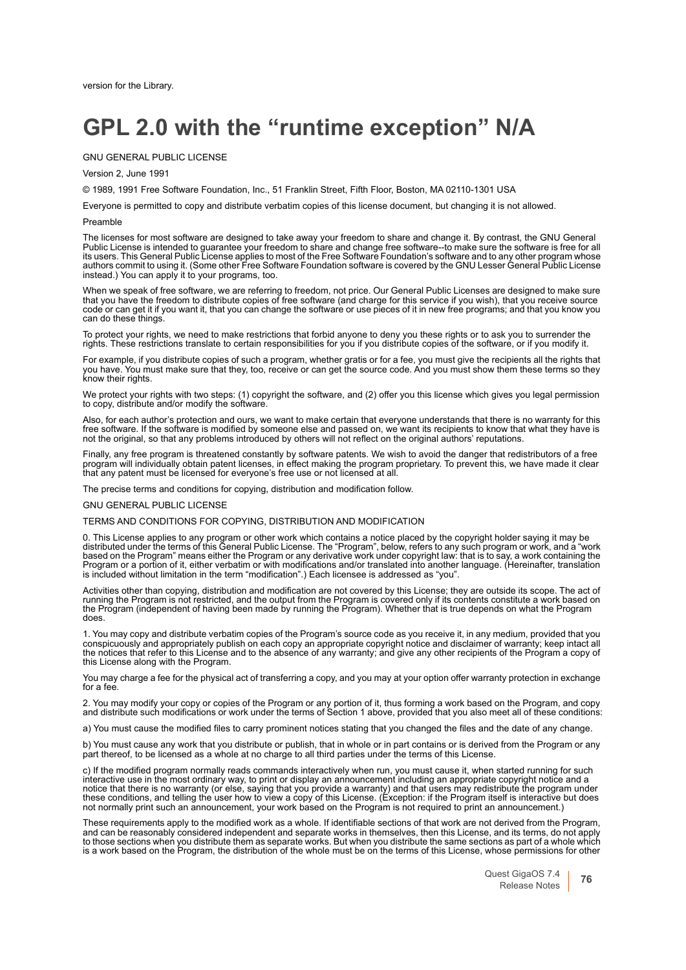# **GPL 2.0 with the "runtime exception" N/A**

## GNU GENERAL PUBLIC LICENSE

Version 2, June 1991

© 1989, 1991 Free Software Foundation, Inc., 51 Franklin Street, Fifth Floor, Boston, MA 02110-1301 USA

Everyone is permitted to copy and distribute verbatim copies of this license document, but changing it is not allowed.

#### Preamble

The licenses for most software are designed to take away your freedom to share and change it. By contrast, the GNU General Public License is intended to guarantee your freedom to share and change free software--to make sure the software is free for all<br>its users. This General Public License applies to most of the Free Software Foundation's sof authors commit to using it. (Some other Free Software Foundation software is covered by the GNU Lesser General Public License instead.) You can apply it to your programs, too.

When we speak of free software, we are referring to freedom, not price. Our General Public Licenses are designed to make sure that you have the freedom to distribute copies of free software (and charge for this service if you wish), that you receive source code or can get it if you want it, that you can change the software or use pieces of it in new free programs; and that you know you can do these things.

To protect your rights, we need to make restrictions that forbid anyone to deny you these rights or to ask you to surrender the rights. These restrictions translate to certain responsibilities for you if you distribute copies of the software, or if you modify it.

For example, if you distribute copies of such a program, whether gratis or for a fee, you must give the recipients all the rights that you have. You must make sure that they, too, receive or can get the source code. And you must show them these terms so they know their rights.

We protect your rights with two steps: (1) copyright the software, and (2) offer you this license which gives you legal permission to copy, distribute and/or modify the software.

Also, for each author's protection and ours, we want to make certain that everyone understands that there is no warranty for this free software. If the software is modified by someone else and passed on, we want its recipients to know that what they have is not the original, so that any problems introduced by others will not reflect on the original authors' reputations.

Finally, any free program is threatened constantly by software patents. We wish to avoid the danger that redistributors of a free<br>program will individually obtain patent licenses, in effect making the program proprietary. that any patent must be licensed for everyone's free use or not licensed at all.

The precise terms and conditions for copying, distribution and modification follow.

#### GNU GENERAL PUBLIC LICENSE

TERMS AND CONDITIONS FOR COPYING, DISTRIBUTION AND MODIFICATION

0. This License applies to any program or other work which contains a notice placed by the copyright holder saying it may be<br>distributed under the terms of this General Public License. The "Program", below, refers to any s based on the Program" means either the Program or any derivative work under copyright law: that is to say, a work containing the Program or a portion of it, either verbatim or with modifications and/or translated into another language. (Hereinafter, translation is included without limitation in the term "modification".) Each licensee is addressed as "you".

Activities other than copying, distribution and modification are not covered by this License; they are outside its scope. The act of running the Program is not restricted, and the output from the Program is covered only if its contents constitute a work based on<br>the Program (independent of having been made by running the Program). Whether that is true d does.

1. You may copy and distribute verbatim copies of the Program's source code as you receive it, in any medium, provided that you conspicuously and appropriately publish on each copy an appropriate copyright notice and disclaimer of warranty; keep intact all the notices that refer to this License and to the absence of any warranty; and give any other recipients of the Program a copy of this License along with the Program.

You may charge a fee for the physical act of transferring a copy, and you may at your option offer warranty protection in exchange for a fee.

2. You may modify your copy or copies of the Program or any portion of it, thus forming a work based on the Program, and copy and distribute such modifications or work under the terms of Section 1 above, provided that you also meet all of these conditions:

a) You must cause the modified files to carry prominent notices stating that you changed the files and the date of any change.

b) You must cause any work that you distribute or publish, that in whole or in part contains or is derived from the Program or any<br>part thereof, to be licensed as a whole at no charge to all third parties under the terms o

c) If the modified program normally reads commands interactively when run, you must cause it, when started running for such interactive use in the most ordinary way, to print or display an announcement including an appropriate copyright notice and a notice that there is no warranty (or else, saying that you provide a warranty) and that users may redistribute the program under these conditions, and telling the user how to view a copy of this License. (Exception: if the Program itself is interactive but does not normally print such an announcement, your work based on the Program is not required to print an announcement.)

These requirements apply to the modified work as a whole. If identifiable sections of that work are not derived from the Program, and can be reasonably considered independent and separate works in themselves, then this License, and its terms, do not apply<br>to those sections when you distribute them as separate works. But when you distribute the same s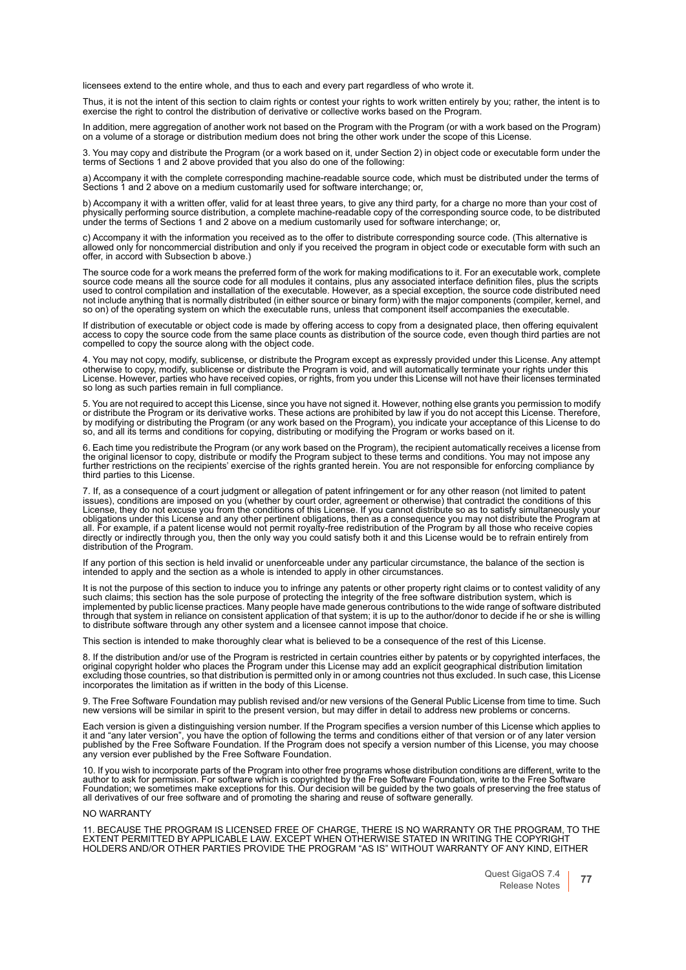licensees extend to the entire whole, and thus to each and every part regardless of who wrote it.

Thus, it is not the intent of this section to claim rights or contest your rights to work written entirely by you; rather, the intent is to exercise the right to control the distribution of derivative or collective works based on the Program.

In addition, mere aggregation of another work not based on the Program with the Program (or with a work based on the Program) on a volume of a storage or distribution medium does not bring the other work under the scope of this License.

3. You may copy and distribute the Program (or a work based on it, under Section 2) in object code or executable form under the terms of Sections 1 and 2 above provided that you also do one of the following:

a) Accompany it with the complete corresponding machine-readable source code, which must be distributed under the terms of Sections 1 and 2 above on a medium customarily used for software interchange; or,

b) Accompany it with a written offer, valid for at least three years, to give any third party, for a charge no more than your cost of physically performing source distribution, a complete machine-readable copy of the corresponding source code, to be distributed<br>under the terms of Sections 1 and 2 above on a medium customarily used for software interchang

c) Accompany it with the information you received as to the offer to distribute corresponding source code. (This alternative is allowed only for noncommercial distribution and only if you received the program in object code or executable form with such an offer, in accord with Subsection b above.)

The source code for a work means the preferred form of the work for making modifications to it. For an executable work, complete source code means all the source code for all modules it contains, plus any associated interface definition files, plus the scripts used to control compilation and installation of the executable. However, as a special exception, the source code distributed need not include anything that is normally distributed (in either source or binary form) with the major components (compiler, kernel, and so on) of the operating system on which the executable runs, unless that component itself accompanies the executable.

If distribution of executable or object code is made by offering access to copy from a designated place, then offering equivalent access to copy the source code from the same place counts as distribution of the source code, even though third parties are not compelled to copy the source along with the object code.

4. You may not copy, modify, sublicense, or distribute the Program except as expressly provided under this License. Any attempt otherwise to copy, modify, sublicense or distribute the Program is void, and will automatically terminate your rights under this<br>License. However, parties who have received copies, or rights, from you under this License wi so long as such parties remain in full compliance.

5. You are not required to accept this License, since you have not signed it. However, nothing else grants you permission to modify<br>or distribute the Program or its derivative works. These actions are prohibited by law if by modifying or distributing the Program (or any work based on the Program), you indicate your acceptance of this License to do so, and all its terms and conditions for copying, distributing or modifying the Program or works based on it.

6. Each time you redistribute the Program (or any work based on the Program), the recipient automatically receives a license from<br>the original licensor to copy, distribute or modify the Program subject to these terms and c further restrictions on the recipients' exercise of the rights granted herein. You are not responsible for enforcing compliance by third parties to this License.

7. If, as a consequence of a court judgment or allegation of patent infringement or for any other reason (not limited to patent issues), conditions are imposed on you (whether by court order, agreement or otherwise) that contradict the conditions of this License, they do not excuse you from the conditions of this License. If you cannot distribute so as to satisfy simultaneously your obligations under this License and any other pertinent obligations, then as a consequence you may not distribute the Program at all. For example, if a patent license would not permit royalty-free redistribution of the Program by all those who receive copies<br>directly or indirectly through you, then the only way you could satisfy both it and this Lic

If any portion of this section is held invalid or unenforceable under any particular circumstance, the balance of the section is intended to apply and the section as a whole is intended to apply in other circumstances.

It is not the purpose of this section to induce you to infringe any patents or other property right claims or to contest validity of any such claims; this section has the sole purpose of protecting the integrity of the free software distribution system, which is implemented by public license practices. Many people have made generous contributions to the wide range of software distributed through that system in reliance on consistent application of that system; it is up to the author/donor to decide if he or she is willing to distribute software through any other system and a licensee cannot impose that choice.

This section is intended to make thoroughly clear what is believed to be a consequence of the rest of this License.

8. If the distribution and/or use of the Program is restricted in certain countries either by patents or by copyrighted interfaces, the original copyright holder who places the Program under this License may add an explicit geographical distribution limitation excluding those countries, so that distribution is permitted only in or among countries not thus excluded. In such case, this License incorporates the limitation as if written in the body of this License.

9. The Free Software Foundation may publish revised and/or new versions of the General Public License from time to time. Such<br>new versions will be similar in spirit to the present version, but may differ in detail to addre

Each version is given a distinguishing version number. If the Program specifies a version number of this License which applies to it and "any later version", you have the option of following the terms and conditions either of that version or of any later version<br>published by the Free Software Foundation. If the Program does not specify a version numb any version ever published by the Free Software Foundation.

10. If you wish to incorporate parts of the Program into other free programs whose distribution conditions are different, write to the author to ask for permission. For software which is copyrighted by the Free Software Foundation, write to the Free Software<br>Foundation; we sometimes make exceptions for this. Our decision will be guided by the two goals of all derivatives of our free software and of promoting the sharing and reuse of software generally.

### NO WARRANTY

11. BECAUSE THE PROGRAM IS LICENSED FREE OF CHARGE, THERE IS NO WARRANTY OR THE PROGRAM, TO THE EXTENT PERMITTED BY APPLICABLE LAW. EXCEPT WHEN OTHERWISE STATED IN WRITING THE COPYRIGHT HOLDERS AND/OR OTHER PARTIES PROVIDE THE PROGRAM "AS IS" WITHOUT WARRANTY OF ANY KIND, EITHER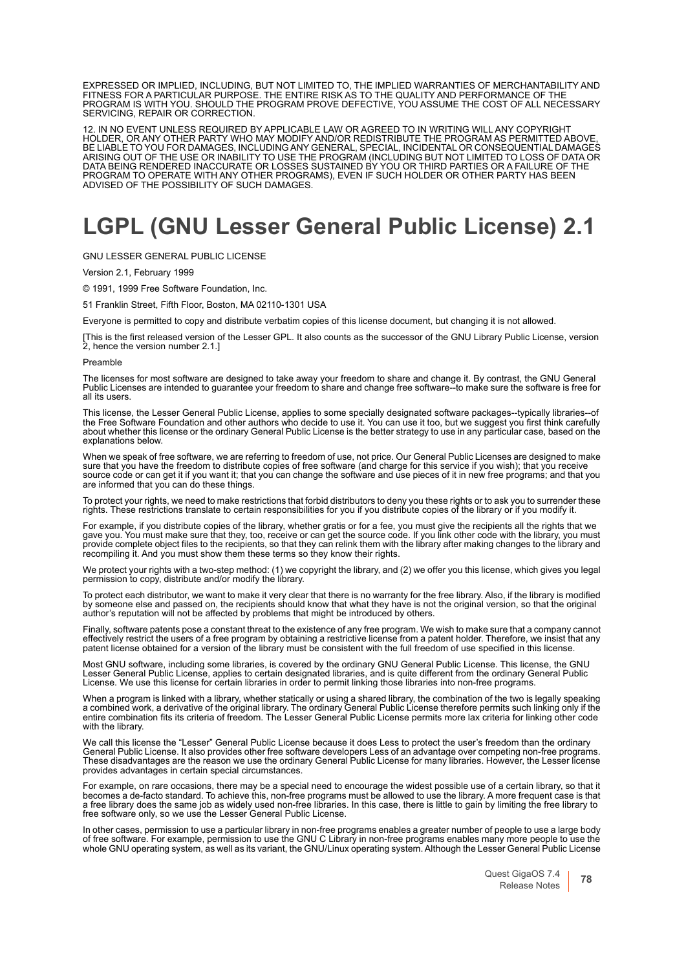EXPRESSED OR IMPLIED, INCLUDING, BUT NOT LIMITED TO, THE IMPLIED WARRANTIES OF MERCHANTABILITY AND FITNESS FOR A PARTICULAR PURPOSE. THE ENTIRE RISK AS TO THE QUALITY AND PERFORMANCE OF THE<br>PROGRAM IS WITH YOU. SHOULD THE PROGRAM PROVE DEFECTIVE, YOU ASSUME THE COST OF ALL NECESSARY<br>SERVICING, REPAIR OR CORRECTION.

12. IN NO EVENT UNLESS REQUIRED BY APPLICABLE LAW OR AGREED TO IN WRITING WILL ANY COPYRIGHT HOLDER, OR ANY OTHER PARTY WHO MAY MODIFY AND/OR REDISTRIBUTE THE PROGRAM AS PERMITTED ABOVE,<br>BE LIABLE TO YOU FOR DAMAGES, INCLUDING ANY GENERAL, SPECIAL, INCIDENTAL OR CONSEQUENTIAL DAMAGES ARISING OUT OF THE USE OR INABILITY TO USE THE PROGRAM (INCLUDING BUT NOT LIMITED TO LOSS OF DATA OR<br>DATA BEING RENDERED INACCURATE OR LOSSES SUSTAINED BY YOU OR THIRD PARTIES OR A FAILURE OF THE<br>PROGRAM TO OPERATE WITH AN ADVISED OF THE POSSIBILITY OF SUCH DAMAGES.

# **LGPL (GNU Lesser General Public License) 2.1**

GNU LESSER GENERAL PUBLIC LICENSE

Version 2.1, February 1999

© 1991, 1999 Free Software Foundation, Inc.

51 Franklin Street, Fifth Floor, Boston, MA 02110-1301 USA

Everyone is permitted to copy and distribute verbatim copies of this license document, but changing it is not allowed.

[This is the first released version of the Lesser GPL. It also counts as the successor of the GNU Library Public License, version 2, hence the version number 2.1.]

#### Preamble

The licenses for most software are designed to take away your freedom to share and change it. By contrast, the GNU General<br>Public Licenses are intended to guarantee your freedom to share and change free software--to make s all its users.

This license, the Lesser General Public License, applies to some specially designated software packages--typically libraries--of the Free Software Foundation and other authors who decide to use it. You can use it too, but we suggest you first think carefully about whether this license or the ordinary General Public License is the better strategy to use in any particular case, based on the explanations below.

When we speak of free software, we are referring to freedom of use, not price. Our General Public Licenses are designed to make sure that you have the freedom to distribute copies of free software (and charge for this service if you wish); that you receive source code or can get it if you want it; that you can change the software and use pieces of it in new free programs; and that you are informed that you can do these things.

To protect your rights, we need to make restrictions that forbid distributors to deny you these rights or to ask you to surrender these rights. These restrictions translate to certain responsibilities for you if you distribute copies of the library or if you modify it.

For example, if you distribute copies of the library, whether gratis or for a fee, you must give the recipients all the rights that we gave you. You must make sure that they, too, receive or can get the source code. If you link other code with the library, you must<br>provide complete object files to the recipients, so that they can relink them with the libr

We protect your rights with a two-step method: (1) we copyright the library, and (2) we offer you this license, which gives you legal permission to copy, distribute and/or modify the library.

To protect each distributor, we want to make it very clear that there is no warranty for the free library. Also, if the library is modified by someone else and passed on, the recipients should know that what they have is not the original version, so that the original author's reputation will not be affected by problems that might be introduced by others.

Finally, software patents pose a constant threat to the existence of any free program. We wish to make sure that a company cannot effectively restrict the users of a free program by obtaining a restrictive license from a patent holder. Therefore, we insist that any patent license obtained for a version of the library must be consistent with the full freedom of use specified in this license.

Most GNU software, including some libraries, is covered by the ordinary GNU General Public License. This license, the GNU Lesser General Public License, applies to certain designated libraries, and is quite different from the ordinary General Public<br>License. We use this license for certain libraries in order to permit linking those libraries

When a program is linked with a library, whether statically or using a shared library, the combination of the two is legally speaking a combined work, a derivative of the original library. The ordinary General Public License therefore permits such linking only if the<br>entire combination fits its criteria of freedom. The Lesser General Public License permi with the library.

We call this license the "Lesser" General Public License because it does Less to protect the user's freedom than the ordinary General Public License. It also provides other free software developers Less of an advantage over competing non-free programs.<br>These disadvantages are the reason we use the ordinary General Public License for many librarie provides advantages in certain special circumstances.

For example, on rare occasions, there may be a special need to encourage the widest possible use of a certain library, so that it becomes a de-facto standard. To achieve this, non-free programs must be allowed to use the library. A more frequent case is that a free library does the same job as widely used non-free libraries. In this case, there is little to gain by limiting the free library to free software only, so we use the Lesser General Public License.

In other cases, permission to use a particular library in non-free programs enables a greater number of people to use a large body of free software. For example, permission to use the GNU C Library in non-free programs enables many more people to use the whole GNU operating system, as well as its variant, the GNU/Linux operating system. Although the Lesser General Public License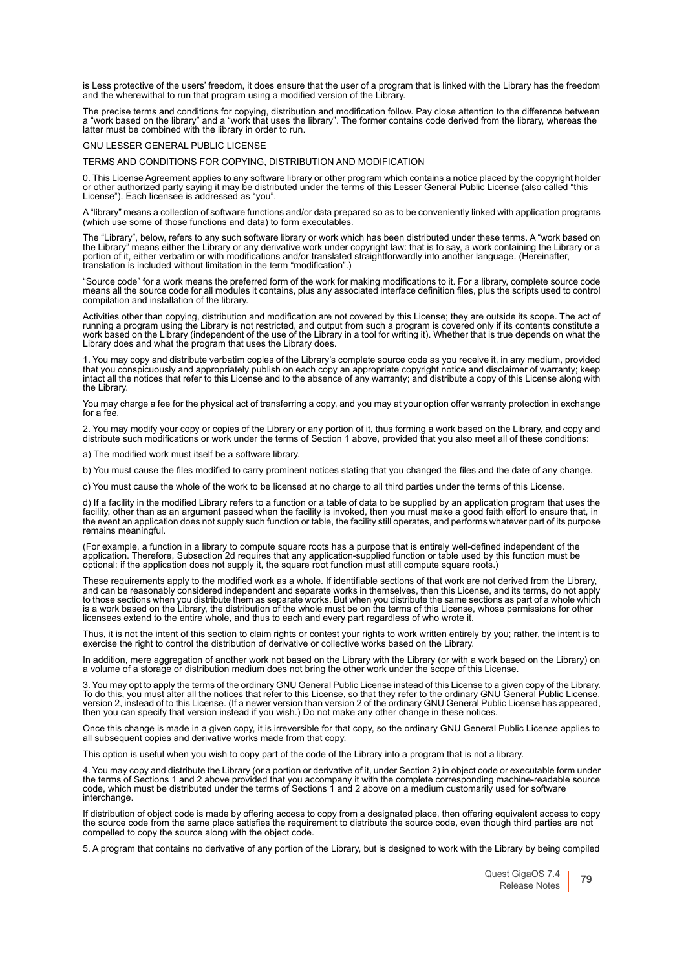is Less protective of the users' freedom, it does ensure that the user of a program that is linked with the Library has the freedom and the wherewithal to run that program using a modified version of the Library.

The precise terms and conditions for copying, distribution and modification follow. Pay close attention to the difference between<br>a "work based on the library" and a "work that uses the library". The former contains code d latter must be combined with the library in order to run.

GNU LESSER GENERAL PUBLIC LICENSE

TERMS AND CONDITIONS FOR COPYING, DISTRIBUTION AND MODIFICATION

0. This License Agreement applies to any software library or other program which contains a notice placed by the copyright holder or other authorized party saying it may be distributed under the terms of this Lesser Genera License"). Each licensee is addressed as "you".

A "library" means a collection of software functions and/or data prepared so as to be conveniently linked with application programs (which use some of those functions and data) to form executables.

The "Library", below, refers to any such software library or work which has been distributed under these terms. A "work based on the Library" means either the Library or any derivative work under copyright law: that is to say, a work containing the Library or a<br>portion of it, either verbatim or with modifications and/or translated straightforwardly translation is included without limitation in the term "modification".)

"Source code" for a work means the preferred form of the work for making modifications to it. For a library, complete source code<br>means all the source code for all modules it contains, plus any associated interface definit compilation and installation of the library.

Activities other than copying, distribution and modification are not covered by this License; they are outside its scope. The act of running a program using the Library is not restricted, and output from such a program is covered only if its contents constitute a work based on the Library (independent of the use of the Library in a tool for writing it). Whether that is true depends on what the Library does and what the program that uses the Library does.

1. You may copy and distribute verbatim copies of the Library's complete source code as you receive it, in any medium, provided that you conspicuously and appropriately publish on each copy an appropriate copyright notice and disclaimer of warranty; keep<br>intact all the notices that refer to this License and to the absence of any warranty; and distr the Library.

You may charge a fee for the physical act of transferring a copy, and you may at your option offer warranty protection in exchange for a fee.

2. You may modify your copy or copies of the Library or any portion of it, thus forming a work based on the Library, and copy and distribute such modifications or work under the terms of Section 1 above, provided that you also meet all of these conditions:

a) The modified work must itself be a software library.

b) You must cause the files modified to carry prominent notices stating that you changed the files and the date of any change.

c) You must cause the whole of the work to be licensed at no charge to all third parties under the terms of this License.

d) If a facility in the modified Library refers to a function or a table of data to be supplied by an application program that uses the facility, other than as an argument passed when the facility is invoked, then you must make a good faith effort to ensure that, in the event an application does not supply such function or table, the facility still operates, and performs whatever part of its purpose remains meaningful.

(For example, a function in a library to compute square roots has a purpose that is entirely well-defined independent of the application. Therefore, Subsection 2d requires that any application-supplied function or table used by this function must be optional: if the application does not supply it, the square root function must still compute square roots.)

These requirements apply to the modified work as a whole. If identifiable sections of that work are not derived from the Library, and can be reasonably considered independent and separate works in themselves, then this License, and its terms, do not apply to those sections when you distribute them as separate works. But when you distribute the same sections as part of a whole which is a work based on the Library, the distribution of the whole must be on the terms of this License, whose permissions for other licensees extend to the entire whole, and thus to each and every part regardless of who wrote it.

Thus, it is not the intent of this section to claim rights or contest your rights to work written entirely by you; rather, the intent is to exercise the right to control the distribution of derivative or collective works based on the Library.

In addition, mere aggregation of another work not based on the Library with the Library (or with a work based on the Library) on a volume of a storage or distribution medium does not bring the other work under the scope of this License.

3. You may opt to apply the terms of the ordinary GNU General Public License instead of this License to a given copy of the Library. To do this, you must alter all the notices that refer to this License, so that they refer to the ordinary GNU General Public License,<br>version 2, instead of to this License. (If a newer version than version 2 of the ordinar then you can specify that version instead if you wish.) Do not make any other change in these notices.

Once this change is made in a given copy, it is irreversible for that copy, so the ordinary GNU General Public License applies to all subsequent copies and derivative works made from that copy.

This option is useful when you wish to copy part of the code of the Library into a program that is not a library.

4. You may copy and distribute the Library (or a portion or derivative of it, under Section 2) in object code or executable form under the terms of Sections 1 and 2 above provided that you accompany it with the complete corresponding machine-readable source code, which must be distributed under the terms of Sections 1 and 2 above on a medium customarily used for software interchange.

If distribution of object code is made by offering access to copy from a designated place, then offering equivalent access to copy the source code from the same place satisfies the requirement to distribute the source code, even though third parties are not compelled to copy the source along with the object code.

5. A program that contains no derivative of any portion of the Library, but is designed to work with the Library by being compiled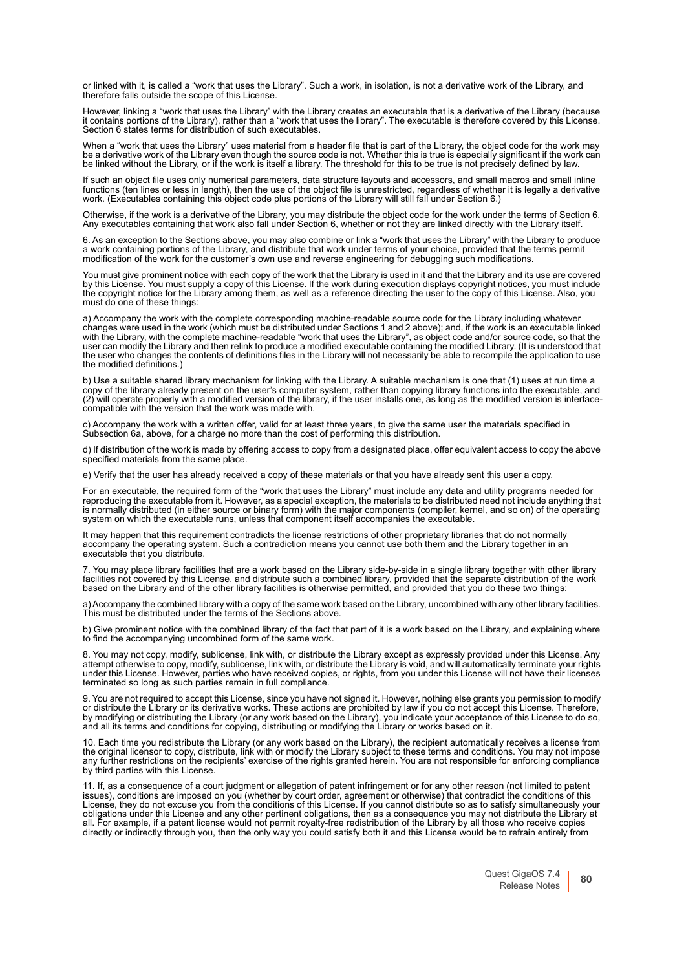or linked with it, is called a "work that uses the Library". Such a work, in isolation, is not a derivative work of the Library, and therefore falls outside the scope of this License.

However, linking a "work that uses the Library" with the Library creates an executable that is a derivative of the Library (because<br>it contains portions of the Library), rather than a "work that uses the library". The exec Section 6 states terms for distribution of such executables.

When a "work that uses the Library" uses material from a header file that is part of the Library, the object code for the work may<br>be a derivative work of the Library even though the source code is not. Whether this is tru be linked without the Library, or if the work is itself a library. The threshold for this to be true is not precisely defined by law.

If such an object file uses only numerical parameters, data structure layouts and accessors, and small macros and small inline functions (ten lines or less in length), then the use of the object file is unrestricted, regardless of whether it is legally a derivative work. (Executables containing this object code plus portions of the Library will still fall under Section 6.)

Otherwise, if the work is a derivative of the Library, you may distribute the object code for the work under the terms of Section 6.<br>Any executables containing that work also fall under Section 6, whether or not they are l

6. As an exception to the Sections above, you may also combine or link a "work that uses the Library" with the Library to produce<br>a work containing portions of the Library, and distribute that work under terms of your choi modification of the work for the customer's own use and reverse engineering for debugging such modifications.

You must give prominent notice with each copy of the work that the Library is used in it and that the Library and its use are covered<br>by this License. You must supply a copy of this License. If the work during execution di the copyright notice for the Library among them, as well as a reference directing the user to the copy of this License. Also, you must do one of these things:

a) Accompany the work with the complete corresponding machine-readable source code for the Library including whatever changes were used in the work (which must be distributed under Sections 1 and 2 above); and, if the work is an executable linked<br>with the Library, with the complete machine-readable "work that uses the Library", as object the user who changes the contents of definitions files in the Library will not necessarily be able to recompile the application to use the modified definitions.)

b) Use a suitable shared library mechanism for linking with the Library. A suitable mechanism is one that (1) uses at run time a copy of the library already present on the user's computer system, rather than copying library functions into the executable, and (2) will operate properly with a modified version of the library, if the user installs one, as long as the modified version is interfacecompatible with the version that the work was made with.

c) Accompany the work with a written offer, valid for at least three years, to give the same user the materials specified in<br>Subsection 6a, above, for a charge no more than the cost of performing this distribution.

d) If distribution of the work is made by offering access to copy from a designated place, offer equivalent access to copy the above specified materials from the same place.

e) Verify that the user has already received a copy of these materials or that you have already sent this user a copy.

For an executable, the required form of the "work that uses the Library" must include any data and utility programs needed for reproducing the executable from it. However, as a special exception, the materials to be distributed need not include anything that is normally distributed (in either source or binary form) with the major components (compiler, kernel, and so on) of the operating system on which the executable runs, unless that component itself accompanies the executable.

It may happen that this requirement contradicts the license restrictions of other proprietary libraries that do not normally accompany the operating system. Such a contradiction means you cannot use both them and the Library together in an executable that you distribute.

7. You may place library facilities that are a work based on the Library side-by-side in a single library together with other library facilities not covered by this License, and distribute such a combined library, provided that the separate distribution of the work<br>based on the Library and of the other library facilities is otherwise permitted, and provi

a) Accompany the combined library with a copy of the same work based on the Library, uncombined with any other library facilities. This must be distributed under the terms of the Sections above.

b) Give prominent notice with the combined library of the fact that part of it is a work based on the Library, and explaining where to find the accompanying uncombined form of the same work.

8. You may not copy, modify, sublicense, link with, or distribute the Library except as expressly provided under this License. Any attempt otherwise to copy, modify, sublicense, link with, or distribute the Library is void, and will automatically terminate your rights under this License. However, parties who have received copies, or rights, from you under this License will not have their licenses terminated so long as such parties remain in full compliance.

9. You are not required to accept this License, since you have not signed it. However, nothing else grants you permission to modify or distribute the Library or its derivative works. These actions are prohibited by law if you do not accept this License. Therefore,<br>by modifying or distributing the Library (or any work based on the Library), you indicate

10. Each time you redistribute the Library (or any work based on the Library), the recipient automatically receives a license from the original licensor to copy, distribute, link with or modify the Library subject to these terms and conditions. You may not impose<br>any further restrictions on the recipients' exercise of the rights granted herein. You ar by third parties with this License.

11. If, as a consequence of a court judgment or allegation of patent infringement or for any other reason (not limited to patent<br>issues), conditions are imposed on you (whether by court order, agreement or otherwise) that License, they do not excuse you from the conditions of this License. If you cannot distribute so as to satisfy simultaneously your obligations under this License and any other pertinent obligations, then as a consequence you may not distribute the Library at all. For example, if a patent license would not permit royalty-free redistribution of the Library by all those who receive copies directly or indirectly through you, then the only way you could satisfy both it and this License would be to refrain entirely from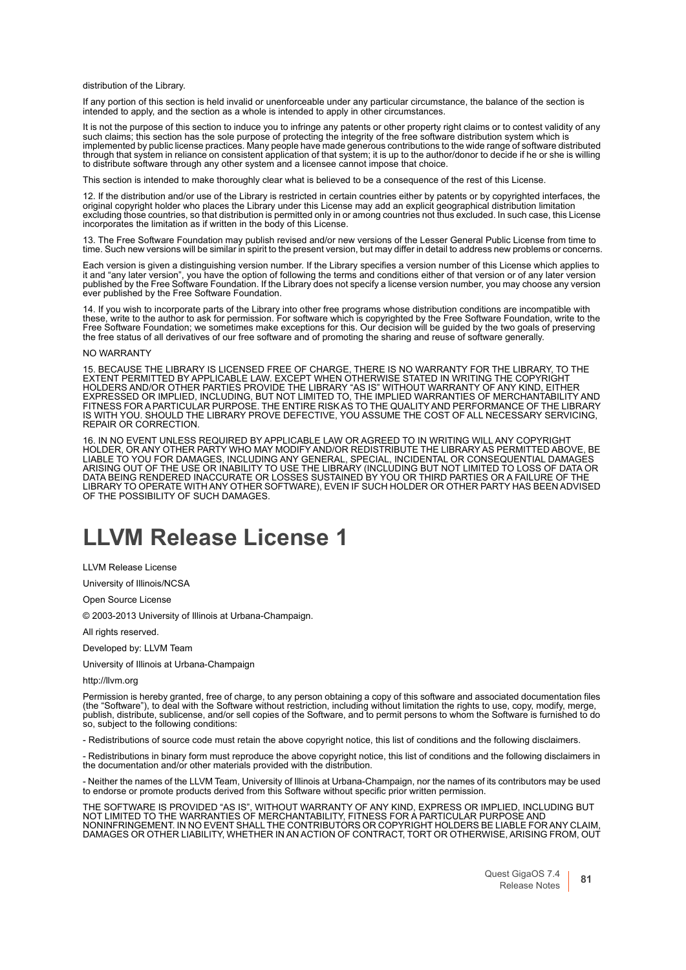distribution of the Library.

If any portion of this section is held invalid or unenforceable under any particular circumstance, the balance of the section is intended to apply, and the section as a whole is intended to apply in other circumstances.

It is not the purpose of this section to induce you to infringe any patents or other property right claims or to contest validity of any such claims; this section has the sole purpose of protecting the integrity of the free software distribution system which is<br>implemented by public license practices. Many people have made generous contributions to the wide through that system in reliance on consistent application of that system; it is up to the author/donor to decide if he or she is willing to distribute software through any other system and a licensee cannot impose that choice.

This section is intended to make thoroughly clear what is believed to be a consequence of the rest of this License.

12. If the distribution and/or use of the Library is restricted in certain countries either by patents or by copyrighted interfaces, the original copyright holder who places the Library under this License may add an explicit geographical distribution limitation excluding those countries, so that distribution is permitted only in or among countries not thus excluded. In such case, this License incorporates the limitation as if written in the body of this License.

13. The Free Software Foundation may publish revised and/or new versions of the Lesser General Public License from time to<br>time. Such new versions will be similar in spirit to the present version, but may differ in detail

Each version is given a distinguishing version number. If the Library specifies a version number of this License which applies to it and "any later version", you have the option of following the terms and conditions either of that version or of any later version published by the Free Software Foundation. If the Library does not specify a license version number, you may choose any version ever published by the Free Software Foundation.

14. If you wish to incorporate parts of the Library into other free programs whose distribution conditions are incompatible with these, write to the author to ask for permission. For software which is copyrighted by the Free Software Foundation, write to the Free Software Foundation; we sometimes make exceptions for this. Our decision will be guided by the two goals of preserving the free status of all derivatives of our free software and of promoting the sharing and reuse of software generally.

#### NO WARRANTY

15. BECAUSE THE LIBRARY IS LICENSED FREE OF CHARGE, THERE IS NO WARRANTY FOR THE LIBRARY, TO THE<br>EXTENT PERMITTED BY APPLICABLE LAW. EXCEPT WHEN OTHERWISE STATED IN WRITING THE COPYRIGHT<br>HOLDERS AND/OR OTHER PARTIES PROVID EXPRESSED OR IMPLIED, INCLUDING, BUT NOT LIMITED TO, THE IMPLIED WARRANTIES OF MERCHANTABILITY AND<br>FITNESS FOR A PARTICULAR PURPOSE. THE ENTIRE RISK AS TO THE QUALITY AND PERFORMANCE OF THE LIBRARY<br>IS WITH YOU. SHOULD THE REPAIR OR CORRECTION.

16. IN NO EVENT UNLESS REQUIRED BY APPLICABLE LAW OR AGREED TO IN WRITING WILL ANY COPYRIGHT HOLDER, OR ANY OTHER PARTY WHO MAY MODIFY AND/OR REDISTRIBUTE THE LIBRARY AS PERMITTED ABOVE, BE LIABLE TO YOU FOR DAMAGES, INCLUDING ANY GENERAL, SPECIAL, INCIDENTAL OR CONSEQUENTIAL DAMAGES ARISING OUT OF THE USE OR INABILITY TO USE THE LIBRARY (INCLUDING BUT NOT LIMITED TO LOSS OF DATA OR<br>DATA BEING RENDERED INACCURATE OR LOSSES SUSTAINED BY YOU OR THIRD PARTIES OR A FAILURE OF THE LIBRARY TO OPERATE WITH ANY OTHER SOFTWARE), EVEN IF SUCH HOLDER OR OTHER PARTY HAS BEEN ADVISED OF THE POSSIBILITY OF SUCH DAMAGES.

# **LLVM Release License 1**

LLVM Release License

University of Illinois/NCSA

Open Source License

© 2003-2013 University of Illinois at Urbana-Champaign.

All rights reserved.

Developed by: LLVM Team

University of Illinois at Urbana-Champaign

http://llvm.org

Permission is hereby granted, free of charge, to any person obtaining a copy of this software and associated documentation files<br>(the "Software"), to deal with the Software without restriction, including without limitation publish, distribute, sublicense, and/or sell copies of the Software, and to permit persons to whom the Software is furnished to do so, subject to the following conditions:

- Redistributions of source code must retain the above copyright notice, this list of conditions and the following disclaimers.

- Redistributions in binary form must reproduce the above copyright notice, this list of conditions and the following disclaimers in the documentation and/or other materials provided with the distribution.

- Neither the names of the LLVM Team, University of Illinois at Urbana-Champaign, nor the names of its contributors may be used to endorse or promote products derived from this Software without specific prior written permission.

THE SOFTWARE IS PROVIDED "AS IS", WITHOUT WARRANTY OF ANY KIND, EXPRESS OR IMPLIED, INCLUDING BUT<br>NOT LIMITED TO THE WARRANTIES OF MERCHANTABILITY, FITNESS FOR A PARTICULAR PURPOSE AND NONINFRINGEMENT. IN NO EVENT SHALL THE CONTRIBUTORS OR COPYRIGHT HOLDERS BE LIABLE FOR ANY CLAIM, DAMAGES OR OTHER LIABILITY, WHETHER IN AN ACTION OF CONTRACT, TORT OR OTHERWISE, ARISING FROM, OUT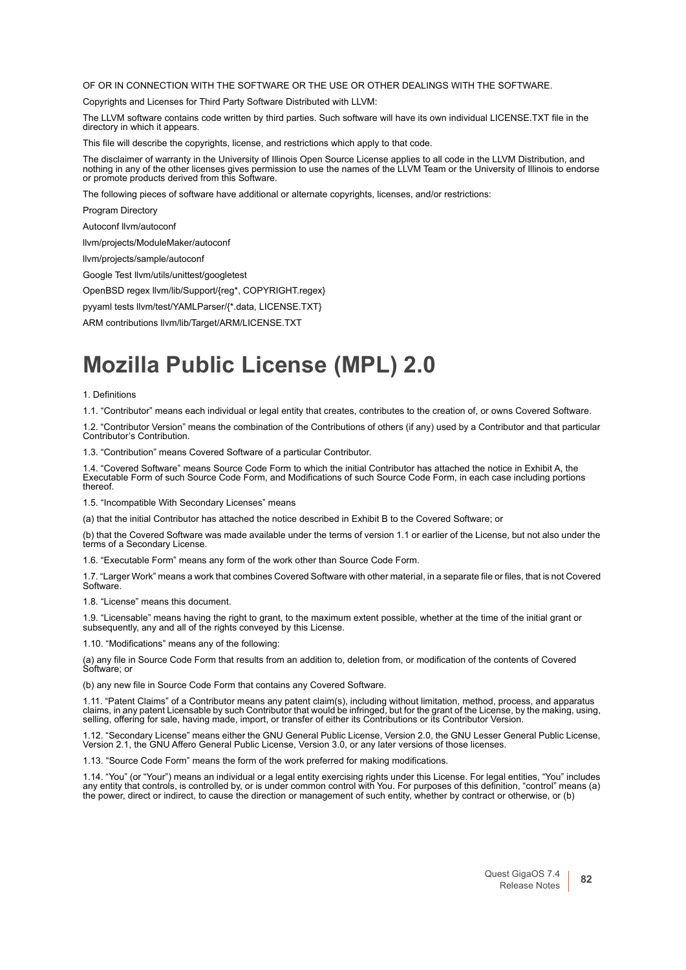OF OR IN CONNECTION WITH THE SOFTWARE OR THE USE OR OTHER DEALINGS WITH THE SOFTWARE.

Copyrights and Licenses for Third Party Software Distributed with LLVM:

The LLVM software contains code written by third parties. Such software will have its own individual LICENSE.TXT file in the directory in which it appears.

This file will describe the copyrights, license, and restrictions which apply to that code.

The disclaimer of warranty in the University of Illinois Open Source License applies to all code in the LLVM Distribution, and<br>nothing in any of the other licenses gives permission to use the names of the LLVM Team or the or promote products derived from this Software.

The following pieces of software have additional or alternate copyrights, licenses, and/or restrictions:

Program Directory

Autoconf llvm/autoconf

llvm/projects/ModuleMaker/autoconf

llvm/projects/sample/autoconf

Google Test llvm/utils/unittest/googletest

OpenBSD regex llvm/lib/Support/{reg\*, COPYRIGHT.regex}

pyyaml tests llvm/test/YAMLParser/{\*.data, LICENSE.TXT}

ARM contributions llvm/lib/Target/ARM/LICENSE.TXT

# **Mozilla Public License (MPL) 2.0**

#### 1. Definitions

1.1. "Contributor" means each individual or legal entity that creates, contributes to the creation of, or owns Covered Software.

1.2. "Contributor Version" means the combination of the Contributions of others (if any) used by a Contributor and that particular Contributor's Contribution.

1.3. "Contribution" means Covered Software of a particular Contributor.

1.4. "Covered Software" means Source Code Form to which the initial Contributor has attached the notice in Exhibit A, the Executable Form of such Source Code Form, and Modifications of such Source Code Form, in each case including portions thereof.

1.5. "Incompatible With Secondary Licenses" means

(a) that the initial Contributor has attached the notice described in Exhibit B to the Covered Software; or

(b) that the Covered Software was made available under the terms of version 1.1 or earlier of the License, but not also under the terms of a Secondary License.

1.6. "Executable Form" means any form of the work other than Source Code Form.

1.7. "Larger Work" means a work that combines Covered Software with other material, in a separate file or files, that is not Covered Software.

1.8. "License" means this document.

1.9. "Licensable" means having the right to grant, to the maximum extent possible, whether at the time of the initial grant or subsequently, any and all of the rights conveyed by this License.

1.10. "Modifications" means any of the following:

(a) any file in Source Code Form that results from an addition to, deletion from, or modification of the contents of Covered Software; or

(b) any new file in Source Code Form that contains any Covered Software.

1.11. "Patent Claims" of a Contributor means any patent claim(s), including without limitation, method, process, and apparatus<br>claims, in any patent Licensable by such Contributor that would be infringed, but for the grant selling, offering for sale, having made, import, or transfer of either its Contributions or its Contributor Version.

1.12. "Secondary License" means either the GNU General Public License, Version 2.0, the GNU Lesser General Public License, Version 2.1, the GNU Affero General Public License, Version 3.0, or any later versions of those licenses.

1.13. "Source Code Form" means the form of the work preferred for making modifications.

1.14. "You" (or "Your") means an individual or a legal entity exercising rights under this License. For legal entities, "You" includes any entity that controls, is controlled by, or is under common control with You. For purposes of this definition, "control" means (a) the power, direct or indirect, to cause the direction or management of such entity, whether by contract or otherwise, or (b)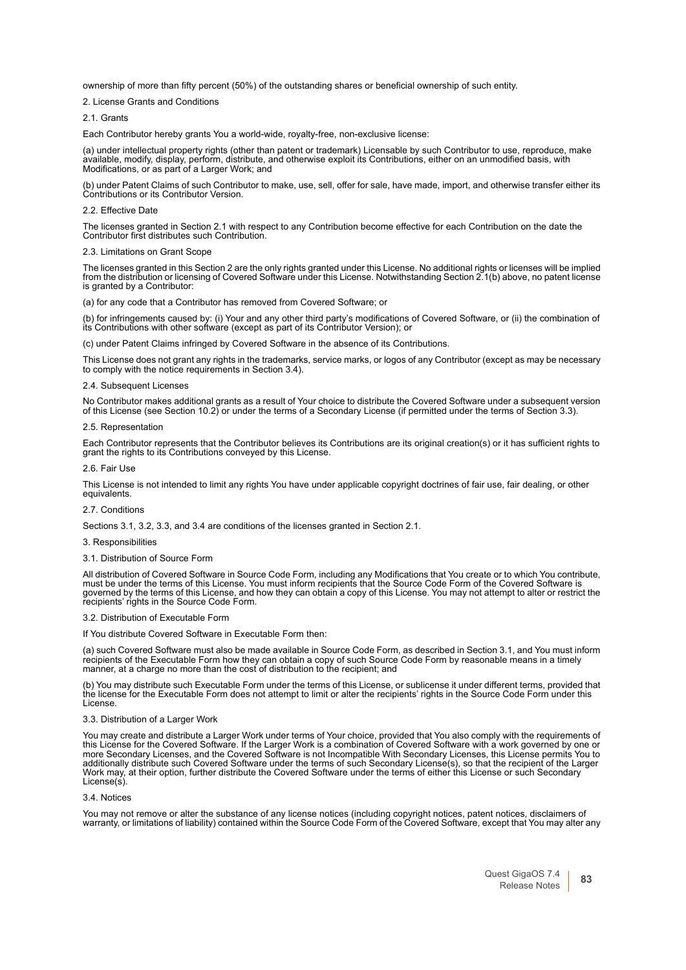ownership of more than fifty percent (50%) of the outstanding shares or beneficial ownership of such entity.

### 2. License Grants and Conditions

2.1. Grants

Each Contributor hereby grants You a world-wide, royalty-free, non-exclusive license:

(a) under intellectual property rights (other than patent or trademark) Licensable by such Contributor to use, reproduce, make available, modify, display, perform, distribute, and otherwise exploit its Contributions, either on an unmodified basis, with Modifications, or as part of a Larger Work; and

(b) under Patent Claims of such Contributor to make, use, sell, offer for sale, have made, import, and otherwise transfer either its Contributions or its Contributor Version.

## 2.2. Effective Date

The licenses granted in Section 2.1 with respect to any Contribution become effective for each Contribution on the date the Contributor first distributes such Contribution.

#### 2.3. Limitations on Grant Scope

The licenses granted in this Section 2 are the only rights granted under this License. No additional rights or licenses will be implied from the distribution or licensing of Covered Software under this License. Notwithstanding Section 2.1(b) above, no patent license is granted by a Contributor:

(a) for any code that a Contributor has removed from Covered Software; or

(b) for infringements caused by: (i) Your and any other third party's modifications of Covered Software, or (ii) the combination of its Contributions with other software (except as part of its Contributor Version); or

(c) under Patent Claims infringed by Covered Software in the absence of its Contributions.

This License does not grant any rights in the trademarks, service marks, or logos of any Contributor (except as may be necessary to comply with the notice requirements in Section 3.4).

#### 2.4. Subsequent Licenses

No Contributor makes additional grants as a result of Your choice to distribute the Covered Software under a subsequent version of this License (see Section 10.2) or under the terms of a Secondary License (if permitted under the terms of Section 3.3).

#### 2.5. Representation

Each Contributor represents that the Contributor believes its Contributions are its original creation(s) or it has sufficient rights to grant the rights to its Contributions conveyed by this License.

#### 2.6. Fair Use

This License is not intended to limit any rights You have under applicable copyright doctrines of fair use, fair dealing, or other equivalents.

#### 2.7. Conditions

Sections 3.1, 3.2, 3.3, and 3.4 are conditions of the licenses granted in Section 2.1.

#### 3. Responsibilities

#### 3.1. Distribution of Source Form

All distribution of Covered Software in Source Code Form, including any Modifications that You create or to which You contribute, must be under the terms of this License. You must inform recipients that the Source Code Form of the Covered Software is<br>governed by the terms of this License, and how they can obtain a copy of this License. You may not at recipients' rights in the Source Code Form.

#### 3.2. Distribution of Executable Form

If You distribute Covered Software in Executable Form then:

(a) such Covered Software must also be made available in Source Code Form, as described in Section 3.1, and You must inform recipients of the Executable Form how they can obtain a copy of such Source Code Form by reasonable means in a timely manner, at a charge no more than the cost of distribution to the recipient; and

(b) You may distribute such Executable Form under the terms of this License, or sublicense it under different terms, provided that the license for the Executable Form does not attempt to limit or alter the recipients' rights in the Source Code Form under this License.

#### 3.3. Distribution of a Larger Work

You may create and distribute a Larger Work under terms of Your choice, provided that You also comply with the requirements of<br>this License for the Covered Software. If the Larger Work is a combination of Covered Software additionally distribute such Covered Software under the terms of such Secondary License(s), so that the recipient of the Larger Work may, at their option, further distribute the Covered Software under the terms of either this License or such Secondary License(s).

### 3.4. Notices

You may not remove or alter the substance of any license notices (including copyright notices, patent notices, disclaimers of warranty, or limitations of liability) contained within the Source Code Form of the Covered Software, except that You may alter any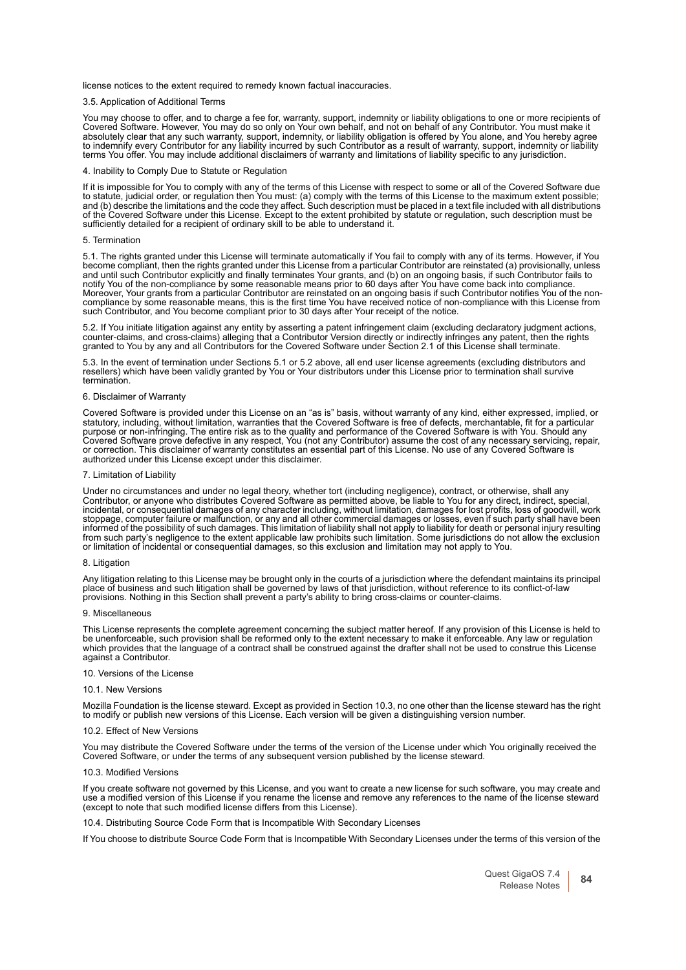license notices to the extent required to remedy known factual inaccuracies.

#### 3.5. Application of Additional Terms

You may choose to offer, and to charge a fee for, warranty, support, indemnity or liability obligations to one or more recipients of<br>Covered Software. However, You may do so only on Your own behalf, and not on behalf of an absolutely clear that any such warranty, support, indemnity, or liability obligation is offered by You alone, and You hereby agree<br>to indemnify every Contributor for any liability incurred by such Contributor as a result o

#### 4. Inability to Comply Due to Statute or Regulation

If it is impossible for You to comply with any of the terms of this License with respect to some or all of the Covered Software due<br>to statute, judicial order, or regulation then You must: (a) comply with the terms of this and (b) describe the limitations and the code they affect. Such description must be placed in a text file included with all distributions of the Covered Software under this License. Except to the extent prohibited by statute or regulation, such description must be sufficiently detailed for a recipient of ordinary skill to be able to understand it.

#### 5. Termination

5.1. The rights granted under this License will terminate automatically if You fail to comply with any of its terms. However, if You become compliant, then the rights granted under this License from a particular Contributor are reinstated (a) provisionally, unless<br>and until such Contributor explicitly and finally terminates Your grants, and (b) on an on notify You of the non-compliance by some reasonable means prior to 60 days after You have come back into compliance. Moreover, Your grants from a particular Contributor are reinstated on an ongoing basis if such Contributor notifies You of the noncompliance by some reasonable means, this is the first time You have received notice of non-compliance with this License from such Contributor, and You become compliant prior to 30 days after Your receipt of the notice.

5.2. If You initiate litigation against any entity by asserting a patent infringement claim (excluding declaratory judgment actions,<br>counter-claims, and cross-claims) alleging that a Contributor Version directly or indirec

5.3. In the event of termination under Sections 5.1 or 5.2 above, all end user license agreements (excluding distributors and resellers) which have been validly granted by You or Your distributors under this License prior to termination shall survive termination.

#### 6. Disclaimer of Warranty

Covered Software is provided under this License on an "as is" basis, without warranty of any kind, either expressed, implied, or statutory, including, without limitation, warranties that the Covered Software is free of defects, merchantable, fit for a particular purpose or non-infringing. The entire risk as to the quality and performance of the Covered Software is with You. Should any<br>Covered Software prove defective in any respect, You (not any Contributor) assume the cost of any authorized under this License except under this disclaimer.

#### 7. Limitation of Liability

Under no circumstances and under no legal theory, whether tort (including negligence), contract, or otherwise, shall any Contributor, or anyone who distributes Covered Software as permitted above, be liable to You for any direct, indirect, special, incidental, or consequential damages of any character including, without limitation, damages for lost profits, loss of goodwill, work stoppage, computer failure or malfunction, or any and all other commercial damages or losses, even if such party shall have been informed of the possibility of such damages. This limitation of liability shall not apply to liability for death or personal injury resulting<br>from such party's negligence to the extent applicable law prohibits such limitat

#### 8. Litigation

Any litigation relating to this License may be brought only in the courts of a jurisdiction where the defendant maintains its principal place of business and such litigation shall be governed by laws of that jurisdiction, without reference to its conflict-of-law provisions. Nothing in this Section shall prevent a party's ability to bring cross-claims or counter-claims.

#### 9. Miscellaneous

This License represents the complete agreement concerning the subject matter hereof. If any provision of this License is held to be unenforceable, such provision shall be reformed only to the extent necessary to make it enforceable. Any law or regulation which provides that the language of a contract shall be construed against the drafter shall not be used to construe this License against a Contributor.

## 10. Versions of the License

#### 10.1. New Versions

Mozilla Foundation is the license steward. Except as provided in Section 10.3, no one other than the license steward has the right to modify or publish new versions of this License. Each version will be given a distinguishing version number.

#### 10.2. Effect of New Versions

You may distribute the Covered Software under the terms of the version of the License under which You originally received the Covered Software, or under the terms of any subsequent version published by the license steward.

#### 10.3. Modified Versions

If you create software not governed by this License, and you want to create a new license for such software, you may create and use a modified version of this License if you rename the license and remove any references to the name of the license steward (except to note that such modified license differs from this License).

10.4. Distributing Source Code Form that is Incompatible With Secondary Licenses

If You choose to distribute Source Code Form that is Incompatible With Secondary Licenses under the terms of this version of the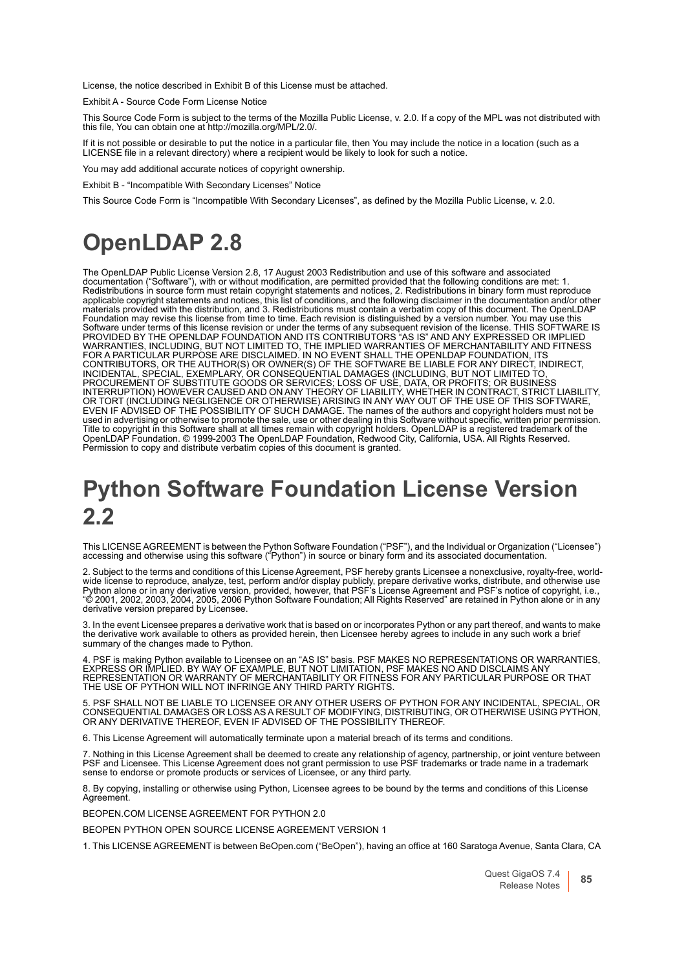License, the notice described in Exhibit B of this License must be attached.

Exhibit A - Source Code Form License Notice

This Source Code Form is subject to the terms of the Mozilla Public License, v. 2.0. If a copy of the MPL was not distributed with this file, You can obtain one at http://mozilla.org/MPL/2.0/.

If it is not possible or desirable to put the notice in a particular file, then You may include the notice in a location (such as a LICENSE file in a relevant directory) where a recipient would be likely to look for such a notice.

You may add additional accurate notices of copyright ownership.

Exhibit B - "Incompatible With Secondary Licenses" Notice

This Source Code Form is "Incompatible With Secondary Licenses", as defined by the Mozilla Public License, v. 2.0.

# **OpenLDAP 2.8**

The OpenLDAP Public License Version 2.8, 17 August 2003 Redistribution and use of this software and associated<br>documentation ("Software"), with or without modification, are permitted provided that the following conditions Redistributions in source form must retain copyright statements and notices, 2. Redistributions in binary form must reproduce applicable copyright statements and notices, this list of conditions, and the following disclaimer in the documentation and/or other materials provided with the distribution, and 3. Redistributions must contain a verbatim copy of this document. The OpenLDAP Foundation may revise this license from time to time. Each revision is distinguished by a version number. You may use this Software under terms of this license revision or under the terms of any subsequent revision of the license. THIS SOFTWARE IS<br>PROVIDED BY THE OPENLDAP FOUNDATION AND ITS CONTRIBUTORS "AS IS" AND ANY EXPRESSED OR IMPLIED<br>WAR FOR A PARTICULAR PURPOSE ARE DISCLAIMED. IN NO EVENT SHALL THE OPENLDAP FOUNDATION, ITS<br>CONTRIBUTORS, OR THE AUTHOR(S) OR OWNER(S) OF THE SOFTWARE BE LIABLE FOR ANY DIRECT, INDIRECT,<br>INCIDENTAL, SPECIAL, EXEMPLARY, OR CONS PROCUREMENT OF SUBSTITUTE GOODS OR SERVICES; LOSS OF USE, DATA, OR PROFITS; OR BUSINESS<br>INTERRUPTION) HOWEVER CAUSED AND ON ANY THEORY OF LIABILITY, WHETHER IN CONTRACT, STRICT LIABILITY,<br>OR TORT (INCLUDING NEGLIGENCE OR O EVEN IF ADVISED OF THE POSSIBILITY OF SUCH DAMAGE. The names of the authors and copyright holders must not be used in advertising or otherwise to promote the sale, use or other dealing in this Software without specific, written prior permission. Title to copyright in this Software shall at all times remain with copyright holders. OpenLDAP is a registered trademark of the OpenLDAP Foundation. © 1999-2003 The OpenLDAP Foundation, Redwood City, California, USA. All Rights Reserved. Permission to copy and distribute verbatim copies of this document is granted.

# **Python Software Foundation License Version 2.2**

This LICENSE AGREEMENT is between the Python Software Foundation ("PSF"), and the Individual or Organization ("Licensee") accessing and otherwise using this software ("Python") in source or binary form and its associated documentation.

2. Subject to the terms and conditions of this License Agreement, PSF hereby grants Licensee a nonexclusive, royalty-free, worldwide license to reproduce, analyze, test, perform and/or display publicly, prepare derivative works, distribute, and otherwise use Python alone or in any derivative version, provided, however, that PSF's License Agreement and PSF's notice of copyright, i.e.,<br>"© 2001, 2002, 2003, 2004, 2005, 2006 Python Software Foundation; All Rights Reserved" are ret derivative version prepared by Licensee.

3. In the event Licensee prepares a derivative work that is based on or incorporates Python or any part thereof, and wants to make the derivative work available to others as provided herein, then Licensee hereby agrees to include in any such work a brief summary of the changes made to Python.

4. PSF is making Python available to Licensee on an "AS IS" basis. PSF MAKES NO REPRESENTATIONS OR WARRANTIES,<br>EXPRESS OR IMPLIED. BY WAY OF EXAMPLE, BUT NOT LIMITATION, PSF MAKES NO AND DISCLAIMS ANY<br>REPRESENTATION OR WAR THE USE OF PYTHON WILL NOT INFRINGE ANY THIRD PARTY RIGHTS.

5. PSF SHALL NOT BE LIABLE TO LICENSEE OR ANY OTHER USERS OF PYTHON FOR ANY INCIDENTAL, SPECIAL, OR<br>CONSEQUENTIAL DAMAGES OR LOSS AS A RESULT OF MODIFYING, DISTRIBUTING, OR OTHERWISE USING PYTHON, OR ANY DERIVATIVE THEREOF, EVEN IF ADVISED OF THE POSSIBILITY THEREOF.

6. This License Agreement will automatically terminate upon a material breach of its terms and conditions.

7. Nothing in this License Agreement shall be deemed to create any relationship of agency, partnership, or joint venture between PSF and Licensee. This License Agreement does not grant permission to use PSF trademarks or trade name in a trademark sense to endorse or promote products or services of Licensee, or any third party.

8. By copying, installing or otherwise using Python, Licensee agrees to be bound by the terms and conditions of this License Agreement.

BEOPEN.COM LICENSE AGREEMENT FOR PYTHON 2.0

BEOPEN PYTHON OPEN SOURCE LICENSE AGREEMENT VERSION 1

1. This LICENSE AGREEMENT is between BeOpen.com ("BeOpen"), having an office at 160 Saratoga Avenue, Santa Clara, CA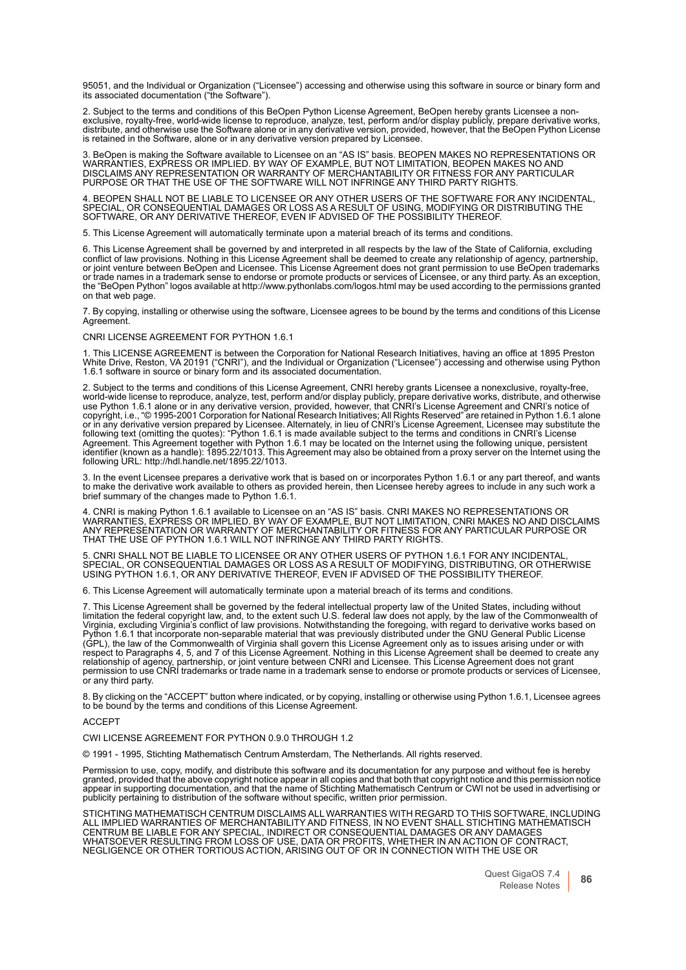95051, and the Individual or Organization ("Licensee") accessing and otherwise using this software in source or binary form and its associated documentation ("the Software").

2. Subject to the terms and conditions of this BeOpen Python License Agreement, BeOpen hereby grants Licensee a non-<br>exclusive, royalty-free, world-wide license to reproduce, analyze, test, perform and/or display publicly, distribute, and otherwise use the Software alone or in any derivative version, provided, however, that the BeOpen Python License is retained in the Software, alone or in any derivative version prepared by Licensee.

3. BeOpen is making the Software available to Licensee on an "AS IS" basis. BEOPEN MAKES NO REPRESENTATIONS OR WARRANTIES, EXPRESS OR IMPLIED. BY WAY OF EXAMPLE, BUT NOT LIMITATION, BEOPEN MAKES NO AND<br>DISCLAIMS ANY REPRESENTATION OR WARRANTY OF MERCHANTABILITY OR FITNESS FOR ANY PARTICULAR<br>PURPOSE OR THAT THE USE OF THE SOFTWARE W

4. BEOPEN SHALL NOT BE LIABLE TO LICENSEE OR ANY OTHER USERS OF THE SOFTWARE FOR ANY INCIDENTAL,<br>SPECIAL, OR CONSEQUENTIAL DAMAGES OR LOSS AS A RESULT OF USING, MODIFYING OR DISTRIBUTING THE<br>SOFTWARE, OR ANY DERIVATIVE THE

5. This License Agreement will automatically terminate upon a material breach of its terms and conditions.

6. This License Agreement shall be governed by and interpreted in all respects by the law of the State of California, excluding conflict of law provisions. Nothing in this License Agreement shall be deemed to create any relationship of agency, partnership, or joint venture between BeOpen and Licensee. This License Agreement does not grant permission to use BeOpen trademarks<br>or trade names in a trademark sense to endorse or promote products or services of Licensee, or any thi the "BeOpen Python" logos available at http://www.pythonlabs.com/logos.html may be used according to the permissions granted on that web page.

7. By copying, installing or otherwise using the software, Licensee agrees to be bound by the terms and conditions of this License Agreement.

### CNRI LICENSE AGREEMENT FOR PYTHON 1.6.1

1. This LICENSE AGREEMENT is between the Corporation for National Research Initiatives, having an office at 1895 Preston White Drive, Reston, VA 20191 ("CNRI"), and the Individual or Organization ("Licensee") accessing and otherwise using Python 1.6.1 software in source or binary form and its associated documentation.

2. Subject to the terms and conditions of this License Agreement, CNRI hereby grants Licensee a nonexclusive, royalty-free, world-wide license to reproduce, analyze, test, perform and/or display publicly, prepare derivative works, distribute, and otherwise<br>use Python 1.6.1 alone or in any derivative version, provided, however, that CNRI's Licen or in any derivative version prepared by Licensee. Alternately, in lieu of CNRI's License Agreement, Licensee may substitute the<br>following text (omitting the quotes): "Python 1.6.1 is made available subject to the terms an identifier (known as a handle): 1895.22/1013. This Agreement may also be obtained from a proxy server on the Internet using the following URL: http://hdl.handle.net/1895.22/1013.

3. In the event Licensee prepares a derivative work that is based on or incorporates Python 1.6.1 or any part thereof, and wants to make the derivative work available to others as provided herein, then Licensee hereby agrees to include in any such work a brief summary of the changes made to Python 1.6.1.

4. CNRI is making Python 1.6.1 available to Licensee on an "AS IS" basis. CNRI MAKES NO REPRESENTATIONS OR WARRANTIES, EXPRESS OR IMPLIED. BY WAY OF EXAMPLE, BUT NOT LIMITATION, CNRI MAKES NO AND DISCLAIMS ANY REPRESENTATION OR WARRANTY OF MERCHANTABILITY OR FITNESS FOR ANY PARTICULAR PURPOSE OR THAT THE USE OF PYTHON 1.6.1 WILL NOT INFRINGE ANY THIRD PARTY RIGHTS.

5. CNRI SHALL NOT BE LIABLE TO LICENSEE OR ANY OTHER USERS OF PYTHON 1.6.1 FOR ANY INCIDENTAL, SPECIAL, OR CONSEQUENTIAL DAMAGES OR LOSS AS A RESULT OF MODIFYING, DISTRIBUTING, OR OTHERWISE USING PYTHON 1.6.1, OR ANY DERIVATIVE THEREOF, EVEN IF ADVISED OF THE POSSIBILITY THEREOF.

6. This License Agreement will automatically terminate upon a material breach of its terms and conditions.

7. This License Agreement shall be governed by the federal intellectual property law of the United States, including without limitation the federal copyright law, and, to the extent such U.S. federal law does not apply, by the law of the Commonwealth of Virginia, excluding Virginia's conflict of law provisions. Notwithstanding the foregoing, with regard to derivative works based on<br>Python 1.6.1 that incorporate non-separable material that was previously distributed under (GPL), the law of the Commonwealth of Virginia shall govern this License Agreement only as to issues arising under or with respect to Paragraphs 4, 5, and 7 of this License Agreement. Nothing in this License Agreement shall be deemed to create any relationship of agency, partnership, or joint venture between CNRI and Licensee. This License Agreement does not grant<br>permission to use CNRI trademarks or trade name in a trademark sense to endorse or promote products or or any third party.

8. By clicking on the "ACCEPT" button where indicated, or by copying, installing or otherwise using Python 1.6.1, Licensee agrees to be bound by the terms and conditions of this License Agreement.

ACCEPT

## CWI LICENSE AGREEMENT FOR PYTHON 0.9.0 THROUGH 1.2

© 1991 - 1995, Stichting Mathematisch Centrum Amsterdam, The Netherlands. All rights reserved.

Permission to use, copy, modify, and distribute this software and its documentation for any purpose and without fee is hereby granted, provided that the above copyright notice appear in all copies and that both that copyright notice and this permission notice<br>appear in supporting documentation, and that the name of Stichting Mathematisch Centrum publicity pertaining to distribution of the software without specific, written prior permission.

STICHTING MATHEMATISCH CENTRUM DISCLAIMS ALL WARRANTIES WITH REGARD TO THIS SOFTWARE, INCLUDING ALL IMPLIED WARRANTIES OF MERCHANTABILITY AND FITNESS, IN NO EVENT SHALL STICHTING MATHEMATISCH CENTRUM BE LIABLE FOR ANY SPECIAL, INDIRECT OR CONSEQUENTIAL DAMAGES OR ANY DAMAGES<br>WHATSOEVER RESULTING FROM LOSS OF USE, DATA OR PROFITS, WHETHER IN AN ACTION OF CONTRACT,<br>NEGLIGENCE OR OTHER TORTIOUS ACTION, ARISING OUT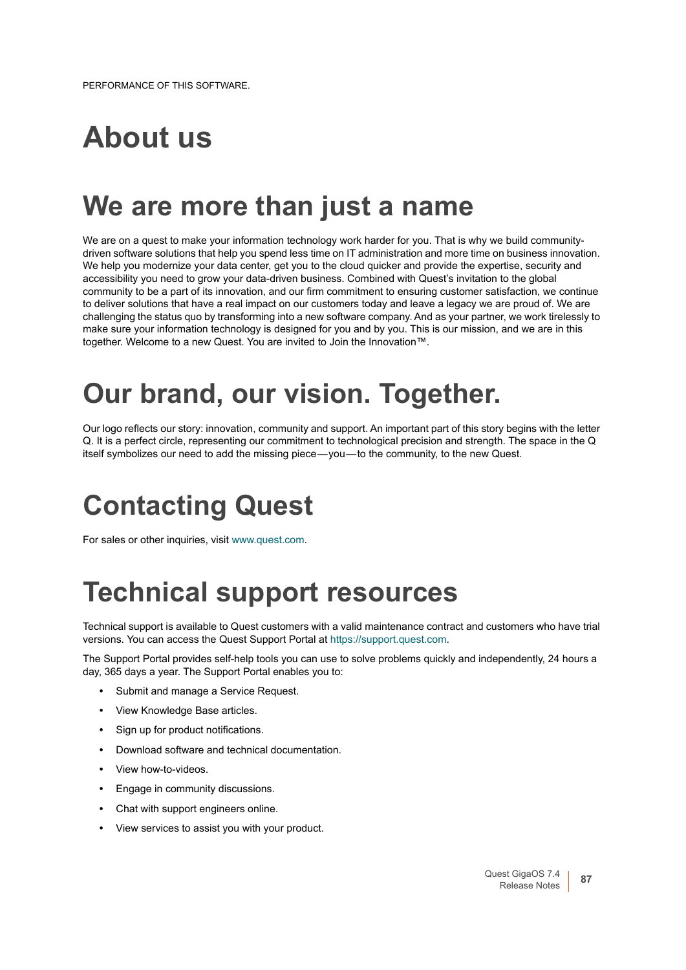# **About us**

# **We are more than just a name**

We are on a quest to make your information technology work harder for you. That is why we build communitydriven software solutions that help you spend less time on IT administration and more time on business innovation. We help you modernize your data center, get you to the cloud quicker and provide the expertise, security and accessibility you need to grow your data-driven business. Combined with Quest's invitation to the global community to be a part of its innovation, and our firm commitment to ensuring customer satisfaction, we continue to deliver solutions that have a real impact on our customers today and leave a legacy we are proud of. We are challenging the status quo by transforming into a new software company. And as your partner, we work tirelessly to make sure your information technology is designed for you and by you. This is our mission, and we are in this together. Welcome to a new Quest. You are invited to Join the Innovation™.

# **Our brand, our vision. Together.**

Our logo reflects our story: innovation, community and support. An important part of this story begins with the letter Q. It is a perfect circle, representing our commitment to technological precision and strength. The space in the Q itself symbolizes our need to add the missing piece — you — to the community, to the new Quest.

# **Contacting Quest**

For sales or other inquiries, visit [www.quest.com](https://www.quest.com/company/contact-us.aspx).

# **Technical support resources**

Technical support is available to Quest customers with a valid maintenance contract and customers who have trial versions. You can access the Quest Support Portal at [https://support.quest.com.](https://support.quest.com)

The Support Portal provides self-help tools you can use to solve problems quickly and independently, 24 hours a day, 365 days a year. The Support Portal enables you to:

- **•** Submit and manage a Service Request.
- **•** View Knowledge Base articles.
- **•** Sign up for product notifications.
- **•** Download software and technical documentation.
- **•** View how-to-videos.
- **•** Engage in community discussions.
- **•** Chat with support engineers online.
- **•** View services to assist you with your product.